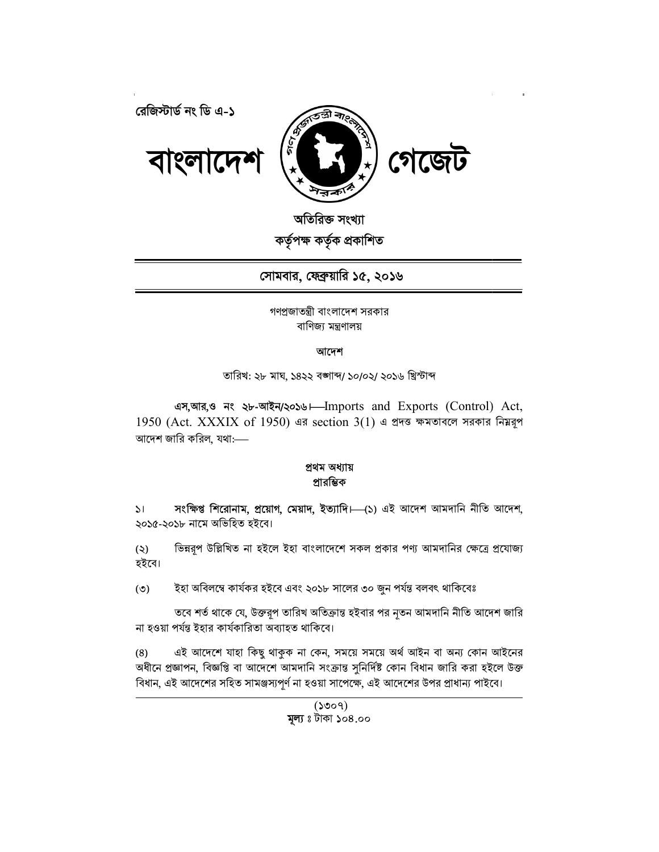



অতিরিক্ত সংখ্যা কৰ্তৃপক্ষ কৰ্তৃক প্ৰকাশিত

সোমবার, ফেব্রুয়ারি ১৫, ২০১৬

গণপ্রজাতন্ত্রী বাংলাদেশ সরকার বাণিজ্য মন্ত্ৰণালয়

### আদেশ

তারিখ: ২৮ মাঘ, ১৪২২ বঙ্গাব্দ/ ১০/০২/ ২০১৬ খ্রিস্টাব্দ

এস,আর,ও নং ২৮-আইন/২০১৬। - Imports and Exports (Control) Act,  $1950$  (Act. XXXIX of 1950) এর section  $3(1)$  এ প্রদত্ত ক্ষমতাবলে সরকার নিয়রপ আদেশ জারি করিল. যথা:—–

# প্ৰথম অধ্যায় প্রারম্ভিক

সংক্ষিপ্ত শিরোনাম, প্রয়োগ, মেয়াদ, ইত্যাদি। (১) এই আদেশ আমদানি নীতি আদেশ,  $\mathbf{M}$ ২০১৫-২০১৮ নামে অভিহিত হইবে।

ভিন্নরূপ উল্লিখিত না হইলে ইহা বাংলাদেশে সকল প্রকার পণ্য আমদানির ক্ষেত্রে প্রযোজ্য  $(5)$ হইবে।

ইহা অবিলম্বে কাৰ্যকর হইবে এবং ২০১৮ সালের ৩০ জন পর্যন্ত বলবৎ থাকিবেঃ  $(5)$ 

তবে শর্ত থাকে যে, উক্তরূপ তারিখ অতিক্রান্ত হইবার পর নৃতন আমদানি নীতি আদেশ জারি না হওয়া পৰ্যন্ত ইহার কাৰ্যকারিতা অব্যাহত থাকিবে।

এই আদেশে যাহা কিছু থাকুক না কেন, সময়ে সময়ে অৰ্থ আইন বা অন্য কোন আইনের  $(8)$ অধীনে প্রজ্ঞাপন, বিজ্ঞপ্তি বা আদেশে আমদানি সংক্রান্ত সুনির্দিষ্ট কোন বিধান জারি করা হইলে উক্ত বিধান, এই আদেশের সহিত সামঞ্জস্যপূর্ণ না হওয়া সাপেক্ষে, এই আদেশের উপর প্রাধান্য পাইবে।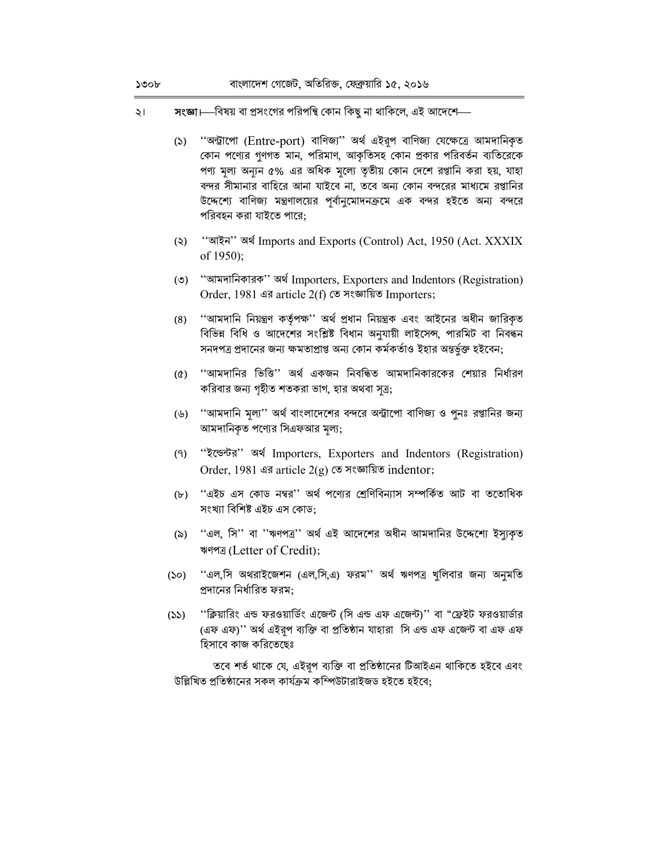- সংজ্ঞা।—বিষয় বা প্রসংগের পরিপন্থি কোন কিছু না থাকিলে, এই আদেশে—  $\frac{1}{2}$ 
	- (১) "অন্ট্রাপো (Entre-port) বাণিজ্য" অর্থ এইরূপ বাণিজ্য যেক্ষেত্রে আমদানিকৃত কোন পণ্যের গণগত মান, পরিমাণ, আকৃতিসহ কোন প্রকার পরিবর্তন ব্যতিরেকে পণ্য মূল্য অন্যুন ৫% এর অধিক মূল্যে তৃতীয় কোন দেশে রপ্তানি করা হয়, যাহা বন্দর সীমানার বাহিরে আনা যাইবে না, তবে অন্য কোন বন্দরের মাধ্যমে রপ্তানির উদ্দেশ্যে বাণিজ্য মন্ত্রণালয়ের পূর্বানুমোদনক্রমে এক বন্দর হইতে অন্য বন্দরে পরিবহন করা যাইতে পারে:
	- "আইন" অৰ্থ Imports and Exports (Control) Act, 1950 (Act. XXXIX  $(5)$ of 1950):
	- (৩) "আমদানিকারক" অর্থ Importers, Exporters and Indentors (Registration) Order, 1981 এর article 2(f) তে সংজ্ঞায়িত Importers;
	- ''আমদানি নিয়ন্ত্রণ কর্তৃপক্ষ'' অর্থ প্রধান নিয়ন্ত্রক এবং আইনের অধীন জারিকৃত  $(8)$ বিভিন্ন বিধি ও আদেশের সংশ্লিষ্ট বিধান অনুযায়ী লাইসেন্স, পারমিট বা নিবন্ধন সনদপত্র প্রদানের জন্য ক্ষমতাপ্রাপ্ত অন্য কোন কর্মকর্তাও ইহার অন্তর্ভুক্ত হইবেন;
	- ''আমদানির ভিত্তি'' অর্থ একজন নিবন্ধিত আমদানিকারকের শেয়ার নির্ধারণ  $(\mathbf{\hat{v}})$ করিবার জন্য গৃহীত শতকরা ভাগ, হার অথবা সত্র;
	- (৬) ''আমদানি মূল্য'' অর্থ বাংলাদেশের বন্দরে অন্ট্রাপো বাণিজ্য ও পুনঃ রপ্তানির জন্য আমদানিকৃত পণ্যের সিএফআর মূল্য;
	- "<br />
	Treeds" and Indentors (Registration)  $(9)$ Order, 1981 এর article  $2(g)$  তে সংজ্ঞায়িত indentor;
	- ''এইচ এস কোড নম্বর'' অর্থ পণ্যের শ্রেণিবিন্যাস সম্পর্কিত আট বা ততোধিক  $(b)$ সংখ্যা বিশিষ্ট এইচ এস কোড;
	- ''এল. সি'' বা ''ঋণপত্ৰ'' অৰ্থ এই আদেশের অধীন আমদানির উদ্দেশ্যে ইস্যকত  $(\delta)$ ঋণপত্ৰ (Letter of Credit);
	- ''এল,সি অথরাইজেশন (এল,সি,এ) ফরম'' অর্থ ঋণপত্র খুলিবার জন্য অনুমতি  $(S<sub>O</sub>)$ প্রদানের নির্ধারিত ফরম:
	- ''ক্লিয়ারিং এন্ড ফরওয়ার্ডিং এজেন্ট (সি এন্ড এফ এজেন্ট)'' বা "ফ্রেইট ফরওয়ার্ডার  $(55)$ (এফ এফ)" অর্থ এইরপ ব্যক্তি বা প্রতিষ্ঠান যাহারা সি এন্ড এফ এজেন্ট বা এফ এফ হিসাবে কাজ করিতেছেঃ

তবে শর্ত থাকে যে, এইরূপ ব্যক্তি বা প্রতিষ্ঠানের টিআইএন থাকিতে হইবে এবং উল্লিখিত প্রতিষ্ঠানের সকল কার্যক্রম কম্পিউটারাইজড হইতে হইবে: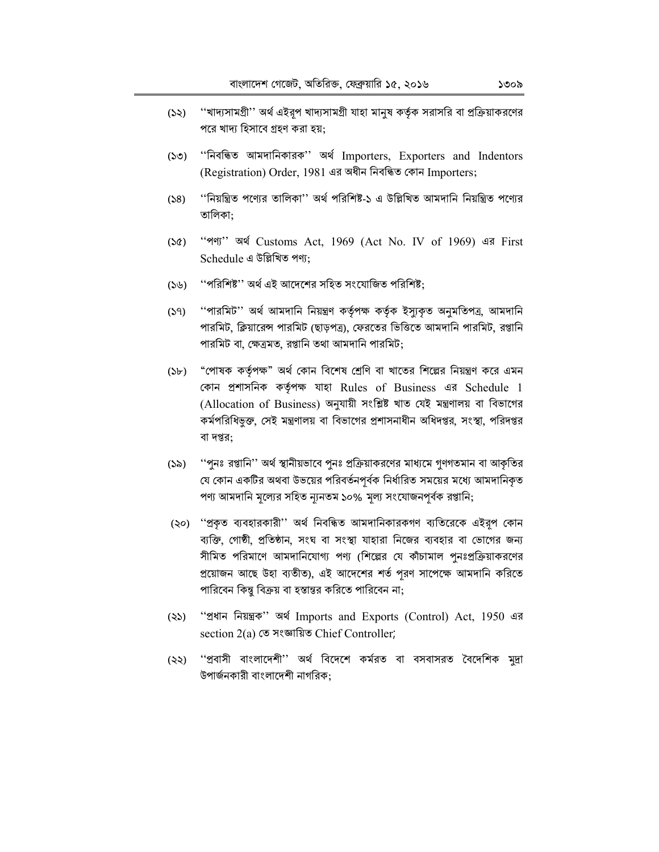- ''খাদ্যসামগ্রী'' অর্থ এইরূপ খাদ্যসামগ্রী যাহা মানুষ কর্তৃক সরাসরি বা প্রক্রিয়াকরণের  $(55)$ পরে খাদ্য হিসাবে গ্রহণ করা হয়:
- "নিবন্ধিত আমদানিকারক" অর্থ Importers, Exporters and Indentors  $(SO)$ (Registration) Order, 1981 এর অধীন নিবন্ধিত কোন Importers;
- ''নিয়ন্ত্রিত পণ্যের তালিকা'' অর্থ পরিশিষ্ট-১ এ উল্লিখিত আমদানি নিয়ন্ত্রিত পণ্যের  $(58)$ তালিকা;
- $(S<sub>c</sub>)$ "পণ্য" অৰ্থ Customs Act, 1969 (Act No. IV of 1969) এর First Schedule এ উল্লিখিত পণ্য:
- ''পরিশিষ্ট'' অর্থ এই আদেশের সহিত সংযোজিত পরিশিষ্ট:  $(56)$
- ''পারমিট'' অর্থ আমদানি নিয়ন্ত্রণ কর্তৃপক্ষ কর্তৃক ইস্যুকৃত অনুমতিপত্র, আমদানি  $(59)$ পারমিট, ক্লিয়ারেন্স পারমিট (ছাড়পত্র), ফেরতের ভিত্তিতে আমদানি পারমিট, রপ্তানি পারমিট বা, ক্ষেত্রমত, রপ্তানি তথা আমদানি পারমিট:
- "পোষক কর্তৃপক্ষ" অর্থ কোন বিশেষ শ্রেণি বা খাতের শিল্পের নিয়ন্ত্রণ করে এমন  $(3b)$ কোন প্রশাসনিক কর্তৃপক্ষ যাহা Rules of Business এর Schedule 1 (Allocation of Business) অনুযায়ী সংশ্লিষ্ট খাত যেই মন্ত্ৰণালয় বা বিভাগের কর্মপরিধিভূক্ত, সেই মন্ত্রণালয় বা বিভাগের প্রশাসনাধীন অধিদপ্তর, সংস্থা, পরিদপ্তর বা দপ্তর:
- $(55)$ ''পুনঃ রপ্তানি'' অর্থ স্থানীয়ভাবে পুনঃ প্রক্রিয়াকরণের মাধ্যমে গুণগতমান বা আকৃতির যে কোন একটির অথবা উভয়ের পরিবর্তনপূর্বক নির্ধারিত সময়ের মধ্যে আমদানিকৃত পণ্য আমদানি মূল্যের সহিত ন্যনতম ১০% মূল্য সংযোজনপূর্বক রপ্তানি;
- (২০) ''প্রকৃত ব্যবহারকারী'' অর্থ নিবন্ধিত আমদানিকারকগণ ব্যতিরেকে এইরূপ কোন ব্যক্তি, গোষ্ঠী, প্রতিষ্ঠান, সংঘ বা সংস্থা যাহারা নিজের ব্যবহার বা ভোগের জন্য সীমিত পরিমাণে আমদানিযোগ্য পণ্য (শিল্পের যে কাঁচামাল পুনঃপ্রক্রিয়াকরণের প্রয়োজন আছে উহা ব্যতীত), এই আদেশের শর্ত পূরণ সাপেক্ষে আমদানি করিতে পারিবেন কিন্তু বিক্রয় বা হস্তান্তর করিতে পারিবেন না;
- (২১) "প্রধান নিয়ন্ত্রক" অর্থ Imports and Exports (Control) Act, 1950 এর section 2(a) তে সংজ্ঞায়িত Chief Controller;
- ''প্রবাসী বাংলাদেশী'' অর্থ বিদেশে কর্মরত বা বসবাসরত বৈদেশিক মুদ্রা  $(\zeta \zeta)$ উপার্জনকারী বাংলাদেশী নাগরিক: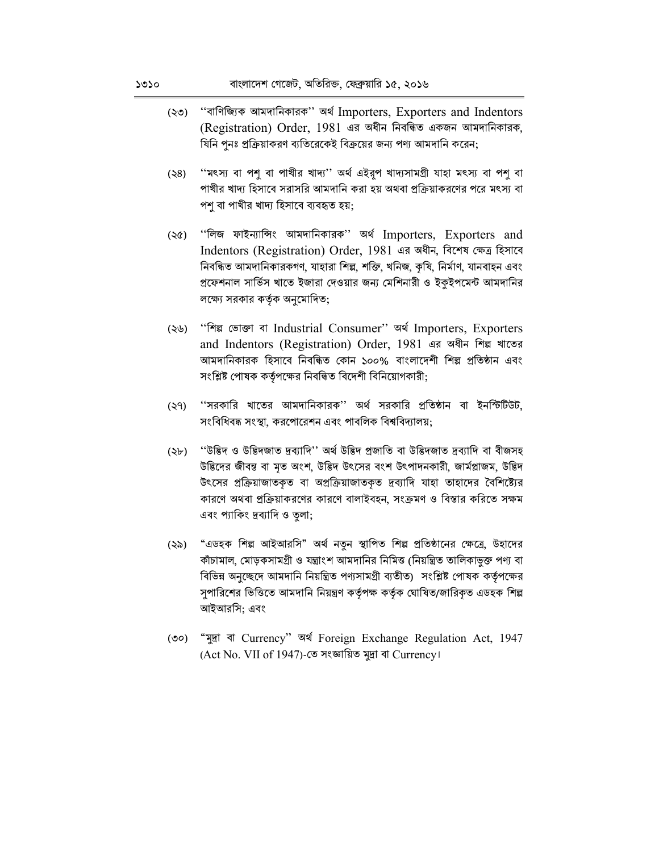- "বাণিজ্যিক আমদানিকারক" অর্থ Importers, Exporters and Indentors (২৩) (Registration) Order, 1981 এর অধীন নিবন্ধিত একজন আমদানিকারক, যিনি পুনঃ প্রক্রিয়াকরণ ব্যতিরেকেই বিক্রয়ের জন্য পণ্য আমদানি করেন;
- ''মৎস্য বা পশু বা পাখীর খাদ্য'' অর্থ এইরূপ খাদ্যসামগ্রী যাহা মৎস্য বা পশু বা  $(38)$ পাখীর খাদ্য হিসাবে সরাসরি আমদানি করা হয় অথবা প্রক্রিয়াকরণের পরে মৎস্য বা পশু বা পাখীর খাদ্য হিসাবে ব্যবহৃত হয়;
- "লিজ ফাইন্যান্সিং আমদানিকারক" অর্থ Importers, Exporters and  $(36)$ Indentors (Registration) Order, 1981 এর অধীন, বিশেষ ক্ষেত্র হিসাবে নিবন্ধিত আমদানিকারকগণ, যাহারা শিল্প, শক্তি, খনিজ, কৃষি, নির্মাণ, যানবাহন এবং প্রফেশনাল সার্ভিস খাতে ইজারা দেওয়ার জন্য মেশিনারী ও ইকুইপমেন্ট আমদানির লক্ষ্যে সরকার কর্তৃক অনুমোদিত;
- "শিল্প ভোক্তা বা Industrial Consumer" অৰ্থ Importers, Exporters  $(55)$ and Indentors (Registration) Order, 1981 এর অধীন শিল্প খাতের আমদানিকারক হিসাবে নিবন্ধিত কোন ১০০% বাংলাদেশী শিল্প প্রতিষ্ঠান এবং সংশ্লিষ্ট পোষক কর্তৃপক্ষের নিবন্ধিত বিদেশী বিনিয়োগকারী;
- ''সরকারি খাতের আমদানিকারক'' অর্থ সরকারি প্রতিষ্ঠান বা ইনস্টিটিউট.  $(39)$ সংবিধিবদ্ধ সংস্থা, করপোরেশন এবং পাবলিক বিশ্ববিদ্যালয়;
- ''উদ্ভিদ ও উদ্ভিদজাত দ্রব্যাদি'' অর্থ উদ্ভিদ প্রজাতি বা উদ্ভিদজাত দ্রব্যাদি বা বীজসহ  $(\forall b)$ উদ্ভিদের জীবন্ত বা মৃত অংশ, উদ্ভিদ উৎসের বংশ উৎপাদনকারী, জার্মপ্লাজম, উদ্ভিদ উৎসের প্রক্রিয়াজাতকৃত বা অপ্রক্রিয়াজাতকৃত দ্রব্যাদি যাহা তাহাদের বৈশিষ্ট্যের কারণে অথবা প্রক্রিয়াকরণের কারণে বালাইবহন, সংক্রমণ ও বিস্তার করিতে সক্ষম এবং প্যাকিং দ্রব্যাদি ও তুলা;
- "এডহক শিল্প আইআরসি" অর্থ নতুন স্থাপিত শিল্প প্রতিষ্ঠানের ক্ষেত্রে, উহাদের (২৯) কাঁচামাল, মোড়কসামগ্ৰী ও যন্ত্ৰাংশ আমদানির নিমিত্ত (নিয়ন্ত্রিত তালিকাভুক্ত পণ্য বা বিভিন্ন অনুচ্ছেদে আমদানি নিয়ন্ত্রিত পণ্যসামগ্রী ব্যতীত) সংশ্লিষ্ট পোষক কর্তৃপক্ষের সপারিশের ভিত্তিতে আমদানি নিয়ন্ত্রণ কর্তৃপক্ষ কর্তৃক ঘোষিত/জারিকত এডহক শিল্প আইআরসি; এবং
- (৩০) "মুদ্ৰা বা Currency" অৰ্থ Foreign Exchange Regulation Act, 1947 (Act No. VII of 1947)-তে সংজ্ঞায়িত মুদ্ৰা বা Currency।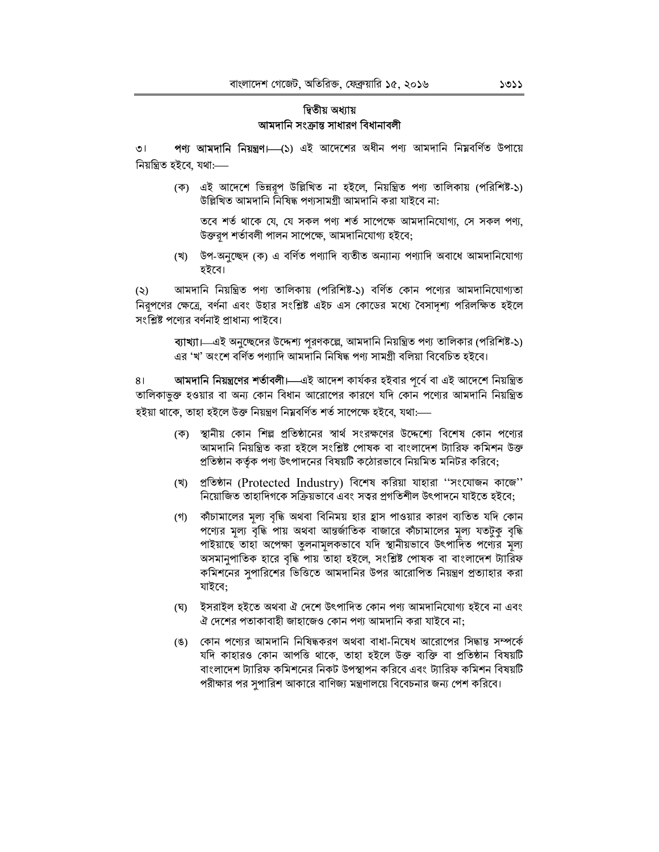# দ্বিতীয় অধ্যায় আমদানি সংক্ৰান্ত সাধারণ বিধানাবলী

পণ্য **আমদানি নিয়ন্ত্রণ।**—(১) এই আদেশের অধীন পণ্য আমদানি নিম্নবর্ণিত উপায়ে  $\circ$ নিয়ন্ত্ৰিত হইবে. যথা:—

(ক) এই আদেশে ভিন্নরপ উল্লিখিত না হইলে, নিয়ন্ত্রিত পণ্য তালিকায় (পরিশিষ্ট-১) উল্লিখিত আমদানি নিষিদ্ধ পণ্যসামগ্ৰী আমদানি করা যাইবে না:

তবে শর্ত থাকে যে, যে সকল পণ্য শর্ত সাপেক্ষে আমদানিযোগ্য, সে সকল পণ্য, উক্তরপ শর্তাবলী পালন সাপেক্ষে, আমদানিযোগ্য হইবে;

(খ) উপ-অনুচ্ছেদ (ক) এ বর্ণিত পণ্যাদি ব্যতীত অন্যান্য পণ্যাদি অবাধে আমদানিযোগ্য হইবে।

আমদানি নিয়ন্ত্রিত পণ্য তালিকায় (পরিশিষ্ট-১) বর্ণিত কোন পণ্যের আমদানিযোগ্যতা  $(5)$ নিরূপণের ক্ষেত্রে, বর্ণনা এবং উহার সংশ্লিষ্ট এইচ এস কোডের মধ্যে বৈসাদৃশ্য পরিলক্ষিত হইলে সংশ্লিষ্ট পণ্যের বর্ণনাই প্রাধান্য পাইবে।

> ব্যাখ্যা।—এই অনুচ্ছেদের উদ্দেশ্য পূরণকল্লে, আমদানি নিয়ন্ত্রিত পণ্য তালিকার (পরিশিষ্ট-১) এর 'খ' অংশে বর্ণিত পণ্যাদি আমদানি নিষিদ্ধ পণ্য সামগ্রী বলিয়া বিবেচিত হইবে।

**আমদানি নিয়ন্ত্রণের শর্তাবলী।—এ**ই আদেশ কার্যকর হইবার পূর্বে বা এই আদেশে নিয়ন্ত্রিত  $81$ তালিকাভূক্ত হওয়ার বা অন্য কোন বিধান আরোপের কারণে যদি কোন পণ্যের আমদানি নিয়ন্ত্রিত হইয়া থাকে. তাহা হইলে উক্ত নিয়ন্ত্ৰণ নিম্নবৰ্ণিত শৰ্ত সাপেক্ষে হইবে. যথা:—

- (ক) স্থানীয় কোন শিল্প প্রতিষ্ঠানের স্বার্থ সংরক্ষণের উদ্দেশ্যে বিশেষ কোন পণ্যের আমদানি নিয়ন্ত্রিত করা হইলে সংশ্লিষ্ট পোষক বা বাংলাদেশ ট্যারিফ কমিশন উক্ত প্রতিষ্ঠান কর্তৃক পণ্য উৎপাদনের বিষয়টি কঠোরভাবে নিয়মিত মনিটর করিবে;
- (খ) প্রতিষ্ঠান (Protected Industry) বিশেষ করিয়া যাহারা "সংযোজন কাজে" নিয়োজিত তাহাদিগকে সক্রিয়ভাবে এবং সত্বর প্রগতিশীল উৎপাদনে যাইতে হইবে;
- (গ) কাঁচামালের মূল্য বৃদ্ধি অথবা বিনিময় হার হ্রাস পাওয়ার কারণ ব্যতিত যদি কোন পণ্যের মূল্য বৃদ্ধি পায় অথবা আন্তর্জাতিক বাজারে কাঁচামালের মূল্য যতটুকু বৃদ্ধি পাইয়াছে তাহা অপেক্ষা তৃলনামলকভাবে যদি স্থানীয়ভাবে উৎপাদিত পণ্যের মল্য অসমানুপাতিক হারে বৃদ্ধি পায় তাহা হইলে, সংশ্লিষ্ট পোষক বা বাংলাদেশ ট্যারিফ কমিশনের সুপারিশের ভিত্তিতে আমদানির উপর আরোপিত নিয়ন্ত্রণ প্রত্যাহার করা যাইবে;
- (ঘ) ইসরাইল হইতে অথবা ঐ দেশে উৎপাদিত কোন পণ্য আমদানিযোগ্য হইবে না এবং ঐ দেশের পতাকাবাহী জাহাজেও কোন পণ্য আমদানি করা যাইবে না:
- (ঙ) কোন পণ্যের আমদানি নিষিদ্ধকরণ অথবা বাধা-নিষেধ আরোপের সিদ্ধান্ত সম্পর্কে যদি কাহারও কোন আপতি থাকে, তাহা হইলে উক্ত ব্যক্তি বা প্রতিষ্ঠান বিষয়টি বাংলাদেশ ট্যারিফ কমিশনের নিকট উপস্থাপন করিবে এবং ট্যারিফ কমিশন বিষয়টি পরীক্ষার পর সুপারিশ আকারে বাণিজ্য মন্ত্রণালয়ে বিবেচনার জন্য পেশ করিবে।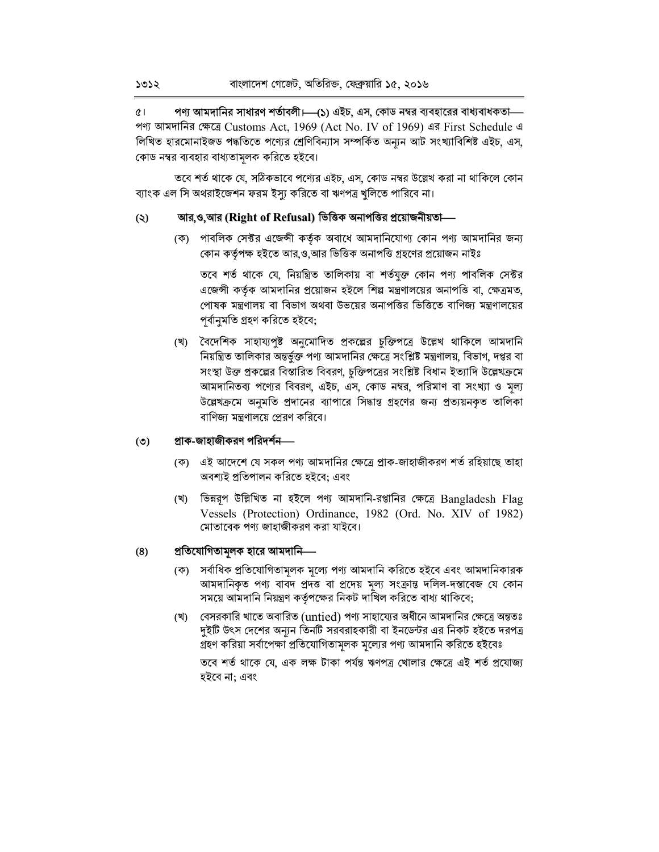পণ্য আমদানির সাধারণ শর্তাবলী।—(১) এইচ, এস, কোড নম্বর ব্যবহারের বাধ্যবাধকতা—  $\alpha$ পণ্য আমদানির ক্ষেত্রে Customs Act, 1969 (Act No. IV of 1969) এর First Schedule এ লিখিত হারমোনাইজড পদ্ধতিতে পণ্যের শ্রেণিবিন্যাস সম্পর্কিত অন্যন আট সংখ্যাবিশিষ্ট এইচ, এস, কোড নম্বর ব্যবহার বাধ্যতামূলক করিতে হইবে।

তবে শর্ত থাকে যে, সঠিকভাবে পণ্যের এইচ, এস, কোড নম্বর উল্লেখ করা না থাকিলে কোন ব্যাংক এল সি অথরাইজেশন ফরম ইস্য করিতে বা ঋণপত্র খলিতে পারিবে না।

#### আর,ও,আর (Right of Refusal) ভিত্তিক অনাপত্তির প্রয়োজনীয়তা—  $\circledcirc$

(ক) পাবলিক সেক্টর এজেন্সী কর্তৃক অবাধে আমদানিযোগ্য কোন পণ্য আমদানির জন্য কোন কর্তৃপক্ষ হইতে আর,ও,আর ভিত্তিক অনাপত্তি গ্রহণের প্রয়োজন নাইঃ

তবে শর্ত থাকে যে, নিয়ন্ত্রিত তালিকায় বা শর্তযুক্ত কোন পণ্য পাবলিক সেক্টর এজেন্সী কর্তৃক আমদানির প্রয়োজন হইলে শিল্প মন্ত্রণালয়ের অনাপত্তি বা, ক্ষেত্রমত, পোষক মন্ত্রণালয় বা বিভাগ অথবা উভয়ের অনাপত্তির ভিত্তিতে বাণিজ্য মন্ত্রণালয়ের পৰ্বানুমতি গ্ৰহণ করিতে হইবে;

(খ) বৈদেশিক সাহায্যপুষ্ট অনুমোদিত প্রকল্পের চুক্তিপত্রে উল্লেখ থাকিলে আমদানি নিয়ন্ত্রিত তালিকার অন্তর্ভূক্ত পণ্য আমদানির ক্ষেত্রে সংশ্লিষ্ট মন্ত্রণালয়, বিভাগ, দপ্তর বা সংস্থা উক্ত প্রকল্পের বিস্তারিত বিবরণ, চুক্তিপত্রের সংশ্লিষ্ট বিধান ইত্যাদি উল্লেখক্রমে আমদানিতব্য পণ্যের বিবরণ, এইচ, এস, কোড নম্বর, পরিমাণ বা সংখ্যা ও মূল্য উল্লেখক্রমে অনুমতি প্রদানের ব্যাপারে সিদ্ধান্ত গ্রহণের জন্য প্রত্যয়নকৃত তালিকা বাণিজ্য মন্ত্রণালয়ে প্রেরণ করিবে।

#### প্ৰাক-জাহাজীকরণ পরিদর্শন—  $(5)$

- (ক) এই আদেশে যে সকল পণ্য আমদানির ক্ষেত্রে প্রাক-জাহাজীকরণ শর্ত রহিয়াছে তাহা অবশ্যই প্রতিপালন করিতে হইবে; এবং
- (খ) ভিন্নরূপ উল্লিখিত না হইলে পণ্য আমদানি-রপ্তানির ক্ষেত্রে Bangladesh Flag Vessels (Protection) Ordinance, 1982 (Ord. No. XIV of 1982) মোতাবেক পণ্য জাহাজীকরণ করা যাইবে।

#### প্রতিযোগিতামূলক হারে আমদানি—  $(8)$

- (ক) সর্বাধিক প্রতিযোগিতামূলক মূল্যে পণ্য আমদানি করিতে হইবে এবং আমদানিকারক আমদানিকৃত পণ্য বাবদ প্রদত্ত বা প্রদেয় মূল্য সংক্রান্ত দলিল-দস্তাবেজ যে কোন সময়ে আমদানি নিয়ন্ত্রণ কর্তৃপক্ষের নিকট দাখিল করিতে বাধ্য থাকিবে;
- (খ) বেসরকারি খাতে অবারিত (untied) পণ্য সাহায্যের অধীনে আমদানির ক্ষেত্রে অন্ততঃ দুইটি উৎস দেশের অন্যন তিনটি সরবরাহকারী বা ইনডেন্টর এর নিকট হইতে দরপত্র গ্রহণ করিয়া সর্বাপেক্ষা প্রতিযোগিতামলক মল্যের পণ্য আমদানি করিতে হইবেঃ

তবে শর্ত থাকে যে, এক লক্ষ টাকা পর্যন্ত ঋণপত্র খোলার ক্ষেত্রে এই শর্ত প্রযোজ্য হইবে না: এবং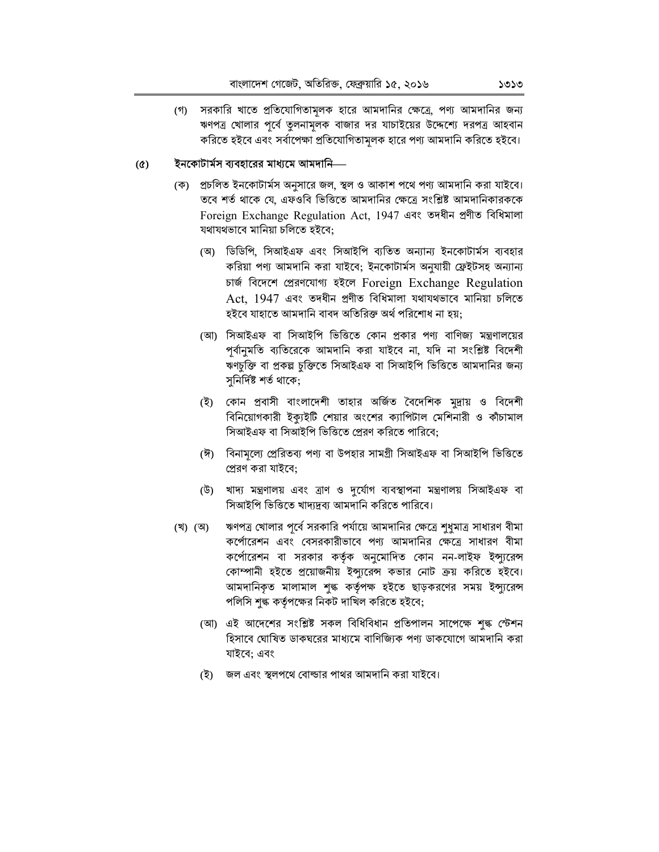সরকারি খাতে প্রতিযোগিতামূলক হারে আমদানির ক্ষেত্রে, পণ্য আমদানির জন্য (গ) ঋণপত্র খোলার পর্বে তৃলনামলক বাজার দর যাচাইয়ের উদ্দেশ্যে দরপত্র আহবান করিতে হইবে এবং সর্বাপেক্ষা প্রতিযোগিতামূলক হারে পণ্য আমদানি করিতে হইবে।

#### ইনকোটার্মস ব্যবহারের মাধ্যমে আমদানি—  $(6)$

- (ক) প্রচলিত ইনকোটার্মস অনুসারে জল, স্থল ও আকাশ পথে পণ্য আমদানি করা যাইবে। তবে শর্ত থাকে যে, এফওবি ভিত্তিতে আমদানির ক্ষেত্রে সংশ্লিষ্ট আমদানিকারককে Foreign Exchange Regulation Act, 1947 এবং তদধীন প্রণীত বিধিমালা যথাযথভাবে মানিয়া চলিতে হইবে;
	- (অ) ডিডিপি, সিআইএফ এবং সিআইপি ব্যতিত অন্যান্য ইনকোটার্মস ব্যবহার করিয়া পণ্য আমদানি করা যাইবে; ইনকোটার্মস অনুযায়ী ফ্রেইটসহ অন্যান্য চাৰ্জ বিদেশে প্ৰেরণযোগ্য হইলে Foreign Exchange Regulation  $Act$ ,  $1947$  এবং তদধীন প্রণীত বিধিমালা যথাযথভাবে মানিয়া চলিতে হইবে যাহাতে আমদানি বাবদ অতিরিক্ত অর্থ পরিশোধ না হয়;
	- (আ) সিআইএফ বা সিআইপি ভিত্তিতে কোন প্রকার পণ্য বাণিজ্য মন্ত্রণালয়ের পূর্বানুমতি ব্যতিরেকে আমদানি করা যাইবে না, যদি না সংশ্লিষ্ট বিদেশী ঋণচুক্তি বা প্রকল্প চুক্তিতে সিআইএফ বা সিআইপি ভিত্তিতে আমদানির জন্য সুনিৰ্দিষ্ট শৰ্ত থাকে;
	- (ই) কোন প্রবাসী বাংলাদেশী তাহার অর্জিত বৈদেশিক মুদ্রায় ও বিদেশী বিনিয়োগকারী ইক্যইটি শেয়ার অংশের ক্যাপিটাল মেশিনারী ও কাঁচামাল সিআইএফ বা সিআইপি ভিত্তিতে প্রেরণ করিতে পারিবে;
	- (ঈ) বিনামূল্যে প্রেরিতব্য পণ্য বা উপহার সামগ্রী সিআইএফ বা সিআইপি ভিত্তিতে প্ৰেরণ করা যাইবে:
	- (উ) খাদ্য মন্ত্রণালয় এবং ত্রাণ ও দুর্যোগ ব্যবস্থাপনা মন্ত্রণালয় সিআইএফ বা সিআইপি ভিত্তিতে খাদ্যদ্রব্য আমদানি করিতে পারিবে।
- ঋণপত্র খোলার পূর্বে সরকারি পর্যায়ে আমদানির ক্ষেত্রে শুধুমাত্র সাধারণ বীমা (খ) (অ) কর্পোরেশন এবং বেসরকারীভাবে পণ্য আমদানির ক্ষেত্রে সাধারণ বীমা কর্পোরেশন বা সরকার কর্তৃক অনুমোদিত কোন নন-লাইফ ইন্স্যরেন্স কোম্পানী হইতে প্রয়োজনীয় ইন্স্যরেন্স কভার নোট ক্রয় করিতে হইবে। আমদানিকৃত মালামাল শুল্ক কর্তৃপক্ষ হইতে ছাড়করণের সময় ইন্স্যরেন্স পলিসি শুল্ক কর্তৃপক্ষের নিকট দাখিল করিতে হইবে;
	- (আ) এই আদেশের সংশ্লিষ্ট সকল বিধিবিধান প্রতিপালন সাপেক্ষে শঙ্ক স্টেশন হিসাবে ঘোষিত ডাকঘরের মাধ্যমে বাণিজ্যিক পণ্য ডাকযোগে আমদানি করা যাইবে: এবং
	- (ই) জল এবং স্থলপথে বোল্ডার পাথর আমদানি করা যাইবে।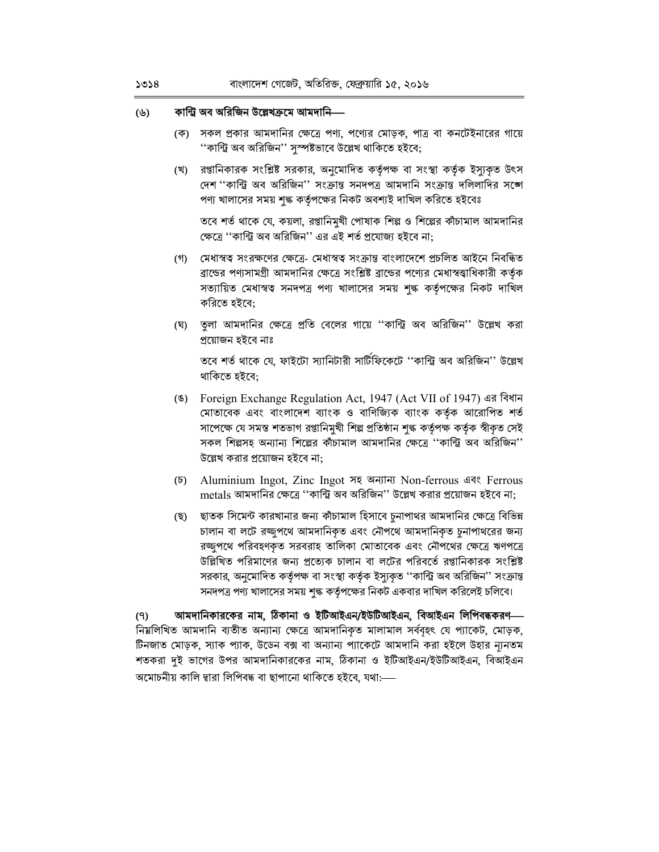#### $(\mathcal{V})$ কান্ট্রি অব অরিজিন উল্লেখক্রমে আমদানি—

- (ক) সকল প্রকার আমদানির ক্ষেত্রে পণ্য, পণ্যের মোড়ক, পাত্র বা কনটেইনারের গায়ে ''কান্ট্রি অব অরিজিন'' সম্পষ্টভাবে উল্লেখ থাকিতে হইবে;
- (খ) রপ্তানিকারক সংশ্লিষ্ট সরকার, অনুমোদিত কর্তৃপক্ষ বা সংস্থা কর্তৃক ইস্যুকৃত উৎস দেশ ''কান্ট্রি অব অরিজিন'' সংক্রান্ত সনদপত্র আমদানি সংক্রান্ত দলিলাদির সঙ্গে পণ্য খালাসের সময় শুল্ক কর্তৃপক্ষের নিকট অবশ্যই দাখিল করিতে হইবেঃ

তবে শর্ত থাকে যে, কয়লা, রপ্তানিমুখী পোষাক শিল্প ও শিল্পের কাঁচামাল আমদানির ক্ষেত্রে ''কান্ট্রি অব অরিজিন'' এর এই শর্ত প্রযোজ্য হইবে না:

- (গ) মেধাস্বত্ব সংরক্ষণের ক্ষেত্রে- মেধাস্বত্ব সংক্রান্ত বাংলাদেশে প্রচলিত আইনে নিবন্ধিত ব্রান্ডের পণ্যসামগ্রী আমদানির ক্ষেত্রে সংশ্লিষ্ট ব্রান্ডের পণ্যের মেধাস্বত্ত্বাধিকারী কর্তৃক সত্যায়িত মেধাস্বত্ব সনদপত্র পণ্য খালাসের সময় শুল্ক কর্তৃপক্ষের নিকট দাখিল করিতে হইবে:
- (ঘ) তুলা আমদানির ক্ষেত্রে প্রতি বেলের গায়ে ''কান্ট্রি অব অরিজিন'' উল্লেখ করা প্ৰয়োজন হইবে নাঃ

তবে শর্ত থাকে যে. ফাইটো স্যানিটারী সার্টিফিকেটে ''কান্ট্রি অব অরিজিন'' উল্লেখ থাকিতে হইবে:

- (ঙ) Foreign Exchange Regulation Act, 1947 (Act VII of 1947) এর বিধান মোতাবেক এবং বাংলাদেশ ব্যাংক ও বাণিজ্যিক ব্যাংক কর্তৃক আরোপিত শর্ত সাপেক্ষে যে সমস্ত শতভাগ রপ্তানিমুখী শিল্প প্রতিষ্ঠান শৃল্ক কর্তৃপক্ষ কর্তৃক স্বীকৃত সেই সকল শিল্পসহ অন্যান্য শিল্পের কাঁচামাল আমদানির ক্ষেত্রে ''কান্ট্রি অব অরিজিন'' উল্লেখ করার প্রয়োজন হইবে না:
- (5) Aluminium Ingot, Zinc Ingot সহ অন্যান্য Non-ferrous এবং Ferrous metals আমদানির ক্ষেত্রে ''কান্ট্রি অব অরিজিন'' উল্লেখ করার প্রয়োজন হইবে না;
- (ছ) ছাতক সিমেন্ট কারখানার জন্য কাঁচামাল হিসাবে চনাপাথর আমদানির ক্ষেত্রে বিভিন্ন চালান বা লটে রজ্জুপথে আমদানিকৃত এবং নৌপথে আমদানিকৃত চুনাপাথরের জন্য রজ্জুপথে পরিবহণকৃত সরবরাহ তালিকা মোতাবেক এবং নৌপথের ক্ষেত্রে ঋণপত্রে উল্লিখিত পরিমাণের জন্য প্রত্যেক চালান বা লটের পরিবর্তে রপ্তানিকারক সংশ্লিষ্ট সরকার, অনুমোদিত কর্তৃপক্ষ বা সংস্থা কর্তৃক ইস্যুকৃত ''কান্ট্রি অব অরিজিন'' সংক্রান্ত সনদপত্র পণ্য খালাসের সময় শুল্ক কর্তৃপক্ষের নিকট একবার দাখিল করিলেই চলিবে।

আমদানিকারকের নাম, ঠিকানা ও ইটিআইএন/ইউটিআইএন, বিআইএন লিপিবদ্ধকরণ—  $(9)$ নিয়লিখিত আমদানি ব্যতীত অন্যান্য ক্ষেত্রে আমদানিকৃত মালামাল সর্ববৃহৎ যে প্যাকেট, মোড়ক, টিনজাত মোড়ক, স্যাক প্যাক, উডেন বক্স বা অন্যান্য প্যাকেটে আমদানি করা হইলে উহার ন্যনতম শতকরা দুই ভাগের উপর আমদানিকারকের নাম, ঠিকানা ও ইটিআইএন/ইউটিআইএন, বিআইএন অমোচনীয় কালি দ্বারা লিপিবদ্ধ বা ছাপানো থাকিতে হইবে, যথা:—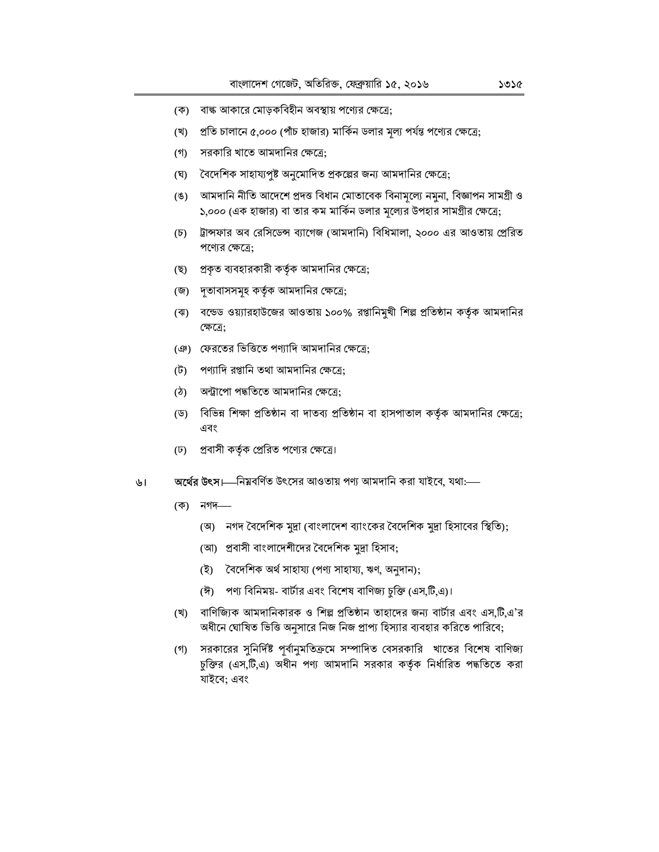- (ক) বান্ধ আকারে মোড়কবিহীন অবস্থায় পণ্যের ক্ষেত্রে;
- প্রতি চালানে ৫,০০০ (পাঁচ হাজার) মার্কিন ডলার মূল্য পর্যন্ত পণ্যের ক্ষেত্রে; (খ)
- $($ গ) সরকারি খাতে আমদানির ক্ষেত্রে:
- বৈদেশিক সাহায্যপুষ্ট অনুমোদিত প্রকল্পের জন্য আমদানির ক্ষেত্রে; (ঘৃ)
- আমদানি নীতি আদেশে প্ৰদত্ত বিধান মোতাবেক বিনামল্যে নমুনা, বিজ্ঞাপন সামগ্ৰী ও  $(8)$ ১,০০০ (এক হাজার) বা তার কম মার্কিন ডলার মূল্যের উপহার সামগ্রীর ক্ষেত্রে;
- (চ) ট্রান্সফার অব রেসিডেন্স ব্যাগেজ (আমদানি) বিধিমালা, ২০০০ এর আওতায় প্রেরিত পণ্যের ক্ষেত্রে:
- প্রকৃত ব্যবহারকারী কর্তৃক আমদানির ক্ষেত্রে; (ছ)
- (জ) দূতাবাসসমূহ কর্তৃক আমদানির ক্ষেত্রে;
- (ঝ) বন্ডেড ওয়্যারহাউজের আওতায় ১০০% রপ্তানিমুখী শিল্প প্রতিষ্ঠান কর্তৃক আমদানির ক্ষেত্ৰে:
- (ঞ) ফেরতের ভিত্তিতে পণ্যাদি আমদানির ক্ষেত্রে;
- পণ্যাদি রপ্তানি তথা আমদানির ক্ষেত্রে: (ট)
- (ঠ) অন্ট্রাপো পদ্ধতিতে আমদানির ক্ষেত্রে:
- বিভিন্ন শিক্ষা প্রতিষ্ঠান বা দাতব্য প্রতিষ্ঠান বা হাসপাতাল কর্তৃক আমদানির ক্ষেত্রে; (ড) এবং
- (ঢ) প্রবাসী কর্তৃক প্রেরিত পণ্যের ক্ষেত্রে।
- **অর্থের উৎস।**—নিম্নবর্ণিত উৎসের আওতায় পণ্য আমদানি করা যাইবে, যথা:— ৬।
	- (ক) নগদ—
		- (অ) নগদ বৈদেশিক মুদ্রা (বাংলাদেশ ব্যাংকের বৈদেশিক মুদ্রা হিসাবের স্থিতি);
		- (আ) প্রবাসী বাংলাদেশীদের বৈদেশিক মুদ্রা হিসাব;
		- (ই) বৈদেশিক অৰ্থ সাহায্য (পণ্য সাহায্য, ঋণ, অনুদান);
		- (ঈ) পণ্য বিনিময়- বার্টার এবং বিশেষ বাণিজ্য চুক্তি (এস,টি,এ)।
	- (খ) বাণিজ্যিক আমদানিকারক ও শিল্প প্রতিষ্ঠান তাহাদের জন্য বার্টার এবং এস.টি.এ'র অধীনে ঘোষিত ভিত্তি অনুসারে নিজ নিজ প্রাপ্য হিস্যার ব্যবহার করিতে পারিবে;
	- (গ) সরকারের সুনির্দিষ্ট পূর্বানুমতিক্রমে সম্পাদিত বেসরকারি খাতের বিশেষ বাণিজ্য চুক্তির (এস,টি,এ) অধীন পণ্য আমদানি সরকার কর্তৃক নির্ধারিত পদ্ধতিতে করা যাইবে; এবং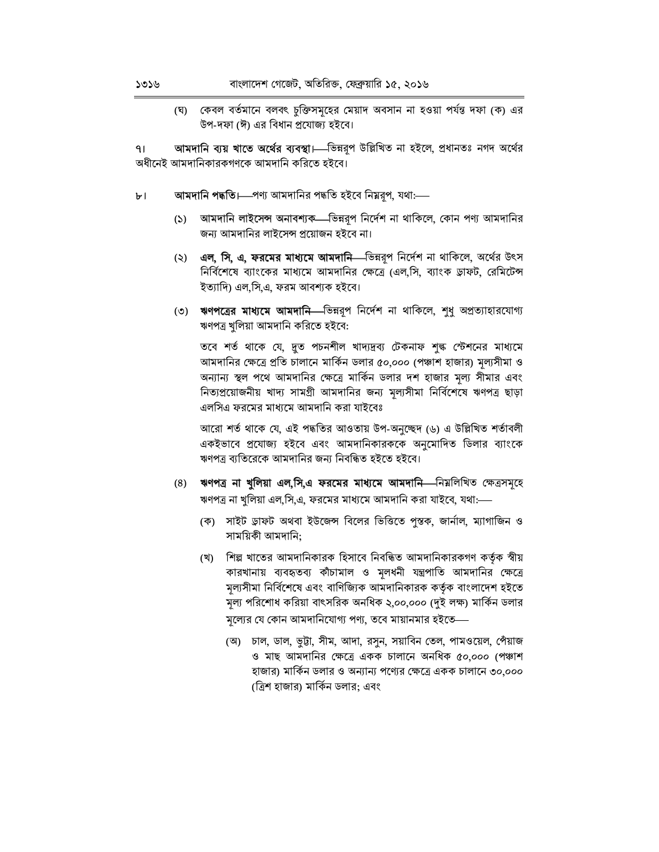(ঘ) কেবল বর্তমানে বলবৎ চুক্তিসমূহের মেয়াদ অবসান না হওয়া পর্যন্ত দফা (ক) এর উপ-দফা (ঈ) এর বিধান প্রযোজ্য হইবে।

**আমদানি ব্যয় খাতে অর্থের ব্যবস্থা।** ভিন্নরূপ উল্লিখিত না হইলে, প্রধানতঃ নগদ অর্থের  $91$ অধীনেই আমদানিকারকগণকে আমদানি করিতে হইবে।

- আমদানি পদ্ধতি। পণ্য আমদানির পদ্ধতি হইবে নিম্নরূপ, যথা:  $\mathbf{b}$ 
	- আমদানি লাইসেন্স অনাবশ্যক—ভিন্নরূপ নির্দেশ না থাকিলে, কোন পণ্য আমদানির  $(5)$ জন্য আমদানির লাইসেন্স প্রয়োজন হইবে না।
	- (২) **এল, সি, এ, ফরমের মাধ্যমে আমদানি—**ভিন্নরূপ নির্দেশ না থাকিলে, অর্থের উৎস নির্বিশেষে ব্যাংকের মাধ্যমে আমদানির ক্ষেত্রে (এল,সি, ব্যাংক ড্রাফট, রেমিটেন্স ইত্যাদি) এল.সি.এ. ফরম আবশ্যক হইবে।
	- (৩) **ঋণপত্রের মাধ্যমে আমদানি—**ভিন্নরূপ নির্দেশ না থাকিলে, শুধু অপ্রত্যাহারযোগ্য ঋণপত্ৰ খুলিয়া আমদানি করিতে হইবে:

তবে শর্ত থাকে যে, দুত পচনশীল খাদ্যদ্রব্য টেকনাফ শুল্ক স্টেশনের মাধ্যমে আমদানির ক্ষেত্রে প্রতি চালানে মার্কিন ডলার ৫০,০০০ (পঞ্চাশ হাজার) মূল্যসীমা ও অন্যান্য স্থল পথে আমদানির ক্ষেত্রে মার্কিন ডলার দশ হাজার মূল্য সীমার এবং নিত্যপ্রয়োজনীয় খাদ্য সামগ্রী আমদানির জন্য মূল্যসীমা নির্বিশেষে ঋণপত্র ছাড়া এলসিএ ফরমের মাধ্যমে আমদানি করা যাইবেঃ

আরো শর্ত থাকে যে, এই পদ্ধতির আওতায় উপ-অনুচ্ছেদ (৬) এ উল্লিখিত শর্তাবলী একইভাবে প্রযোজ্য হইবে এবং আমদানিকারককে অনুমোদিত ডিলার ব্যাংকে ঋণপত্র ব্যতিরেকে আমদানির জন্য নিবন্ধিত হইতে হইবে।

- (৪) ঋণপত্র না খুলিয়া এল,সি,এ ফরমের মাধ্যমে আমদানি—নিমলিখিত ক্ষেত্রসমূহে ঋণপত্র না খুলিয়া এল,সি,এ, ফরমের মাধ্যমে আমদানি করা যাইবে, যথা:—
	- (ক) সাইট ড্ৰাফট অথবা ইউজেন্স বিলের ভিত্তিতে পুস্তক, জার্নাল, ম্যাগাজিন ও সাময়িকী আমদানি;
	- (খ) শিল্প খাতের আমদানিকারক হিসাবে নিবন্ধিত আমদানিকারকগণ কর্তৃক স্বীয় কারখানায় ব্যবহৃতব্য কাঁচামাল ও মূলধনী যন্ত্রপাতি আমদানির ক্ষেত্রে মূল্যসীমা নিৰ্বিশেষে এবং বাণিজ্যিক আমদানিকারক কর্তৃক বাংলাদেশ হইতে মূল্য পরিশোধ করিয়া বাৎসরিক অনধিক ২,০০,০০০ (দুই লক্ষ) মার্কিন ডলার মূল্যের যে কোন আমদানিযোগ্য পণ্য, তবে মায়ানমার হইতে—
		- (অ) চাল, ডাল, ভুট্টা, সীম, আদা, রসুন, সয়াবিন তেল, পামওয়েল, পেঁয়াজ ও মাছ আমদানির ক্ষেত্রে একক চালানে অনধিক ৫০,০০০ (পঞ্চাশ হাজার) মার্কিন ডলার ও অন্যান্য পণ্যের ক্ষেত্রে একক চালানে ৩০,০০০ (ত্রিশ হাজার) মার্কিন ডলার; এবং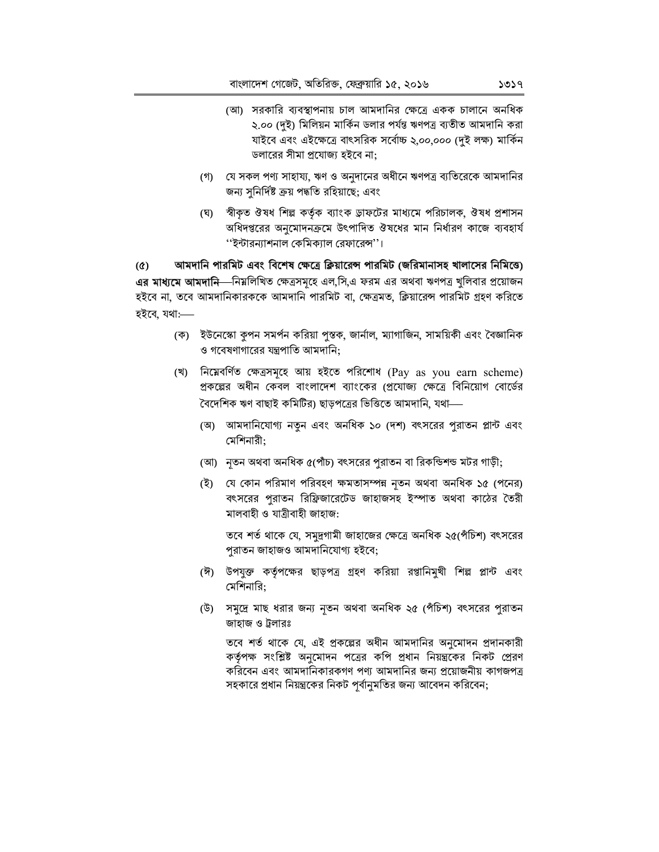- (আ) সরকারি ব্যবস্থাপনায় চাল আমদানির ক্ষেত্রে একক চালানে অনধিক ২.০০ (দুই) মিলিয়ন মার্কিন ডলার পর্যন্ত ঋণপত্র ব্যতীত আমদানি করা যাইবে এবং এইক্ষেত্রে বাৎসরিক সর্বোচ্চ ২,০০,০০০ (দুই লক্ষ) মার্কিন ডলারের সীমা প্রযোজ্য হইবে না;
- (গ) যে সকল পণ্য সাহায্য, ঋণ ও অনুদানের অধীনে ঋণপত্র ব্যতিরেকে আমদানির জন্য সুনির্দিষ্ট ক্রয় পদ্ধতি রহিয়াছে; এবং
- স্বীকৃত ঔষধ শিল্প কর্তৃক ব্যাংক ড্রাফটের মাধ্যমে পরিচালক, ঔষধ প্রশাসন (ঘ) অধিদপ্তরের অনুমোদনক্রমে উৎপাদিত ঔষধের মান নির্ধারণ কাজে ব্যবহার্য "ইন্টারন্যাশনাল কেমিক্যাল রেফারেন্স"।

আমদানি পারমিট এবং বিশেষ ক্ষেত্রে ক্লিয়ারেন্স পারমিট (জরিমানাসহ খালাসের নিমিত্তে)  $(\alpha)$ **এর মাধ্যমে আমদানি**—নিম্নলিখিত ক্ষেত্রসমূহে এল,সি,এ ফরম এর অথবা ঋণপত্র খুলিবার প্রয়োজন হইবে না, তবে আমদানিকারককে আমদানি পারমিট বা, ক্ষেত্রমত, ক্লিয়ারেন্স পারমিট গ্রহণ করিতে হইবে, যথা:-

- (ক) ইউনেস্কো কুপন সমর্পন করিয়া পুস্তক, জার্নাল, ম্যাগাজিন, সাময়িকী এবং বৈজ্ঞানিক ও গবেষণাগারের যন্ত্রপাতি আমদানি;
- (খ) নিম্নেবৰ্ণিত ক্ষেত্ৰসমূহে আয় হইতে পরিশোধ (Pay as you earn scheme) প্রকল্পের অধীন কেবল বাংলাদেশ ব্যাংকের (প্রযোজ্য ক্ষেত্রে বিনিয়োগ বোর্ডের বৈদেশিক ঋণ বাছাই কমিটির) ছাড়পত্রের ভিত্তিতে আমদানি, যথা—
	- (অ) আমদানিযোগ্য নতুন এবং অনধিক ১০ (দশ) বৎসরের পুরাতন প্লান্ট এবং মেশিনারী:
	- (আ) নৃতন অথবা অনধিক ৫(পাঁচ) বৎসরের পুরাতন বা রিকন্ডিশন্ড মটর গাড়ী;
	- (ই) যে কোন পরিমাণ পরিবহণ ক্ষমতাসম্পন্ন নূতন অথবা অনধিক ১৫ (পনের) বৎসরের পুরাতন রিফ্রিজারেটেড জাহাজসহ ইস্পাত অথবা কাঠের তৈরী মালবাহী ও যাত্ৰীবাহী জাহাজ:

তবে শর্ত থাকে যে, সমুদ্রগামী জাহাজের ক্ষেত্রে অনধিক ২৫(পঁচিশ) বৎসরের পুরাতন জাহাজও আমদানিযোগ্য হইবে;

- (ঈ) উপযুক্ত কর্তৃপক্ষের ছাড়পত্র গ্রহণ করিয়া রপ্তানিমুখী শিল্প প্লান্ট এবং মেশিনারি:
- (উ) সমুদ্রে মাছ ধরার জন্য নৃতন অথবা অনধিক ২৫ (পঁচিশ) বৎসরের পুরাতন জাহাজ ও ট্রলারঃ

তবে শর্ত থাকে যে, এই প্রকল্পের অধীন আমদানির অনুমোদন প্রদানকারী কর্তৃপক্ষ সংশ্লিষ্ট অনুমোদন পত্রের কপি প্রধান নিয়ন্ত্রকের নিকট প্রেরণ করিবেন এবং আমদানিকারকগণ পণ্য আমদানির জন্য প্রয়োজনীয় কাগজপত্র সহকারে প্রধান নিয়ন্ত্রকের নিকট পূর্বানুমতির জন্য আবেদন করিবেন;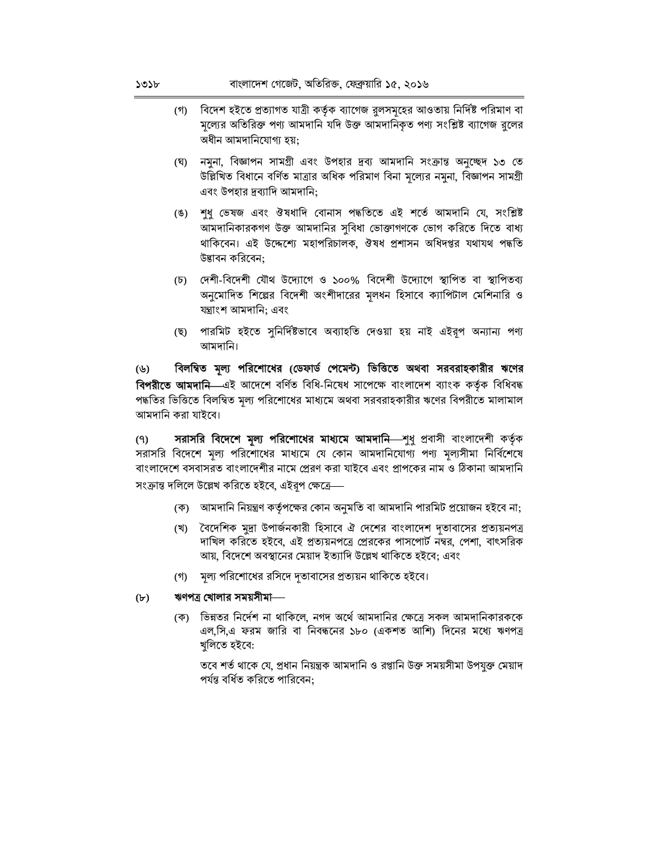- বিদেশ হইতে প্রত্যাগত যাত্রী কর্তৃক ব্যাগেজ রুলসমূহের আওতায় নির্দিষ্ট পরিমাণ বা (গ) মল্যের অতিরিক্ত পণ্য আমদানি যদি উক্ত আমদানিকৃত পণ্য সংশ্লিষ্ট ব্যাগেজ রলের অধীন আমদানিযোগ্য হয়:
- (ঘ) নমুনা, বিজ্ঞাপন সামগ্রী এবং উপহার দ্রব্য আমদানি সংক্রান্ত অনুচ্ছেদ ১৩ তে উল্লিখিত বিধানে বর্ণিত মাত্রার অধিক পরিমাণ বিনা মূল্যের নমুনা, বিজ্ঞাপন সামগ্রী এবং উপহার দ্রব্যাদি আমদানি:
- (ঙ) শুধু ভেষজ এবং ঔষধাদি বোনাস পদ্ধতিতে এই শৰ্তে আমদানি যে, সংশ্লিষ্ট আমদানিকারকগণ উক্ত আমদানির সুবিধা ভোক্তাগণকে ভোগ করিতে দিতে বাধ্য থাকিবেন। এই উদ্দেশ্যে মহাপরিচালক, ঔষধ প্রশাসন অধিদপ্তর যথাযথ পদ্ধতি উদ্ভাবন করিবেন:
- (চ) দেশী-বিদেশী যৌথ উদ্যোগে ও ১০০% বিদেশী উদ্যোগে স্থাপিত বা স্থাপিতব্য অনুমোদিত শিল্পের বিদেশী অংশীদারের মূলধন হিসাবে ক্যাপিটাল মেশিনারি ও যন্ত্ৰাংশ আমদানি; এবং
- (ছ) পারমিট হইতে সুনির্দিষ্টভাবে অব্যাহতি দেওয়া হয় নাই এইরুপ অন্যান্য পণ্য আমদানি।

বিলম্বিত মূল্য পরিশোধের (ডেফার্ড পেমেন্ট) ভিত্তিতে অথবা সরবরাহকারীর ঋণের (৬) বিপরীতে আমদানি—এই আদেশে বর্ণিত বিধি-নিষেধ সাপেক্ষে বাংলাদেশ ব্যাংক কর্তৃক বিধিবদ্ধ পদ্ধতির ভিত্তিতে বিলম্বিত মল্য পরিশোধের মাধ্যমে অথবা সরবরাহকারীর ঋণের বিপরীতে মালামাল আমদানি করা যাইবে।

সরাসরি বিদেশে মূল্য পরিশোধের মাধ্যমে আমদানি—শুধু প্রবাসী বাংলাদেশী কর্তৃক  $(9)$ সরাসরি বিদেশে মূল্য পরিশোধের মাধ্যমে যে কোন আমদানিযোগ্য পণ্য মূল্যসীমা নির্বিশেষে বাংলাদেশে বসবাসরত বাংলাদেশীর নামে প্রেরণ করা যাইবে এবং প্রাপকের নাম ও ঠিকানা আমদানি সংক্রান্ত দলিলে উল্লেখ করিতে হইবে, এইরপ ক্ষেত্রে—

- (ক) আমদানি নিয়ন্ত্রণ কর্তৃপক্ষের কোন অনুমতি বা আমদানি পারমিট প্রয়োজন হইবে না:
- (খ) বৈদেশিক মুদ্রা উপার্জনকারী হিসাবে ঐ দেশের বাংলাদেশ দূতাবাসের প্রত্যয়নপত্র দাখিল করিতে হইবে, এই প্রত্যয়নপত্রে প্রেরকের পাসপোর্ট নম্বর, পেশা, বাৎসরিক আয়, বিদেশে অবস্থানের মেয়াদ ইত্যাদি উল্লেখ থাকিতে হইবে; এবং
- (গ) মূল্য পরিশোধের রসিদে দূতাবাসের প্রত্যয়ন থাকিতে হইবে।

#### $(\mathbf{b})$ ঋণপত্ৰ খোলার সময়সীমা—

(ক) ভিন্নতর নির্দেশ না থাকিলে, নগদ অর্থে আমদানির ক্ষেত্রে সকল আমদানিকারককে এল,সি,এ ফরম জারি বা নিবন্ধনের ১৮০ (একশত আশি) দিনের মধ্যে ঋণপত্র খুলিতে হইবে:

তবে শর্ত থাকে যে, প্রধান নিয়ন্ত্রক আমদানি ও রপ্তানি উক্ত সময়সীমা উপযুক্ত মেয়াদ পৰ্যন্ত বৰ্ধিত করিতে পারিবেন;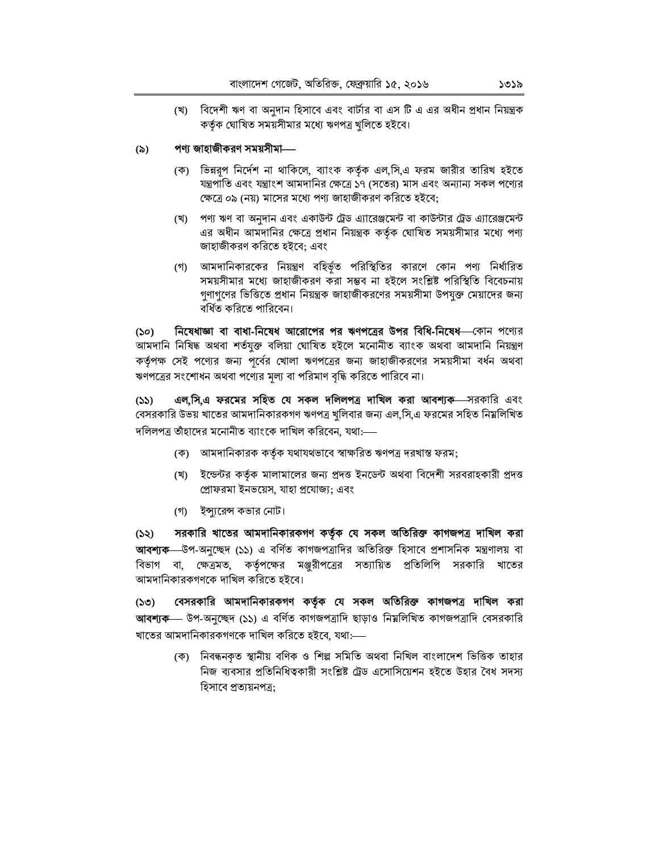(খ) বিদেশী ঋণ বা অনুদান হিসাবে এবং বার্টার বা এস টি এ এর অধীন প্রধান নিয়ন্ত্রক কর্তৃক ঘোষিত সময়সীমার মধ্যে ঋণপত্র খুলিতে হইবে।

#### পণ্য জাহাজীকরণ সময়সীমা—  $(\delta)$

- (ক) ভিন্নরূপ নির্দেশ না থাকিলে, ব্যাংক কর্তৃক এল,সি,এ ফরম জারীর তারিখ হইতে যন্ত্রপাতি এবং যন্ত্রাংশ আমদানির ক্ষেত্রে ১৭ (সতের) মাস এবং অন্যান্য সকল পণ্যের ক্ষেত্রে ০৯ (নয়) মাসের মধ্যে পণ্য জাহাজীকরণ করিতে হইবে;
- (খ) পণ্য ঋণ বা অনুদান এবং একাউন্ট ট্রেড এ্যারেঞ্জমেন্ট বা কাউন্টার ট্রেড এ্যারেঞ্জমেন্ট এর অধীন আমদানির ক্ষেত্রে প্রধান নিয়ন্ত্রক কর্তৃক ঘোষিত সময়সীমার মধ্যে পণ্য জাহাজীকরণ করিতে হইবে: এবং
- (গ) আমদানিকারকের নিয়ন্ত্রণ বহির্ভূত পরিস্থিতির কারণে কোন পণ্য নির্ধারিত সময়সীমার মধ্যে জাহাজীকরণ করা সম্ভব না হইলে সংশ্লিষ্ট পরিস্থিতি বিবেচনায় গুণাগুণের ভিত্তিতে প্রধান নিয়ন্ত্রক জাহাজীকরণের সময়সীমা উপযুক্ত মেয়াদের জন্য বৰ্ধিত করিতে পারিবেন।

নিষেধাজ্ঞা বা বাধা-নিষেধ আরোপের পর ঋণপত্রের উপর বিধি-নিষেধ কোন পণ্যের  $(S<sub>O</sub>)$ আমদানি নিষিদ্ধ অথবা শৰ্তযুক্ত বলিয়া ঘোষিত হইলে মনোনীত ব্যাংক অথবা আমদানি নিয়ন্ত্ৰণ কর্তৃপক্ষ সেই পণ্যের জন্য পূর্বের খোলা ঋণপত্রের জন্য জাহাজীকরণের সময়সীমা বর্ধন অথবা ঋণপত্রের সংশোধন অথবা পণ্যের মূল্য বা পরিমাণ বৃদ্ধি করিতে পারিবে না।

এল.সি.এ ফরমের সহিত যে সকল দলিলপত্র দাখিল করা আবশ্যক—সরকারি এবং  $(55)$ বেসরকারি উভয় খাতের আমদানিকারকগণ ঋণপত্র খলিবার জন্য এল,সি.এ ফরমের সহিত নিয়লিখিত দলিলপত্র তাঁহাদের মনোনীত ব্যাংকে দাখিল করিবেন, যথা:—

- (ক) আমদানিকারক কর্তৃক যথাযথভাবে স্বাক্ষরিত ঋণপত্র দরখাস্ত ফরম;
- (খ) ইন্ডেন্টর কর্তৃক মালামালের জন্য প্রদত্ত ইনডেন্ট অথবা বিদেশী সরবরাহকারী প্রদত্ত প্ৰোফরমা ইনভয়েস, যাহা প্রযোজ্য; এবং
- (গ) ইন্সুরেন্স কভার নোট।

সরকারি খাতের আমদানিকারকগণ কর্তৃক যে সকল অতিরিক্ত কাগজপত্র দাখিল করা  $(55)$ **আবশ্যক**—উপ-অনুচ্ছেদ (১১) এ বর্ণিত কাগজপত্রাদির অতিরিক্ত হিসাবে প্রশাসনিক মন্ত্রণালয় বা বিভাগ বা, ক্ষেত্রমত, কর্তৃপক্ষের মঞ্জরীপত্রের সত্যায়িত প্রতিলিপি সরকারি খাতের আমদানিকারকগণকে দাখিল করিতে হইবে।

বেসরকারি আমদানিকারকগণ কর্তৃক যে সকল অতিরিক্ত কাগজপত্র দাখিল করা  $(SO)$ **আবশ্যক** - উপ-অনুচ্ছেদ (১১) এ বর্ণিত কাগজপত্রাদি ছাড়াও নিয়লিখিত কাগজপত্রাদি বেসরকারি খাতের আমদানিকারকগণকে দাখিল করিতে হইবে, যথা:—–

(ক) নিবন্ধনকৃত স্থানীয় বণিক ও শিল্প সমিতি অথবা নিখিল বাংলাদেশ ভিত্তিক তাহার নিজ ব্যবসার প্রতিনিধিত্বকারী সংশ্লিষ্ট ট্রেড এসোসিয়েশন হইতে উহার বৈধ সদস্য হিসাবে প্রত্যয়নপত্র: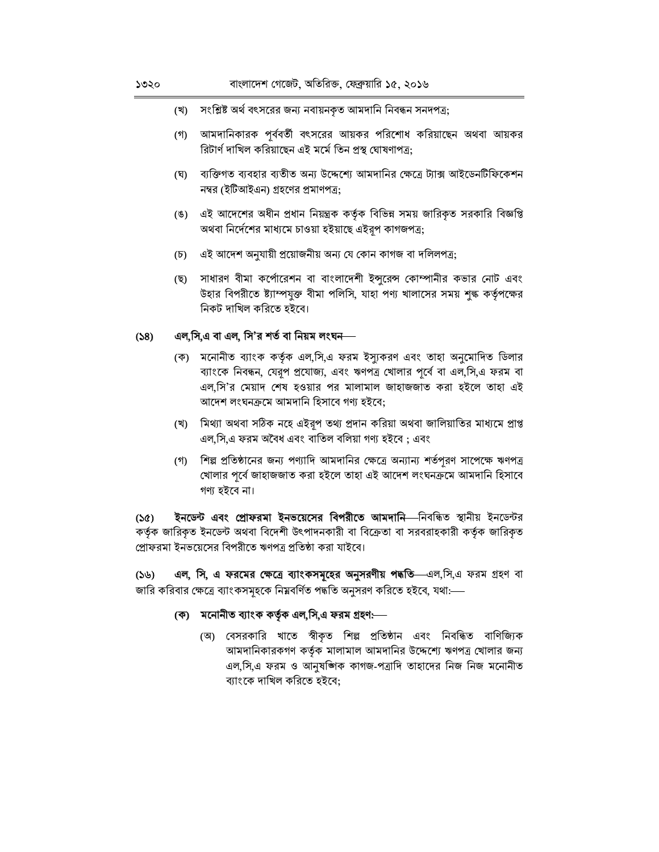- (খ) সংশ্লিষ্ট অর্থ বৎসরের জন্য নবায়নকৃত আমদানি নিবন্ধন সনদপত্র;
- আমদানিকারক পূর্ববর্তী বৎসরের আয়কর পরিশোধ করিয়াছেন অথবা আয়কর (গ) রিটার্ণ দাখিল করিয়াছেন এই মর্মে তিন প্রস্থ ঘোষণাপত্র:
- ্ব্যক্তিগত ব্যবহার ব্যতীত অন্য উদ্দেশ্যে আমদানির ক্ষেত্রে ট্যাক্স আইডেনটিফিকেশন (ঘ) নম্বর (ইটিআইএন) গ্রহণের প্রমাণপত্র;
- (ঙ) এই আদেশের অধীন প্রধান নিয়ন্ত্রক কর্তৃক বিভিন্ন সময় জারিকৃত সরকারি বিজ্ঞপ্তি অথবা নির্দেশের মাধ্যমে চাওয়া হইয়াছে এইরূপ কাগজপত্র;
- (চ) এই আদেশ অনুযায়ী প্রয়োজনীয় অন্য যে কোন কাগজ বা দলিলপত্র;
- (ছ) সাধারণ বীমা কর্পোরেশন বা বাংলাদেশী ইন্সুরেন্স কোম্পানীর কভার নোট এবং উহার বিপরীতে ষ্ট্যাম্পযুক্ত বীমা পলিসি, যাহা পণ্য খালাসের সময় শুল্ক কর্তৃপক্ষের নিকট দাখিল করিতে হইবে।

#### এল,সি,এ বা এল, সি'র শর্ত বা নিয়ম লংঘন—  $(58)$

- (ক) মনোনীত ব্যাংক কর্তৃক এল,সি,এ ফরম ইস্যুকরণ এবং তাহা অনুমোদিত ডিলার ব্যাংকে নিবন্ধন, যেরূপ প্রযোজ্য, এবং ঋণপত্র খোলার পূর্বে বা এল,সি,এ ফরম বা এল,সি'র মেয়াদ শেষ হওয়ার পর মালামাল জাহাজজাত করা হইলে তাহা এই আদেশ লংঘনক্ৰমে আমদানি হিসাবে গণ্য হইবে;
- (খ) মিথ্যা অথবা সঠিক নহে এইরূপ তথ্য প্রদান করিয়া অথবা জালিয়াতির মাধ্যমে প্রাপ্ত এল,সি,এ ফরম অবৈধ এবং বাতিল বলিয়া গণ্য হইবে; এবং
- (গ) শিল্প প্রতিষ্ঠানের জন্য পণ্যাদি আমদানির ক্ষেত্রে অন্যান্য শর্তপূরণ সাপেক্ষে ঋণপত্র খোলার পূর্বে জাহাজজাত করা হইলে তাহা এই আদেশ লংঘনক্রমে আমদানি হিসাবে গণ্য হইবে না।

ইনডেন্ট **এবং প্রোফরমা ইনভয়েসের বিপরীতে আমদানি**—নিবন্ধিত স্থানীয় ইনডেন্টর  $(S<sub>c</sub>)$ কর্তৃক জারিকৃত ইনডেন্ট অথবা বিদেশী উৎপাদনকারী বা বিক্রেতা বা সরবরাহকারী কর্তৃক জারিকৃত প্রোফরমা ইনভয়েসের বিপরীতে ঋণপত্র প্রতিষ্ঠা করা যাইবে।

এল, সি, এ ফরমের ক্ষেত্রে ব্যাংকসমূহের অনুসরণীয় পদ্ধতি—এল,সি,এ ফরম গ্রহণ বা  $(5b)$ জারি করিবার ক্ষেত্রে ব্যাংকসমূহকে নিম্নবর্ণিত পদ্ধতি অনুসরণ করিতে হইবে, যথা:—

### (ক) মনোনীত ব্যাংক কর্তৃক এল,সি,এ ফরম গ্রহণ:—

(অ) বেসরকারি খাতে স্বীকৃত শিল্প প্রতিষ্ঠান এবং নিবন্ধিত বাণিজ্যিক আমদানিকারকগণ কর্তৃক মালামাল আমদানির উদ্দেশ্যে ঋণপত্র খোলার জন্য এল,সি,এ ফরম ও আনুষজ্ঞাক কাগজ-পত্রাদি তাহাদের নিজ নিজ মনোনীত ব্যাংকে দাখিল করিতে হইবে;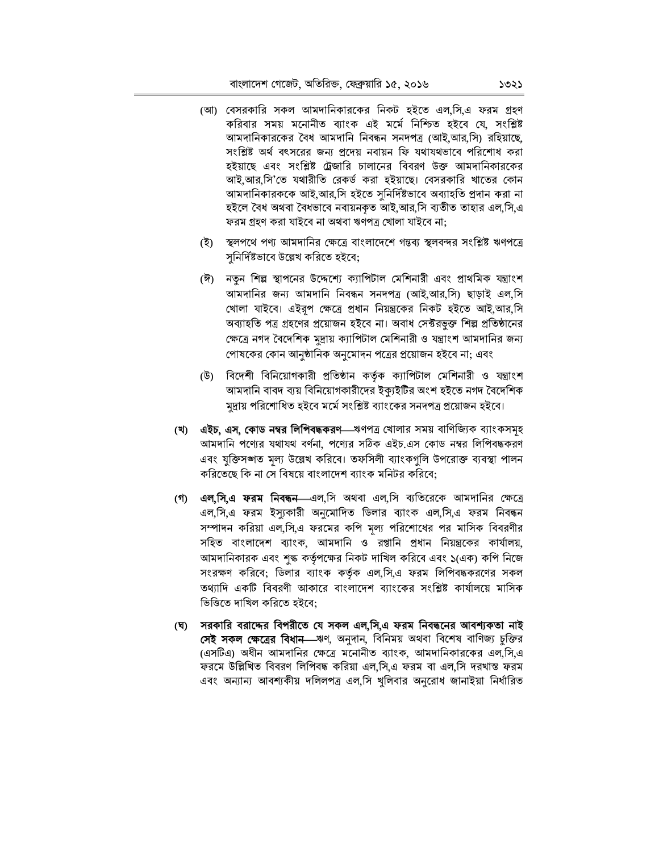- (আ) বেসরকারি সকল আমদানিকারকের নিকট হইতে এল.সি.এ ফরম গ্রহণ করিবার সময় মনোনীত ব্যাংক এই মর্মে নিশ্চিত হইবে যে, সংশ্লিষ্ট আমদানিকারকের বৈধ আমদানি নিবন্ধন সনদপত্র (আই,আর,সি) রহিয়াছে, সংশ্লিষ্ট অর্থ বৎসরের জন্য প্রদেয় নবায়ন ফি যথাযথভাবে পরিশোধ করা হইয়াছে এবং সংশ্লিষ্ট ট্রেজারি চালানের বিবরণ উক্ত আমদানিকারকের আই,আর,সি'তে যথারীতি রেকর্ড করা হইয়াছে। বেসরকারি খাতের কোন আমদানিকারককে আই,আর,সি হইতে সুনির্দিষ্টভাবে অব্যাহতি প্রদান করা না হইলে বৈধ অথবা বৈধভাবে নবায়নকৃত আই,আর,সি ব্যতীত তাহার এল,সি,এ ফরম গ্রহণ করা যাইবে না অথবা ঋণপত্র খোলা যাইবে না;
- (ই) স্থলপথে পণ্য আমদানির ক্ষেত্রে বাংলাদেশে গন্তব্য স্থলবন্দর সংশ্লিষ্ট ঋণপত্রে সনিৰ্দিষ্টভাবে উল্লেখ করিতে হইবে;
- (ঈ) নতুন শিল্প স্থাপনের উদ্দেশ্যে ক্যাপিটাল মেশিনারী এবং প্রাথমিক যন্ত্রাংশ আমদানির জন্য আমদানি নিবন্ধন সনদপত্র (আই,আর,সি) ছাড়াই এল,সি খোলা যাইবে। এইরপ ক্ষেত্রে প্রধান নিয়ন্ত্রকের নিকট হইতে আই,আর,সি অব্যাহতি পত্র গ্রহণের প্রয়োজন হইবে না। অবাধ সেক্টরভূক্ত শিল্প প্রতিষ্ঠানের ক্ষেত্রে নগদ বৈদেশিক মুদ্রায় ক্যাপিটাল মেশিনারী ও যন্ত্রাংশ আমদানির জন্য পোষকের কোন আনুষ্ঠানিক অনুমোদন পত্রের প্রয়োজন হইবে না; এবং
- বিদেশী বিনিয়োগকারী প্রতিষ্ঠান কর্তৃক ক্যাপিটাল মেশিনারী ও যন্ত্রাংশ (উ) আমদানি বাবদ ব্যয় বিনিয়োগকারীদের ইক্যুইটির অংশ হইতে নগদ বৈদেশিক মুদ্রায় পরিশোধিত হইবে মর্মে সংশ্লিষ্ট ব্যাংকের সনদপত্র প্রয়োজন হইবে।
- (খ) এইচ, এস, কোড নম্বর লিপিবদ্ধকরণ—ঋণপত্র খোলার সময় বাণিজ্যিক ব্যাংকসমূহ আমদানি পণ্যের যথাযথ বর্ণনা, পণ্যের সঠিক এইচ.এস কোড নম্বর লিপিবদ্ধকরণ এবং যুক্তিসঙ্গত মূল্য উল্লেখ করিবে। তফসিলী ব্যাংকগুলি উপরোক্ত ব্যবস্থা পালন করিতেছে কি না সে বিষয়ে বাংলাদেশ ব্যাংক মনিটর করিবে:
- (গ) **এল.সি.এ ফরম নিবন্ধন—**এল.সি অথবা এল.সি ব্যতিরেকে আমদানির ক্ষেত্রে এল,সি,এ ফরম ইস্যকারী অনুমোদিত ডিলার ব্যাংক এল,সি,এ ফরম নিবন্ধন সম্পাদন করিয়া এল,সি,এ ফরমের কপি মূল্য পরিশোধের পর মাসিক বিবরণীর সহিত বাংলাদেশ ব্যাংক, আমদানি ও রপ্তানি প্রধান নিয়ন্ত্রকের কার্যালয়, আমদানিকারক এবং শৃঙ্ক কর্তৃপক্ষের নিকট দাখিল করিবে এবং ১(এক) কপি নিজে সংরক্ষণ করিবে; ডিলার ব্যাংক কর্তৃক এল,সি,এ ফরম লিপিবদ্ধকরণের সকল তথ্যাদি একটি বিবরণী আকারে বাংলাদেশ ব্যাংকের সংশ্লিষ্ট কার্যালয়ে মাসিক ভিত্তিতে দাখিল করিতে হইবে:
- (ঘ) সরকারি বরাদ্দের বিপরীতে যে সকল এল,সি.এ ফরম নিবন্ধনের আবশ্যকতা নাই সেই সকল ক্ষেত্রের বিধান—ঋণ, অনুদান, বিনিময় অথবা বিশেষ বাণিজ্য চুক্তির (এসটিএ) অধীন আমদানির ক্ষেত্রে মনোনীত ব্যাংক, আমদানিকারকের এল,সি,এ ফরমে উল্লিখিত বিবরণ লিপিবদ্ধ করিয়া এল,সি,এ ফরম বা এল,সি দরখাস্ত ফরম এবং অন্যান্য আবশ্যকীয় দলিলপত্র এল,সি খুলিবার অনুরোধ জানাইয়া নির্ধারিত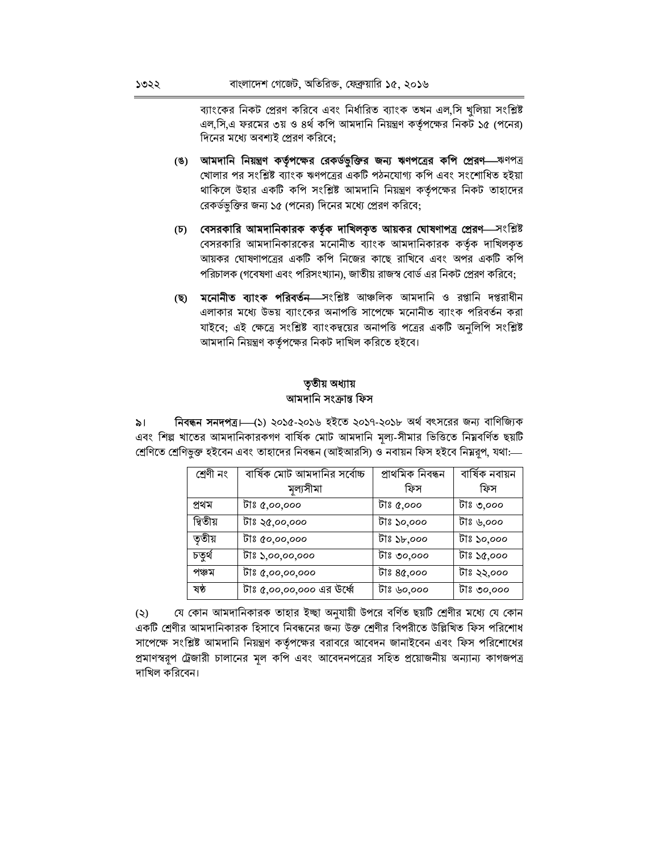ব্যাংকের নিকট প্রেরণ করিবে এবং নির্ধারিত ব্যাংক তখন এল.সি খলিয়া সংশ্লিষ্ট এল,সি,এ ফরমের ৩য় ও ৪র্থ কপি আমদানি নিয়ন্ত্রণ কর্তৃপক্ষের নিকট ১৫ (পনের) দিনের মধ্যে অবশ্যই প্রেরণ করিবে:

- (ঙ) আমদানি নিয়ন্ত্রণ কর্তৃপক্ষের রেকর্ডভূক্তির জন্য ঋণপত্রের কপি প্রেরণ—ঋণপত্র খোলার পর সংশ্লিষ্ট ব্যাংক ঋণপত্রের একটি পঠনযোগ্য কপি এবং সংশোধিত হইয়া থাকিলে উহার একটি কপি সংশ্লিষ্ট আমদানি নিয়ন্ত্রণ কর্তৃপক্ষের নিকট তাহাদের রেকর্ডভুক্তির জন্য ১৫ (পনের) দিনের মধ্যে প্রেরণ করিবে;
- (চ) বেসরকারি আমদানিকারক কর্তৃক দাখিলকৃত আয়কর ঘোষণাপত্র প্রেরণ—সংশ্লিষ্ট বেসরকারি আমদানিকারকের মনোনীত ব্যাংক আমদানিকারক কর্তৃক দাখিলকৃত আয়কর ঘোষণাপত্রের একটি কপি নিজের কাছে রাখিবে এবং অপর একটি কপি পরিচালক (গবেষণা এবং পরিসংখ্যান), জাতীয় রাজস্ব বোর্ড এর নিকট প্রেরণ করিবে:
- (ছ) মনোনীত ব্যাংক পরিবর্তন—সংশ্লিষ্ট আঞ্চলিক আমদানি ও রপ্তানি দপ্তরাধীন এলাকার মধ্যে উভয় ব্যাংকের অনাপত্তি সাপেক্ষে মনোনীত ব্যাংক পরিবর্তন করা যাইবে; এই ক্ষেত্রে সংশ্লিষ্ট ব্যাংকদ্বয়ের অনাপত্তি পত্রের একটি অনুলিপি সংশ্লিষ্ট আমদানি নিয়ন্ত্রণ কর্তৃপক্ষের নিকট দাখিল করিতে হইবে।

## তৃতীয় অধ্যায় আমদানি সংক্ৰান্ত ফিস

**নিবন্ধন সনদপত্র।—(১) ২০১৫-২০১৬ হইতে ২০১৭-২০১৮ অর্থ বৎসরের জন্য বাণিজ্যিক**  $\delta$ এবং শিল্প খাতের আমদানিকারকগণ বার্ষিক মোট আমদানি মূল্য-সীমার ভিত্তিতে নিম্নবর্ণিত ছয়টি শ্রেণিতে শ্রেণিভুক্ত হইবেন এবং তাহাদের নিবন্ধন (আইআরসি) ও নবায়ন ফিস হইবে নিম্নরূপ, যথা:—

| শ্ৰেণী নং | বার্ষিক মোট আমদানির সর্বোচ্চ | প্ৰাথমিক নিবন্ধন | বাৰ্ষিক নবায়ন |
|-----------|------------------------------|------------------|----------------|
|           | মূল্যসীমা                    | ফিস              | ফিস            |
| প্ৰথম     | টাঃ ৫,০০,০০০                 | টাঃ ৫,০০০        | টাঃ ৩,০০০      |
| দ্বিতীয়  | টাঃ ২৫,০০,০০০                | টাঃ ১০,০০০       | টাঃ ৬,০০০      |
| তৃতীয়    | তত,০০,০০ ঃযি                 | টাঃ ১৮,০০০       | টাঃ ১০,০০০     |
| চতৃৰ্থ    | টাঃ ১,০০,০০,০০০              | টাঃ ৩০,০০০       | টাঃ ১৫,০০০     |
| পঞ্চম     | টাঃ ৫,০০,০০,০০০              | টাঃ ৪৫,০০০       | টাঃ ২২,০০০     |
| ষষ্ঠ      | টাঃ ৫,০০,০০,০০০ এর উর্ধ্বে   | টাঃ ৬০,০০০       | টাঃ ৩০,০০০     |

যে কোন আমদানিকারক তাহার ইচ্ছা অনুযায়ী উপরে বর্ণিত ছয়টি শ্রেণীর মধ্যে যে কোন  $(5)$ একটি শ্রেণীর আমদানিকারক হিসাবে নিবন্ধনের জন্য উক্ত শ্রেণীর বিপরীতে উল্লিখিত ফিস পরিশোধ সাপেক্ষে সংশ্লিষ্ট আমদানি নিয়ন্ত্রণ কর্তৃপক্ষের বরাবরে আবেদন জানাইবেন এবং ফিস পরিশোধের প্রমাণস্বরূপ ট্রেজারী চালানের মূল কপি এবং আবেদনপত্রের সহিত প্রয়োজনীয় অন্যান্য কাগজপত্র দাখিল করিবেন।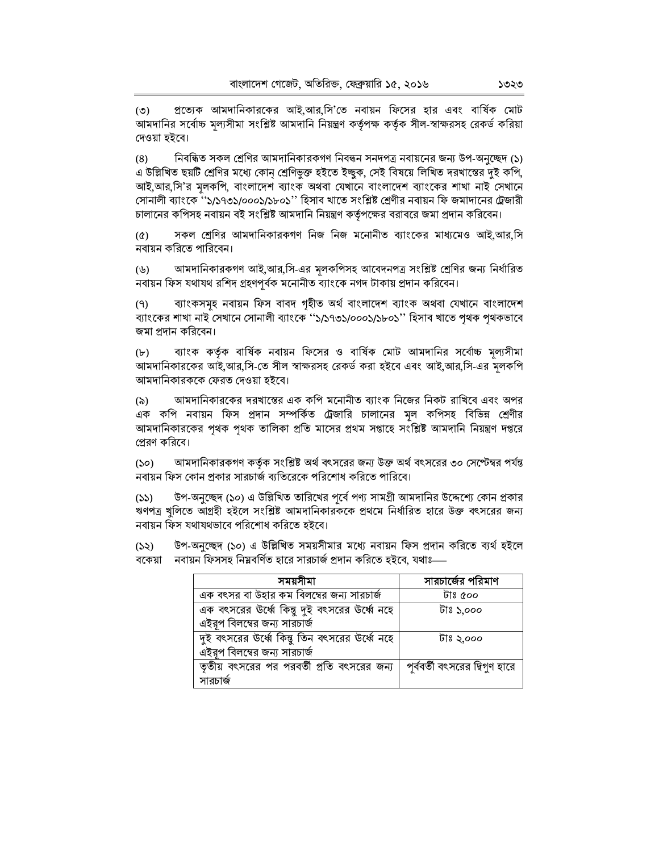প্রত্যেক আমদানিকারকের আই.আর.সি'তে নবায়ন ফিসের হার এবং বার্ষিক মোট  $(5)$ আমদানির সর্বোচ্চ মূল্যসীমা সংশ্লিষ্ট আমদানি নিয়ন্ত্রণ কর্তৃপক্ষ কর্তৃক সীল-স্বাক্ষরসহ রেকর্ড করিয়া দেওয়া হইবে।

নিবন্ধিত সকল শ্রেণির আমদানিকারকগণ নিবন্ধন সনদপত্র নবায়নের জন্য উপ-অনুচ্ছেদ (১)  $(8)$ এ উল্লিখিত ছয়টি শ্রেণির মধ্যে কোন শ্রেণিভূক্ত হইতে ইচ্ছুক, সেই বিষয়ে লিখিত দরখান্তের দুই কপি, আই,আর,সি'র মলকপি, বাংলাদেশ ব্যাংক অথবা যেখানে বাংলাদেশ ব্যাংকের শাখা নাই সেখানে সোনালী ব্যাংকে ''১/১৭৩১/০০০১/১৮০১'' হিসাব খাতে সংশ্লিষ্ট শ্রেণীর নবায়ন ফি জমাদানের ট্রেজারী চালানের কপিসহ নবায়ন বই সংশ্লিষ্ট আমদানি নিয়ন্ত্রণ কর্তৃপক্ষের বরাবরে জমা প্রদান করিবেন।

সকল শ্রেণির আমদানিকারকগণ নিজ নিজ মনোনীত ব্যাংকের মাধ্যমেও আই.আর.সি  $(\mathcal{C})$ নবায়ন করিতে পারিবেন।

আমদানিকারকগণ আই.আর.সি-এর মলকপিসহ আবেদনপত্র সংশ্লিষ্ট শ্রেণির জন্য নির্ধারিত  $(y)$ নবায়ন ফিস যথাযথ রশিদ গ্রহণপূর্বক মনোনীত ব্যাংকে নগদ টাকায় প্রদান করিবেন।

ব্যাংকসমূহ নবায়ন ফিস বাবদ গৃহীত অৰ্থ বাংলাদেশ ব্যাংক অথবা যেখানে বাংলাদেশ  $(9)$ ব্যাংকের শাখা নাই সেখানে সোনালী ব্যাংকে ''১/১৭৩১/০০০১/১৮০১'' হিসাব খাতে পৃথক পৃথকভাবে জমা প্রদান করিবেন।

ব্যাংক কর্তৃক বার্ষিক নবায়ন ফিসের ও বার্ষিক মোট আমদানির সর্বোচ্চ মূল্যসীমা  $(b<sub>1</sub>)$ আমদানিকারকের আই,আর,সি-তে সীল স্বাক্ষরসহ রেকর্ড করা হইবে এবং আই,আর,সি-এর মূলকপি আমদানিকারককে ফেরত দেওয়া হইবে।

আমদানিকারকের দরখাস্তের এক কপি মনোনীত ব্যাংক নিজের নিকট রাখিবে এবং অপর  $(\delta)$ এক কপি নবায়ন ফিস প্রদান সম্পর্কিত ট্রেজারি চালানের মূল কপিসহ বিভিন্ন শ্রেণীর আমদানিকারকের পৃথক পৃথক তালিকা প্রতি মাসের প্রথম সপ্তাহে সংশ্লিষ্ট আমদানি নিয়ন্ত্রণ দপ্তরে প্রেরণ করিবে।

আমদানিকারকগণ কর্তৃক সংশ্লিষ্ট অর্থ বৎসরের জন্য উক্ত অর্থ বৎসরের ৩০ সেপ্টেম্বর পর্যন্ত  $(S<sub>O</sub>)$ নবায়ন ফিস কোন প্রকার সারচার্জ ব্যতিরেকে পরিশোধ করিতে পারিবে।

উপ-অনুচ্ছেদ (১০) এ উল্লিখিত তারিখের পূর্বে পণ্য সামগ্রী আমদানির উদ্দেশ্যে কোন প্রকার  $(55)$ ঋণপত্র খলিতে আগ্রহী হইলে সংশ্লিষ্ট আমদানিকারককে প্রথমে নির্ধারিত হারে উক্ত বৎসরের জন্য নবায়ন ফিস যথাযথভাবে পরিশোধ করিতে হইবে।

উপ-অনুচ্ছেদ (১০) এ উল্লিখিত সময়সীমার মধ্যে নবায়ন ফিস প্রদান করিতে ব্যর্থ হইলে  $(55)$ নবায়ন ফিসসহ নিম্নবর্ণিত হারে সারচার্জ প্রদান করিতে হইবে, যথাঃ—– বকেয়া

| সময়সীমা                                         | সারচার্জের পরিমাণ              |
|--------------------------------------------------|--------------------------------|
| এক বৎসর বা উহার কম বিলম্বের জন্য সারচার্জ        | টাঃ ৫০০                        |
| এক বৎসরের ঊর্ধে কিন্তু দুই বৎসরের ঊর্ধ্বে নহে    | টাঃ ১,০০০                      |
| এইরপ বিলম্বের জন্য সারচার্জ                      |                                |
| দুই বৎসরের উর্ধ্বে কিন্তু তিন বৎসরের উর্ধ্বে নহে | টাঃ ২,০০০                      |
| এইরূপ বিলম্বের জন্য সারচার্জ                     |                                |
| তৃতীয় বৎসরের পর পরবর্তী প্রতি বৎসরের জন্য       | পূর্ববর্তী বৎসরের দ্বিগুণ হারে |
| সারচার্জ                                         |                                |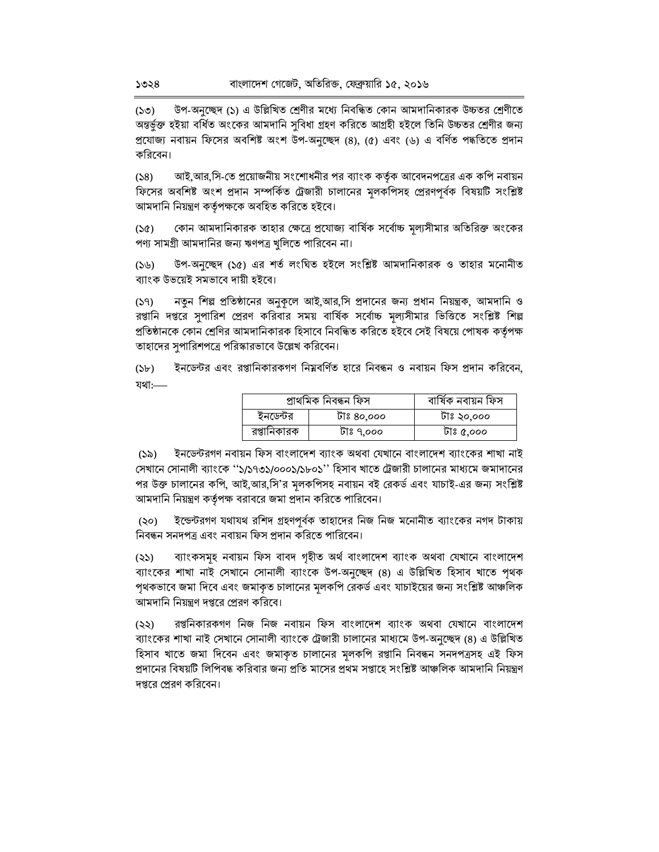উপ-অনুচ্ছেদ (১) এ উল্লিখিত শ্রেণীর মধ্যে নিবন্ধিত কোন আমদানিকারক উচ্চতর শ্রেণীতে  $(SO)$ অন্তর্ভূক্ত হইয়া বর্ধিত অংকের আমদানি সুবিধা গ্রহণ করিতে আগ্রহী হইলে তিনি উচ্চতর শ্রেণীর জন্য প্রযোজ্য নবায়ন ফিসের অবশিষ্ট অংশ উপ-অনুচ্ছেদ (৪), (৫) এবং (৬) এ বর্ণিত পদ্ধতিতে প্রদান করিবেন।

 $(58)$ আই,আর,সি-তে প্রয়োজনীয় সংশোধনীর পর ব্যাংক কর্তৃক আবেদনপত্রের এক কপি নবায়ন ফিসের অবশিষ্ট অংশ প্রদান সম্পর্কিত ট্রেজারী চালানের মূলকপিসহ প্রেরণপূর্বক বিষয়টি সংশ্লিষ্ট আমদানি নিয়ন্ত্রণ কর্তৃপক্ষকে অবহিত করিতে হইবে।

কোন আমদানিকারক তাহার ক্ষেত্রে প্রযোজ্য বার্ষিক সর্বোচ্চ মল্যসীমার অতিরিক্ত অংকের  $(S<sub>c</sub>)$ পণ্য সামগ্রী আমদানির জন্য ঋণপত্র খুলিতে পারিবেন না।

উপ-অনুচ্ছেদ (১৫) এর শর্ত লংঘিত হইলে সংশ্লিষ্ট আমদানিকারক ও তাহার মনোনীত  $(56)$ ব্যাংক উভয়েই সমভাবে দায়ী হইবে।

নতুন শিল্প প্রতিষ্ঠানের অনুকূলে আই,আর,সি প্রদানের জন্য প্রধান নিয়ন্ত্রক, আমদানি ও  $(59)$ রপ্তানি দপ্তরে সুপারিশ প্রেরণ করিবার সময় বার্ষিক সর্বোচ্চ মূল্যসীমার ভিত্তিতে সংশ্লিষ্ট শিল্প প্রতিষ্ঠানকে কোন শ্রেণির আমদানিকারক হিসাবে নিবন্ধিত করিতে হইবে সেই বিষয়ে পোষক কর্তৃপক্ষ তাহাদের সুপারিশপত্রে পরিস্কারভাবে উল্লেখ করিবেন।

ইনডেন্টর এবং রপ্তানিকারকগণ নিম্নবর্ণিত হারে নিবন্ধন ও নবায়ন ফিস প্রদান করিবেন,  $(Sb)$ যথা:-

| প্ৰাথমিক নিবন্ধন ফিস |            | বাৰ্ষিক নবায়ন ফিস |
|----------------------|------------|--------------------|
| ইনডেন্টর             | টাঃ ৪০,০০০ | টাঃ ২০,০০০         |
| রপ্তানিকারক          | টাঃ ৭,০০০  | টাঃ ৫,০০০          |

ইনডেন্টরগণ নবায়ন ফিস বাংলাদেশ ব্যাংক অথবা যেখানে বাংলাদেশ ব্যাংকের শাখা নাই  $(55)$ সেখানে সোনালী ব্যাংকে ''১/১৭৩১/০০০১/১৮০১'' হিসাব খাতে ট্রেজারী চালানের মাধ্যমে জমাদানের পর উক্ত চালানের কপি, আই,আর,সি'র মূলকপিসহ নবায়ন বই রেকর্ড এবং যাচাই-এর জন্য সংশ্লিষ্ট আমদানি নিয়ন্ত্রণ কর্তৃপক্ষ বরাবরে জমা প্রদান করিতে পারিবেন।

(২০) ইন্ডেন্টরগণ যথাযথ রশিদ গ্রহণপূর্বক তাহাদের নিজ নিজ মনোনীত ব্যাংকের নগদ টাকায় নিবন্ধন সনদপত্র এবং নবায়ন ফিস প্রদান করিতে পারিবেন।

ব্যাংকসমূহ নবায়ন ফিস বাবদ গৃহীত অৰ্থ বাংলাদেশ ব্যাংক অথবা যেখানে বাংলাদেশ  $(55)$ ব্যাংকের শাখা নাই সেখানে সোনালী ব্যাংকে উপ-অনুচ্ছেদ (8) এ উল্লিখিত হিসাব খাতে পৃথক পৃথকভাবে জমা দিবে এবং জমাকৃত চালানের মলকপি রেকর্ড এবং যাচাইয়ের জন্য সংশ্লিষ্ট আঞ্চলিক আমদানি নিয়ন্ত্রণ দপ্তরে প্রেরণ করিবে।

রপ্তনিকারকগণ নিজ নিজ নবায়ন ফিস বাংলাদেশ ব্যাংক অথবা যেখানে বাংলাদেশ  $(55)$ ব্যাংকের শাখা নাই সেখানে সোনালী ব্যাংকে ট্রেজারী চালানের মাধ্যমে উপ-অনুচ্ছেদ (৪) এ উল্লিখিত হিসাব খাতে জমা দিবেন এবং জমাকৃত চালানের মূলকপি রপ্তানি নিবন্ধন সনদপত্রসহ এই ফিস প্রদানের বিষয়টি লিপিবদ্ধ করিবার জন্য প্রতি মাসের প্রথম সপ্তাহে সংশ্লিষ্ট আঞ্চলিক আমদানি নিয়ন্ত্রণ দপ্তরে প্রেরণ করিবেন।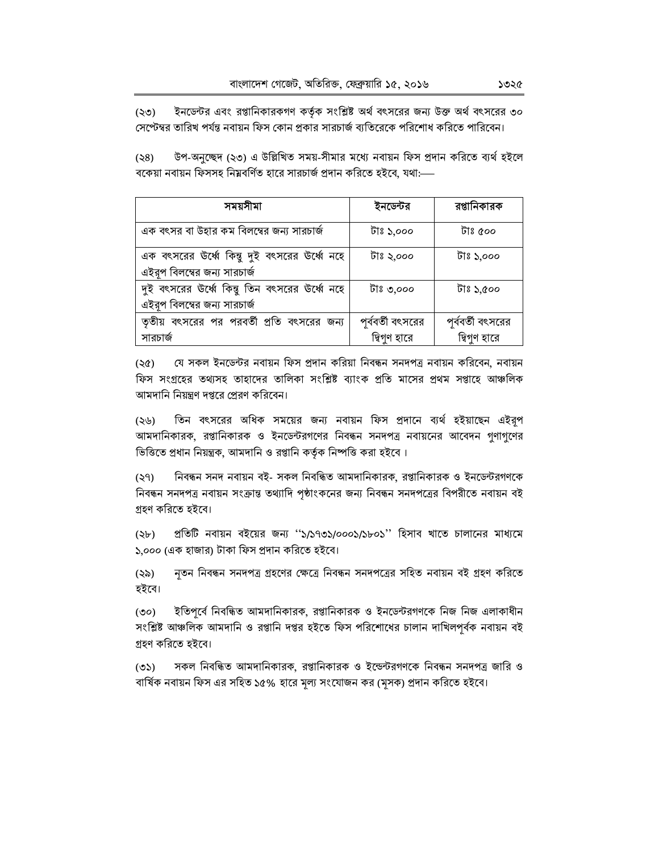ইনডেন্টর এবং রপ্তানিকারকগণ কর্তৃক সংশ্লিষ্ট অর্থ বৎসরের জন্য উক্ত অর্থ বৎসরের ৩০  $(55)$ সেপ্টেম্বর তারিখ পর্যন্ত নবায়ন ফিস কোন প্রকার সারচার্জ ব্যতিরেকে পরিশোধ করিতে পারিবেন।

উপ-অনুচ্ছেদ (২৩) এ উল্লিখিত সময়-সীমার মধ্যে নবায়ন ফিস প্রদান করিতে ব্যর্থ হইলে  $(38)$ বকেয়া নবায়ন ফিসসহ নিম্নবৰ্ণিত হারে সারচার্জ প্রদান করিতে হইবে, যথা:—–

| সময়সীমা                                                                        | ইনডেন্টর                          | রপ্তানিকারক                       |
|---------------------------------------------------------------------------------|-----------------------------------|-----------------------------------|
| এক বৎসর বা উহার কম বিলম্বের জন্য সারচার্জ                                       | টাঃ ১,০০০                         | টাঃ ৫০০                           |
| এক বৎসরের ঊর্ধ্বে কিন্তু দুই বৎসরের উর্ধ্বে নহে<br>এইরূপ বিলম্বের জন্য সারচার্জ | টাঃ ২,০০০                         | টাঃ ১,০০০                         |
| দুই বৎসরের ঊর্ধে কিন্তু তিন বৎসরের ঊর্ধে নহে<br>এইরূপ বিলম্বের জন্য সারচার্জ    | টাঃ ৩,০০০                         | টাঃ ১,৫০০                         |
| তৃতীয় বৎসরের পর পরবর্তী প্রতি বৎসরের জন্য<br>সারচার্জ                          | পূর্ববর্তী বৎসরের<br>দ্বিগুণ হারে | পূর্ববর্তী বৎসরের<br>দ্বিগুণ হারে |

যে সকল ইনডেন্টর নবায়ন ফিস প্রদান করিয়া নিবন্ধন সনদপত্র নবায়ন করিবেন, নবায়ন  $(36)$ ফিস সংগ্রহের তথ্যসহ তাহাদের তালিকা সংশ্লিষ্ট ব্যাংক প্রতি মাসের প্রথম সপ্তাহে আঞ্চলিক আমদানি নিয়ন্ত্রণ দপ্তরে প্রেরণ করিবেন।

তিন বৎসরের অধিক সময়ের জন্য নবায়ন ফিস প্রদানে ব্যর্থ হইয়াছেন এইরপ  $(35)$ আমদানিকারক, রপ্তানিকারক ও ইনডেন্টরগণের নিবন্ধন সনদপত্র নবায়নের আবেদন গুণাগুণের ভিত্তিতে প্রধান নিয়ন্ত্রক, আমদানি ও রপ্তানি কর্তৃক নিষ্পত্তি করা হইবে।

নিবন্ধন সনদ নবায়ন বই- সকল নিবন্ধিত আমদানিকারক, রপ্তানিকারক ও ইনডেন্টরগণকে  $($   $\varphi$ নিবন্ধন সনদপত্র নবায়ন সংক্রান্ত তথ্যাদি পৃষ্ঠাংকনের জন্য নিবন্ধন সনদপত্রের বিপরীতে নবায়ন বই গ্ৰহণ করিতে হইবে।

প্রতিটি নবায়ন বইয়ের জন্য ''১/১৭৩১/০০০১/১৮০১'' হিসাব খাতে চালানের মাধ্যমে  $(3b)$ ১,০০০ (এক হাজার) টাকা ফিস প্রদান করিতে হইবে।

নৃতন নিবন্ধন সনদপত্র গ্রহণের ক্ষেত্রে নিবন্ধন সনদপত্রের সহিত নবায়ন বই গ্রহণ করিতে  $($ ২৯) হইবে।

ইতিপূৰ্বে নিবন্ধিত আমদানিকারক, রপ্তানিকারক ও ইনডেন্টরগণকে নিজ নিজ এলাকাধীন  $(50)$ সংশ্লিষ্ট আঞ্চলিক আমদানি ও রপ্তানি দপ্তর হইতে ফিস পরিশোধের চালান দাখিলপূর্বক নবায়ন বই গ্ৰহণ করিতে হইবে।

সকল নিবন্ধিত আমদানিকারক, রপ্তানিকারক ও ইন্ডেন্টরগণকে নিবন্ধন সনদপত্র জারি ও  $(5)$ বার্ষিক নবায়ন ফিস এর সহিত ১৫% হারে মূল্য সংযোজন কর (মৃসক) প্রদান করিতে হইবে।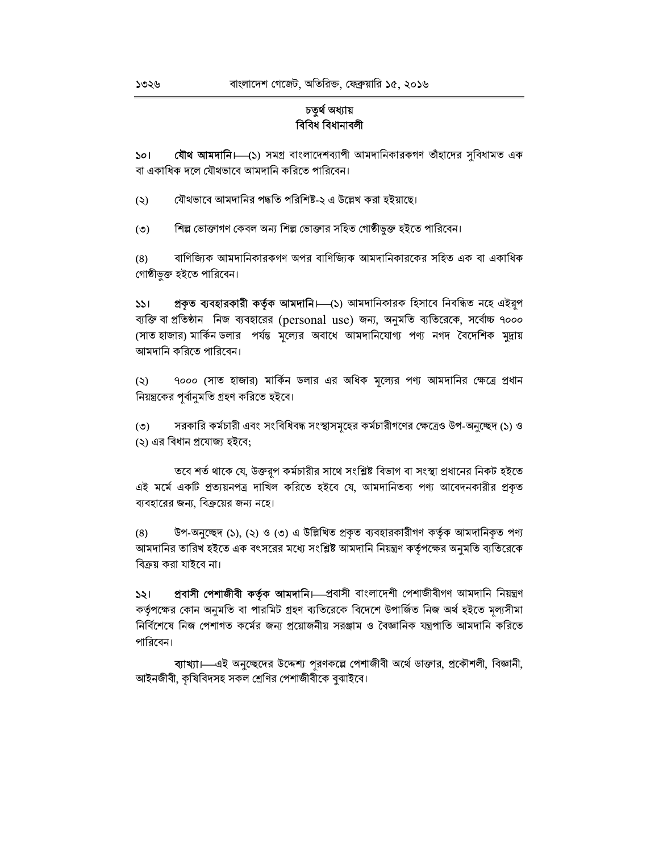# চতুৰ্থ অধ্যায় বিবিধ বিধানাবলী

যৌথ আমদানি। (১) সমগ্ৰ বাংলাদেশব্যাপী আমদানিকারকগণ তাঁহাদের সুবিধামত এক ১০। বা একাধিক দলে যৌথভাবে আমদানি করিতে পারিবেন।

যৌথভাবে আমদানির পদ্ধতি পরিশিষ্ট-২ এ উল্লেখ করা হইয়াছে।  $(5)$ 

শিল্প ভোক্তাগণ কেবল অন্য শিল্প ভোক্তার সহিত গোষ্ঠীভূক্ত হইতে পারিবেন।  $(5)$ 

বাণিজ্যিক আমদানিকারকগণ অপর বাণিজ্যিক আমদানিকারকের সহিত এক বা একাধিক  $(8)$ গোষ্ঠীভূক্ত হইতে পারিবেন।

প্র**কৃত ব্যবহারকারী কর্তৃক আমদানি।** (১) আমদানিকারক হিসাবে নিবন্ধিত নহে এইরূপ  $351$ ব্যক্তি বা প্রতিষ্ঠান দিজ ব্যবহারের (personal use) জন্য, অনুমতি ব্যতিরেকে, সর্বোচ্চ ৭০০০ (সাত হাজার) মার্কিন ডলার পর্যন্ত মল্যের অবাধে আমদানিযোগ্য পণ্য নগদ বৈদেশিক মুদ্রায় আমদানি করিতে পারিবেন।

৭০০০ (সাত হাজার) মার্কিন ডলার এর অধিক মূল্যের পণ্য আমদানির ক্ষেত্রে প্রধান  $(5)$ নিয়ন্ত্রকের পর্বানমতি গ্রহণ করিতে হইবে।

সরকারি কর্মচারী এবং সংবিধিবদ্ধ সংস্থাসমূহের কর্মচারীগণের ক্ষেত্রেও উপ-অনুচ্ছেদ (১) ও  $(5)$ (২) এর বিধান প্রযোজ্য হইবে;

তবে শর্ত থাকে যে, উক্তরপ কর্মচারীর সাথে সংশ্লিষ্ট বিভাগ বা সংস্থা প্রধানের নিকট হইতে এই মর্মে একটি প্রত্যয়নপত্র দাখিল করিতে হইবে যে, আমদানিতব্য পণ্য আবেদনকারীর প্রকৃত ব্যবহারের জন্য, বিক্রয়ের জন্য নহে।

উপ-অনুচ্ছেদ (১), (২) ও (৩) এ উল্লিখিত প্রকৃত ব্যবহারকারীগণ কর্তৃক আমদানিকৃত পণ্য  $(8)$ আমদানির তারিখ হইতে এক বৎসরের মধ্যে সংশ্লিষ্ট আমদানি নিয়ন্ত্রণ কর্তৃপক্ষের অনুমতি ব্যতিরেকে বিক্রয় করা যাইবে না।

প্রবাসী পেশাজীবী কর্তৃক আমদানি। প্রবাসী বাংলাদেশী পেশাজীবীগণ আমদানি নিয়ন্ত্রণ  $321$ কর্তৃপক্ষের কোন অনুমতি বা পারমিট গ্রহণ ব্যতিরেকে বিদেশে উপার্জিত নিজ অর্থ হইতে মল্যসীমা নির্বিশেষে নিজ পেশাগত কর্মের জন্য প্রয়োজনীয় সরঞ্জাম ও বৈজ্ঞানিক যন্ত্রপাতি আমদানি করিতে পারিবেন।

ব্যাখ্যা। এই অনুচ্ছেদের উদ্দেশ্য পূরণকল্পে পেশাজীবী অর্থে ডাক্তার, প্রকৌশলী, বিজ্ঞানী, আইনজীবী, কৃষিবিদসহ সকল শ্ৰেণির পেশাজীবীকে বুঝাইবে।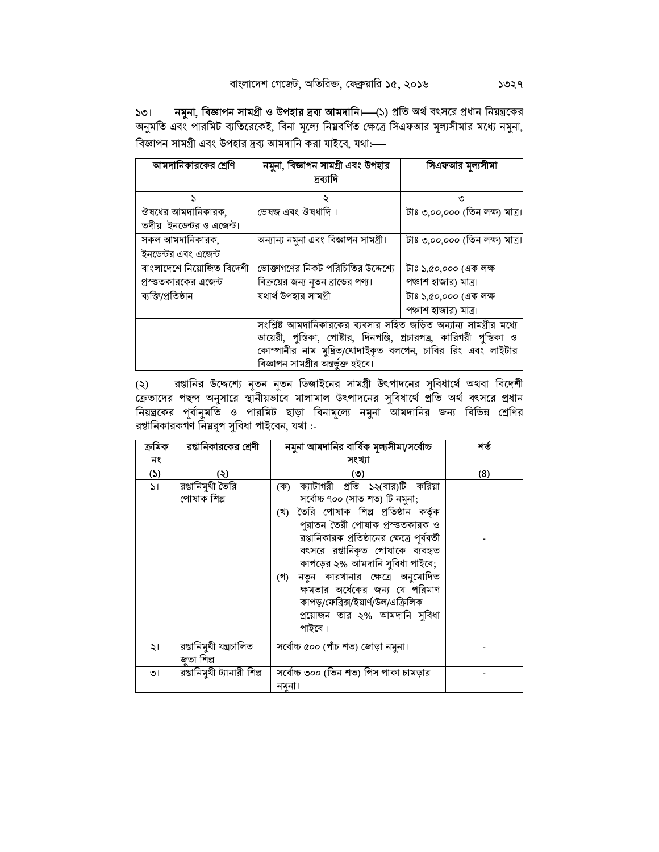নমুনা, বিজ্ঞাপন সামগ্রী ও উপহার দ্রব্য আমদানি। (১) প্রতি অর্থ বৎসরে প্রধান নিয়ন্ত্রকের ১৩। অনুমতি এবং পারমিট ব্যতিরেকেই, বিনা মূল্যে নিম্নবর্ণিত ক্ষেত্রে সিএফআর মূল্যসীমার মধ্যে নমুনা, বিজ্ঞাপন সামগ্ৰী এবং উপহার দ্রব্য আমদানি করা যাইবে, যথা:--

| আমদানিকারকের শ্রেণি       | নমুনা, বিজ্ঞাপন সামগ্ৰী এবং উপহার<br>দ্ৰব্যাদি                       | সিএফআর মূল্যসীমা               |
|---------------------------|----------------------------------------------------------------------|--------------------------------|
| $\mathcal{D}$             | ২                                                                    | ৩                              |
| ঔষধের আমদানিকারক,         | ভেষজ এবং ঔষধাদি।                                                     | টাঃ ৩,০০,০০০ (তিন লক্ষ) মাত্র। |
| তদীয় ইনডেন্টর ও এজেন্ট।  |                                                                      |                                |
| সকল আমদানিকারক,           | অন্যান্য নমুনা এবং বিজ্ঞাপন সামগ্ৰী।                                 | টাঃ ৩,০০,০০০ (তিন লক্ষ) মাত্র। |
| ইনডেন্টর এবং এজেন্ট       |                                                                      |                                |
| বাংলাদেশে নিয়োজিত বিদেশী | ভোক্তাগণের নিকট পরিচিতির উদ্দেশ্যে                                   | টাঃ ১,৫০,০০০ (এক লক্ষ          |
| প্রস্ততকারকের এজেন্ট      | বিক্রয়ের জন্য নৃতন ব্রান্ডের পণ্য।                                  | পঞ্চাশ হাজার) মাত্র।           |
| ব্যক্তি/প্ৰতিষ্ঠান        | যথার্থ উপহার সামগ্রী                                                 | টাঃ ১,৫০,০০০ (এক লক্ষ          |
|                           |                                                                      | পঞ্চাশ হাজার) মাত্র।           |
|                           | সংশ্লিষ্ট আমদানিকারকের ব্যবসার সহিত জড়িত অন্যান্য সামগ্রীর মধ্যে    |                                |
|                           | ডায়েরী, পুস্তিকা, পোষ্টার, দিনপঞ্জি, প্রচারপত্র, কারিগরী পুস্তিকা ও |                                |
|                           | কোম্পানীর নাম মুদ্রিত/খোদাইকৃত বলপেন, চাবির রিং এবং লাইটার           |                                |
|                           | বিজ্ঞাপন সামগ্ৰীর অন্তর্ভুক্ত হইবে।                                  |                                |

রপ্তানির উদ্দেশ্যে নূতন নূতন ডিজাইনের সামগ্রী উৎপাদনের সুবিধার্থে অথবা বিদেশী  $(\zeta)$ ্ত করাদের পছন অনুসারে স্থানীয়ভাবে মালামাল উৎপাদনের সুবিধার্থে প্রতি অর্থ বৎসরে প্রধান<br>নিয়ন্ত্রকের পূর্বানুমতি ও পারমিট ছাড়া বিনামূল্যে নমুনা আমদানির জন্য বিভিন্ন শ্রেণির রপ্তানিকারকগণ নিমরূপ সুবিধা পাইবেন, যথা :-

| ক্ৰমিক                 | রপ্তানিকারকের শ্রেণী                 | নমুনা আমদানির বার্ষিক মূল্যসীমা/সর্বোচ্চ                                                                                                                                                                                                                                                                                                                                                                                                      | শৰ্ত |
|------------------------|--------------------------------------|-----------------------------------------------------------------------------------------------------------------------------------------------------------------------------------------------------------------------------------------------------------------------------------------------------------------------------------------------------------------------------------------------------------------------------------------------|------|
| নং                     |                                      | সংখ্যা                                                                                                                                                                                                                                                                                                                                                                                                                                        |      |
| $\overline{(\lambda)}$ | (২)                                  | (৩)                                                                                                                                                                                                                                                                                                                                                                                                                                           | (8)  |
| $\mathcal{L}$          | রপ্তানিমুখী তৈরি<br>পোষাক শিল্প      | ক্যাটাগরী প্রতি ১২(বার)টি করিয়া<br>(ক)<br>সৰ্বোচ্চ ৭০০ (সাত শত) টি নমুনা;<br>(খ) তৈরি পোষাক শিল্প প্রতিষ্ঠান কর্তৃক<br>পুরাতন তৈরী পোষাক প্রস্ত্তকারক ও<br>রপ্তানিকারক প্রতিষ্ঠানের ক্ষেত্রে পূর্ববর্তী<br>বৎসরে রপ্তানিকৃত পোষাকে ব্যবহৃত<br>কাপড়ের ২% আমদানি সুবিধা পাইবে;<br>নতুন কারখানার ক্ষেত্রে অনুমোদিত<br>(গ)<br>ক্ষমতার অর্ধেকের জন্য যে পরিমাণ<br>কাপড়/ফেব্রিক্স/ইয়ার্ণ/উল/এক্রিলিক<br>প্রয়োজন তার ২% আমদানি সুবিধা<br>পাইবে। |      |
| ২।                     | রপ্তানিমুখী যন্ত্রচালিত<br>জতা শিল্প | সৰ্বোচ্চ ৫০০ (পাঁচ শত) জোড়া নমুনা।                                                                                                                                                                                                                                                                                                                                                                                                           |      |
| ৩।                     | রপ্তানিমুখী ট্যানারী শিল্প           | সর্বোচ্চ ৩০০ (তিন শত) পিস পাকা চামড়ার<br>নমনা।                                                                                                                                                                                                                                                                                                                                                                                               |      |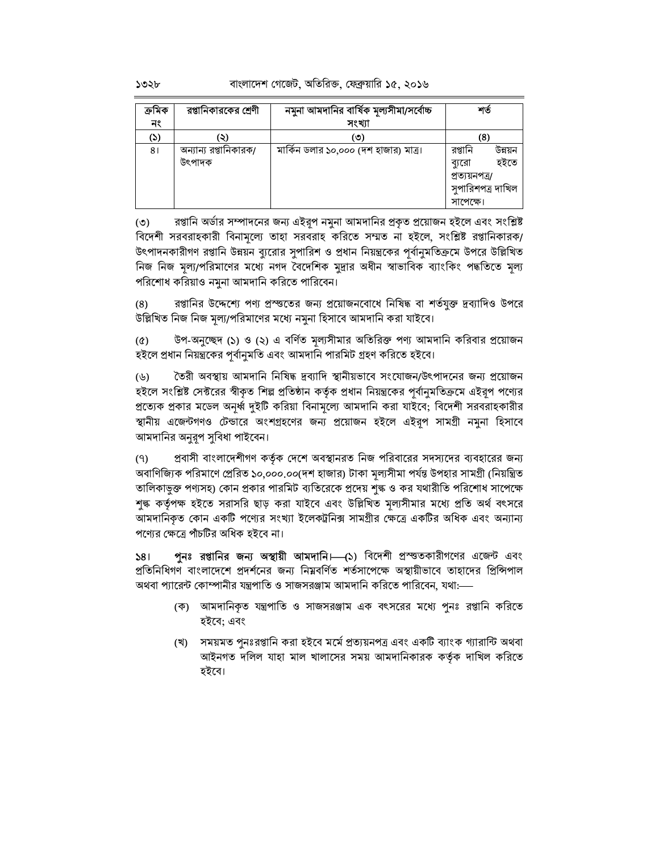| ক্ৰমিক<br>নং | রপ্তানিকারকের শ্রেণী            | নমুনা আমদানির বার্ষিক মূল্যসীমা/সর্বোচ্চ<br>সংখ্যা | শত                                                                                      |
|--------------|---------------------------------|----------------------------------------------------|-----------------------------------------------------------------------------------------|
| (S)          | (২)                             | (৩)                                                | (8)                                                                                     |
| 81           | অন্যান্য রপ্তানিকারক/<br>উৎপাদক | মার্কিন ডলার ১০,০০০ (দশ হাজার) মাত্র।              | রপ্তানি<br>উন্নয়ন<br>হইতে<br>ব্যরো<br>প্ৰত্যয়নপত্ৰ/<br>সুপারিশপত্র দাখিল<br>সাপেক্ষে। |

রপ্তানি অর্ডার সম্পাদনের জন্য এইরূপ নমুনা আমদানির প্রকৃত প্রয়োজন হইলে এবং সংশ্লিষ্ট  $(5)$ বিদেশী সরবরাহকারী বিনামূল্যে তাহা সরবরাহ করিতে সম্মত না হইলে, সংশ্লিষ্ট রপ্তানিকারক/ উৎপাদনকারীগণ রপ্তানি উন্নয়ন ব্যুরোর সুপারিশ ও প্রধান নিয়ন্ত্রকের পূর্বানুমতিক্রমে উপরে উল্লিখিত নিজ নিজ মল্য/পরিমাণের মধ্যে নগদ বৈদেশিক মুদ্রার অধীন স্বাভাবিক ব্যাংকিং পদ্ধতিতে মল্য পরিশোধ করিয়াও নমুনা আমদানি করিতে পারিবেন।

রপ্তানির উদ্দেশ্যে পণ্য প্রস্তুতের জন্য প্রয়োজনবোধে নিষিদ্ধ বা শর্তযুক্ত দ্রব্যাদিও উপরে  $(8)$ উল্লিখিত নিজ নিজ মল্যা/পরিমাণের মধ্যে নমুনা হিসাবে আমদানি করা যাইবে।

উপ-অনুচ্ছেদ (১) ও (২) এ বর্ণিত মূল্যসীমার অতিরিক্ত পণ্য আমদানি করিবার প্রয়োজন  $(6)$ হইলে প্রধান নিয়ন্ত্রকের পূর্বানুমতি এবং আমদানি পারমিট গ্রহণ করিতে হইবে।

তৈরী অবস্থায় আমদানি নিষিদ্ধ দ্রব্যাদি স্থানীয়ভাবে সংযোজন/উৎপাদনের জন্য প্রয়োজন  $(\mathcal{V})$ হইলে সংশ্লিষ্ট সেক্টরের স্বীকৃত শিল্প প্রতিষ্ঠান কর্তৃক প্রধান নিয়ন্ত্রকের পূর্বানুমতিক্রমে এইরূপ পণ্যের প্রত্যেক প্রকার মডেল অনুর্ধ্ব দুইটি করিয়া বিনামূল্যে আমদানি করা যাইবে; বিদেশী সরবরাহকারীর স্থানীয় এজেন্টগণও টেন্ডারে অংশগ্রহণের জন্য প্রয়োজন হইলে এইরূপ সামগ্রী নমনা হিসাবে আমদানির অনুরূপ সুবিধা পাইবেন।

প্রবাসী বাংলাদেশীগণ কর্তৃক দেশে অবস্থানরত নিজ পরিবারের সদস্যদের ব্যবহারের জন্য  $(9)$ অবাণিজ্যিক পরিমাণে প্রেরিত ১০,০০০.০০(দশ হাজার) টাকা মূল্যসীমা পর্যন্ত উপহার সামগ্রী (নিয়ন্ত্রিত তালিকাভুক্ত পণ্যসহ) কোন প্রকার পারমিট ব্যতিরেকে প্রদেয় শৃঙ্ক ও কর যথারীতি পরিশোধ সাপেক্ষে শৃঙ্ক কর্তৃপক্ষ হইতে সরাসরি ছাড় করা যাইবে এবং উল্লিখিত মূল্যসীমার মধ্যে প্রতি অর্থ বৎসরে আমদানিকৃত কোন একটি পণ্যের সংখ্যা ইলেকট্রনিক্স সামগ্রীর ক্ষেত্রে একটির অধিক এবং অন্যান্য পণ্যের ক্ষেত্রে পাঁচটির অধিক হইবে না।

পুনঃ রপ্তানির জন্য অস্থায়ী আমদানি।—(১) বিদেশী প্রস্ততকারীগণের এজেন্ট এবং  $381$ প্রতিনিধিগণ বাংলাদেশে প্রদর্শনের জন্য নিম্নবর্ণিত শর্তসাপেক্ষে অস্থায়ীভাবে তাহাদের প্রিন্সিপাল অথবা প্যারেন্ট কোম্পানীর যন্ত্রপাতি ও সাজসরঞ্জাম আমদানি করিতে পারিবেন, যথা:-

- (ক) আমদানিকৃত যন্ত্রপাতি ও সাজসরঞ্জাম এক বৎসরের মধ্যে পুনঃ রপ্তানি করিতে হইবে: এবং
- (খ) সময়মত পুনঃরপ্তানি করা হইবে মর্মে প্রত্যয়নপত্র এবং একটি ব্যাংক গ্যারান্টি অথবা আইনগত দলিল যাহা মাল খালাসের সময় আমদানিকারক কর্তৃক দাখিল করিতে হইবে।

১৩২৮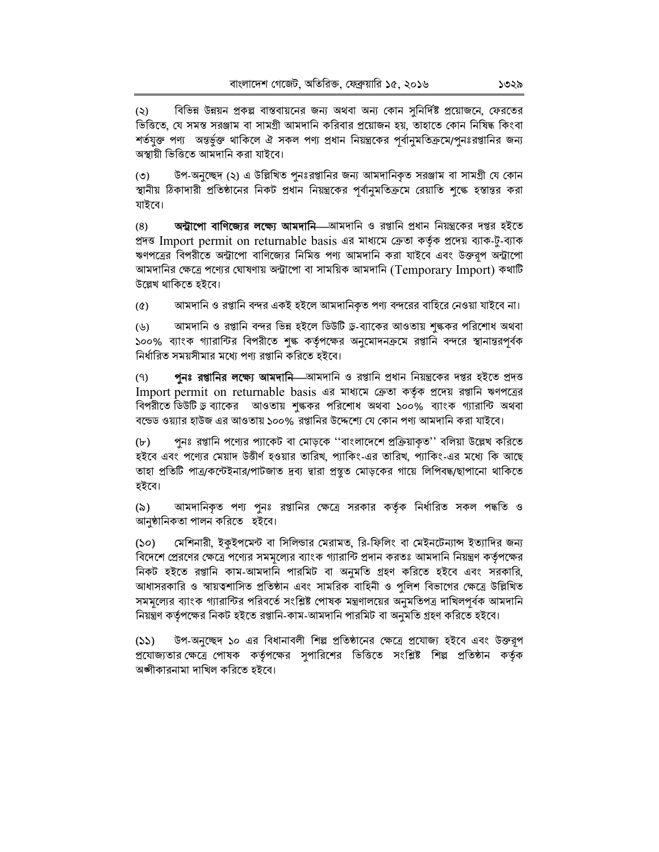বিভিন্ন উন্নয়ন প্রকল্প বাস্তবায়নের জন্য অথবা অন্য কোন সুনির্দিষ্ট প্রয়োজনে, ফেরতের  $(5)$ ভিত্তিতে, যে সমস্ত সরঞ্জাম বা সামগ্রী আমদানি করিবার প্রয়োজন হয়, তাহাতে কোন নিষিদ্ধ কিংবা শর্তযুক্ত পণ্য অন্তর্ভুক্ত থাকিলে ঐ সকল পণ্য প্রধান নিয়ন্ত্রকের পর্বানুমতিক্রমে/পুনঃরপ্তানির জন্য অস্থায়ী ভিত্তিতে আমদানি করা যাইবে।

উপ-অনুচ্ছেদ (২) এ উল্লিখিত পুনঃরপ্তানির জন্য আমদানিকৃত সরঞ্জাম বা সামগ্রী যে কোন  $(°)$ স্থানীয় ঠিকাদারী প্রতিষ্ঠানের নিকট প্রধান নিয়ন্ত্রকের পর্বানমতিক্রমে রেয়াতি শঙ্কে হস্তান্তর করা যাইবে।

অন্ট্রাপো বাণিজ্যের লক্ষ্যে আমদানি ভ্রামদানি ও রপ্তানি প্রধান নিয়ন্ত্রকের দপ্তর হইতে  $(8)$ প্রদত্ত Import permit on returnable basis এর মাধ্যমে ক্রেতা কর্তৃক প্রদেয় ব্যাক-টু-ব্যাক ঋণপত্রের বিপরীতে অন্ট্রাপো বাণিজ্যের নিমিত্ত পণ্য আমদানি করা যাইবে এবং উক্তরপ অন্ট্রাপো আমদানির ক্ষেত্রে পণ্যের ঘোষণায় অন্ট্রাপো বা সাময়িক আমদানি (Temporary Import) কথাটি উল্লেখ থাকিতে হইবে।

আমদানি ও রপ্তানি বন্দর একই হইলে আমদানিকৃত পণ্য বন্দরের বাহিরে নেওয়া যাইবে না।  $(\delta)$ 

আমদানি ও রপ্তানি বন্দর ভিন্ন হইলে ডিউটি ড্র-ব্যাকের আওতায় শঙ্ককর পরিশোধ অথবা  $(\mathcal{V})$ ১০০% ব্যাংক গ্যারান্টির বিপরীতে শুল্ক কর্তৃপক্ষের অনুমোদনক্রমে রপ্তানি বন্দরে স্থানান্তরপূর্বক নির্ধারিত সময়সীমার মধ্যে পণ্য রপ্তানি করিতে হইবে।

**পুনঃ রপ্তানির লক্ষ্যে আমদানি—**আমদানি ও রপ্তানি প্রধান নিয়ন্ত্রকের দপ্তর হইতে প্রদত্ত  $(9)$ Import permit on returnable basis এর মাধ্যমে ক্রেতা কর্তৃক প্রদেয় রপ্তানি ঋণপত্রের বিপরীতে ডিউটি ড্র ব্যাকের আওতায় শুল্ককর পরিশোধ অথবা ১০০% ব্যাংক গ্যারান্টি অথবা বন্ডেড ওয়্যার হাউজ এর আওতায় ১০০% রপ্তানির উদ্দেশ্যে যে কোন পণ্য আমদানি করা যাইবে।

পুনঃ রপ্তানি পণ্যের প্যাকেট বা মোড়কে ''বাংলাদেশে প্রক্রিয়াকৃত'' বলিয়া উল্লেখ করিতে  $(b)$ হইবে এবং পণ্যের মেয়াদ উত্তীর্ণ হওয়ার তারিখ, প্যাকিং-এর তারিখ, প্যাকিং-এর মধ্যে কি আছে তাহা প্রতিটি পাত্র/কন্টেইনার/পাটজাত দ্রব্য দ্বারা প্রস্তুত মোড়কের গায়ে লিপিবদ্ধ/ছাপানো থাকিতে হইবে।

আমদানিকৃত পণ্য পুনঃ রপ্তানির ক্ষেত্রে সরকার কর্তৃক নির্ধারিত সকল পদ্ধতি ও  $(\delta)$ আনষ্ঠানিকতা পালন করিতে হইবে।

মেশিনারী, ইকুইপমেন্ট বা সিলিন্ডার মেরামত, রি-ফিলিং বা মেইনটেন্যান্স ইত্যাদির জন্য  $(S<sub>O</sub>)$ বিদেশে প্রেরণের ক্ষেত্রে পণ্যের সমমূল্যের ব্যাংক গ্যারান্টি প্রদান করতঃ আমদানি নিয়ন্ত্রণ কর্তৃপক্ষের নিকট হইতে রপ্তানি কাম-আমদানি পারমিট বা অনুমতি গ্রহণ করিতে হইবে এবং সরকারি, আধাসরকারি ও স্বায়ত্বশাসিত প্রতিষ্ঠান এবং সামরিক বাহিনী ও পুলিশ বিভাগের ক্ষেত্রে উল্লিখিত সমমূল্যের ব্যাংক গ্যারান্টির পরিবর্তে সংশ্লিষ্ট পোষক মন্ত্রণালয়ের অনুমতিপত্র দাখিলপূর্বক আমদানি নিয়ন্ত্রণ কর্তৃপক্ষের নিকট হইতে রপ্তানি-কাম-আমদানি পারমিট বা অনুমতি গ্রহণ করিতে হইবে।

উপ-অনুচ্ছেদ ১০ এর বিধানাবলী শিল্প প্রতিষ্ঠানের ক্ষেত্রে প্রযোজ্য হইবে এবং উক্তরূপ  $(55)$ প্রযোজ্যতার ক্ষেত্রে পোষক কর্তৃপক্ষের সুপারিশের ভিত্তিতে সংশ্লিষ্ট শিল্প প্রতিষ্ঠান কর্তৃক অঙ্গীকারনামা দাখিল করিতে হইবে।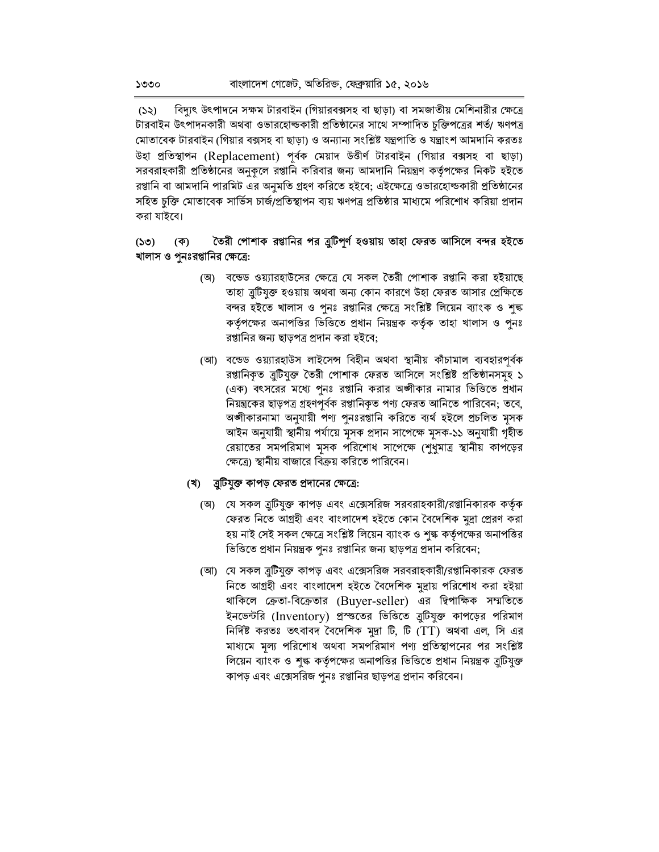বিদ্যুৎ উৎপাদনে সক্ষম টারবাইন (গিয়ারবক্সসহ বা ছাড়া) বা সমজাতীয় মেশিনারীর ক্ষেত্রে  $(55)$ টারবাইন উৎপাদনকারী অথবা ওভারহোল্ডকারী প্রতিষ্ঠানের সাথে সম্পাদিত চুক্তিপত্রের শর্ত্য ঋণপত্র মোতাবেক টারবাইন (গিয়ার বক্সসহ বা ছাড়া) ও অন্যান্য সংশ্লিষ্ট যন্ত্রপাতি ও যন্ত্রাংশ আমদানি করতঃ উহা প্ৰতিস্থাপন (Replacement) পূৰ্বক মেয়াদ উত্তীৰ্ণ টারবাইন (গিয়ার বক্সসহ বা ছাড়া) সরবরাহকারী প্রতিষ্ঠানের অনুকূলে রপ্তানি করিবার জন্য আমদানি নিয়ন্ত্রণ কর্তৃপক্ষের নিকট হইতে রপ্তানি বা আমদানি পারমিট এর অনুমতি গ্রহণ করিতে হইবে; এইক্ষেত্রে ওভারহোল্ডকারী প্রতিষ্ঠানের সহিত চুক্তি মোতাবেক সার্ভিস চার্জ/প্রতিস্থাপন ব্যয় ঋণপত্র প্রতিষ্ঠার মাধ্যমে পরিশোধ করিয়া প্রদান করা যাইবে।

### তৈরী পোশাক রপ্তানির পর ত্রুটিপূর্ণ হওয়ায় তাহা ফেরত আসিলে বন্দর হইতে  $(50)$  (ক) খালাস ও পুনঃরস্তানির ক্ষেত্রে:

- (অ) বন্ডেড ওয়্যারহাউসের ক্ষেত্রে যে সকল তৈরী পোশাক রপ্তানি করা হইয়াছে তাহা ব্রুটিযুক্ত হওয়ায় অথবা অন্য কোন কারণে উহা ফেরত আসার প্রেক্ষিতে বন্দর হইতে খালাস ও পুনঃ রপ্তানির ক্ষেত্রে সংশ্লিষ্ট লিয়েন ব্যাংক ও শৃক্ষ কর্তৃপক্ষের অনাপত্তির ভিত্তিতে প্রধান নিয়ন্ত্রক কর্তৃক তাহা খালাস ও পুনঃ রপ্তানির জন্য ছাড়পত্র প্রদান করা হইবে;
- (আ) বন্ডেড ওয়্যারহাউস লাইসেন্স বিহীন অথবা স্থানীয় কাঁচামাল ব্যবহারপূর্বক রপ্তানিকৃত ত্রুটিযুক্ত তৈরী পোশাক ফেরত আসিলে সংশ্লিষ্ট প্রতিষ্ঠানসমূহ ১ (এক) বৎসরের মধ্যে পুনঃ রপ্তানি করার অঙ্গীকার নামার ভিত্তিতে প্রধান নিয়ন্ত্রকের ছাড়পত্র গ্রহণপূর্বক রপ্তানিকৃত পণ্য ফেরত আনিতে পারিবেন; তবে, অঙ্গীকারনামা অনুযায়ী পণ্য পুনঃরপ্তানি করিতে ব্যর্থ হইলে প্রচলিত মূসক আইন অনুযায়ী স্থানীয় পর্যায়ে মৃসক প্রদান সাপেক্ষে মৃসক-১১ অনুযায়ী গৃহীত রেয়াতের সমপরিমাণ মূসক পরিশোধ সাপেক্ষে (শুধুমাত্র স্থানীয় কাপড়ের ক্ষেত্রে) স্থানীয় বাজারে বিক্রয় করিতে পারিবেন।

### (খ) ব্রুটিযুক্ত কাপড় ফেরত প্রদানের ক্ষেত্রে:

- (অ) যে সকল ব্রুটিযুক্ত কাপড় এবং এক্সেসরিজ সরবরাহকারী/রপ্তানিকারক কর্তৃক ফেরত নিতে আগ্রহী এবং বাংলাদেশ হইতে কোন বৈদেশিক মুদ্রা প্রেরণ করা হয় নাই সেই সকল ক্ষেত্রে সংশ্লিষ্ট লিয়েন ব্যাংক ও শুল্ক কর্তৃপক্ষের অনাপত্তির ভিত্তিতে প্রধান নিয়ন্ত্রক পুনঃ রপ্তানির জন্য ছাড়পত্র প্রদান করিবেন;
- (আ) যে সকল ব্রুটিযুক্ত কাপড় এবং এক্সেসরিজ সরবরাহকারী/রপ্তানিকারক ফেরত নিতে আগ্রহী এবং বাংলাদেশ হইতে বৈদেশিক মুদ্রায় পরিশোধ করা হইয়া থাকিলে ক্রেতা-বিক্রেতার (Buyer-seller) এর দ্বিপাক্ষিক সম্মতিতে ইনভেন্টরি (Inventory) প্রস্তুতের ভিত্তিতে ত্রুটিযুক্ত কাপড়ের পরিমাণ নির্দিষ্ট করতঃ তৎবাবদ বৈদেশিক মুদ্রা টি, টি (TT) অথবা এল, সি এর মাধ্যমে মূল্য পরিশোধ অথবা সমপরিমাণ পণ্য প্রতিস্থাপনের পর সংশ্লিষ্ট লিয়েন ব্যাংক ও শুল্ক কর্তৃপক্ষের অনাপত্তির ভিত্তিতে প্রধান নিয়ন্ত্রক ত্রুটিযুক্ত কাপড় এবং এক্সেসরিজ পুনঃ রপ্তানির ছাড়পত্র প্রদান করিবেন।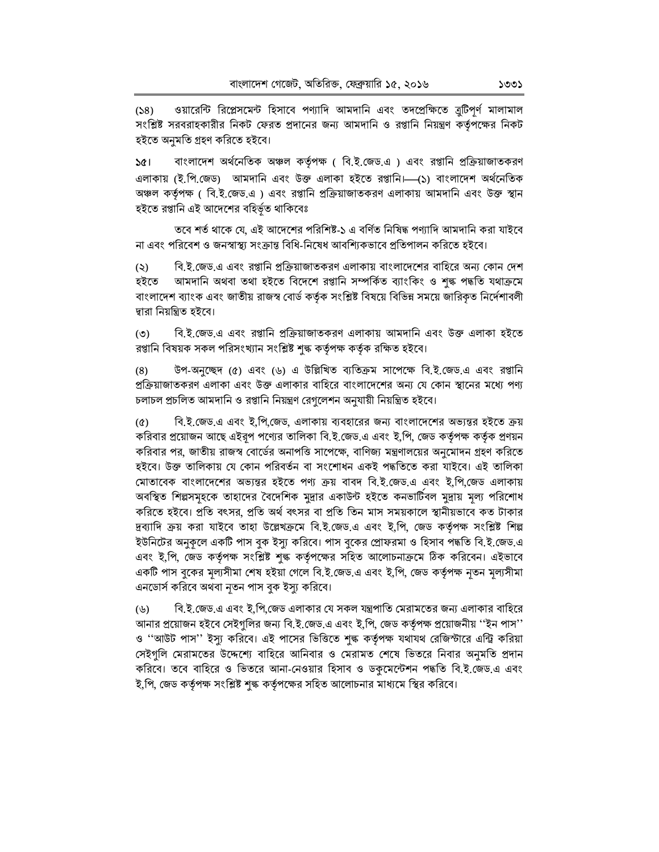ওয়ারেন্টি রিপ্লেসমেন্ট হিসাবে পণ্যাদি আমদানি এবং তদপ্রেক্ষিতে ত্রটিপর্ণ মালামাল  $(58)$ সংশ্লিষ্ট সরবরাহকারীর নিকট ফেরত প্রদানের জন্য আমদানি ও রপ্তানি নিয়ন্ত্রণ কর্তৃপক্ষের নিকট হইতে অনমতি গ্ৰহণ করিতে হইবে।

বাংলাদেশ অর্থনেতিক অঞ্চল কর্তৃপক্ষ ( বি.ই.জেড.এ ) এবং রপ্তানি প্রক্রিয়াজাতকরণ  $\delta$ এলাকায় (ই.পি.জেড) আমদানি এবং উক্ত এলাকা হইতে রপ্তানি। (১) বাংলাদেশ অর্থনেতিক অঞ্চল কর্তৃপক্ষ ( বি.ই.জেড.এ ) এবং রপ্তানি প্রক্রিয়াজাতকরণ এলাকায় আমদানি এবং উক্ত স্থান হইতে রপ্তানি এই আদেশের বহির্ভূত থাকিবেঃ

তবে শর্ত থাকে যে, এই আদেশের পরিশিষ্ট-১ এ বর্ণিত নিষিদ্ধ পণ্যাদি আমদানি করা যাইবে না এবং পরিবেশ ও জনস্বাস্থ্য সংক্রান্ত বিধি-নিষেধ আবশিকেভাবে প্রতিপালন করিতে হইবে।

বি.ই.জেড.এ এবং রপ্তানি প্রক্রিয়াজাতকরণ এলাকায় বাংলাদেশের বাহিরে অন্য কোন দেশ  $(5)$ আমদানি অথবা তথা হইতে বিদেশে রপ্তানি সম্পর্কিত ব্যাংকিং ও শুল্ক পদ্ধতি যথাক্রমে হইতে বাংলাদেশ ব্যাংক এবং জাতীয় রাজস্ব বোর্ড কর্তৃক সংশ্লিষ্ট বিষয়ে বিভিন্ন সময়ে জারিকৃত নির্দেশাবলী দ্বারা নিয়ন্ত্রিত হইবে।

বি.ই.জেড.এ এবং রপ্তানি প্রক্রিয়াজাতকরণ এলাকায় আমদানি এবং উক্ত এলাকা হইতে  $(5)$ রপ্তানি বিষয়ক সকল পরিসংখ্যান সংশ্লিষ্ট শঙ্ক কর্তৃপক্ষ কর্তৃক রক্ষিত হইবে।

উপ-অনুচ্ছেদ (৫) এবং (৬) এ উল্লিখিত ব্যতিক্রম সাপেক্ষে বি.ই.জেড.এ এবং রপ্তানি  $(8)$ প্রক্রিয়াজাতকরণ এলাকা এবং উক্ত এলাকার বাহিরে বাংলাদেশের অন্য যে কোন স্থানের মধ্যে পণ্য চলাচল প্ৰচলিত আমদানি ও রপ্তানি নিয়ন্ত্রণ রেগলেশন অনযায়ী নিয়ন্ত্রিত হইবে।

বি.ই.জেড.এ এবং ই.পি.জেড. এলাকায় ব্যবহারের জন্য বাংলাদেশের অভ্যন্তর হইতে ক্রয়  $(6)$ করিবার প্রয়োজন আছে এইরূপ পণ্যের তালিকা বি.ই.জেড.এ এবং ই,পি, জেড কর্তৃপক্ষ কর্তৃক প্রণয়ন করিবার পর. জাতীয় রাজস্ব বোর্ডের অনাপত্তি সাপেক্ষে, বাণিজ্য মন্ত্রণালয়ের অনমোদন গ্রহণ করিতে হইবে। উক্ত তালিকায় যে কোন পরিবর্তন বা সংশোধন একই পদ্ধতিতে করা যাইবে। এই তালিকা মোতাবেক বাংলাদেশের অভ্যন্তর হইতে পণ্য ক্রয় বাবদ বি.ই.জেড.এ এবং ই.পি.জেড এলাকায় অবস্থিত শিল্পসমহকে তাহাদের বৈদেশিক মুদ্রার একাউন্ট হইতে কনভার্টিবল মুদ্রায় মল্য পরিশোধ করিতে হইবে। প্রতি বৎসর, প্রতি অর্থ বৎসর বা প্রতি তিন মাস সময়কালে স্থানীয়ভাবে কত টাকার দ্রব্যাদি ক্রয় করা যাইবে তাহা উল্লেখক্রমে বি.ই.জেড.এ এবং ই,পি, জেড কর্তৃপক্ষ সংশ্লিষ্ট শিল্প ইউনিটের অনুকলে একটি পাস বুক ইস্যু করিবে। পাস বুকের প্রোফরমা ও হিসাব পদ্ধতি বি.ই.জেড.এ এবং ই,পি, জেড কর্তৃপক্ষ সংশ্লিষ্ট শৃঙ্ক কর্তৃপক্ষের সহিত আলোচনাক্রমে ঠিক করিবেন। এইভাবে একটি পাস বুকের মূল্যসীমা শেষ হইয়া গেলে বি.ই.জেড.এ এবং ই,পি, জেড কর্তৃপক্ষ নৃতন মূল্যসীমা এনডোর্স করিবে অথবা নতন পাস বক ইস্য করিবে।

 $(\mathcal{V})$ বি.ই.জেড.এ এবং ই,পি,জেড এলাকার যে সকল যন্ত্রপাতি মেরামতের জন্য এলাকার বাহিরে আনার প্রয়োজন হইবে সেইগুলির জন্য বি.ই.জেড.এ এবং ই.পি. জেড কর্তৃপক্ষ প্রয়োজনীয় ''ইন পাস'' ও ''আউট পাস'' ইস্য করিবে। এই পাসের ভিত্তিতে শঙ্ক কর্তৃপক্ষ যথাযথ রেজিস্টারে এন্ট্রি করিয়া সেইগুলি মেরামতের উদ্দেশ্যে বাহিরে আনিবার ও মেরামত শেষে ভিতরে নিবার অনুমতি প্রদান করিবে। তবে বাহিরে ও ভিতরে আনা-নেওয়ার হিসাব ও ডকুমেন্টেশন পদ্ধতি বি.ই.জেড.এ এবং ই.পি. জেড কর্তৃপক্ষ সংশ্লিষ্ট শঙ্ক কর্তৃপক্ষের সহিত আলোচনার মাধ্যমে স্থির করিবে।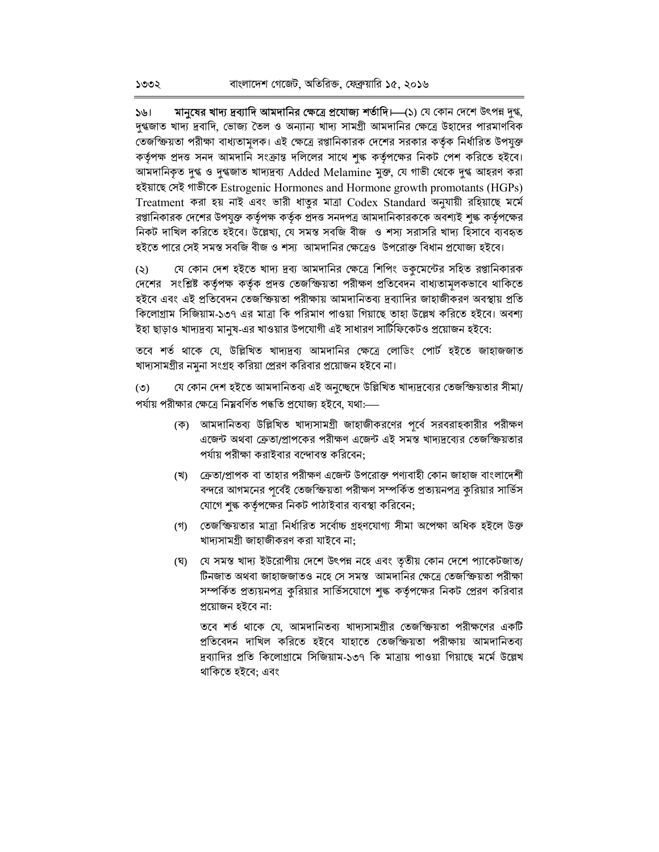১৬। মানুষের খাদ্য দ্রব্যাদি আমদানির ক্ষেত্রে প্রযোজ্য শর্তাদি।—(১) যে কোন দেশে উৎপন্ন দুগ্ধ, দৃগ্ধজাত খাদ্য দ্রবাদি, ভোজ্য তৈল ও অন্যান্য খাদ্য সামগ্রী আমদানির ক্ষেত্রে উহাদের পারমাণবিক তেজস্ক্রিয়তা পরীক্ষা বাধ্যতামলক। এই ক্ষেত্রে রপ্তানিকারক দেশের সরকার কর্তৃক নির্ধারিত উপযুক্ত কর্তৃপক্ষ প্রদত্ত সনদ আমদানি সংক্রান্ত দলিলের সাথে শৃঙ্ক কর্তৃপক্ষের নিকট পেশ করিতে হইবে। আমদানিকৃত দুগ্ধ ও দুগ্ধজাত খাদ্যদ্ৰব্য Added Melamine মুক্ত, যে গাভী থেকে দুগ্ধ আহরণ করা হইয়াছে সেই গাভীকে Estrogenic Hormones and Hormone growth promotants (HGPs) Treatment করা হয় নাই এবং ভারী ধাতুর মাত্রা  $\emph{Codex Standard}$  অনুযায়ী রহিয়াছে মর্মে রপ্তানিকারক দেশের উপযুক্ত কর্তৃপক্ষ কর্তৃক প্রদত্ত সনদপত্র আমদানিকারককে অবশ্যই শুল্ক কর্তৃপক্ষের নিকট দাখিল করিতে হইবে। উল্লেখ্য, যে সমস্ত সবজি বীজ ও শস্য সরাসরি খাদ্য হিসাবে ব্যবহৃত হইতে পারে সেই সমস্ত সবজি বীজ ও শস্য আমদানির ক্ষেত্রেও উপরোক্ত বিধান প্রযোজ্য হইবে।

যে কোন দেশ হইতে খাদ্য দ্রব্য আমদানির ক্ষেত্রে শিপিং ডকুমেন্টের সহিত রপ্তানিকারক  $(5)$ দেশের সংশ্লিষ্ট কর্তৃপক্ষ কর্তৃক প্রদত্ত তেজস্ক্রিয়তা পরীক্ষণ প্রতিবেদন বাধ্যতামলকভাবে থাকিতে হইবে এবং এই প্রতিবেদন তেজস্ক্রিয়তা পরীক্ষায় আমদানিতব্য দ্রব্যাদির জাহাজীকরণ অবস্থায় প্রতি কিলোগ্রাম সিজিয়াম-১৩৭ এর মাত্রা কি পরিমাণ পাওয়া গিয়াছে তাহা উল্লেখ করিতে হইবে। অবশ্য 'ইহা ছাডাও খাদ্যদ্রব্য মানষ-এর খাওয়ার উপযোগী এই সাধারণ সার্টিফিকেটও প্রয়োজন হইবে:

তবে শর্ত থাকে যে, উল্লিখিত খাদ্যদ্রব্য আমদানির ক্ষেত্রে লোডিং পোর্ট হইতে জাহাজজাত খাদ্যসামগ্রীর নমুনা সংগ্রহ করিয়া প্রেরণ করিবার প্রয়োজন হইবে না।

যে কোন দেশ হইতে আমদানিতব্য এই অনুচ্ছেদে উল্লিখিত খাদ্যদ্রব্যের তেজস্ক্রিয়তার সীমা/  $(5)$ পর্যায় পরীক্ষার ক্ষেত্রে নিম্নবর্ণিত পদ্ধতি প্রযোজ্য হইবে. যথা:—–

- (ক) আমদানিতব্য উল্লিখিত খাদ্যসামগ্রী জাহাজীকরণের পূর্বে সরবরাহকারীর পরীক্ষণ এজেন্ট অথবা ক্রেতা/প্রাপকের পরীক্ষণ এজেন্ট এই সমস্ত খাদ্যদ্রব্যের তেজস্ক্রিয়তার পর্যায় পরীক্ষা করাইবার বন্দোবস্ত করিবেন:
- (খ) ক্রেতা/প্রাপক বা তাহার পরীক্ষণ এজেন্ট উপরোক্ত পণ্যবাহী কোন জাহাজ বাংলাদেশী বন্দরে আগমনের পূর্বেই তেজস্ক্রিয়তা পরীক্ষণ সম্পর্কিত প্রত্যয়নপত্র কুরিয়ার সার্ভিস যোগে শঙ্ক কর্তৃপক্ষের নিকট পাঠাইবার ব্যবস্থা করিবেন;
- (গ) তেজস্ক্রিয়তার মাত্রা নির্ধারিত সর্বোচ্চ গ্রহণযোগ্য সীমা অপেক্ষা অধিক হইলে উক্ত খাদ্যসামগ্ৰী জাহাজীকরণ করা যাইবে না;
- (ঘ) যে সমস্ত খাদ্য ইউরোপীয় দেশে উৎপন্ন নহে এবং তৃতীয় কোন দেশে প্যাকেটজাত/ টিনজাত অথবা জাহাজজাতও নহে সে সমস্ত আমদানির ক্ষেত্রে তেজস্ক্রিয়তা পরীক্ষা সম্পর্কিত প্রত্যয়নপত্র করিয়ার সার্ভিসযোগে শঙ্ক কর্তৃপক্ষের নিকট প্রেরণ করিবার প্রয়োজন হইবে না:

তবে শর্ত থাকে যে, আমদানিতব্য খাদ্যসামগ্রীর তেজস্ক্রিয়তা পরীক্ষণের একটি প্রতিবেদন দাখিল করিতে হইবে যাহাতে তেজস্ক্রিয়তা পরীক্ষায় আমদানিতব্য দ্রব্যাদির প্রতি কিলোগ্রামে সিজিয়াম-১৩৭ কি মাত্রায় পাওয়া গিয়াছে মর্মে উল্লেখ থাকিতে হইবে: এবং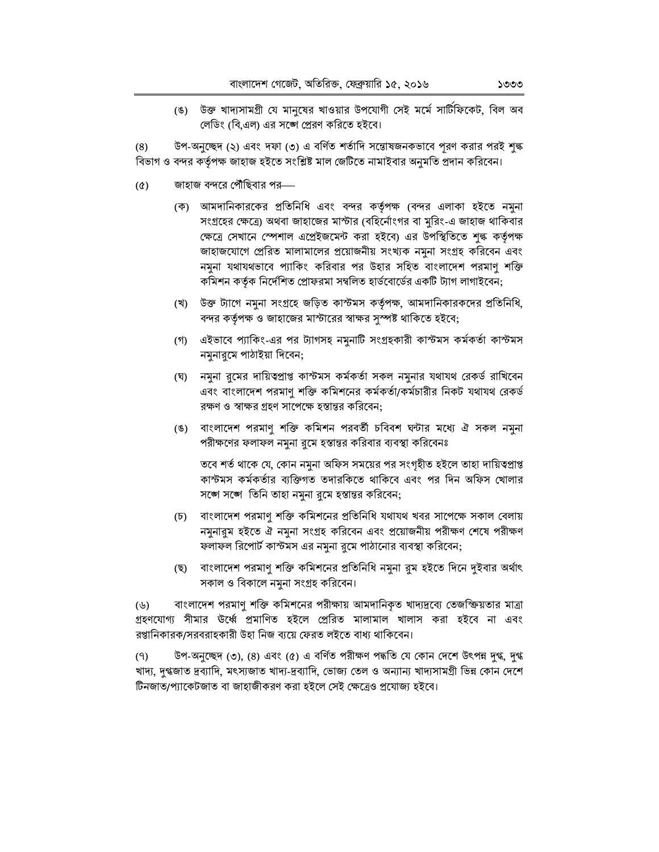(ঙ) উক্ত খাদ্যসামগ্রী যে মানুষের খাওয়ার উপযোগী সেই মর্মে সাটিফিকেট, বিল অব লেডিং (বি.এল) এর সঙ্গে প্রেরণ করিতে হইবে।

 $(8)$ উপ-অনুচ্ছেদ (২) এবং দফা (৩) এ বর্ণিত শর্তাদি সন্তোষজনকভাবে পূরণ করার পরই শুল্ক বিভাগ ও বন্দর কর্তৃপক্ষ জাহাজ হইতে সংশ্লিষ্ট মাল জেটিতে নামাইবার অনুমতি প্রদান করিবেন।

- $(\alpha)$ জাহাজ বন্দরে পৌঁছিবার পর—
	- (ক) আমদানিকারকের প্রতিনিধি এবং বন্দর কর্তৃপক্ষ (বন্দর এলাকা হইতে নমুনা সংগ্রহের ক্ষেত্রে) অথবা জাহাজের মাস্টার (বহির্নোংগর বা মুরিং-এ জাহাজ থাকিবার ক্ষেত্রে সেখানে স্পেশাল এপ্রেইজমেন্ট করা হইবে) এর উপস্থিতিতে শুল্ক কর্তৃপক্ষ জাহাজযোগে প্রেরিত মালামালের প্রয়োজনীয় সংখ্যক নমুনা সংগ্রহ করিবেন এবং নমুনা যথাযথভাবে প্যাকিং করিবার পর উহার সহিত বাংলাদেশ পরমাণু শক্তি কমিশন কর্তৃক নির্দেশিত প্রোফরমা সম্বলিত হার্ডবোর্ডের একটি ট্যাগ লাগাইবেন;
	- (খ) উক্ত ট্যাগে নমুনা সংগ্রহে জড়িত কাস্টমস কর্তৃপক্ষ, আমদানিকারকদের প্রতিনিধি, বন্দর কর্তৃপক্ষ ও জাহাজের মাস্টারের স্বাক্ষর সুস্পষ্ট থাকিতে হইবে;
	- (গ) এইভাবে প্যাকিং-এর পর ট্যাগসহ নমুনাটি সংগ্রহকারী কাস্টমস কর্মকর্তা কাস্টমস নমুনারুমে পাঠাইয়া দিবেন;
	- (ঘ) নমুনা রুমের দায়িত্বপ্রাপ্ত কাস্টমস কর্মকর্তা সকল নমুনার যথাযথ রেকর্ড রাখিবেন এবং বাংলাদেশ পরমাণু শক্তি কমিশনের কর্মকর্তা/কর্মচারীর নিকট যথাযথ রেকর্ড রক্ষণ ও স্বাক্ষর গ্রহণ সাপেক্ষে হস্তান্তর করিবেন;
	- (ঙ) বাংলাদেশ পরমাণু শক্তি কমিশন পরবর্তী চবিবশ ঘন্টার মধ্যে ঐ সকল নমুনা পরীক্ষণের ফলাফল নমুনা রুমে হস্তান্তর করিবার ব্যবস্থা করিবেনঃ

তবে শর্ত থাকে যে, কোন নমুনা অফিস সময়ের পর সংগৃহীত হইলে তাহা দায়িত্বপ্রাপ্ত কাস্টমস কর্মকর্তার ব্যক্তিগত তদারকিতে থাকিবে এবং পর দিন অফিস খোলার সঙ্গে সঙ্গে তিনি তাহা নমুনা রুমে হস্তান্তর করিবেন;

- (চ) বাংলাদেশ পরমাণু শক্তি কমিশনের প্রতিনিধি যথাযথ খবর সাপেক্ষে সকাল বেলায় নমুনারুম হইতে ঐ নমুনা সংগ্রহ করিবেন এবং প্রয়োজনীয় পরীক্ষণ শেষে পরীক্ষণ ফলাফল রিপোর্ট কাস্টমস এর নমুনা রুমে পাঠানোর ব্যবস্থা করিবেন;
- (ছ) বাংলাদেশ পরমাণু শক্তি কমিশনের প্রতিনিধি নমুনা রুম হইতে দিনে দুইবার অর্থাৎ সকাল ও বিকালে নমুনা সংগ্ৰহ করিবেন।

বাংলাদেশ পরমাণু শক্তি কমিশনের পরীক্ষায় আমদানিকৃত খাদ্যদ্রব্যে তেজস্ক্রিয়তার মাত্রা  $(\mathcal{V})$ গ্রহণযোগ্য সীমার ঊর্ধ্বে প্রমাণিত হইলে প্রেরিত মালামাল খালাস করা হইবে না এবং রপ্তানিকারক/সরবরাহকারী উহা নিজ ব্যয়ে ফেরত লইতে বাধ্য থাকিবেন।

উপ-অনুচ্ছেদ (৩), (৪) এবং (৫) এ বর্ণিত পরীক্ষণ পদ্ধতি যে কোন দেশে উৎপন্ন দুগ্ধ, দুগ্ধ  $(9)$ খাদ্য, দুগ্ধজাত দ্রব্যাদি, মৎস্যজাত খাদ্য-দ্রব্যাদি, ভোজ্য তেল ও অন্যান্য খাদ্যসামগ্রী ভিন্ন কোন দেশে টিনজাত/প্যাকেটজাত বা জাহাজীকরণ করা হইলে সেই ক্ষেত্রেও প্রযোজ্য হইবে।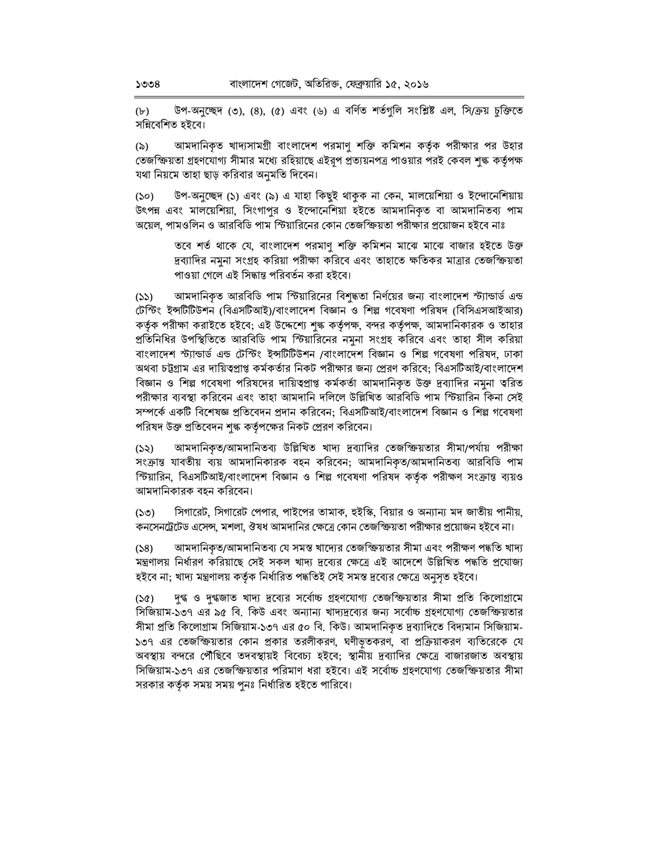উপ-অনচ্ছেদ (৩), (8), (৫) এবং (৬) এ বর্ণিত শর্তগুলি সংশ্লিষ্ট এল, সি/ক্রয় চুক্তিতে  $(b)$ সন্নিবেশিত হইবে।

আমদানিকৃত খাদ্যসামগ্রী বাংলাদেশ পরমাণ শক্তি কমিশন কর্তৃক পরীক্ষার পর উহার  $(\delta)$ তেজস্ক্রিয়তা গ্রহণযোগ্য সীমার মধ্যে রহিয়াছে এইরূপ প্রত্যয়নপত্র পাওয়ার পরই কেবল শঙ্ক কর্তৃপক্ষ যথা নিয়মে তাহা ছাড় করিবার অনমতি দিবেন।

উপ-অনুচ্ছেদ (১) এবং (৯) এ যাহা কিছুই থাকুক না কেন, মালয়েশিয়া ও ইন্দোনেশিয়ায়  $(S<sub>O</sub>)$ উৎপন্ন এবং মালয়েশিয়া, সিংগাপর ও ইন্দোনেশিয়া হইতে আমদানিকত বা আমদানিতব্য পাম অয়েল. পামওলিন ও আরবিডি পাম স্টিয়ারিনের কোন তেজস্ক্রিয়তা পরীক্ষার প্রয়োজন হইবে নাঃ

তবে শর্ত থাকে যে, বাংলাদেশ পরমাণ শক্তি কমিশন মাঝে মাঝে বাজার হইতে উক্ত দ্রব্যাদির নমুনা সংগ্রহ করিয়া পরীক্ষা করিবে এবং তাহাতে ক্ষতিকর মাত্রার তেজস্ক্রিয়তা পাওয়া গেলে এই সিদ্ধান্ত পরিবর্তন করা হইবে।

আমদানিকৃত আরবিডি পাম স্টিয়ারিনের বিশৃদ্ধতা নির্ণয়ের জন্য বাংলাদেশ স্ট্যান্ডার্ড এন্ড  $(55)$ টেস্টিং ইন্সটিটিউশন (বিএসটিআই)/বাংলাদেশ বিজ্ঞান ও শিল্প গবেষণা পরিষদ (বিসিএসআইআর) কর্তৃক পরীক্ষা করাইতে হইবে; এই উদ্দেশ্যে শঙ্ক কর্তৃপক্ষ, বন্দর কর্তৃপক্ষ, আমদানিকারক ও তাহার প্রতিনিধির উপস্থিতিতে আরবিডি পাম স্টিয়ারিনের নমুনা সংগ্রহ করিবে এবং তাহা সীল করিয়া বাংলাদেশ স্ট্যান্ডার্ড এন্ড টেস্টিং ইন্সটিটিউশন /বাংলাদেশ বিজ্ঞান ও শিল্প গবেষণা পরিষদ, ঢাকা অথবা চট্টগ্রাম এর দায়িত্বপ্রাপ্ত কর্মকর্তার নিকট পরীক্ষার জন্য প্রেরণ করিবে: বিএসটিআই/বাংলাদেশ বিজ্ঞান ও শিল্প গবেষণা পরিষদের দায়িত্বপ্রাপ্ত কর্মকর্তা আমদানিকত উক্ত দ্রব্যাদির নমনা ত্বরিত পরীক্ষার ব্যবস্থা করিবেন এবং তাহা আমদানি দলিলে উল্লিখিত আরবিডি পাম স্টিয়ারিন কিনা সেই সম্পর্কে একটি বিশেষজ্ঞ প্রতিবেদন প্রদান করিবেন: বিএসটিআই/বাংলাদেশ বিজ্ঞান ও শিল্প গবেষণা পরিষদ উক্ত প্রতিবেদন শঙ্ক কর্তৃপক্ষের নিকট প্রেরণ করিবেন।

আমদানিকত/আমদানিতব্য উল্লিখিত খাদ্য দ্রব্যাদির তেজস্ক্রিয়তার সীমা/পর্যায় পরীক্ষা  $(55)$ সংক্রান্ত যাবতীয় ব্যয় আমদানিকারক বহন করিবেন; আমদানিকৃত/আমদানিতব্য আরবিডি পাম স্টিয়ারিন, বিএসটিআই/বাংলাদেশ বিজ্ঞান ও শিল্প গবেষণা পরিষদ কর্তৃক পরীক্ষণ সংক্রান্ত ব্যয়ও আমদানিকারক বহন করিবেন।

 $(50)$ সিগারেট, সিগারেট পেপার, পাইপের তামাক, হুইস্কি, বিয়ার ও অন্যান্য মদ জাতীয় পানীয়, কনসেনট্রেটেড এসেন্স, মশলা, ঔষধ আমদানির ক্ষেত্রে কোন তেজস্ক্রিয়তা পরীক্ষার প্রয়োজন হইবে না।

আমদানিকৃত/আমদানিতব্য যে সমস্ত খাদ্যের তেজস্ক্রিয়তার সীমা এবং পরীক্ষণ পদ্ধতি খাদ্য  $(58)$ মন্ত্রণালয় নির্ধারণ করিয়াছে সেই সকল খাদ্য দ্রব্যের ক্ষেত্রে এই আদেশে উল্লিখিত পদ্ধতি প্রযোজ্য হইবে না; খাদ্য মন্ত্রণালয় কর্তৃক নির্ধারিত পদ্ধতিই সেই সমস্ত দ্রব্যের ক্ষেত্রে অনুসৃত হইবে।

 $(S<sub>c</sub>)$ দগ্ধ ও দগ্ধজাত খাদ্য দ্রব্যের সর্বোচ্চ গ্রহণযোগ্য তেজস্ক্রিয়তার সীমা প্রতি কিলোগ্রামে সিজিয়াম-১৩৭ এর ৯৫ বি. কিউ এবং অন্যান্য খাদ্যদ্রব্যের জন্য সর্বোচ্চ গ্রহণযোগ্য তেজস্ক্রিয়তার সীমা প্ৰতি কিলোগ্ৰাম সিজিয়াম-১৩৭ এর ৫০ বি. কিউ। আমদানিকৃত দ্ৰব্যাদিতে বিদ্যমান সিজিয়াম-১৩৭ এর তেজস্ক্রিয়তার কোন প্রকার তরলীকরণ, ঘণীভূতকরণ, বা প্রক্রিয়াকরণ ব্যতিরেকে যে অবস্থায় বন্দরে পৌঁছিবে তদবস্থায়ই বিবেচ্য হইবে: স্থানীয় দ্রব্যাদির ক্ষেত্রে বাজারজাত অবস্থায় সিজিয়াম-১৩৭ এর তেজস্ক্রিয়তার পরিমাণ ধরা হইবে। এই সর্বোচ্চ গ্রহণযোগ্য তেজস্ক্রিয়তার সীমা সরকার কর্তৃক সময় সময় পনঃ নির্ধারিত হইতে পারিবে।

 $5008$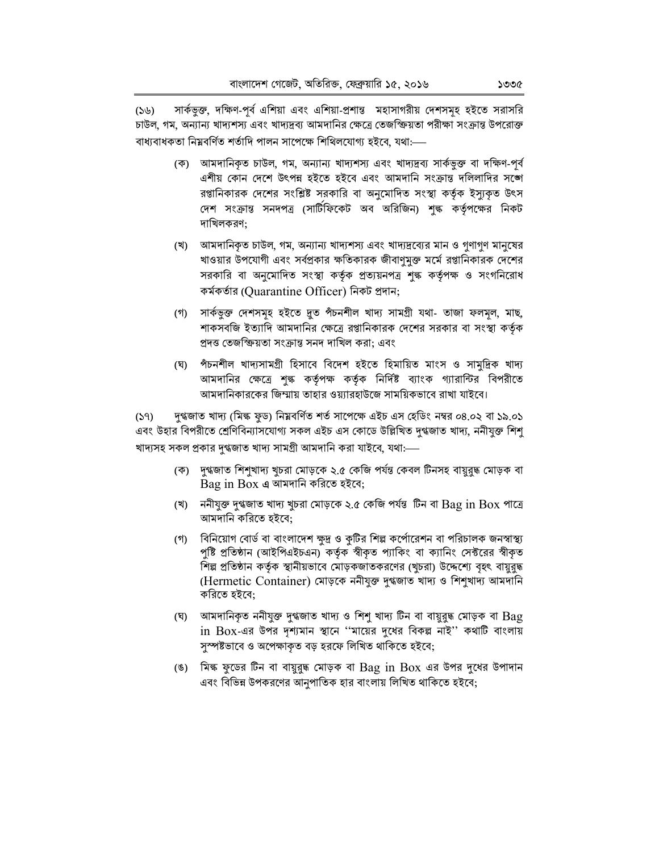সার্কভুক্ত, দক্ষিণ-পূর্ব এশিয়া এবং এশিয়া-প্রশান্ত মহাসাগরীয় দেশসমূহ হইতে সরাসরি  $(56)$ চাউল, গম, অন্যান্য খাদ্যশস্য এবং খাদ্যদ্রব্য আমদানির ক্ষেত্রে তেজস্ক্রিয়তা পরীক্ষা সংক্রান্ত উপরোক্ত বাধ্যবাধকতা নিম্নবৰ্ণিত শৰ্তাদি পালন সাপেক্ষে শিথিলযোগ্য হইবে. যথা:—

- (ক) আমদানিকৃত চাউল, গম, অন্যান্য খাদ্যশস্য এবং খাদ্যদ্রব্য সার্কভুক্ত বা দক্ষিণ-পূর্ব এশীয় কোন দেশে উৎপন্ন হইতে হইবে এবং আমদানি সংক্রান্ত দলিলাদির সঙ্গে রপ্তানিকারক দেশের সংশ্লিষ্ট সরকারি বা অনুমোদিত সংস্থা কর্তৃক ইস্যুকৃত উৎস দেশ সংক্রান্ত সনদপত্র (সার্টিফিকেট অব অরিজিন) শুল্ক কর্তৃপক্ষের নিকট দাখিলকরণ;
- (খ) আমদানিকৃত চাউল, গম, অন্যান্য খাদ্যশস্য এবং খাদ্যদ্রব্যের মান ও গণাগণ মানুষের খাওয়ার উপযোগী এবং সর্বপ্রকার ক্ষতিকারক জীবাণুমুক্ত মর্মে রপ্তানিকারক দেশের সরকারি বা অনুমোদিত সংস্থা কর্তৃক প্রত্যয়নপত্র শুল্ক কর্তৃপক্ষ ও সংগনিরোধ  $\phi$ র্মকর্তার (Quarantine Officer) নিকট প্রদান;
- (গ) সার্কভুক্ত দেশসমূহ হইতে দুত পঁচনশীল খাদ্য সামগ্রী যথা- তাজা ফলমূল, মাছ, শাকসবজি ইত্যাদি আমদানির ক্ষেত্রে রপ্তানিকারক দেশের সরকার বা সংস্থা কর্তৃক প্ৰদত্ত তেজস্ক্ৰিয়তা সংক্ৰান্ত সনদ দাখিল করা; এবং
- (ঘ) পঁচনশীল খাদ্যসামগ্ৰী হিসাবে বিদেশ হইতে হিমায়িত মাংস ও সামুদ্ৰিক খাদ্য আমদানির ক্ষেত্রে শৃঙ্ক কর্তৃপক্ষ কর্তৃক নির্দিষ্ট ব্যাংক গ্যারান্টির বিপরীতে আমদানিকারকের জিম্মায় তাহার ওয়্যারহাউজে সাময়িকভাবে রাখা যাইবে।

দৃগ্মজাত খাদ্য (মিল্ক ফৃড) নিম্নবৰ্ণিত শৰ্ত সাপেক্ষে এইচ এস হেডিং নম্বর ০৪.০২ বা ১৯.০১  $(59)$ এবং উহার বিপরীতে শ্রেণিবিন্যাসযোগ্য সকল এইচ এস কোডে উল্লিখিত দুগ্ধজাত খাদ্য, ননীযুক্ত শিশূ খাদ্যসহ সকল প্ৰকার দুগ্ধজাত খাদ্য সামগ্রী আমদানি করা যাইবে, যথা:—

- (ক) দুগ্ধজাত শিশুখাদ্য খুচরা মোড়কে ২.৫ কেজি পর্যন্ত কেবল টিনসহ বায়ুরুদ্ধ মোড়ক বা  $Bag$  in  $Box$  এ আমদানি করিতে হইবে;
- (খ) ননীযুক্ত দুগ্ধজাত খাদ্য খুচরা মোড়কে ২.৫ কেজি পর্যন্ত টিন বা  $\rm{Bag}$  in  $\rm{Box}$  পাত্রে আমদানি করিতে হইবে;
- (গ) বিনিয়োগ বোর্ড বা বাংলাদেশ ক্ষদ্র ও কটির শিল্প কর্পোরেশন বা পরিচালক জনস্বাস্থ্য পুষ্টি প্রতিষ্ঠান (আইপিএইচএন) কর্তৃক স্বীকৃত প্যাকিং বা ক্যানিং সেক্টরের স্বীকৃত শিল্প প্রতিষ্ঠান কর্তৃক স্থানীয়ভাবে মোড়কজাতকরণের (খুচরা) উদ্দেশ্যে বৃহৎ বায়ুরুদ্ধ (Hermetic Container) মোড়কে ননীযুক্ত দুগ্ধজাত খাদ্য ও শিশুখাদ্য আমদানি করিতে হইবে;
- (ঘ) আমদানিকৃত ননীযুক্ত দুগ্ধজাত খাদ্য ও শিশু খাদ্য টিন বা বায়ুরুদ্ধ মোড়ক বা Bag in Box-এর উপর দৃশ্যমান স্থানে ''মায়ের দুধের বিকল্প নাই'' কথাটি বাংলায় সুস্পষ্টভাবে ও অপেক্ষাকৃত বড় হরফে লিখিত থাকিতে হইবে;
- (ঙ) মিল্ক ফুডের টিন বা বায়ুরুদ্ধ মোড়ক বা Bag in Box এর উপর দুধের উপাদান এবং বিভিন্ন উপকরণের আনুপাতিক হার বাংলায় লিখিত থাকিতে হইবে;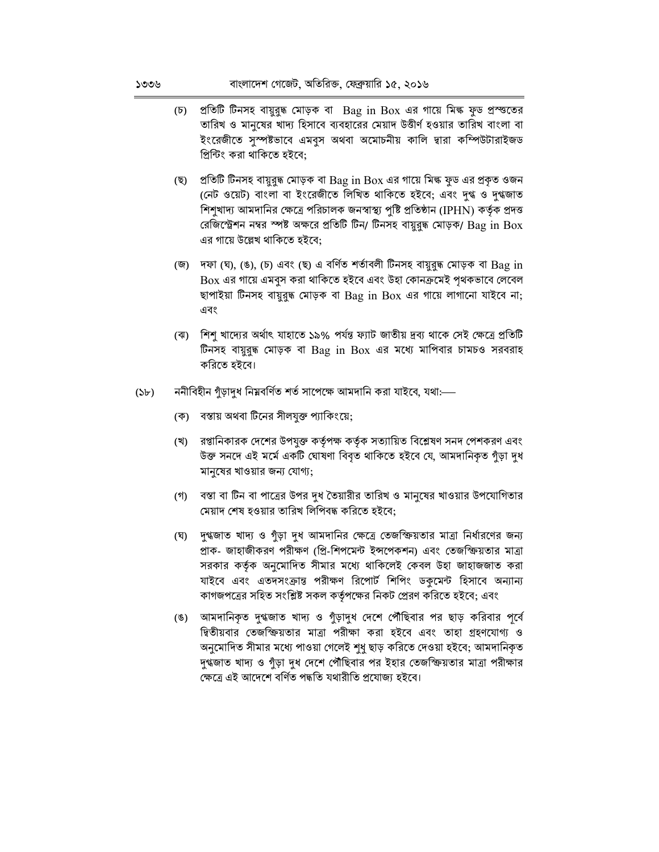- প্রতিটি টিনসহ বায়ুরুদ্ধ মোড়ক বা Bag in Box এর গায়ে মিল্ক ফুড প্রস্তুতের  $(\overline{b})$ তারিখ ও মানুষের খাদ্য হিসাবে ব্যবহারের মেয়াদ উত্তীর্ণ হওয়ার তারিখ বাংলা বা ইংরেজীতে সুস্পষ্টভাবে এমবুস অথবা অমোচনীয় কালি দ্বারা কম্পিউটারাইজড প্রিন্টিং করা থাকিতে হইবে;
- (ছ) প্রতিটি টিনসহ বায়ুরুদ্ধ মোড়ক বা Bag in Box এর গায়ে মিল্ক ফুড এর প্রকৃত ওজন (নেট ওয়েট) বাংলা বা ইংরেজীতে লিখিত থাকিতে হইবে; এবং দুগ্ধ ও দুগ্ধজাত শিশুখাদ্য আমদানির ক্ষেত্রে পরিচালক জনস্বাস্থ্য পুষ্টি প্রতিষ্ঠান (IPHN) কর্তৃক প্রদত্ত রেজিস্ট্রেশন নম্বর স্পষ্ট অক্ষরে প্রতিটি টিন/ টিনসহ বায়ুরুদ্ধ মোড়ক/ Bag in Box এর গায়ে উল্লেখ থাকিতে হইবে;
- (জ) দফা (ঘ), (ঙ), (চ) এবং (ছ) এ বর্ণিত শর্তাবলী টিনসহ বায়ুরুদ্ধ মোড়ক বা Bag in  $Box$  এর গায়ে এমবুস করা থাকিতে হইবে এবং উহা কোনক্রমেই পৃথকভাবে লেবেল ছাপাইয়া টিনসহ বায়ুরুদ্ধ মোড়ক বা Bag in Box এর গায়ে লাগানো যাইবে না; এবং
- (ঝ) শিশু খাদ্যের অর্থাৎ যাহাতে ১৯% পর্যন্ত ফ্যাট জাতীয় দ্রব্য থাকে সেই ক্ষেত্রে প্রতিটি টিনসহ বায়ুরুদ্ধ মোড়ক বা Bag in Box এর মধ্যে মাপিবার চামচও সরবরাহ করিতে হইবে।
- ননীবিহীন গুঁড়াদুধ নিম্নবৰ্ণিত শৰ্ত সাপেক্ষে আমদানি করা যাইবে, যথা:—  $(Sb)$ 
	- (ক) বস্তায় অথবা টিনের সীলযুক্ত প্যাকিংয়ে;
	- (খ) রপ্তানিকারক দেশের উপযুক্ত কর্তৃপক্ষ কর্তৃক সত্যায়িত বিশ্লেষণ সনদ পেশকরণ এবং উক্ত সনদে এই মৰ্মে একটি ঘোষণা বিবৃত থাকিতে হইবে যে, আমদানিকৃত গুঁড়া দুধ মানুষের খাওয়ার জন্য যোগ্য;
	- (গ) বস্তা বা টিন বা পাত্রের উপর দুধ তৈয়ারীর তারিখ ও মানুষের খাওয়ার উপযোগিতার মেয়াদ শেষ হওয়ার তারিখ লিপিবদ্ধ করিতে হইবে;
	- (ঘ) দুগ্ধজাত খাদ্য ও গুঁড়া দুধ আমদানির ক্ষেত্রে তেজস্ক্রিয়তার মাত্রা নির্ধারণের জন্য প্রাক- জাহাজীকরণ পরীক্ষণ (প্রি-শিপমেন্ট ইন্সপেকশন) এবং তেজস্ক্রিয়তার মাত্রা সরকার কর্তৃক অনুমোদিত সীমার মধ্যে থাকিলেই কেবল উহা জাহাজজাত করা যাইবে এবং এতদসংক্রান্ত পরীক্ষণ রিপোর্ট শিপিং ডকুমেন্ট হিসাবে অন্যান্য কাগজপত্রের সহিত সংশ্লিষ্ট সকল কর্তৃপক্ষের নিকট প্রেরণ করিতে হইবে; এবং
	- (ঙ) আমদানিকৃত দুগ্ধজাত খাদ্য ও গুঁড়াদুধ দেশে পৌঁছিবার পর ছাড় করিবার পূর্বে দ্বিতীয়বার তেজস্ক্রিয়তার মাত্রা পরীক্ষা করা হইবে এবং তাহা গ্রহণযোগ্য ও অনুমোদিত সীমার মধ্যে পাওয়া গেলেই শুধু ছাড় করিতে দেওয়া হইবে; আমদানিকৃত দুগ্ধজাত খাদ্য ও গুঁড়া দুধ দেশে পৌঁছিবার পর ইহার তেজস্ক্রিয়তার মাত্রা পরীক্ষার ক্ষেত্রে এই আদেশে বর্ণিত পদ্ধতি যথারীতি প্রযোজ্য হইবে।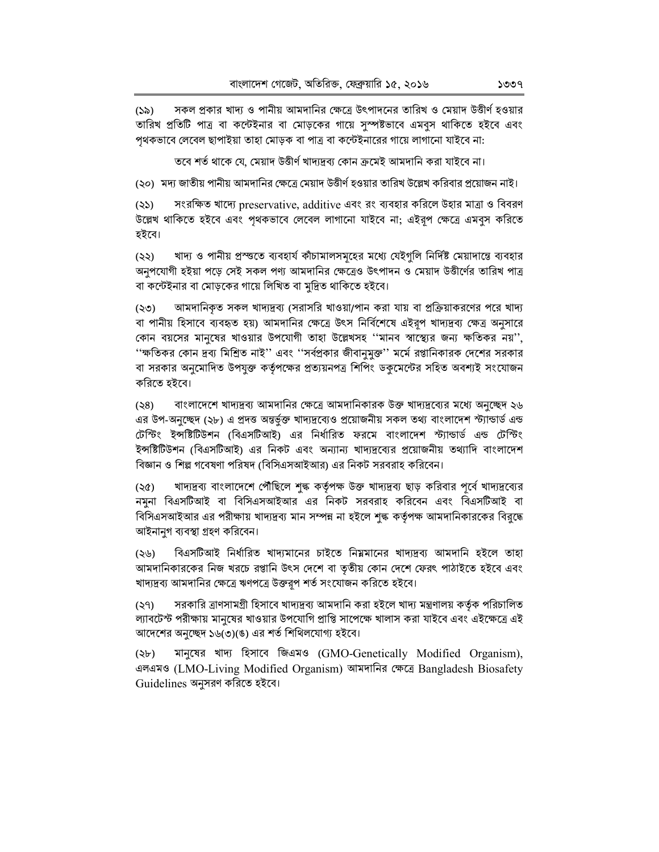সকল প্রকার খাদ্য ও পানীয় আমদানির ক্ষেত্রে উৎপাদনের তারিখ ও মেয়াদ উত্তীর্ণ হওয়ার  $(5)$ তারিখ প্রতিটি পাত্র বা কন্টেইনার বা মোড়কের গায়ে সুস্পষ্টভাবে এমবুস থাকিতে হইবে এবং পৃথকভাবে লেবেল ছাপাইয়া তাহা মোড়ক বা পাত্র বা কন্টেইনারের গায়ে লাগানো যাইবে না:

তবে শর্ত থাকে যে, মেয়াদ উত্তীর্ণ খাদ্যদ্রব্য কোন ক্রমেই আমদানি করা যাইবে না।

(২০) মদ্য জাতীয় পানীয় আমদানির ক্ষেত্রে মেয়াদ উত্তীর্ণ হওয়ার তারিখ উল্লেখ করিবার প্রয়োজন নাই।

সংরক্ষিত খাদ্যে preservative, additive এবং রং ব্যবহার করিলে উহার মাত্রা ও বিবরণ  $(55)$ উল্লেখ থাকিতে হইবে এবং পৃথকভাবে লেবেল লাগানো যাইবে না; এইরূপ ক্ষেত্রে এমবুস করিতে হইবে।

খাদ্য ও পানীয় প্রস্তুতে ব্যবহার্য কাঁচামালসমূহের মধ্যে যেইগুলি নির্দিষ্ট মেয়াদান্তে ব্যবহার  $(55)$ অনুপযোগী হইয়া পড়ে সেই সকল পণ্য আমদানির ক্ষেত্রেও উৎপাদন ও মেয়াদ উত্তীর্ণের তারিখ পাত্র বা কন্টেইনার বা মোডকের গায়ে লিখিত বা মদ্রিত থাকিতে হইবে।

আমদানিকৃত সকল খাদ্যদ্রব্য (সরাসরি খাওয়া/পান করা যায় বা প্রক্রিয়াকরণের পরে খাদ্য  $(55)$ বা পানীয় হিসাবে ব্যবহৃত হয়) আমদানির ক্ষেত্রে উৎস নির্বিশেষে এইরূপ খাদ্যদ্রব্য ক্ষেত্র অনুসারে কোন বয়সের মানুষের খাওয়ার উপযোগী তাহা উল্লেখসহ ''মানব স্বাস্থ্যের জন্য ক্ষতিকর নয়'', ''ক্ষতিকর কোন দ্রব্য মিশ্রিত নাই'' এবং ''সর্বপ্রকার জীবানুমুক্ত'' মর্মে রপ্তানিকারক দেশের সরকার বা সরকার অনুমোদিত উপযুক্ত কর্তৃপক্ষের প্রত্যয়নপত্র শিপিং ডকুমেন্টের সহিত অবশ্যই সংযোজন করিতে হইবে।

বাংলাদেশে খাদ্যদ্রব্য আমদানির ক্ষেত্রে আমদানিকারক উক্ত খাদ্যদ্রব্যের মধ্যে অনুচ্ছেদ ২৬  $(38)$ এর উপ-অনুচ্ছেদ (২৮) এ প্রদত্ত অন্তর্ভুক্ত খাদ্যদ্রব্যেও প্রয়োজনীয় সকল তথ্য বাংলাদেশ স্ট্যান্ডার্ড এন্ড টেস্টিং ইন্সষ্টিটিউশন (বিএসটিআই) এর নির্ধারিত ফরমে বাংলাদেশ স্ট্যান্ডার্ড এন্ড টেস্টিং ইন্সষ্টিটিউশন (বিএসটিআই) এর নিকট এবং অন্যান্য খাদ্যদ্রব্যের প্রয়োজনীয় তথ্যাদি বাংলাদেশ বিজ্ঞান ও শিল্প গবেষণা পরিষদ (বিসিএসআইআর) এর নিকট সরবরাহ করিবেন।

খাদ্যদ্রব্য বাংলাদেশে পৌঁছিলে শঙ্ক কর্তৃপক্ষ উক্ত খাদ্যদ্রব্য ছাড় করিবার পর্বে খাদ্যদ্রব্যের  $(36)$ নমুনা বিএসটিআই বা বিসিএসআইআর এর নিকট সরবরাহ করিবেন এবং বিএসটিআই বা বিসিএসআইআর এর পরীক্ষায় খাদ্যদ্রব্য মান সম্পন্ন না হইলে শৃঙ্ক কর্তৃপক্ষ আমদানিকারকের বিরুদ্ধে আইনানগ ব্যবস্থা গ্ৰহণ করিবেন।

বিএসটিআই নিৰ্ধারিত খাদ্যমানের চাইতে নিম্নমানের খাদ্যদ্রব্য আমদানি হইলে তাহা  $(55)$ আমদানিকারকের নিজ খরচে রপ্তানি উৎস দেশে বা তৃতীয় কোন দেশে ফেরৎ পাঠাইতে হইবে এবং খাদ্যদ্রব্য আমদানির ক্ষেত্রে ঋণপত্রে উক্তরপ শর্ত সংযোজন করিতে হইবে।

সরকারি ত্রাণসামগ্রী হিসাবে খাদ্যদ্রব্য আমদানি করা হইলে খাদ্য মন্ত্রণালয় কর্তৃক পরিচালিত  $(29)$ ল্যাবটেন্ট পরীক্ষায় মানুষের খাওয়ার উপযোগি প্রাপ্তি সাপেক্ষে খালাস করা যাইবে এবং এইক্ষেত্রে এই আদেশের অনুচ্ছেদ ১৬(৩)(ঙ) এর শর্ত শিথিলযোগ্য হইবে।

মানুষের খাদ্য হিসাবে জিএমও (GMO-Genetically Modified Organism),  $(\forall b)$ এলএমও (LMO-Living Modified Organism) আমদানির ক্ষেত্রে Bangladesh Biosafety Guidelines অনুসরণ করিতে হইবে।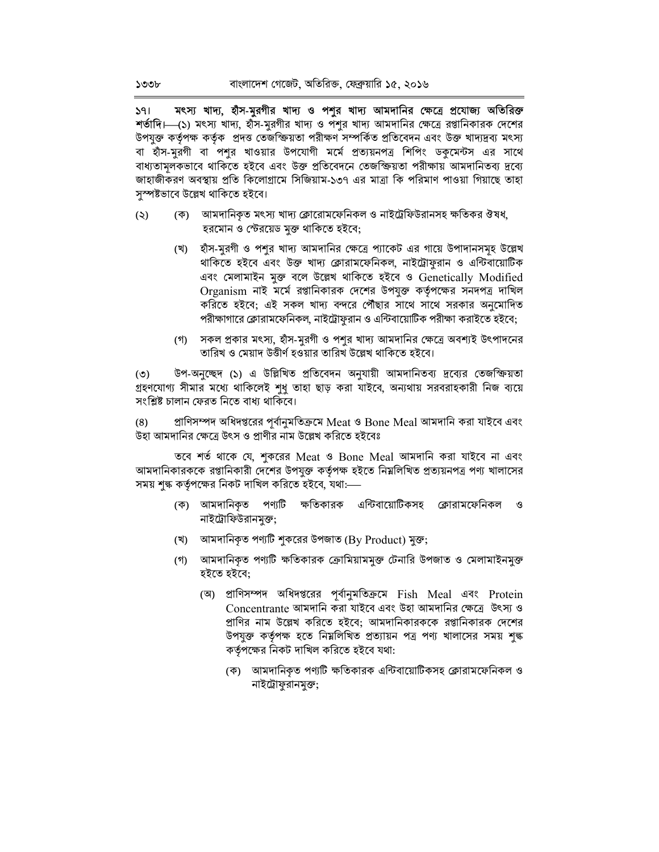মৎস্য খাদ্য, হীস-মুরগীর খাদ্য ও পশুর খাদ্য আমদানির ক্ষেত্রে প্রযোজ্য অতিরিক্ত  $391$ শর্তাদি। (১) মৎস্য খাদ্য, হাঁস-মুরগীর খাদ্য ও পশুর খাদ্য আমদানির ক্ষেত্রে রপ্তানিকারক দেশের উপযুক্ত কর্তৃপক্ষ কর্তৃক প্রদত্ত তেজস্ক্রিয়তা পরীক্ষণ সম্পর্কিত প্রতিবেদন এবং উক্ত খাদ্যদ্রব্য মৎস্য বা হাঁস-মুরগী বা পশুর খাওয়ার উপযোগী মর্মে প্রত্যয়নপত্র শিপিং ডকুমেন্টস এর সাথে বাধ্যতামূলকভাবে থাকিতে হইবে এবং উক্ত প্রতিবেদনে তেজস্ক্রিয়তা পরীক্ষায় আমদানিতব্য দ্রব্যে জাহাজীকরণ অবস্থায় প্রতি কিলোগ্রামে সিজিয়াম-১৩৭ এর মাত্রা কি পরিমাণ পাওয়া গিয়াছে তাহা সুস্পষ্টভাবে উল্লেখ থাকিতে হইবে।

- (ক) আমদানিকৃত মৎস্য খাদ্য ক্লোরোমফেনিকল ও নাইট্রেফিউরানসহ ক্ষতিকর ঔষধ,  $(5)$ হরমোন ও স্টেরয়েড মুক্ত থাকিতে হইবে;
	- (খ) হাঁস-মুরগী ও পশুর খাদ্য আমদানির ক্ষেত্রে প্যাকেট এর গায়ে উপাদানসমূহ উল্লেখ থাকিতে হইবে এবং উক্ত খাদ্য ক্লোরামফেনিকল, নাইট্রোফুরান ও এন্টিবায়োটিক এবং মেলামাইন মুক্ত বলে উল্লেখ থাকিতে হইবে ও Genetically Modified Organism নাই মর্মে রপ্তানিকারক দেশের উপযুক্ত কর্তৃপক্ষের সনদপত্র দাখিল করিতে হইবে; এই সকল খাদ্য বন্দরে পৌঁছার সাথে সাথে সরকার অনুমোদিত পরীক্ষাগারে ক্লোরামফেনিকল, নাইট্রোফুরান ও এন্টিবায়োটিক পরীক্ষা করাইতে হইবে;
	- (গ) সকল প্রকার মৎস্য, হাঁস-মুরগী ও পশুর খাদ্য আমদানির ক্ষেত্রে অবশ্যই উৎপাদনের তারিখ ও মেয়াদ উত্তীর্ণ হওয়ার তারিখ উল্লেখ থাকিতে হইবে।

উপ-অনুচ্ছেদ (১) এ উল্লিখিত প্রতিবেদন অনুযায়ী আমদানিতব্য দ্রব্যের তেজস্ক্রিয়তা  $(5)$ গ্রহণযোগ্য সীমার মধ্যে থাকিলেই শুধু তাহা ছাড় করা যাইবে, অন্যথায় সরবরাহকারী নিজ ব্যয়ে সংশ্লিষ্ট চালান ফেরত নিতে বাধ্য থাকিবে।

প্রাণিসম্পদ অধিদপ্তরের পূর্বানুমতিক্রমে Meat ও Bone Meal আমদানি করা যাইবে এবং  $(8)$ উহা আমদানির ক্ষেত্রে উৎস ও প্রাণীর নাম উল্লেখ করিতে হইবেঃ

তবে শর্ত থাকে যে, শুকরের Meat ও Bone Meal আমদানি করা যাইবে না এবং আমদানিকারককে রপ্তানিকারী দেশের উপযুক্ত কর্তৃপক্ষ হইতে নিম্নলিখিত প্রত্যয়নপত্র পণ্য খালাসের সময় শৃঙ্ক কর্তৃপক্ষের নিকট দাখিল করিতে হইবে, যথা:—

- (ক) আমদানিকৃত পণ্যটি ক্ষতিকারক এন্টিবায়োটিকসহ ক্লোরামফেনিকল ও নাইট্রোফিউরানমুক্ত;
- (খ) আমদানিকৃত পণ্যটি শুকরের উপজাত (By Product) মুক্ত;
- (গ) আমদানিকৃত পণ্যটি ক্ষতিকারক ক্রোমিয়ামমুক্ত টেনারি উপজাত ও মেলামাইনমুক্ত হইতে হইবে;
	- (অ) প্রাণিসম্পদ অধিদপ্তরের পূর্বানুমতিক্রমে Fish Meal এবং Protein Concentrante আমদানি করা যাইবে এবং উহা আমদানির ক্ষেত্রে উৎস্য ও প্রাণির নাম উল্লেখ করিতে হইবে; আমদানিকারককে রপ্তানিকারক দেশের উপযুক্ত কর্তৃপক্ষ হতে নিয়লিখিত প্রত্যায়ন পত্র পণ্য খালাসের সময় শুল্ক কর্তৃপক্ষের নিকট দাখিল করিতে হইবে যথা:
		- (ক) আমদানিকৃত পণ্যটি ক্ষতিকারক এন্টিবায়োটিকসহ ক্লোরামফেনিকল ও নাইট্রোফুরানমুক্ত;

১৩৩৮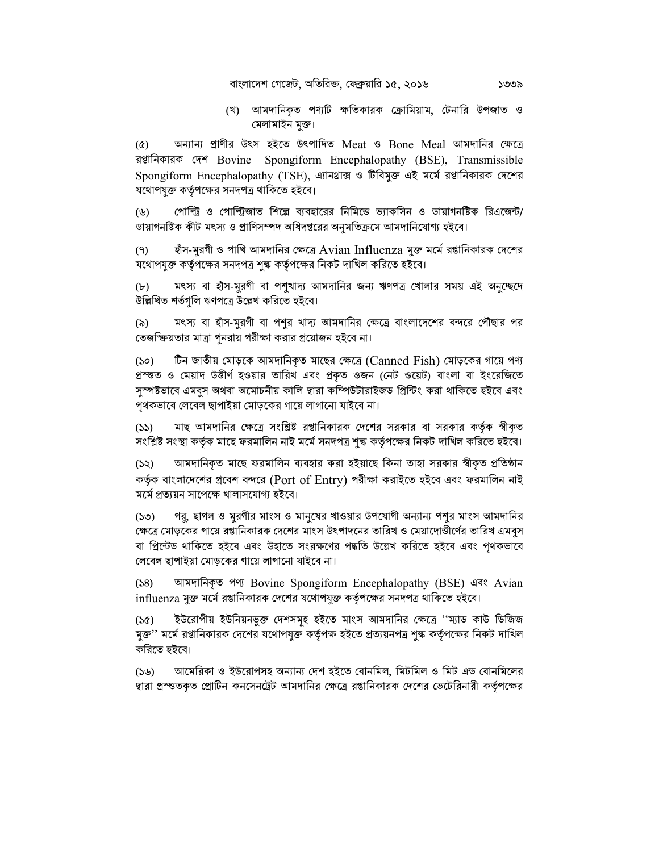(খ) আমদানিকৃত পণ্যটি ক্ষতিকারক ক্রোমিয়াম, টেনারি উপজাত ও মেলামাইন মুক্ত।

অন্যান্য প্রাণীর উৎস হইতে উৎপাদিত Meat ও Bone Meal আমদানির ক্ষেত্রে  $(6)$ রপ্তানিকারক দেশ Bovine Spongiform Encephalopathy (BSE), Transmissible Spongiform Encephalopathy (TSE), এ্যানথ্রাক্স ও টিবিমুক্ত এই মর্মে রপ্তানিকারক দেশের যথোপযুক্ত কর্তৃপক্ষের সনদপত্র থাকিতে হইবে।

পোল্ট্রি ও পোল্ট্রিজাত শিল্পে ব্যবহারের নিমিত্তে ভ্যাকসিন ও ডায়াগনষ্টিক রিএজেন্ট/  $(y)$ ডায়াগনষ্টিক কীট মৎস্য ও প্রাণিসম্পদ অধিদপ্তরের অনমতিক্রমে আমদানিযোগ্য হইবে।

হাঁস-মুরগী ও পাখি আমদানির ক্ষেত্রে Avian Influenza মুক্ত মর্মে রপ্তানিকারক দেশের  $(9)$ যথোপযুক্ত কর্তৃপক্ষের সনদপত্র শঙ্ক কর্তৃপক্ষের নিকট দাখিল করিতে হইবে।

মৎস্য বা হাঁস-মুরগী বা পশুখাদ্য আমদানির জন্য ঋণপত্র খোলার সময় এই অনুচ্ছেদে  $(b)$ উল্লিখিত শর্তগুলি ঋণপত্রে উল্লেখ করিতে হইবে।

মৎস্য বা হাঁস-মুরগী বা পশুর খাদ্য আমদানির ক্ষেত্রে বাংলাদেশের বন্দরে পৌঁছার পর  $(\delta)$ তেজস্ক্রিয়তার মাত্রা পুনরায় পরীক্ষা করার প্রয়োজন হইবে না।

টিন জাতীয় মোড়কে আমদানিকৃত মাছের ক্ষেত্রে (Canned Fish) মোড়কের গায়ে পণ্য  $(S<sub>O</sub>)$ প্রস্ত্তত ও মেয়াদ উত্তীর্ণ হওয়ার তারিখ এবং প্রকৃত ওজন (নেট ওয়েট) বাংলা বা ইংরেজিতে সম্পষ্টভাবে এমবস অথবা অমোচনীয় কালি দ্বারা কম্পিউটারাইজড প্রিন্টিং করা থাকিতে হইবে এবং পৃথকভাবে লেবেল ছাপাইয়া মোড়কের গায়ে লাগানো যাইবে না।

মাছ আমদানির ক্ষেত্রে সংশ্লিষ্ট রপ্তানিকারক দেশের সরকার বা সরকার কর্তৃক স্বীকৃত  $(55)$ সংশ্লিষ্ট সংস্থা কর্তৃক মাছে ফরমালিন নাই মর্মে সনদপত্র শঙ্ক কর্তৃপক্ষের নিকট দাখিল করিতে হইবে।

আমদানিকৃত মাছে ফরমালিন ব্যবহার করা হইয়াছে কিনা তাহা সরকার স্বীকৃত প্রতিষ্ঠান  $(55)$ কর্তৃক বাংলাদেশের প্রবেশ বন্দরে (Port of Entry) পরীক্ষা করাইতে হইবে এবং ফরমালিন নাই মৰ্মে প্ৰত্যয়ন সাপেক্ষে খালাসযোগ্য হইবে।

গরু, ছাগল ও মুরগীর মাংস ও মানুষের খাওয়ার উপযোগী অন্যান্য পশুর মাংস আমদানির  $(SO)$ ক্ষেত্রে মোড়কের গায়ে রপ্তানিকারক দেশের মাংস উৎপাদনের তারিখ ও মেয়াদোত্তীর্ণের তারিখ এমবুস বা প্রিন্টেড থাকিতে হইবে এবং উহাতে সংরক্ষণের পদ্ধতি উল্লেখ করিতে হইবে এবং পৃথকভাবে লেবেল ছাপাইয়া মোড়কের গায়ে লাগানো যাইবে না।

আমদানিকৃত পণ্য Bovine Spongiform Encephalopathy (BSE) এবং Avian  $(58)$ influenza মুক্ত মর্মে রপ্তানিকারক দেশের যথোপযুক্ত কর্তৃপক্ষের সনদপত্র থাকিতে হইবে।

ইউরোপীয় ইউনিয়নভুক্ত দেশসমূহ হইতে মাংস আমদানির ক্ষেত্রে ''ম্যাড কাউ ডিজিজ  $(50)$ মুক্ত'' মর্মে রপ্তানিকারক দেশের যথোপযুক্ত কর্তৃপক্ষ হইতে প্রত্যয়নপত্র শৃঙ্ক কর্তৃপক্ষের নিকট দাখিল করিতে হইবে।

আমেরিকা ও ইউরোপসহ অন্যান্য দেশ হইতে বোনমিল, মিটমিল ও মিট এন্ড বোনমিলের  $(56)$ দ্বারা প্রস্ত্তকৃত প্রোটিন কনসেনট্রেট আমদানির ক্ষেত্রে রপ্তানিকারক দেশের ভেটেরিনারী কর্তৃপক্ষের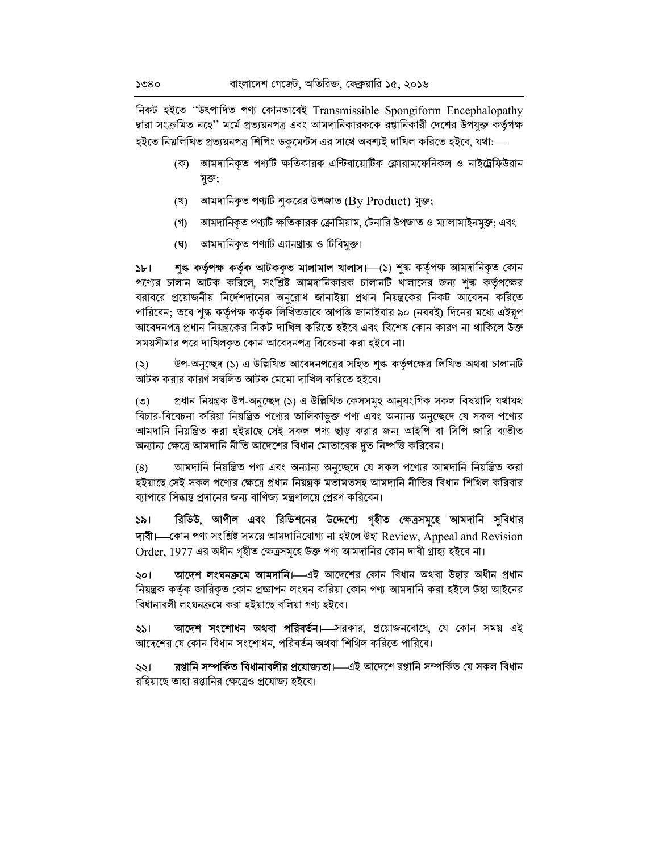নিকট হইতে "উৎপাদিত পণ্য কোনভাবেই Transmissible Spongiform Encephalopathy দ্বারা সংক্রমিত নহে'' মর্মে প্রত্যয়নপত্র এবং আমদানিকারককে রপ্তানিকারী দেশের উপযুক্ত কর্তৃপক্ষ হইতে নিম্নলিখিত প্ৰত্যয়নপত্ৰ শিপিং ডকমেন্টস এর সাথে অবশ্যই দাখিল করিতে হইবে, যথা:—

- (ক) আমদানিকৃত পণ্যটি ক্ষতিকারক এন্টিবায়োটিক ক্লোরামফেনিকল ও নাইট্রেফিউরান মৃক্ত;
- (খ) আমদানিকৃত পণ্যটি শুকরের উপজাত (By Product) মুক্ত;
- (গ) আমদানিকৃত পণ্যটি ক্ষতিকারক ক্রোমিয়াম, টেনারি উপজাত ও ম্যালামাইনমুক্ত; এবং
- (ঘ) আমদানিকৃত পণ্যটি এ্যানথ্ৰাক্স ও টিবিমুক্ত।

শুল্ক কৰ্তৃপক্ষ কৰ্তৃক আটককৃত মালামাল খালাস।—(১) শুল্ক কৰ্তৃপক্ষ আমদানিকৃত কোন  $3b1$ পণ্যের চালান আটক করিলে, সংশ্লিষ্ট আমদানিকারক চালানটি খালাসের জন্য শুল্ক কর্তৃপক্ষের বরাবরে প্রয়োজনীয় নির্দেশদানের অনুরোধ জানাইয়া প্রধান নিয়ন্ত্রকের নিকট আবেদন করিতে পারিবেন; তবে শঙ্ক কর্তৃপক্ষ কর্তৃক লিখিতভাবে আপত্তি জানাইবার ৯০ (নববই) দিনের মধ্যে এইরূপ আবেদনপত্র প্রধান নিয়ন্ত্রকের নিকট দাখিল করিতে হইবে এবং বিশেষ কোন কারণ না থাকিলে উক্ত সময়সীমার পরে দাখিলকৃত কোন আবেদনপত্র বিবেচনা করা হইবে না।

উপ-অনুচ্ছেদ (১) এ উল্লিখিত আবেদনপত্রের সহিত শৃঙ্ক কর্তৃপক্ষের লিখিত অথবা চালানটি  $(5)$ আটক করার কারণ সম্বলিত আটক মেমো দাখিল করিতে হইবে।

প্রধান নিয়ন্ত্রক উপ-অনুচ্ছেদ (১) এ উল্লিখিত কেসসমূহ আনুষংগিক সকল বিষয়াদি যথাযথ  $($ ° $)$ বিচার-বিবেচনা করিয়া নিয়ন্ত্রিত পণ্যের তালিকাভূক্ত পণ্য এবং অন্যান্য অনুচ্ছেদে যে সকল পণ্যের আমদানি নিয়ন্ত্রিত করা হইয়াছে সেই সকল পণ্য ছাড় করার জন্য আইপি বা সিপি জারি ব্যতীত অন্যান্য ক্ষেত্রে আমদানি নীতি আদেশের বিধান মোতাবেক দ্রুত নিষ্পত্তি করিবেন।

আমদানি নিয়ন্ত্রিত পণ্য এবং অন্যান্য অনুচ্ছেদে যে সকল পণ্যের আমদানি নিয়ন্ত্রিত করা  $(8)$ হইয়াছে সেই সকল পণ্যের ক্ষেত্রে প্রধান নিয়ন্ত্রক মতামতসহ আমদানি নীতির বিধান শিথিল করিবার ব্যাপারে সিদ্ধান্ত প্রদানের জন্য বাণিজ্য মন্ত্রণালয়ে প্রেরণ করিবেন।

রিভিউ, আপীল এবং রিভিশনের উদ্দেশ্যে গৃহীত ক্ষেত্রসমূহে আমদানি সুবিধার  $321$ দাবী। কোন পণ্য সংশ্লিষ্ট সময়ে আমদানিযোগ্য না হইলে উহা Review, Appeal and Revision Order, 1977 এর অধীন গৃহীত ক্ষেত্রসমূহে উক্ত পণ্য আমদানির কোন দাবী গ্রাহ্য হইবে না।

**আদেশ লংঘনক্রমে আমদানি। বাই** আদেশের কোন বিধান অথবা উহার অধীন প্রধান ২০। নিয়ন্ত্রক কর্তৃক জারিকৃত কোন প্রজ্ঞাপন লংঘন করিয়া কোন পণ্য আমদানি করা হইলে উহা আইনের বিধানাবলী লংঘনক্ৰমে করা হইয়াছে বলিয়া গণ্য হইবে।

**আদেশ সংশোধন অথবা পরিবর্তন।—**সরকার, প্রয়োজনবোধে, যে কোন সময় এই  $351$ আদেশের যে কোন বিধান সংশোধন, পরিবর্তন অথবা শিথিল করিতে পারিবে।

**রপ্তানি সম্পর্কিত বিধানাবলীর প্রযোজ্যতা।—**এই আদেশে রপ্তানি সম্পর্কিত যে সকল বিধান ২২। রহিয়াছে তাহা রপ্তানির ক্ষেত্রেও প্রযোজ্য হইবে।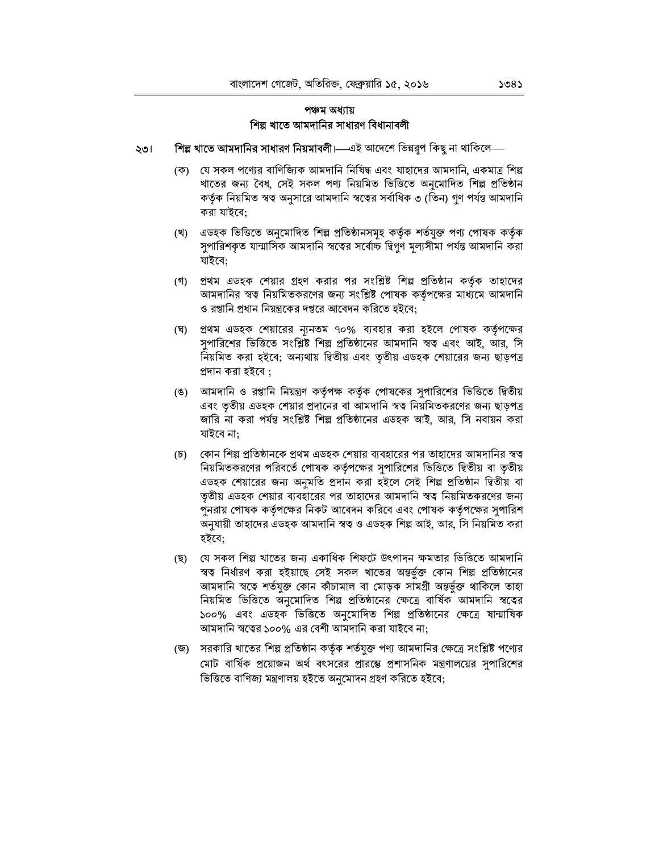## পঞ্চম অধ্যায় শিল্প খাতে আমদানির সাধারণ বিধানাবলী

- শিল্প খাতে আমদানির সাধারণ নিয়মাবলী।—এই আদেশে ভিন্নরূপ কিছু না থাকিলে— ২৩।
	- (ক) যে সকল পণ্যের বাণিজ্যিক আমদানি নিষিদ্ধ এবং যাহাদের আমদানি, একমাত্র শিল্প খাতের জন্য বৈধ, সেই সকল পণ্য নিয়মিত ভিত্তিতে অনুমোদিত শিল্প প্রতিষ্ঠান কৰ্তৃক নিয়মিত স্বত্ব অনসারে আমদানি স্বত্বের সর্বাধিক ৩ (তিন) গণ পর্যন্ত আমদানি করা যাইবে:
	- (খ) এডহক ভিত্তিতে অনুমোদিত শিল্প প্রতিষ্ঠানসমূহ কর্তৃক শর্তযুক্ত পণ্য পোষক কর্তৃক সুপারিশকৃত যান্মাসিক আমদানি স্বত্বের সর্বোচ্চ দ্বিগুণ মূল্যসীমা পর্যন্ত আমদানি করা যাইবে:
	- (গ) প্রথম এডহক শেয়ার গ্রহণ করার পর সংশ্লিষ্ট শিল্প প্রতিষ্ঠান কর্তৃক তাহাদের আমদানির স্বত্ব নিয়মিতকরণের জন্য সংশ্লিষ্ট পোষক কর্তৃপক্ষের মাধ্যমে আমদানি ও রপ্তানি প্রধান নিয়ন্ত্রকের দপ্তরে আবেদন করিতে হইবে:
	- (ঘ) প্রথম এডহক শেয়ারের ন্যনতম ৭০% ব্যবহার করা হইলে পোষক কর্তৃপক্ষের সুপারিশের ভিত্তিতে সংশ্লিষ্ট শিল্প প্রতিষ্ঠানের আমদানি স্বত্ব এবং আই, আর, সি নিয়মিত করা হইবে; অন্যথায় দ্বিতীয় এবং তৃতীয় এডহক শেয়ারের জন্য ছাড়পত্র প্ৰদান করা হইবে ;
	- (ঙ) আমদানি ও রপ্তানি নিয়ন্ত্রণ কর্তৃপক্ষ কর্তৃক পোষকের সুপারিশের ভিত্তিতে দ্বিতীয় এবং তৃতীয় এডহক শেয়ার প্রদানের বা আমদানি স্বত্ব নিয়মিতকরণের জন্য ছাড়পত্র জারি না করা পর্যন্ত সংশ্লিষ্ট শিল্প প্রতিষ্ঠানের এডহক আই, আর, সি নবায়ন করা যাইবে না:
	- (চ) তোন শিল্প প্রতিষ্ঠানকে প্রথম এডহক শেয়ার ব্যবহারের পর তাহাদের আমদানির স্বত্ব নিয়মিতকরণের পরিবর্তে পোষক কর্তৃপক্ষের সুপারিশের ভিত্তিতে দ্বিতীয় বা তৃতীয় এডহক শেয়ারের জন্য অনুমতি প্রদান করা হইলে সেই শিল্প প্রতিষ্ঠান দ্বিতীয় বা তৃতীয় এডহক শেয়ার ব্যবহারের পর তাহাদের আমদানি স্বত্ব নিয়মিতকরণের জন্য পুনরায় পোষক কর্তৃপক্ষের নিকট আবেদন করিবে এবং পোষক কর্তৃপক্ষের সুপারিশ অনুযায়ী তাহাদের এডহক আমদানি স্বত্ব ও এডহক শিল্প আই, আর, সি নিয়মিত করা হইবে:
	- যে সকল শিল্প খাতের জন্য একাধিক শিফটে উৎপাদন ক্ষমতার ভিত্তিতে আমদানি (ছ) স্বত্ব নির্ধারণ করা হইয়াছে সেই সকল খাতের অন্তর্ভুক্ত কোন শিল্প প্রতিষ্ঠানের আমদানি স্বত্বে শর্তযুক্ত কোন কাঁচামাল বা মোড়ক সামগ্রী অন্তর্ভুক্ত থাকিলে তাহা নিয়মিত ভিত্তিতে অনুমোদিত শিল্প প্রতিষ্ঠানের ক্ষেত্রে বার্ষিক আমদানি স্বত্বের ১০০% এবং এডহক ভিত্তিতে অনুমোদিত শিল্প প্রতিষ্ঠানের ক্ষেত্রে ষান্মাষিক আমদানি স্বত্বের ১০০% এর বেশী আমদানি করা যাইবে না;
	- (জ) সরকারি খাতের শিল্প প্রতিষ্ঠান কর্তৃক শর্তযুক্ত পণ্য আমদানির ক্ষেত্রে সংশ্লিষ্ট পণ্যের মোট বার্ষিক প্রয়োজন অর্থ বৎসরের প্রারম্ভে প্রশাসনিক মন্ত্রণালয়ের সুপারিশের ভিত্তিতে বাণিজ্য মন্ত্ৰণালয় হইতে অনুমোদন গ্ৰহণ করিতে হইবে;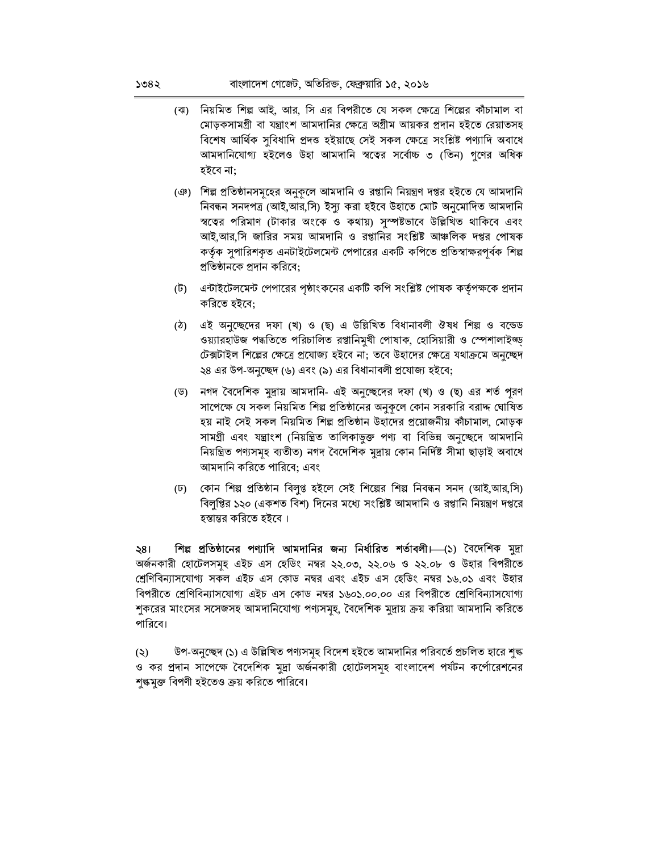- (ঝ) নিয়মিত শিল্প আই, আর, সি এর বিপরীতে যে সকল ক্ষেত্রে শিল্পের কাঁচামাল বা মোড়কসামগ্রী বা যন্ত্রাংশ আমদানির ক্ষেত্রে অগ্রীম আয়কর প্রদান হইতে রেয়াতসহ বিশেষ আৰ্থিক সুবিধাদি প্ৰদত্ত হইয়াছে সেই সকল ক্ষেত্ৰে সংশ্লিষ্ট পণ্যাদি অবাধে আমদানিযোগ্য হইলেও উহা আমদানি স্বত্বের সর্বোচ্চ ৩ (তিন) গুণের অধিক হইবে না:
- (ঞ) শিল্প প্রতিষ্ঠানসমূহের অনুকূলে আমদানি ও রপ্তানি নিয়ন্ত্রণ দপ্তর হইতে যে আমদানি নিবন্ধন সনদপত্র (আই,আর,সি) ইস্যু করা হইবে উহাতে মোট অনুমোদিত আমদানি স্বত্বের পরিমাণ (টাকার অংকে ও কথায়) সুস্পষ্টভাবে উল্লিখিত থাকিবে এবং আই,আর,সি জারির সময় আমদানি ও রপ্তানির সংশ্লিষ্ট আঞ্চলিক দপ্তর পোষক কর্তৃক সুপারিশকৃত এনটাইটেলমেন্ট পেপারের একটি কপিতে প্রতিস্বাক্ষরপূর্বক শিল্প প্রতিষ্ঠানকে প্রদান করিবে:
- (ট) এন্টাইটেলমেন্ট পেপারের পৃষ্ঠাংকনের একটি কপি সংশ্লিষ্ট পোষক কর্তৃপক্ষকে প্রদান করিতে হইবে:
- (ঠ) এই অনুচ্ছেদের দফা (খ) ও (ছ) এ উল্লিখিত বিধানাবলী ঔষধ শিল্প ও বন্ডেড ওয়্যারহাউজ পদ্ধতিতে পরিচালিত রপ্তানিমুখী পোষাক, হোসিয়ারী ও স্পেশালাইজ্ড্ টেক্সটাইল শিল্পের ক্ষেত্রে প্রযোজ্য হইবে না; তবে উহাদের ক্ষেত্রে যথাক্রমে অনুচ্ছেদ ২৪ এর উপ-অনচ্ছেদ (৬) এবং (৯) এর বিধানাবলী প্রযোজ্য হইবে;
- (ড) নগদ বৈদেশিক মুদ্রায় আমদানি- এই অনুচ্ছেদের দফা (খ) ও (ছ) এর শর্ত পূরণ সাপেক্ষে যে সকল নিয়মিত শিল্প প্রতিষ্ঠানের অনুকূলে কোন সরকারি বরাদ্দ ঘোষিত হয় নাই সেই সকল নিয়মিত শিল্প প্ৰতিষ্ঠান উহাদের প্ৰয়োজনীয় কাঁচামাল, মোড়ক সামগ্ৰী এবং যন্ত্ৰাংশ (নিয়ন্ত্ৰিত তালিকাভুক্ত পণ্য বা বিভিন্ন অনুচ্ছেদে আমদানি নিয়ন্ত্ৰিত পণ্যসমূহ ব্যতীত) নগদ বৈদেশিক মুদ্ৰায় কোন নিৰ্দিষ্ট সীমা ছাড়াই অবাধে আমদানি করিতে পারিবে; এবং
- (ঢ) কোন শিল্প প্রতিষ্ঠান বিলুপ্ত হইলে সেই শিল্পের শিল্প নিবন্ধন সনদ (আই,আর,সি) বিলুপ্তির ১২০ (একশত বিশ) দিনের মধ্যে সংশ্লিষ্ট আমদানি ও রপ্তানি নিয়ন্ত্রণ দপ্তরে হস্তান্তর করিতে হইবে।

শিল্প প্রতিষ্ঠানের পণ্যাদি আমদানির জন্য নির্ধারিত শর্তাবলী।—(১) বৈদেশিক মুদ্রা  $\frac{18}{5}$ অর্জনকারী হোটেলসমূহ এইচ এস হেডিং নম্বর ২২.০৩, ২২.০৬ ও ২২.০৮ ও উহার বিপরীতে শ্রেণিবিন্যাসযোগ্য সকল এইচ এস কোড নম্বর এবং এইচ এস হেডিং নম্বর ১৬.০১ এবং উহার বিপরীতে শ্রেণিবিন্যাসযোগ্য এইচ এস কোড নম্বর ১৬০১.০০.০০ এর বিপরীতে শ্রেণিবিন্যাসযোগ্য শুকরের মাংসের সসেজসহ আমদানিযোগ্য পণ্যসমূহ, বৈদেশিক মুদ্রায় ক্রয় করিয়া আমদানি করিতে পারিবে।

উপ-অনুচ্ছেদ (১) এ উল্লিখিত পণ্যসমূহ বিদেশ হইতে আমদানির পরিবর্তে প্রচলিত হারে শঙ্ক  $(5)$ ও কর প্রদান সাপেক্ষে বৈদেশিক মুদ্রা অর্জনকারী হোটেলসমূহ বাংলাদেশ পর্যটন কর্পোরেশনের শুল্কমুক্ত বিপণী হইতেও ক্রয় করিতে পারিবে।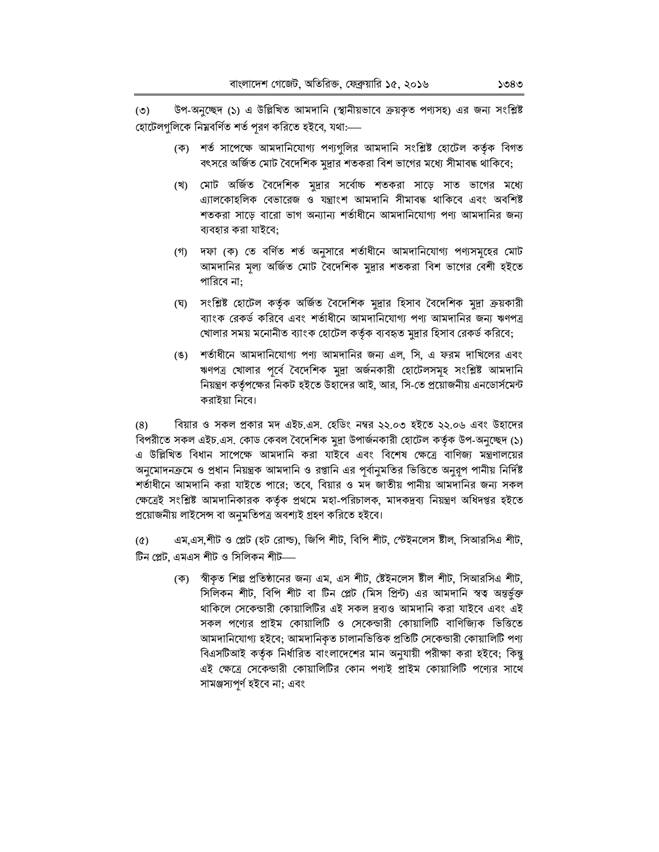উপ-অনুচ্ছেদ (১) এ উল্লিখিত আমদানি (স্থানীয়ভাবে ক্রয়কৃত পণ্যসহ) এর জন্য সংশ্লিষ্ট  $(5)$ হোটেলগুলিকে নিম্নবৰ্ণিত শৰ্ত পুরণ করিতে হইবে, যথা:—

- (ক) শর্ত সাপেক্ষে আমদানিযোগ্য পণ্যগুলির আমদানি সংশ্লিষ্ট হোটেল কর্তৃক বিগত বৎসরে অর্জিত মোট বৈদেশিক মুদ্রার শতকরা বিশ ভাগের মধ্যে সীমাবদ্ধ থাকিবে;
- (খ) মোট অর্জিত বৈদেশিক মুদ্রার সর্বোচ্চ শতকরা সাড়ে সাত ভাগের মধ্যে এ্যালকোহলিক বেভারেজ ও যন্ত্রাংশ আমদানি সীমাবদ্ধ থাকিবে এবং অবশিষ্ট শতকরা সাড়ে বারো ভাগ অন্যান্য শর্তাধীনে আমদানিযোগ্য পণ্য আমদানির জন্য ব্যবহার করা যাইবে;
- (গ) দফা (ক) তে বর্ণিত শর্ত অনুসারে শর্তাধীনে আমদানিযোগ্য পণ্যসমূহের মোট আমদানির মূল্য অর্জিত মোট বৈদেশিক মুদ্রার শতকরা বিশ ভাগের বেশী হইতে পারিবে না;
- (ঘ) সংশ্লিষ্ট হোটেল কর্তৃক অর্জিত বৈদেশিক মুদ্রার হিসাব বৈদেশিক মুদ্রা ক্রয়কারী ব্যাংক রেকর্ড করিবে এবং শর্তাধীনে আমদানিযোগ্য পণ্য আমদানির জন্য ঋণপত্র খোলার সময় মনোনীত ব্যাংক হোটেল কর্তৃক ব্যবহৃত মুদ্রার হিসাব রেকর্ড করিবে;
- (ঙ) শর্তাধীনে আমদানিযোগ্য পণ্য আমদানির জন্য এল, সি, এ ফরম দাখিলের এবং ঋণপত্র খোলার পূর্বে বৈদেশিক মুদ্রা অর্জনকারী হোটেলসমূহ সংশ্লিষ্ট আমদানি নিয়ন্ত্রণ কর্তৃপক্ষের নিকট হইতে উহাদের আই, আর, সি-তে প্রয়োজনীয় এনডোর্সমেন্ট করাইয়া নিবে।

বিয়ার ও সকল প্রকার মদ এইচ.এস. হেডিং নম্বর ২২.০৩ হইতে ২২.০৬ এবং উহাদের  $(8)$ বিপরীতে সকল এইচ.এস. কোড কেবল বৈদেশিক মুদ্রা উপার্জনকারী হোটেল কর্তৃক উপ-অনুচ্ছেদ (১) এ উল্লিখিত বিধান সাপেক্ষে আমদানি করা যাইবে এবং বিশেষ ক্ষেত্রে বাণিজ্য মন্ত্রণালয়ের অনুমোদনক্রমে ও প্রধান নিয়ন্ত্রক আমদানি ও রপ্তানি এর পূর্বানুমতির ভিত্তিতে অনুরূপ পানীয় নির্দিষ্ট শর্তাধীনে আমদানি করা যাইতে পারে; তবে, বিয়ার ও মদ জাতীয় পানীয় আমদানির জন্য সকল ক্ষেত্রেই সংশ্লিষ্ট আমদানিকারক কর্তৃক প্রথমে মহা-পরিচালক, মাদকদ্রব্য নিয়ন্ত্রণ অধিদপ্তর হইতে প্রয়োজনীয় লাইসেন্স বা অনুমতিপত্র অবশ্যই গ্রহণ করিতে হইবে।

এম,এস,শীট ও প্লেট (হট রোল্ড), জিপি শীট, বিপি শীট, স্টেইনলেস ষ্টীল, সিআরসিএ শীট,  $(\circledcirc)$ টিন প্লেট, এমএস শীট ও সিলিকন শীট—

(ক) স্বীকৃত শিল্প প্রতিষ্ঠানের জন্য এম, এস শীট, ষ্টেইনলেস ষ্টীল শীট, সিআরসিএ শীট, সিলিকন শীট, বিপি শীট বা টিন প্লেট (মিস প্রিন্ট) এর আমদানি স্বত্ব অন্তর্ভুক্ত থাকিলে সেকেন্ডারী কোয়ালিটির এই সকল দ্রব্যও আমদানি করা যাইবে এবং এই সকল পণ্যের প্রাইম কোয়ালিটি ও সেকেন্ডারী কোয়ালিটি বাণিজ্যিক ভিত্তিতে আমদানিযোগ্য হইবে; আমদানিকৃত চালানভিত্তিক প্রতিটি সেকেন্ডারী কোয়ালিটি পণ্য বিএসটিআই কর্তৃক নির্ধারিত বাংলাদেশের মান অনুযায়ী পরীক্ষা করা হইবে; কিন্তু এই ক্ষেত্রে সেকেন্ডারী কোয়ালিটির কোন পণ্যই প্রাইম কোয়ালিটি পণ্যের সাথে সামঞ্জস্যপূর্ণ হইবে না; এবং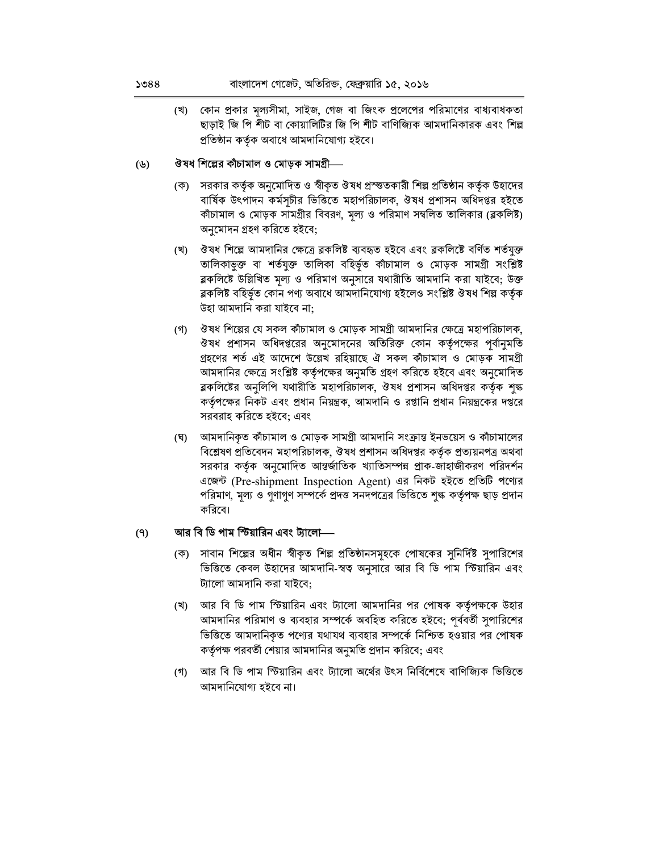(খ) কোন প্রকার মূল্যসীমা, সাইজ, গেজ বা জিংক প্রলেপের পরিমাণের বাধ্যবাধকতা ছাড়াই জি পি শীট বা কোয়ালিটির জি পি শীট বাণিজ্যিক আমদানিকারক এবং শিল্প প্ৰতিষ্ঠান কৰ্তৃক অবাধে আমদানিযোগ্য হইবে।

### ঔষধ শিল্পের কাঁচামাল ও মোড়ক সামগ্রী-(৬)

- (ক) সরকার কর্তৃক অনুমোদিত ও স্বীকৃত ঔষধ প্রস্ত্তকারী শিল্প প্রতিষ্ঠান কর্তৃক উহাদের বার্ষিক উৎপাদন কর্মসূচীর ভিত্তিতে মহাপরিচালক, ঔষধ প্রশাসন অধিদপ্তর হইতে কাঁচামাল ও মোড়ক সামগ্রীর বিবরণ, মল্য ও পরিমাণ সম্বলিত তালিকার (ব্লকলিষ্ট) অনুমোদন গ্রহণ করিতে হইবে;
- (খ) ্উষধ শিল্পে আমদানির ক্ষেত্রে ব্লকলিষ্ট ব্যবহৃত হইবে এবং ব্লকলিষ্টে বর্ণিত শর্তযক্ত তালিকাভুক্ত বা শর্তযুক্ত তালিকা বহির্ভূত কাঁচামাল ও মোড়ক সামগ্রী সংশ্লিষ্ট ৱকলিষ্টে উল্লিখিত মল্য ও পরিমাণ অনুসারে যথারীতি আমদানি করা যাইবে; উক্ত ব্লকলিষ্ট বহিৰ্ভূত কোন পণ্য অবাধে আমদানিযোগ্য হইলেও সংশ্লিষ্ট ঔষধ শিল্প কৰ্তৃক উহা আমদানি করা যাইবে না;
- ্ত্তষধ শিল্পের যে সকল কাঁচামাল ও মোডক সামগ্রী আমদানির ক্ষেত্রে মহাপরিচালক. (গ) ঔষধ প্রশাসন অধিদপ্তরের অনুমোদনের অতিরিক্ত কোন কর্তৃপক্ষের পর্বানুমতি গ্ৰহণের শর্ত এই আদেশে উল্লেখ রহিয়াছে ঐ সকল কাঁচামাল ও মোড়ক সামগ্রী আমদানির ক্ষেত্রে সংশ্লিষ্ট কর্তৃপক্ষের অনুমতি গ্রহণ করিতে হইবে এবং অনুমোদিত ৱকলিষ্টের অনুলিপি যথারীতি মহাপরিচালক, ঔষধ প্রশাসন অধিদপ্তর কর্তৃক শঙ্ক কর্তৃপক্ষের নিকট এবং প্রধান নিয়ন্ত্রক, আমদানি ও রপ্তানি প্রধান নিয়ন্ত্রকের দপ্তরে সরবরাহ করিতে হইবে: এবং
- (ঘ) আমদানিকৃত কাঁচামাল ও মোড়ক সামগ্ৰী আমদানি সংক্ৰান্ত ইনভয়েস ও কাঁচামালের বিশ্লেষণ প্রতিবেদন মহাপরিচালক, ঔষধ প্রশাসন অধিদপ্তর কর্তৃক প্রত্যয়নপত্র অথবা সরকার কর্তৃক অনুমোদিত আন্তর্জাতিক খ্যাতিসম্পন্ন প্রাক-জাহাজীকরণ পরিদর্শন এজেন্ট (Pre-shipment Inspection Agent) এর নিকট হইতে প্রতিটি পণ্যের পরিমাণ, মূল্য ও গুণাগুণ সম্পর্কে প্রদত্ত সনদপত্রের ভিত্তিতে শুল্ক কর্তৃপক্ষ ছাড় প্রদান করিবে।

### আর বি ডি পাম স্টিয়ারিন এবং ট্যালো—  $(9)$

- সাবান শিল্পের অধীন স্বীকৃত শিল্প প্রতিষ্ঠানসমূহকে পোষকের সুনির্দিষ্ট সুপারিশের (ক) ভিত্তিতে কেবল উহাদের আমদানি-স্বত্ব অনুসারে আর বি ডি পাম স্টিয়ারিন এবং ট্যালো আমদানি করা যাইবে:
- আর বি ডি পাম স্টিয়ারিন এবং ট্যালো আমদানির পর পোষক কর্তৃপক্ষকে উহার (খ) আমদানির পরিমাণ ও ব্যবহার সম্পর্কে অবহিত করিতে হইবে; পূর্ববর্তী সুপারিশের ভিত্তিতে আমদানিকৃত পণ্যের যথাযথ ব্যবহার সম্পর্কে নিশ্চিত হওয়ার পর পোষক কর্তৃপক্ষ পরবর্তী শেয়ার আমদানির অনুমতি প্রদান করিবে; এবং
- আর বি ডি পাম স্টিয়ারিন এবং ট্যালো অর্থের উৎস নির্বিশেষে বাণিজ্যিক ভিত্তিতে  $($ গী আমদানিযোগ্য হইবে না।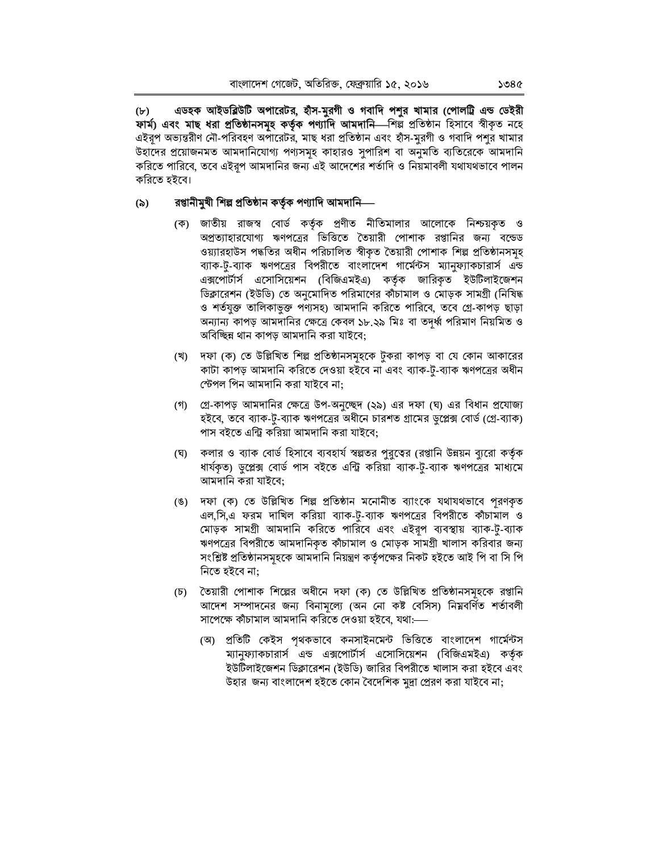এডহক আইডব্লিউটি অপারেটর, হাঁস-মুরগী ও গবাদি পশুর খামার (পোলট্রি এন্ড ডেইরী  $(F)$ ফাৰ্ম) **এবং মাছ ধরা প্রতিষ্ঠানসমূহ কর্তৃক পণ্যাদি আমদানি—**শিল্ল প্রতিষ্ঠান হিসাবে স্বীকৃত নহে এইরূপ অভ্যন্তরীণ নৌ-পরিবহণ অপারেটর, মাছ ধরা প্রতিষ্ঠান এবং হাঁস-মুরগী ও গবাদি পশুর খামার উহাদের প্রয়োজনমত আমদানিযোগ্য পণ্যসমূহ কাহারও সুপারিশ বা অনুমতি ব্যতিরেকে আমদানি করিতে পারিবে, তবে এইরূপ আমদানির জন্য এই আদেশের শর্তাদি ও নিয়মাবলী যথাযথভাবে পালন করিতে হইবে।

#### রপ্তানীমুখী শিল্প প্রতিষ্ঠান কর্তৃক পণ্যাদি আমদানি- $(\delta)$

- (ক) জাতীয় রাজস্ব বোর্ড কর্তৃক প্রণীত নীতিমালার আলোকে নিশ্চয়কৃত ও অপ্রত্যাহারযোগ্য ঋণপত্রের ভিত্তিতে তৈয়ারী পোশাক রপ্তানির জন্য বন্ডেড ওয়্যারহাউস পদ্ধতির অধীন পরিচালিত স্বীকৃত তৈয়ারী পোশাক শিল্প প্রতিষ্ঠানসমূহ ব্যাক-টৃ-ব্যাক ঋণপত্রের বিপরীতে বাংলাদেশ গার্মেন্টস ম্যানুফ্যাকচারার্স এন্ড এক্সপোর্টার্স এসোসিয়েশন (বিজিএমইএ) কর্তৃক জারিকৃত ইউটিলাইজেশন ডিক্লারেশন (ইউডি) তে অনুমোদিত পরিমাণের কাঁচামাল ও মোড়ক সামগ্রী (নিষিদ্ধ ও শর্তযুক্ত তালিকাভুক্ত পণ্যসহ) আমদানি করিতে পারিবে, তবে গ্রে-কাপড় ছাড়া অন্যান্য কাপড় আমদানির ক্ষেত্রে কেবল ১৮.২৯ মিঃ বা তদর্ধ্ব পরিমাণ নিয়মিত ও অবিচ্ছিন্ন থান কাপড় আমদানি করা যাইবে;
- (খ) দফা (ক) তে উল্লিখিত শিল্প প্রতিষ্ঠানসমূহকে টুকরা কাপড় বা যে কোন আকারের কাটা কাপড় আমদানি করিতে দেওয়া হইবে না এবং ব্যাক-টৃ-ব্যাক ঋণপত্রের অধীন স্টেপল পিন আমদানি করা যাইবে না;
- (গ) গ্রে-কাপড় আমদানির ক্ষেত্রে উপ-অনুচ্ছেদ (২৯) এর দফা (ঘ) এর বিধান প্রযোজ্য হইবে, তবে ব্যাক-টৃ-ব্যাক ঋণপত্রের অধীনে চারশত গ্রামের ডুপ্লেক্স বোর্ড (গ্রে-ব্যাক) পাস বইতে এন্ট্রি করিয়া আমদানি করা যাইবে;
- (ঘ) কলার ও ব্যাক বোর্ড হিসাবে ব্যবহার্য স্বল্লতর পুরুত্বের (রপ্তানি উন্নয়ন ব্যুরো কর্তৃক ধার্যকৃত) ডুপ্লেক্স বোর্ড পাস বইতে এন্ট্রি করিয়া ব্যাক-টৃ-ব্যাক ঋণপত্রের মাধ্যমে আমদানি করা যাইবে;
- (ঙ) দফা (ক) তে উল্লিখিত শিল্প প্ৰতিষ্ঠান মনোনীত ব্যাংকে যথাযথভাবে পূরণকৃত এল.সি.এ ফরম দাখিল করিয়া ব্যাক-টৃ-ব্যাক ঋণপত্রের বিপরীতে কাঁচামাল ও মোড়ক সামগ্রী আমদানি করিতে পারিবে এবং এইরূপ ব্যবস্থায় ব্যাক-টু-ব্যাক ঋণপত্রের বিপরীতে আমদানিকৃত কাঁচামাল ও মোড়ক সামগ্রী খালাস করিবার জন্য সংশ্লিষ্ট প্রতিষ্ঠানসমূহকে আমদানি নিয়ন্ত্রণ কর্তৃপক্ষের নিকট হইতে আই পি বা সি পি নিতে হইবে না;
- (চ) তৈয়ারী পোশাক শিল্পের অধীনে দফা (ক) তে উল্লিখিত প্রতিষ্ঠানসমূহকে রপ্তানি আদেশ সম্পাদনের জন্য বিনামল্যে (অন নো কষ্ট বেসিস) নিম্নবর্ণিত শর্তাবলী সাপেক্ষে কাঁচামাল আমদানি করিতে দেওয়া হইবে, যথা:—–
	- (অ) প্রতিটি কেইস পৃথকভাবে কনসাইনমেন্ট ভিত্তিতে বাংলাদেশ গার্মেন্টস ম্যানুফ্যাকচারার্স এন্ড এক্সপোর্টার্স এসোসিয়েশন (বিজিএমইএ) কর্তৃক ইউটিলাইজেশন ডিক্লারেশন (ইউডি) জারির বিপরীতে খালাস করা হইবে এবং উহার জন্য বাংলাদেশ হইতে কোন বৈদেশিক মুদ্রা প্রেরণ করা যাইবে না;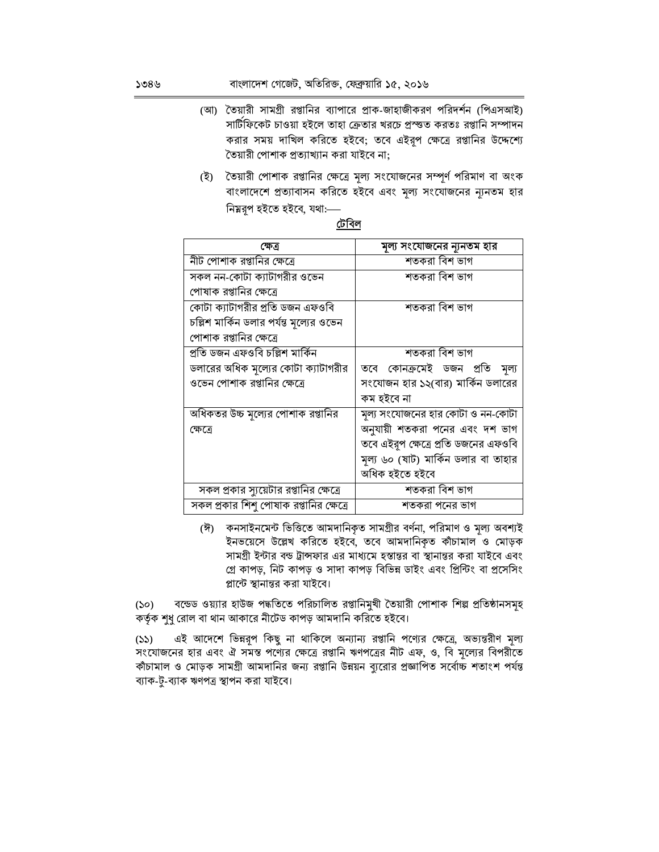- (আ) তৈয়ারী সামগ্রী রপ্তানির ব্যাপারে প্রাক-জাহাজীকরণ পরিদর্শন (পিএসআই) সার্টিফিকেট চাওয়া হইলে তাহা ক্রেতার খরচে প্রস্ত্তত করতঃ রপ্তানি সম্পাদন করার সময় দাখিল করিতে হইবে; তবে এইরূপ ক্ষেত্রে রপ্তানির উদ্দেশ্যে তৈয়ারী পোশাক প্রত্যাখ্যান করা যাইবে না;
- (ই) তৈয়ারী পোশাক রপ্তানির ক্ষেত্রে মূল্য সংযোজনের সম্পূর্ণ পরিমাণ বা অংক বাংলাদেশে প্রত্যাবাসন করিতে হইবে এবং মূল্য সংযোজনের ন্যনতম হার নিম্নরূপ হইতে হইবে, যথা:-

| ক্ষেত্ৰ                                  | মুল্য সংযোজনের ন্যূনতম হার           |
|------------------------------------------|--------------------------------------|
| নীট পোশাক রপ্তানির ক্ষেত্রে              | শতকরা বিশ ভাগ                        |
| সকল নন-কোটা ক্যাটাগরীর ওভেন              | শতকরা বিশ ভাগ                        |
| পোষাক রপ্তানির ক্ষেত্রে                  |                                      |
| কোটা ক্যাটাগরীর প্রতি ডজন এফওবি          | শতকরা বিশ ভাগ                        |
| চল্লিশ মার্কিন ডলার পর্যন্ত মূল্যের ওভেন |                                      |
| পোশাক রপ্তানির ক্ষেত্রে                  |                                      |
| প্ৰতি ডজন এফওবি চল্লিশ মাৰ্কিন           | শতকরা বিশ ভাগ                        |
| ডলারের অধিক মূল্যের কোটা ক্যাটাগরীর      | তবে কোনক্ৰমেই ডজন প্ৰতি মূল্য        |
| ওভেন পোশাক রপ্তানির ক্ষেত্রে             | সংযোজন হার ১২(বার) মার্কিন ডলারের    |
|                                          | কম হইবে না                           |
| অধিকতর উচ্চ মূল্যের পোশাক রপ্তানির       | মূল্য সংযোজনের হার কোটা ও নন-কোটা    |
| ক্ষেত্ৰে                                 | অনুযায়ী শতকরা পনের এবং দশ ভাগ       |
|                                          | তবে এইরূপ ক্ষেত্রে প্রতি ডজনের এফওবি |
|                                          | মূল্য ৬০ (ষাট) মার্কিন ডলার বা তাহার |
|                                          | অধিক হইতে হইবে                       |
| সকল প্রকার স্যুয়েটার রপ্তানির ক্ষেত্রে  | শতকরা বিশ ভাগ                        |
| সকল পকাব শিশ পোষাক বপ্লানিব ক্ষেত্রে     | শতকবা পনেব ভাগ                       |

(ঈ) কনসাইনমেন্ট ভিত্তিতে আমদানিকৃত সামগ্ৰীর বর্ণনা, পরিমাণ ও মূল্য অবশ্যই ইনভয়েসে উল্লেখ করিতে হইবে, তবে আমদানিকৃত কাঁচামাল ও মোড়ক সামগ্রী ইন্টার বন্ড ট্রান্সফার এর মাধ্যমে হস্তান্তর বা স্থানান্তর করা যাইবে এবং গ্রে কাপড়, নিট কাপড় ও সাদা কাপড় বিভিন্ন ডাইং এবং প্রিন্টিং বা প্রসেসিং প্লান্টে স্থানান্তর করা যাইবে।

বন্ডেড ওয়্যার হাউজ পদ্ধতিতে পরিচালিত রপ্তানিমুখী তৈয়ারী পোশাক শিল্প প্রতিষ্ঠানসমহ  $(S<sub>O</sub>)$ কর্তৃক শুধু রোল বা থান আকারে নীটেড কাপড় আমদানি করিতে হইবে।

এই আদেশে ভিন্নরূপ কিছু না থাকিলে অন্যান্য রপ্তানি পণ্যের ক্ষেত্রে, অভ্যন্তরীণ মূল্য  $(55)$ সংযোজনের হার এবং ঐ সমস্ত পণ্যের ক্ষেত্রে রপ্তানি ঋণপত্রের নীট এফ, ও, বি মল্যের বিপরীতে কাঁচামাল ও মোড়ক সামগ্রী আমদানির জন্য রপ্তানি উন্নয়ন ব্যুরোর প্রজ্ঞাপিত সর্বোচ্চ শতাংশ পর্যন্ত ব্যাক-টু-ব্যাক ঋণপত্র স্থাপন করা যাইবে।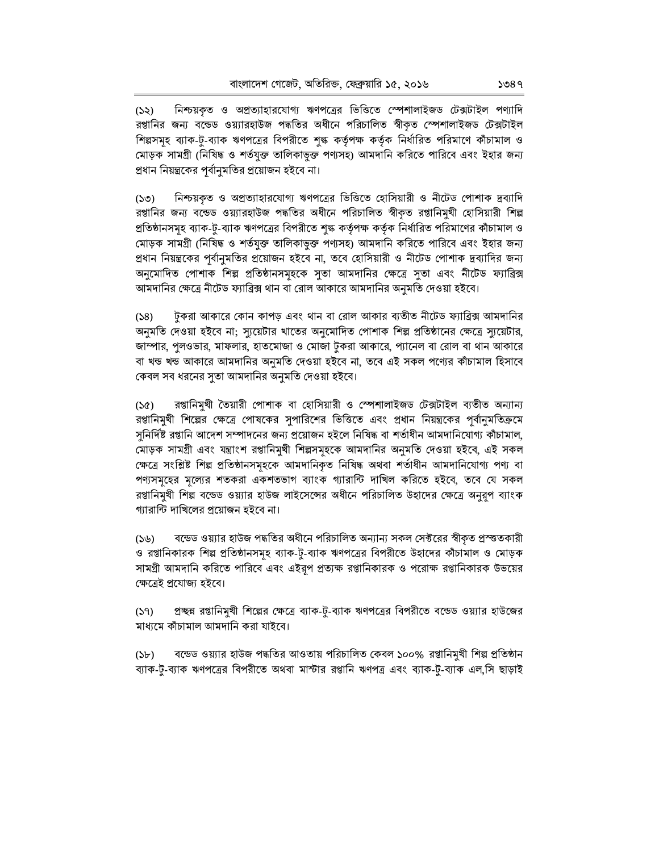নিশ্চয়কৃত ও অপ্রত্যাহারযোগ্য ঋণপত্রের ভিত্তিতে স্পেশালাইজড টেক্সটাইল পণ্যাদি  $(55)$ রপ্তানির জন্য বন্ডেড ওয়্যারহাউজ পদ্ধতির অধীনে পরিচালিত স্বীকৃত স্পেশালাইজড টেক্সটাইল শিল্পসমূহ ব্যাক-টু-ব্যাক ঋণপত্রের বিপরীতে শুল্ক কর্তৃপক্ষ কর্তৃক নির্ধারিত পরিমাণে কাঁচামাল ও মোড়ক সামগ্রী (নিষিদ্ধ ও শর্তযুক্ত তালিকাভুক্ত পণ্যসহ) আমদানি করিতে পারিবে এবং ইহার জন্য প্রধান নিয়ন্ত্রকের পূর্বানুমতির প্রয়োজন হইবে না।

নিশ্চয়কৃত ও অপ্রত্যাহারযোগ্য ঋণপত্রের ভিত্তিতে হোসিয়ারী ও নীটেড পোশাক দ্রব্যাদি  $(50)$ রপ্তানির জন্য বন্ডেড ওয়্যারহাউজ পদ্ধতির অধীনে পরিচালিত স্বীকৃত রপ্তানিমুখী হোসিয়ারী শিল্প প্রতিষ্ঠানসমূহ ব্যাক-টু-ব্যাক ঋণপত্রের বিপরীতে শুল্ক কর্তৃপক্ষ কর্তৃক নির্ধারিত পরিমাণের কাঁচামাল ও মোড়ক সামগ্রী (নিষিদ্ধ ও শর্তযুক্ত তালিকাভুক্ত পণ্যসহ) আমদানি করিতে পারিবে এবং ইহার জন্য প্রধান নিয়ন্ত্রকের পূর্বানুমতির প্রয়োজন হইবে না, তবে হোসিয়ারী ও নীটেড পোশাক দ্রব্যাদির জন্য অনুমোদিত পোশাক শিল্প প্রতিষ্ঠানসমূহকে সুতা আমদানির ক্ষেত্রে সুতা এবং নীটেড ফ্যাব্রিক্স আমদানির ক্ষেত্রে নীটেড ফ্যাব্রিক্স থান বা রোল আকারে আমদানির অনুমতি দেওয়া হইবে।

টুকরা আকারে কোন কাপড় এবং থান বা রোল আকার ব্যতীত নীটেড ফ্যাব্রিক্স আমদানির  $(58)$ অনুমতি দেওয়া হইবে না; স্যুয়েটার খাতের অনুমোদিত পোশাক শিল্প প্রতিষ্ঠানের ক্ষেত্রে স্যুয়েটার, জাম্পার, পুলওভার, মাফলার, হাতমোজা ও মোজা টুকরা আকারে, প্যানেল বা রোল বা থান আকারে বা খন্ড খন্ড আকারে আমদানির অনুমতি দেওয়া হইবে না, তবে এই সকল পণ্যের কাঁচামাল হিসাবে কেবল সব ধরনের সুতা আমদানির অনুমতি দেওয়া হইবে।

রপ্তানিমুখী তৈয়ারী পোশাক বা হোসিয়ারী ও স্পেশালাইজড টেক্সটাইল ব্যতীত অন্যান্য  $(S<sub>C</sub>)$ রপ্তানিমুখী শিল্পের ক্ষেত্রে পোষকের সুপারিশের ভিত্তিতে এবং প্রধান নিয়ন্ত্রকের পূর্বানুমতিক্রমে সুনির্দিষ্ট রপ্তানি আদেশ সম্পাদনের জন্য প্রয়োজন হইলে নিষিদ্ধ বা শর্তাধীন আমদানিযোগ্য কাঁচামাল, মোড়ক সামগ্রী এবং যন্ত্রাংশ রপ্তানিমুখী শিল্পসমূহকে আমদানির অনুমতি দেওয়া হইবে, এই সকল ক্ষেত্রে সংশ্লিষ্ট শিল্প প্রতিষ্ঠানসমূহকে আমদানিকৃত নিষিদ্ধ অথবা শর্তাধীন আমদানিযোগ্য পণ্য বা পণ্যসমূহের মূল্যের শতকরা একশতভাগ ব্যাংক গ্যারান্টি দাখিল করিতে হইবে, তবে যে সকল রপ্তানিমুখী শিল্প বন্ডেড ওয়্যার হাউজ লাইসেন্সের অধীনে পরিচালিত উহাদের ক্ষেত্রে অনুরূপ ব্যাংক গ্যারান্টি দাখিলের প্রয়োজন হইবে না।

বন্ডেড ওয়্যার হাউজ পদ্ধতির অধীনে পরিচালিত অন্যান্য সকল সেক্টরের স্বীকৃত প্রস্ত্তকারী  $(56)$ ও রপ্তানিকারক শিল্প প্রতিষ্ঠানসমূহ ব্যাক-টু-ব্যাক ঋণপত্রের বিপরীতে উহাদের কাঁচামাল ও মোড়ক সামগ্রী আমদানি করিতে পারিবে এবং এইরূপ প্রত্যক্ষ রপ্তানিকারক ও পরোক্ষ রপ্তানিকারক উভয়ের ক্ষেত্ৰেই প্ৰযোজ্য হইবে।

প্রচ্ছন্ন রপ্তানিমুখী শিল্পের ক্ষেত্রে ব্যাক-টু-ব্যাক ঋণপত্রের বিপরীতে বন্ডেড ওয়্যার হাউজের  $(S<sub>1</sub>)$ মাধ্যমে কাঁচামাল আমদানি করা যাইবে।

বন্ডেড ওয়্যার হাউজ পদ্ধতির আওতায় পরিচালিত কেবল ১০০% রপ্তানিমুখী শিল্প প্রতিষ্ঠান  $(Sb)$ ব্যাক-টু-ব্যাক ঋণপত্রের বিপরীতে অথবা মাস্টার রপ্তানি ঋণপত্র এবং ব্যাক-টু-ব্যাক এল,সি ছাড়াই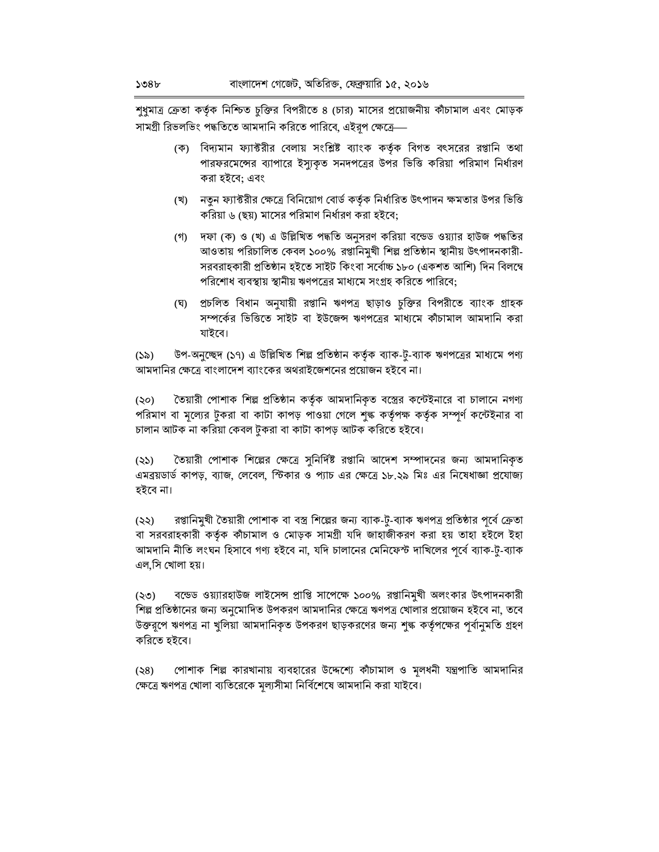শুধুমাত্র ক্রেতা কর্তৃক নিশ্চিত চুক্তির বিপরীতে ৪ (চার) মাসের প্রয়োজনীয় কাঁচামাল এবং মোড়ক সামগ্রী রিভলভিং পদ্ধতিতে আমদানি করিতে পারিবে, এইরূপ ক্ষেত্রে—

- (ক) বিদ্যমান ফ্যাক্টরীর বেলায় সংশ্লিষ্ট ব্যাংক কর্তৃক বিগত বৎসরের রপ্তানি তথা পারফরমেন্সের ব্যাপারে ইস্যুকৃত সনদপত্রের উপর ভিত্তি করিয়া পরিমাণ নির্ধারণ করা হইবে; এবং
- (খ) নতুন ফ্যাক্টরীর ক্ষেত্রে বিনিয়োগ বোর্ড কর্তৃক নির্ধারিত উৎপাদন ক্ষমতার উপর ভিত্তি করিয়া ৬ (ছয়) মাসের পরিমাণ নির্ধারণ করা হইবে:
- (গ) দফা (ক) ও (খ) এ উল্লিখিত পদ্ধতি অনুসরণ করিয়া বন্ডেড ওয়্যার হাউজ পদ্ধতির আওতায় পরিচালিত কেবল ১০০% রপ্তানিমুখী শিল্প প্রতিষ্ঠান স্থানীয় উৎপাদনকারী-সরবরাহকারী প্রতিষ্ঠান হইতে সাইট কিংবা সর্বোচ্চ ১৮০ (একশত আশি) দিন বিলম্বে পরিশোধ ব্যবস্থায় স্থানীয় ঋণপত্রের মাধ্যমে সংগ্রহ করিতে পারিবে;
- (ঘ) প্রচলিত বিধান অনুযায়ী রপ্তানি ঋণপত্র ছাড়াও চুক্তির বিপরীতে ব্যাংক গ্রাহক সম্পর্কের ভিত্তিতে সাইট বা ইউজেন্স ঋণপত্রের মাধ্যমে কাঁচামাল আমদানি করা যাইবে।

উপ-অনুচ্ছেদ (১৭) এ উল্লিখিত শিল্প প্রতিষ্ঠান কর্তৃক ব্যাক-টু-ব্যাক ঋণপত্রের মাধ্যমে পণ্য  $(S<sub>o</sub>)$ আমদানির ক্ষেত্রে বাংলাদেশ ব্যাংকের অথরাইজেশনের প্রয়োজন হইবে না।

তৈয়ারী পোশাক শিল্প প্রতিষ্ঠান কর্তৃক আমদানিকৃত বস্ত্রের কন্টেইনারে বা চালানে নগণ্য  $(50)$ পরিমাণ বা মূল্যের টুকরা বা কাটা কাপড় পাওয়া গেলে শুল্ক কর্তৃপক্ষ কর্তৃক সম্পূর্ণ কন্টেইনার বা চালান আটক না করিয়া কেবল টুকরা বা কাটা কাপড় আটক করিতে হইবে।

তৈয়ারী পোশাক শিল্পের ক্ষেত্রে সুনির্দিষ্ট রপ্তানি আদেশ সম্পাদনের জন্য আমদানিকৃত  $(55)$ এমব্রয়ডার্ড কাপড়, ব্যাজ, লেবেল, স্টিকার ও প্যাচ এর ক্ষেত্রে ১৮.২৯ মিঃ এর নিষেধাজ্ঞা প্রযোজ্য হইবে না।

 $(55)$ রপ্তানিমুখী তৈয়ারী পোশাক বা বস্ত্র শিল্পের জন্য ব্যাক-টু-ব্যাক ঋণপত্র প্রতিষ্ঠার পূর্বে ক্রেতা বা সরবরাহকারী কর্তৃক কাঁচামাল ও মোড়ক সামগ্রী যদি জাহাজীকরণ করা হয় তাহা হইলে ইহা আমদানি নীতি লংঘন হিসাবে গণ্য হইবে না, যদি চালানের মেনিফেস্ট দাখিলের পূর্বে ব্যাক-টু-ব্যাক এল.সি খোলা হয়।

বন্ডেড ওয়্যারহাউজ লাইসেন্স প্রাপ্তি সাপেক্ষে ১০০% রপ্তানিমুখী অলংকার উৎপাদনকারী  $($ ৩২) শিল্প প্রতিষ্ঠানের জন্য অনুমোদিত উপকরণ আমদানির ক্ষেত্রে ঋণপত্র খোলার প্রয়োজন হইবে না, তবে উক্তরূপে ঋণপত্র না খুলিয়া আমদানিকৃত উপকরণ ছাড়করণের জন্য শুল্ক কর্তৃপক্ষের পূর্বানুমতি গ্রহণ করিতে হইবে।

পোশাক শিল্প কারখানায় ব্যবহারের উদ্দেশ্যে কাঁচামাল ও মূলধনী যন্ত্রপাতি আমদানির  $(38)$ ক্ষেত্রে ঋণপত্র খোলা ব্যতিরেকে মূল্যসীমা নির্বিশেষে আমদানি করা যাইবে।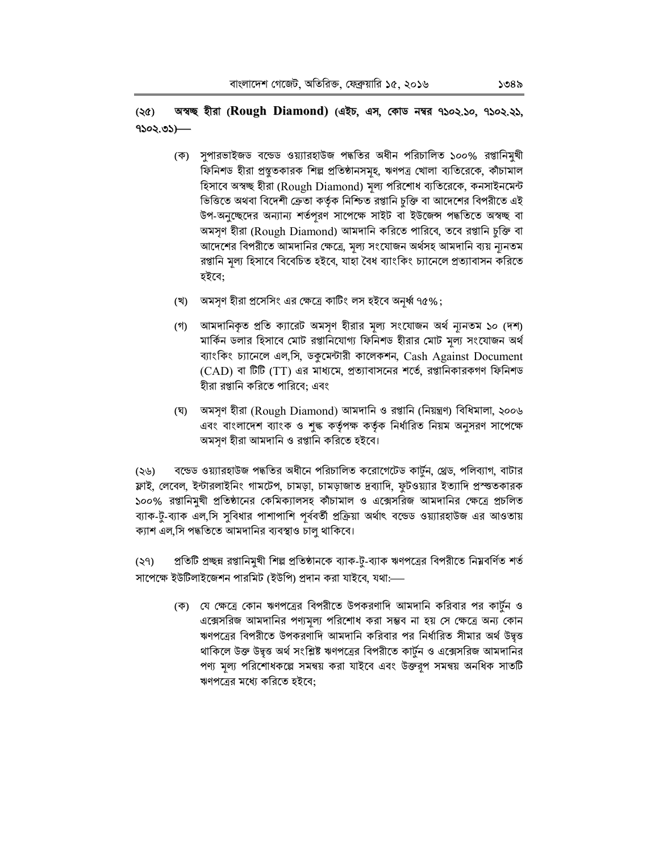### $(\Im \ell)$ অস্বচ্ছ হীরা (Rough Diamond) (এইচ, এস, কোড নম্বর ৭১০২.১০, ৭১০২.২১,  $9502.05$ )

- (ক) সুপারভাইজড বন্ডেড ওয়্যারহাউজ পদ্ধতির অধীন পরিচালিত ১০০% রপ্তানিমুখী ফিনিশড হীরা প্রস্তুতকারক শিল্প প্রতিষ্ঠানসমূহ, ঋণপত্র খোলা ব্যতিরেকে, কাঁচামাল হিসাবে অস্বচ্ছ হীরা (Rough Diamond) মূল্য পরিশোধ ব্যতিরেকে, কনসাইনমেন্ট ভিত্তিতে অথবা বিদেশী ক্রেতা কর্তৃক নিশ্চিত রপ্তানি চুক্তি বা আদেশের বিপরীতে এই উপ-অনুচ্ছেদের অন্যান্য শর্তপূরণ সাপেক্ষে সাইট বা ইউজেন্স পদ্ধতিতে অস্বচ্ছ বা অমসণ হীরা (Rough Diamond) আমদানি করিতে পারিবে, তবে রপ্তানি চুক্তি বা আদেশের বিপরীতে আমদানির ক্ষেত্রে, মূল্য সংযোজন অর্থসহ আমদানি ব্যয় ন্যূনতম রপ্তানি মূল্য হিসাবে বিবেচিত হইবে, যাহা বৈধ ব্যাংকিং চ্যানেলে প্রত্যাবাসন করিতে হইবে:
- (খ) অমসৃণ হীরা প্রসেসিং এর ক্ষেত্রে কাটিং লস হইবে অনূর্ধ্ব ৭৫%;
- (গ) আমদানিকৃত প্রতি ক্যারেট অমসৃণ হীরার মূল্য সংযোজন অর্থ ন্যনতম ১০ (দশ) মার্কিন ডলার হিসাবে মোট রপ্তানিযোগ্য ফিনিশড হীরার মোট মূল্য সংযোজন অর্থ ব্যাংকিং চ্যানেলে এল,সি, ডকুমেন্টারী কালেকশন, Cash Against Document (CAD) বা টিটি (TT) এর মাধ্যমে, প্রত্যাবাসনের শর্তে, রপ্তানিকারকগণ ফিনিশড হীরা রপ্তানি করিতে পারিবে: এবং
- (ঘ) অমসৃণ হীরা (Rough Diamond) আমদানি ও রপ্তানি (নিয়ন্ত্রণ) বিধিমালা, ২০০৬ এবং বাংলাদেশ ব্যাংক ও শুল্ক কর্তৃপক্ষ কর্তৃক নির্ধারিত নিয়ম অনুসরণ সাপেক্ষে অমসৃণ হীরা আমদানি ও রপ্তানি করিতে হইবে।

বন্ডেড ওয়্যারহাউজ পদ্ধতির অধীনে পরিচালিত করোগেটেড কার্টুন, থ্রেড, পলিব্যাগ, বাটার  $(35)$ ফ্লাই, লেবেল, ইন্টারলাইনিং গামটেপ, চামড়া, চামড়াজাত দ্রব্যাদি, ফুটওয়্যার ইত্যাদি প্রস্ত্তকারক ১০০% রপ্তানিমুখী প্রতিষ্ঠানের কেমিক্যালসহ কাঁচামাল ও এক্সেসরিজ আমদানির ক্ষেত্রে প্রচলিত ব্যাক-টূ-ব্যাক এল,সি সুবিধার পাশাপাশি পূর্ববর্তী প্রক্রিয়া অর্থাৎ বন্ডেড ওয়্যারহাউজ এর আওতায় ক্যাশ এল,সি পদ্ধতিতে আমদানির ব্যবস্থাও চালু থাকিবে।

প্রতিটি প্রচ্ছন্ন রপ্তানিমুখী শিল্প প্রতিষ্ঠানকে ব্যাক-টু-ব্যাক ঋণপত্রের বিপরীতে নিম্নবর্ণিত শর্ত  $(39)$ সাপেক্ষে ইউটিলাইজেশন পারমিট (ইউপি) প্রদান করা যাইবে, যথা:—

(ক) যে ক্ষেত্রে কোন ঋণপত্রের বিপরীতে উপকরণাদি আমদানি করিবার পর কার্টুন ও এক্সেসরিজ আমদানির পণ্যমূল্য পরিশোধ করা সম্ভব না হয় সে ক্ষেত্রে অন্য কোন ঋণপত্রের বিপরীতে উপকরণাদি আমদানি করিবার পর নির্ধারিত সীমার অর্থ উদ্বত্ত থাকিলে উক্ত উদ্বত্ত অর্থ সংশ্লিষ্ট ঋণপত্রের বিপরীতে কার্টুন ও এক্সেসরিজ আমদানির পণ্য মূল্য পরিশোধকল্পে সমন্বয় করা যাইবে এবং উক্তরূপ সমন্বয় অনধিক সাতটি ঋণপত্রের মধ্যে করিতে হইবে: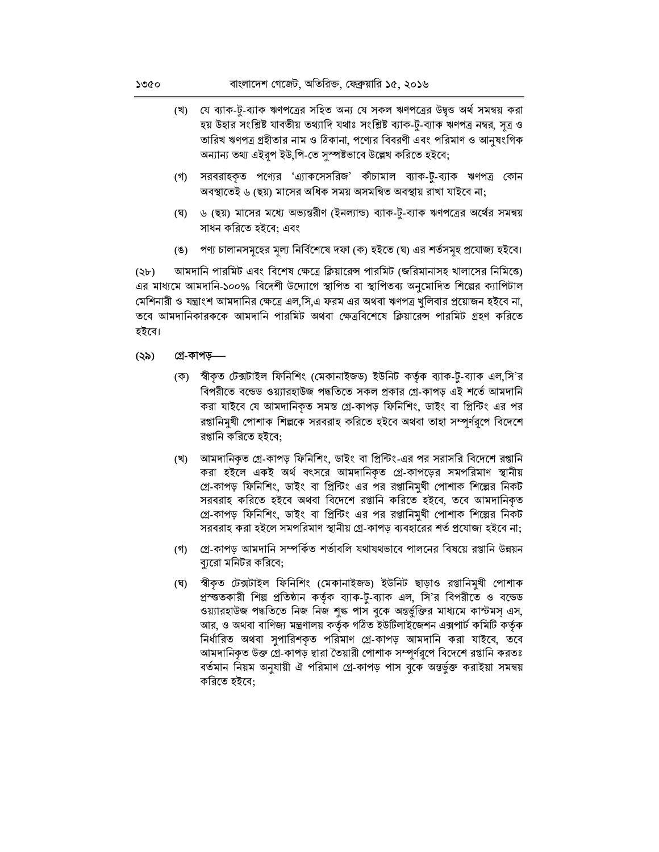- (খ) যে ব্যাক-টু-ব্যাক ঋণপত্রের সহিত অন্য যে সকল ঋণপত্রের উদ্বত্ত অর্থ সমন্বয় করা হয় উহার সংশ্লিষ্ট যাবতীয় তথ্যাদি যথাঃ সংশ্লিষ্ট ব্যাক-টৃ-ব্যাক ঋণপত্র নম্বর, সত্র ও তারিখ ঋণপত্র গ্রহীতার নাম ও ঠিকানা, পণ্যের বিবরণী এবং পরিমাণ ও আনুষংগিক অন্যান্য তথ্য এইরূপ ইউ,পি-তে সুস্পষ্টভাবে উল্লেখ করিতে হইবে;
- সরবরাহকৃত পণ্যের 'এ্যাকসেসরিজ' কাঁচামাল ব্যাক-টু-ব্যাক ঋণপত্র কোন (গ) অবস্থাতেই ৬ (ছয়) মাসের অধিক সময় অসমন্বিত অবস্থায় রাখা যাইবে না:
- (ঘ) ৬ (ছয়) মাসের মধ্যে অভ্যন্তরীণ (ইনল্যান্ড) ব্যাক-টু-ব্যাক ঋণপত্রের অর্থের সমন্বয় সাধন করিতে হইবে; এবং
- পণ্য চালানসমূহের মূল্য নির্বিশেষে দফা (ক) হইতে (ঘ) এর শর্তসমূহ প্রযোজ্য হইবে।  $(8)$

আমদানি পারমিট এবং বিশেষ ক্ষেত্রে ক্লিয়ারেন্স পারমিট (জরিমানাসহ খালাসের নিমিত্তে)  $(\forall b)$ এর মাধ্যমে আমদানি-১০০% বিদেশী উদ্যোগে স্থাপিত বা স্থাপিতব্য অনুমোদিত শিল্পের ক্যাপিটাল মেশিনারী ও যন্ত্রাংশ আমদানির ক্ষেত্রে এল,সি,এ ফরম এর অথবা ঋণপত্র খুলিবার প্রয়োজন হইবে না, তবে আমদানিকারককে আমদানি পারমিট অথবা ক্ষেত্রবিশেষে ক্লিয়ারেন্স পারমিট গ্রহণ করিতে হইবে।

#### গ্ৰে-কাপড়-(২৯)

- (ক) স্বীকৃত টেক্সটাইল ফিনিশিং (মেকানাইজড) ইউনিট কর্তৃক ব্যাক-ট্-ব্যাক এল,সি'র বিপরীতে বন্ডেড ওয়্যারহাউজ পদ্ধতিতে সকল প্রকার গ্রে-কাপড় এই শর্তে আমদানি করা যাইবে যে আমদানিকৃত সমস্ত গ্রে-কাপড় ফিনিশিং, ডাইং বা প্রিন্টিং এর পর রপ্তানিমুখী পোশাক শিল্পকে সরবরাহ করিতে হইবে অথবা তাহা সম্পূর্ণরূপে বিদেশে রপ্তানি করিতে হইবে;
- (খ) আমদানিকৃত গ্রে-কাপড় ফিনিশিং, ডাইং বা প্রিন্টিং-এর পর সরাসরি বিদেশে রপ্তানি করা হইলে একই অর্থ বৎসরে আমদানিকৃত গ্রে-কাপড়ের সমপরিমাণ স্থানীয় গ্রে-কাপড় ফিনিশিং, ডাইং বা প্রিন্টিং এর পর রপ্তানিমুখী পোশাক শিল্পের নিকট সরবরাহ করিতে হইবে অথবা বিদেশে রপ্তানি করিতে হইবে, তবে আমদানিকৃত গ্রে-কাপড় ফিনিশিং, ডাইং বা প্রিন্টিং এর পর রপ্তানিমুখী পোশাক শিল্পের নিকট সরবরাহ করা হইলে সমপরিমাণ স্থানীয় গ্রে-কাপড় ব্যবহারের শর্ত প্রযোজ্য হইবে না:
- (গ) গ্রে-কাপড় আমদানি সম্পর্কিত শর্তাবলি যথাযথভাবে পালনের বিষয়ে রপ্তানি উন্নয়ন ব্যরো মনিটর করিবে;
- স্বীকৃত টেক্সটাইল ফিনিশিং (মেকানাইজড) ইউনিট ছাড়াও রপ্তানিম্ব্খী পোশাক (ঘ) প্রস্তুতকারী শিল্প প্রতিষ্ঠান কর্তৃক ব্যাক-টু-ব্যাক এল, সি'র বিপরীতে ও বন্ডেড ওয়্যারহাউজ পদ্ধতিতে নিজ নিজ শুল্ক পাস বুকে অন্তর্ভুক্তির মাধ্যমে কাস্টমস্ এস, আর, ও অথবা বাণিজ্য মন্ত্রণালয় কর্তৃক গঠিত ইউটিলাইজেশন এক্সপার্ট কমিটি কর্তৃক নির্ধারিত অথবা সুপারিশকৃত পরিমাণ গ্রে-কাপড় আমদানি করা যাইবে, তবে আমদানিকৃত উক্ত গ্রে-কাপড় দ্বারা তৈয়ারী পোশাক সম্পূর্ণরূপে বিদেশে রপ্তানি করতঃ বর্তমান নিয়ম অনুযায়ী ঐ পরিমাণ গ্রে-কাপড় পাস বুকে অন্তর্ভুক্ত করাইয়া সমন্বয় করিতে হইবে: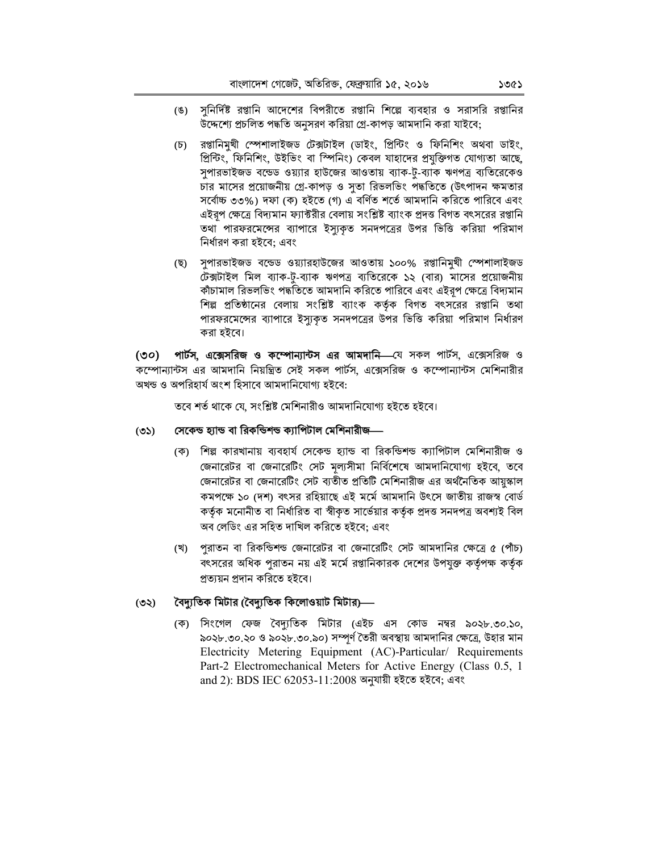- (ঙ) সনির্দিষ্ট রপ্তানি আদেশের বিপরীতে রপ্তানি শিল্পে ব্যবহার ও সরাসরি রপ্তানির উদ্দেশ্যে প্রচলিত পদ্ধতি অনুসরণ করিয়া গ্রে-কাপড় আমদানি করা যাইবে;
- রপ্তানিমুখী স্পেশালাইজড টেক্সটাইল (ডাইং, প্রিন্টিং ও ফিনিশিং অথবা ডাইং,  $(\mathfrak{D})$ প্রিন্টিং, ফিনিশিং, উইভিং বা স্পিনিং) কেবল যাহাদের প্রযুক্তিগত যোগ্যতা আছে, সুপারভাইজড বন্ডেড ওয়্যার হাউজের আওতায় ব্যাক-টৃ-ব্যাক ঋণপত্র ব্যতিরেকেও চার মাসের প্রয়োজনীয় গ্রে-কাপড় ও সুতা রিভলভিং পদ্ধতিতে (উৎপাদন ক্ষমতার সৰ্বোচ্চ ৩৩%) দফা (ক) হইতে (গ) এ বৰ্ণিত শৰ্তে আমদানি করিতে পারিবে এবং এইরপ ক্ষেত্রে বিদ্যমান ফ্যাক্টরীর বেলায় সংশ্লিষ্ট ব্যাংক প্রদত্ত বিগত বৎসরের রপ্তানি তথা পারফরমেন্সের ব্যাপারে ইস্যুকৃত সনদপত্রের উপর ভিত্তি করিয়া পরিমাণ নিৰ্ধারণ করা হইবে: এবং
- (ছ) সুপারভাইজড বন্ডেড ওয়্যারহাউজের আওতায় ১০০% রপ্তানিমুখী স্পেশালাইজড টেক্সটাইল মিল ব্যাক-টু-ব্যাক ঋণপত্র ব্যতিরেকে ১২ (বার) মাসের প্রয়োজনীয় কাঁচামাল রিভলভিং পদ্ধতিতে আমদানি করিতে পারিবে এবং এইরপ ক্ষেত্রে বিদ্যমান শিল্প প্রতিষ্ঠানের বেলায় সংশ্লিষ্ট ব্যাংক কর্তৃক বিগত বৎসরের রপ্তানি তথা পারফরমেন্সের ব্যাপারে ইস্যুকৃত সনদপত্রের উপর ভিত্তি করিয়া পরিমাণ নির্ধারণ করা হইবে।

(৩০) পার্টস, **এক্সেসরিজ ও কম্পোন্যান্টস এর আমদানি**—যে সকল পার্টস, এক্সেসরিজ ও কম্পোন্যান্টস এর আমদানি নিয়ন্ত্রিত সেই সকল পার্টস, এক্সেসরিজ ও কম্পোন্যান্টস মেশিনারীর অখন্ড ও অপরিহার্য অংশ হিসাবে আমদানিযোগ্য হইবে:

তবে শর্ত থাকে যে, সংশ্লিষ্ট মেশিনারীও আমদানিযোগ্য হইতে হইবে।

### সেকেন্ড হ্যান্ড বা রিকন্ডিশন্ড ক্যাপিটাল মেশিনারীজ—  $(S<sup>c</sup>)$

- (ক) শিল্প কারখানায় ব্যবহার্য সেকেন্ড হ্যান্ড বা রিকন্ডিশন্ড ক্যাপিটাল মেশিনারীজ ও জেনারেটর বা জেনারেটিং সেট মূল্যসীমা নির্বিশেষে আমদানিযোগ্য হইবে, তবে জেনারেটর বা জেনারেটিং সেট ব্যতীত প্রতিটি মেশিনারীজ এর অর্থনৈতিক আয়ুস্কাল কমপক্ষে ১০ (দশ) বৎসর রহিয়াছে এই মর্মে আমদানি উৎসে জাতীয় রাজস্ব বোর্ড কর্তৃক মনোনীত বা নির্ধারিত বা স্বীকৃত সার্ভেয়ার কর্তৃক প্রদত্ত সনদপত্র অবশ্যই বিল অব লেডিং এর সহিত দাখিল করিতে হইবে: এবং
- (খ) পুরাতন বা রিকন্ডিশন্ড জেনারেটর বা জেনারেটিং সেট আমদানির ক্ষেত্রে ৫ (পাঁচ) বৎসরের অধিক পুরাতন নয় এই মর্মে রপ্তানিকারক দেশের উপযুক্ত কর্তৃপক্ষ কর্তৃক প্রত্যয়ন প্রদান করিতে হইবে।

### বৈদ্যুতিক মিটার (বৈদ্যুতিক কিলোওয়াট মিটার)—  $(55)$

(ক) সিংগেল ফেজ বৈদ্যুতিক মিটার (এইচ এস কোড নম্বর ৯০২৮.৩০.১০, ৯০২৮.৩০.২০ ও ৯০২৮.৩০.৯০) সম্পূর্ণ তৈরী অবস্থায় আমদানির ক্ষেত্রে, উহার মান Electricity Metering Equipment (AC)-Particular/ Requirements Part-2 Electromechanical Meters for Active Energy (Class 0.5, 1 and 2): BDS IEC 62053-11:2008 অনুযায়ী হইতে হইবে; এবং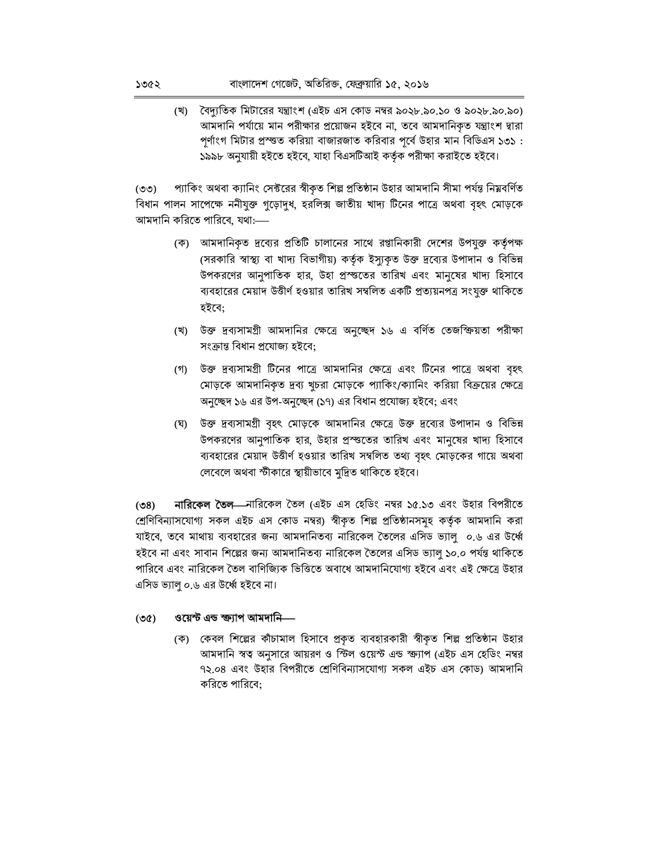(খ) বৈদ্যতিক মিটারের যন্ত্রাংশ (এইচ এস কোড নম্বর ৯০২৮.৯০.১০ ও ৯০২৮.৯০.৯০) আমদানি পর্যায়ে মান পরীক্ষার প্রয়োজন হইবে না, তবে আমদানিকৃত যন্ত্রাংশ দ্বারা পূর্ণাংগ মিটার প্রস্ত্তত করিয়া বাজারজাত করিবার পূর্বে উহার মান বিডিএস ১৩১ : ১৯৯৮ অনুযায়ী হইতে হইবে, যাহা বিএসটিআই কৰ্তৃক পরীক্ষা করাইতে হইবে।

প্যাকিং অথবা ক্যানিং সেক্টরের স্বীকৃত শিল্প প্রতিষ্ঠান উহার আমদানি সীমা পর্যন্ত নিম্নবর্ণিত  $(00)$ বিধান পালন সাপেক্ষে ননীযুক্ত গুড়োদুধ, হরলিক্স জাতীয় খাদ্য টিনের পাত্রে অথবা বৃহৎ মোড়কে আমদানি করিতে পারিবে, যথা:—

- (ক) আমদানিকৃত দ্রব্যের প্রতিটি চালানের সাথে রপ্তানিকারী দেশের উপযুক্ত কর্তৃপক্ষ (সরকারি স্বাস্থ্য বা খাদ্য বিভাগীয়) কর্তৃক ইস্যুকৃত উক্ত দ্রব্যের উপাদান ও বিভিন্ন উপকরণের আনুপাতিক হার, উহা প্রস্ত্তের তারিখ এবং মানুষের খাদ্য হিসাবে ব্যবহারের মেয়াদ উত্তীর্ণ হওয়ার তারিখ সম্বলিত একটি প্রত্যয়নপত্র সংযুক্ত থাকিতে হইবে:
- (খ) উক্ত দ্রব্যসামগ্রী আমদানির ক্ষেত্রে অনুচ্ছেদ ১৬ এ বর্ণিত তেজস্ক্রিয়তা পরীক্ষা সংক্ৰান্ত বিধান প্ৰযোজ্য হইবে;
- (গ) উক্ত দ্রব্যসামগ্রী টিনের পাত্রে আমদানির ক্ষেত্রে এবং টিনের পাত্রে অথবা বৃহৎ মোড়কে আমদানিকৃত দ্রব্য খুচরা মোড়কে প্যাকিং/ক্যানিং করিয়া বিক্রয়ের ক্ষেত্রে অনুচ্ছেদ ১৬ এর উপ-অনুচ্ছেদ (১৭) এর বিধান প্রযোজ্য হইবে; এবং
- (ঘ) উক্ত দ্রব্যসামগ্রী বৃহৎ মোড়কে আমদানির ক্ষেত্রে উক্ত দ্রব্যের উপাদান ও বিভিন্ন উপকরণের আনুপাতিক হার, উহার প্রস্তুতের তারিখ এবং মানুষের খাদ্য হিসাবে ব্যবহারের মেয়াদ উত্তীর্ণ হওয়ার তারিখ সম্বলিত তথ্য বৃহৎ মোড়কের গায়ে অথবা লেবেলে অথবা স্টীকারে স্থায়ীভাবে মুদ্রিত থাকিতে হইবে।

নারিকেল তৈল-নারিকেল তৈল (এইচ এস হেডিং নম্বর ১৫.১৩ এবং উহার বিপরীতে  $(98)$ শ্রেণিবিন্যাসযোগ্য সকল এইচ এস কোড নম্বর) স্বীকৃত শিল্প প্রতিষ্ঠানসমূহ কর্তৃক আমদানি করা যাইবে, তবে মাথায় ব্যবহারের জন্য আমদানিতব্য নারিকেল তৈলের এসিড ভ্যালু ০.৬ এর উর্ধ্বে হইবে না এবং সাবান শিল্পের জন্য আমদানিতব্য নারিকেল তৈলের এসিড ভ্যালু ১০.০ পর্যন্ত থাকিতে পারিবে এবং নারিকেল তৈল বাণিজ্যিক ভিত্তিতে অবাধে আমদানিযোগ্য হইবে এবং এই ক্ষেত্রে উহার এসিড ভ্যালু ০.৬ এর উর্ধ্বে হইবে না।

#### ওয়েস্ট এন্ড ক্ষ্যাপ আমদানি—  $(90)$

(ক) কেবল শিল্পের কাঁচামাল হিসাবে প্রকৃত ব্যবহারকারী স্বীকৃত শিল্প প্রতিষ্ঠান উহার আমদানি স্বত্ব অনুসারে আয়রণ ও স্টিল ওয়েস্ট এন্ড স্ক্যাপ (এইচ এস হেডিং নম্বর ৭২.০৪ এবং উহার বিপরীতে শ্রেণিবিন্যাসযোগ্য সকল এইচ এস কোড) আমদানি করিতে পারিবে: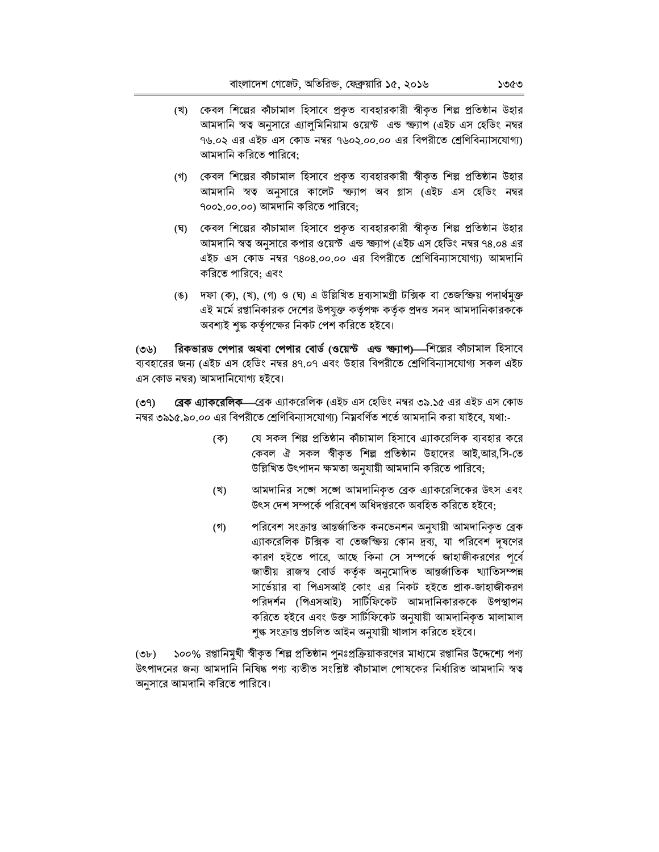- (খ) কেবল শিল্পের কাঁচামাল হিসাবে প্রকৃত ব্যবহারকারী স্বীকৃত শিল্প প্রতিষ্ঠান উহার আমদানি স্বত্ব অনুসারে এ্যালুমিনিয়াম ওয়েস্ট এন্ড ক্ষ্যাপ (এইচ এস হেডিং নম্বর ৭৬.০২ এর এইচ এস কোড নম্বর ৭৬০২.০০.০০ এর বিপরীতে শ্রেণিবিন্যাসযোগ্য) আমদানি করিতে পারিবে;
- (গ) কেবল শিল্পের কাঁচামাল হিসাবে প্রকৃত ব্যবহারকারী স্বীকৃত শিল্প প্রতিষ্ঠান উহার আমদানি স্বত্ব অনুসারে কালেট স্ক্যাপ অব গ্লাস (এইচ এস হেডিং নম্বর ৭০০১.০০.০০) আমদানি করিতে পারিবে:
- (ঘ) কেবল শিল্পের কাঁচামাল হিসাবে প্রকৃত ব্যবহারকারী স্বীকৃত শিল্প প্রতিষ্ঠান উহার আমদানি স্বত্ব অনুসারে কপার ওয়েস্ট এন্ড ক্ষ্যাপ (এইচ এস হেডিং নম্বর ৭৪.০৪ এর এইচ এস কোড নম্বর ৭৪০৪.০০.০০ এর বিপরীতে শ্রেণিবিন্যাসযোগ্য) আমদানি করিতে পারিবে: এবং
- (ঙ) দফা (ক), (খ), (গ) ও (ঘ) এ উল্লিখিত দ্রব্যসামগ্রী টক্সিক বা তেজস্ক্রিয় পদার্থমুক্ত এই মর্মে রপ্তানিকারক দেশের উপযুক্ত কর্তৃপক্ষ কর্তৃক প্রদত্ত সনদ আমদানিকারককে অবশ্যই শঙ্ক কর্তৃপক্ষের নিকট পেশ করিতে হইবে।

রিকভারড পেপার অথবা পেপার বোর্ড (ওয়েস্ট এন্ড ক্ষ্যাপ)—শিল্পের কাঁচামাল হিসাবে  $(99)$ ব্যবহারের জন্য (এইচ এস হেডিং নম্বর ৪৭.০৭ এবং উহার বিপরীতে শ্রেণিবিন্যাসযোগ্য সকল এইচ এস কোড নম্বর) আমদানিযোগ্য হইবে।

ব্রেক এ্যাকরেলিক-রেক এ্যাকরেলিক (এইচ এস হেডিং নম্বর ৩৯.১৫ এর এইচ এস কোড  $(99)$ নম্বর ৩৯১৫.৯০.০০ এর বিপরীতে শ্রেণিবিন্যাসযোগ্য) নিম্নবর্ণিত শর্তে আমদানি করা যাইবে, যথা:-

- যে সকল শিল্প প্রতিষ্ঠান কাঁচামাল হিসাবে এ্যাকরেলিক ব্যবহার করে  $($ ক) কেবল ঐ সকল স্বীকৃত শিল্প প্রতিষ্ঠান উহাদের আই,আর,সি-তে উল্লিখিত উৎপাদন ক্ষমতা অনুযায়ী আমদানি করিতে পারিবে;
- আমদানির সঙ্গে সঙ্গে আমদানিকৃত ব্রেক এ্যাকরেলিকের উৎস এবং (খ) উৎস দেশ সম্পর্কে পরিবেশ অধিদপ্তরকে অবহিত করিতে হইবে;
- পরিবেশ সংক্রান্ত আন্তর্জাতিক কনভেনশন অনুযায়ী আমদানিকৃত ব্রেক (গ) এ্যাকরেলিক টক্সিক বা তেজস্ক্রিয় কোন দ্রব্য, যা পরিবেশ দৃষণের কারণ হইতে পারে, আছে কিনা সে সম্পর্কে জাহাজীকরণের পূর্বে জাতীয় রাজস্ব বোর্ড কর্তৃক অনুমোদিত আন্তর্জাতিক খ্যাতিসম্পন্ন সার্ভেয়ার বা পিএসআই কোং এর নিকট হইতে প্রাক-জাহাজীকরণ পরিদর্শন (পিএসআই) সাটিফিকেট আমদানিকারককে উপস্থাপন করিতে হইবে এবং উক্ত সার্টিফিকেট অনুযায়ী আমদানিকৃত মালামাল শৃঙ্ক সংক্ৰান্ত প্ৰচলিত আইন অনুযায়ী খালাস করিতে হইবে।

(৩৮) ১০০% রপ্তানিমুখী স্বীকৃত শিল্প প্রতিষ্ঠান পুনঃপ্রক্রিয়াকরণের মাধ্যমে রপ্তানির উদ্দেশ্যে পণ্য উৎপাদনের জন্য আমদানি নিষিদ্ধ পণ্য ব্যতীত সংশ্লিষ্ট কাঁচামাল পোষকের নির্ধারিত আমদানি স্বত্ব অনুসারে আমদানি করিতে পারিবে।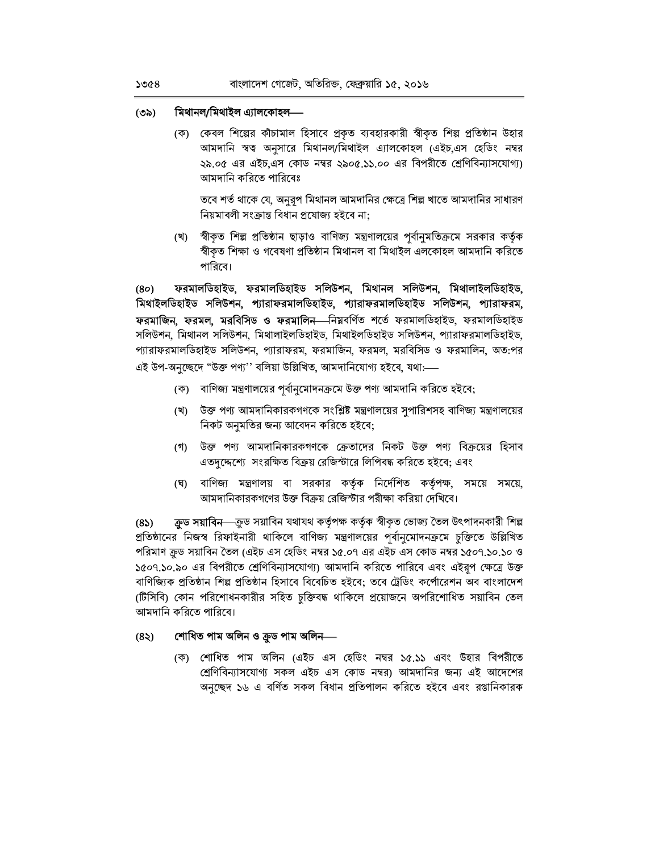### মিথানল/মিথাইল এ্যালকোহল— (৩৯)

কেবল শিল্পের কাঁচামাল হিসাবে প্রকৃত ব্যবহারকারী স্বীকৃত শিল্প প্রতিষ্ঠান উহার (ক) আমদানি স্বত্ব অনুসারে মিথানল/মিথাইল এ্যালকোহল (এইচ.এস হেডিং নম্বর ২৯.০৫ এর এইচ,এস কোড নম্বর ২৯০৫.১১.০০ এর বিপরীতে শ্রেণিবিন্যাসযোগ্য) আমদানি করিতে পারিবেঃ

তবে শর্ত থাকে যে, অনুরূপ মিথানল আমদানির ক্ষেত্রে শিল্প খাতে আমদানির সাধারণ নিয়মাবলী সংক্ৰান্ত বিধান প্ৰযোজ্য হইবে না:

(খ) স্বীকৃত শিল্প প্রতিষ্ঠান ছাড়াও বাণিজ্য মন্ত্রণালয়ের পূর্বানুমতিক্রমে সরকার কর্তৃক স্বীকৃত শিক্ষা ও গবেষণা প্ৰতিষ্ঠান মিথানল বা মিথাইল এলকোহল আমদানি করিতে পারিবে।

ফরমালডিহাইড, ফরমালডিহাইড সলিউশন, মিথানল সলিউশন, মিথালাইলডিহাইড,  $(80)$ মিথাইলডিহাইড সলিউশন, প্যারাফরমালডিহাইড, প্যারাফরমালডিহাইড সলিউশন, প্যারাফরম, ফরমাজিন, ফরমল, মরবিসিড ও ফরমালিন কিমবর্ণিত শর্তে ফরমালডিহাইড, ফরমালডিহাইড সলিউশন, মিথানল সলিউশন, মিথালাইলডিহাইড, মিথাইলডিহাইড সলিউশন, প্যারাফরমালডিহাইড, প্যারাফরমালডিহাইড সলিউশন, প্যারাফরম, ফরমাজিন, ফরমল, মরবিসিড ও ফরমালিন, অত:পর এই উপ-অনুচ্ছেদে "উক্ত পণ্য'' বলিয়া উল্লিখিত, আমদানিযোগ্য হইবে, যথা:---

- (ক) বাণিজ্য মন্ত্রণালয়ের পর্বানুমোদনক্রমে উক্ত পণ্য আমদানি করিতে হইবে;
- (খ) উক্ত পণ্য আমদানিকারকগণকে সংশ্লিষ্ট মন্ত্রণালয়ের সুপারিশসহ বাণিজ্য মন্ত্রণালয়ের নিকট অনুমতির জন্য আবেদন করিতে হইবে;
- (গ) উক্ত পণ্য আমদানিকারকগণকে ক্রেতাদের নিকট উক্ত পণ্য বিক্রয়ের হিসাব এতদুদ্দেশ্যে সংরক্ষিত বিক্রয় রেজিস্টারে লিপিবদ্ধ করিতে হইবে; এবং
- (ঘ) বাণিজ্য মন্ত্রণালয় বা সরকার কর্তৃক নির্দেশিত কর্তৃপক্ষ, সময়ে সময়ে, আমদানিকারকগণের উক্ত বিক্রয় রেজিস্টার পরীক্ষা করিয়া দেখিবে।

ক্ৰ**ড সয়াবিন**—ক্ৰড সয়াবিন যথাযথ কৰ্তৃপক্ষ কৰ্তৃক স্বীকৃত ভোজ্য তৈল উৎপাদনকারী শিল্প  $(85)$ প্রতিষ্ঠানের নিজস্ব রিফাইনারী থাকিলে বাণিজ্য মন্ত্রণালয়ের পূর্বানুমোদনক্রমে চুক্তিতে উল্লিখিত পরিমাণ ক্রড সয়াবিন তৈল (এইচ এস হেডিং নম্বর ১৫.০৭ এর এইচ এস কোড নম্বর ১৫০৭.১০.১০ ও ১৫০৭.১০.৯০ এর বিপরীতে শ্রেণিবিন্যাসযোগ্য) আমদানি করিতে পারিবে এবং এইরপ ক্ষেত্রে উক্ত বাণিজ্যিক প্রতিষ্ঠান শিল্প প্রতিষ্ঠান হিসাবে বিবেচিত হইবে: তবে ট্রেডিং কর্পোরেশন অব বাংলাদেশ (টিসিবি) কোন পরিশোধনকারীর সহিত চুক্তিবদ্ধ থাকিলে প্রয়োজনে অপরিশোধিত সয়াবিন তেল আমদানি করিতে পারিবে।

### শোধিত পাম অলিন ও ক্ৰুড পাম অলিন—  $(85)$

(ক) শোধিত পাম অলিন (এইচ এস হেডিং নম্বর ১৫.১১ এবং উহার বিপরীতে শ্রেণিবিন্যাসযোগ্য সকল এইচ এস কোড নম্বর) আমদানির জন্য এই আদেশের অনুচ্ছেদ ১৬ এ বর্ণিত সকল বিধান প্রতিপালন করিতে হইবে এবং রপ্তানিকারক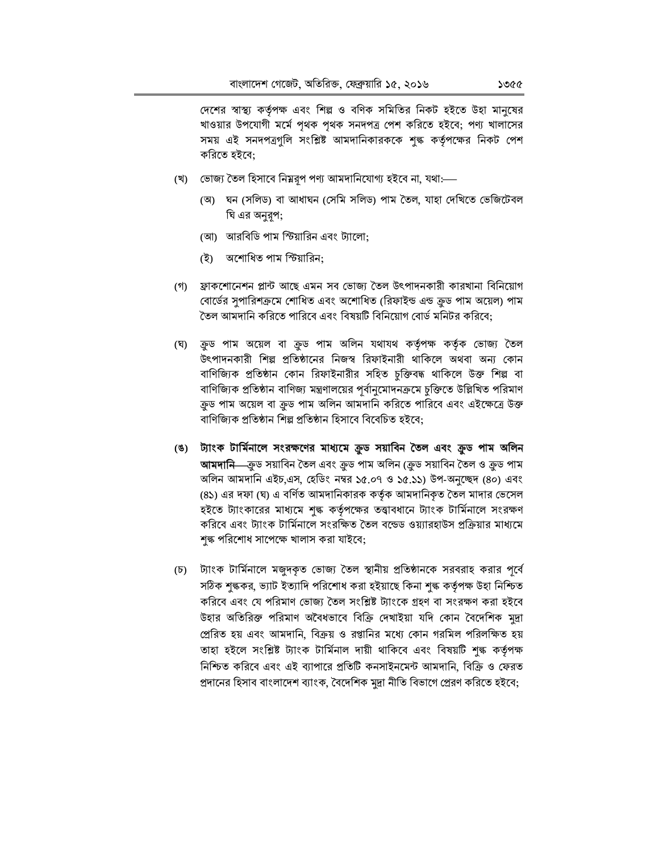দেশের স্বাস্থ্য কর্তৃপক্ষ এবং শিল্প ও বণিক সমিতির নিকট হইতে উহা মানুষের খাওয়ার উপযোগী মর্মে পৃথক পৃথক সনদপত্র পেশ করিতে হইবে; পণ্য খালাসের সময় এই সনদপত্রগুলি সংশ্লিষ্ট আমদানিকারককে শৃঙ্ক কর্তৃপক্ষের নিকট পেশ করিতে হইবে;

- (খ) ভোজ্য তৈল হিসাবে নিম্নরূপ পণ্য আমদানিযোগ্য হইবে না, যথা:—–
	- (অ) ঘন (সলিড) বা আধাঘন (সেমি সলিড) পাম তৈল, যাহা দেখিতে ভেজিটেবল ঘি এর অনুরূপ;
	- (আ) আরবিডি পাম স্টিয়ারিন এবং ট্যালো;
	- (ই) অশোধিত পাম স্টিয়ারিন:
- ফ্রাকশোনেশন প্লান্ট আছে এমন সব ভোজ্য তৈল উৎপাদনকারী কারখানা বিনিয়োগ (গ) বোর্ডের সুপারিশক্রমে শোধিত এবং অশোধিত (রিফাইন্ড এন্ড ক্রুড পাম অয়েল) পাম তৈল আমদানি করিতে পারিবে এবং বিষয়টি বিনিয়োগ বোর্ড মনিটর করিবে:
- (ঘ) ক্ৰুড পাম অয়েল বা ক্ৰুড পাম অলিন যথাযথ কৰ্তৃপক্ষ কৰ্তৃক ভোজ্য তৈল উৎপাদনকারী শিল্প প্রতিষ্ঠানের নিজস্ব রিফাইনারী থাকিলে অথবা অন্য কোন বাণিজ্যিক প্রতিষ্ঠান কোন রিফাইনারীর সহিত চুক্তিবদ্ধ থাকিলে উক্ত শিল্প বা বাণিজ্যিক প্রতিষ্ঠান বাণিজ্য মন্ত্রণালয়ের পূর্বানুমোদনক্রমে চুক্তিতে উল্লিখিত পরিমাণ ক্রুড পাম অয়েল বা ক্রুড পাম অলিন আমদানি করিতে পারিবে এবং এইক্ষেত্রে উক্ত বাণিজ্যিক প্রতিষ্ঠান শিল্প প্রতিষ্ঠান হিসাবে বিবেচিত হইবে;
- (ঙ) ট্যাংক টার্মিনালে সংরক্ষণের মাধ্যমে ক্রুড সয়াবিন তৈল এবং ক্রুড পাম অলিন **আমদানি—**ক্রুড সয়াবিন তৈল এবং ক্রুড পাম অলিন (ক্রুড সয়াবিন তৈল ও ক্রুড পাম অলিন আমদানি এইচ,এস, হেডিং নম্বর ১৫.০৭ ও ১৫.১১) উপ-অনুচ্ছেদ (৪০) এবং (৪১) এর দফা (ঘ) এ বর্ণিত আমদানিকারক কর্তৃক আমদানিকৃত তৈল মাদার ভেসেল হইতে ট্যাংকারের মাধ্যমে শৃঙ্ক কর্তৃপক্ষের তত্ত্বাবধানে ট্যাংক টার্মিনালে সংরক্ষণ করিবে এবং ট্যাংক টার্মিনালে সংরক্ষিত তৈল বন্ডেড ওয়্যারহাউস প্রক্রিয়ার মাধ্যমে শঙ্ক পরিশোধ সাপেক্ষে খালাস করা যাইবে;
- (চ) ট্যাংক টার্মিনালে মজুদকৃত ভোজ্য তৈল স্থানীয় প্রতিষ্ঠানকে সরবরাহ করার পূর্বে সঠিক শুল্ককর, ভ্যাট ইত্যাদি পরিশোধ করা হইয়াছে কিনা শুল্ক কর্তৃপক্ষ উহা নিশ্চিত করিবে এবং যে পরিমাণ ভোজ্য তৈল সংশ্লিষ্ট ট্যাংকে গ্রহণ বা সংরক্ষণ করা হইবে উহার অতিরিক্ত পরিমাণ অবৈধভাবে বিক্রি দেখাইয়া যদি কোন বৈদেশিক মুদ্রা প্রেরিত হয় এবং আমদানি, বিক্রয় ও রপ্তানির মধ্যে কোন গরমিল পরিলক্ষিত হয় তাহা হইলে সংশ্লিষ্ট ট্যাংক টাৰ্মিনাল দায়ী থাকিবে এবং বিষয়টি শুল্ক কৰ্তৃপক্ষ নিশ্চিত করিবে এবং এই ব্যাপারে প্রতিটি কনসাইনমেন্ট আমদানি, বিক্রি ও ফেরত প্রদানের হিসাব বাংলাদেশ ব্যাংক, বৈদেশিক মুদ্রা নীতি বিভাগে প্রেরণ করিতে হইবে;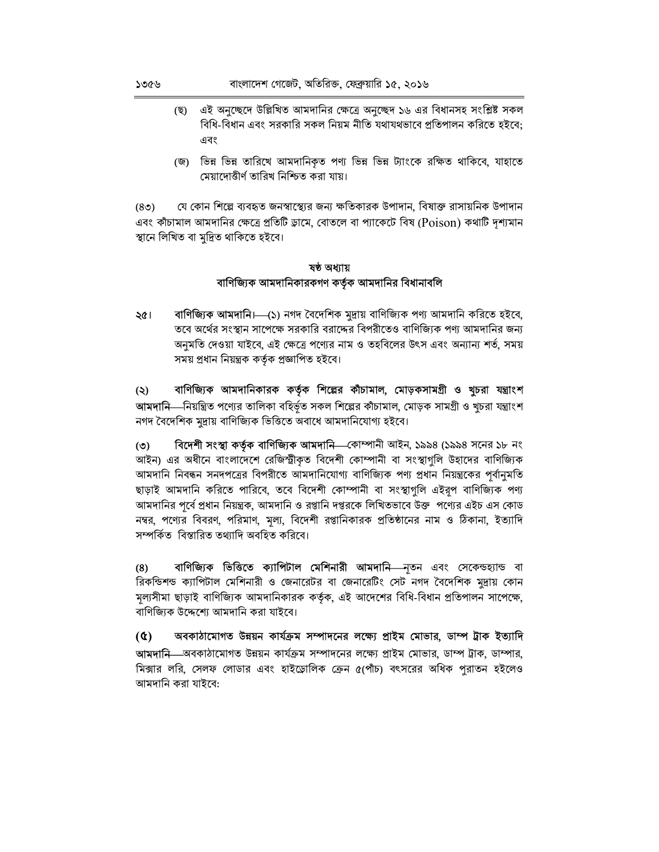- (ছ) এই অনুচ্ছেদে উল্লিখিত আমদানির ক্ষেত্রে অনুচ্ছেদ ১৬ এর বিধানসহ সংশ্লিষ্ট সকল বিধি-বিধান এবং সরকারি সকল নিয়ম নীতি যথাযথভাবে প্রতিপালন করিতে হইবে: এবং
- জে) ভিন্ন ভিন্ন তারিখে আমদানিকৃত পণ্য ভিন্ন ভিন্ন ট্যাংকে রক্ষিত থাকিবে, যাহাতে মেয়াদোত্তীর্ণ তারিখ নিশ্চিত করা যায়।

যে কোন শিল্পে ব্যবহৃত জনস্বাস্থ্যের জন্য ক্ষতিকারক উপাদান, বিষাক্ত রাসায়নিক উপাদান  $(8<sub>0</sub>)$ এবং কাঁচামাল আমদানির ক্ষেত্রে প্রতিটি ড্রামে, বোতলে বা প্যাকেটে বিষ (Poison) কথাটি দৃশ্যমান স্থানে লিখিত বা মদ্রিত থাকিতে হইবে।

## ষষ্ঠ অধ্যায় বাণিজ্যিক আমদানিকারকগণ কর্তৃক আমদানির বিধানাবলি

বাণিজ্যিক আমদানি। (১) নগদ বৈদেশিক মুদ্রায় বাণিজ্যিক পণ্য আমদানি করিতে হইবে, ২৫। তবে অর্থের সংস্থান সাপেক্ষে সরকারি বরাদ্দের বিপরীতেও বাণিজ্যিক পণ্য আমদানির জন্য অনুমতি দেওয়া যাইবে, এই ক্ষেত্রে পণ্যের নাম ও তহবিলের উৎস এবং অন্যান্য শর্ত, সময় সময় প্ৰধান নিয়ন্ত্ৰক কৰ্তৃক প্ৰজ্ঞাপিত হইবে।

বাণিজ্যিক আমদানিকারক কর্তৃক শিল্পের কীচামাল, মোড়কসামগ্রী ও খুচরা যন্ত্রাংশ  $\circledcirc$ আমদানি—নিয়ন্ত্রিত পণ্যের তালিকা বহির্ভূত সকল শিল্পের কাঁচামাল, মোড়ক সামগ্রী ও খুচরা যন্ত্রাংশ নগদ বৈদেশিক মুদ্রায় বাণিজ্যিক ভিত্তিতে অবাধে আমদানিযোগ্য হইবে।

বিদেশী সংস্থা কর্তৃক বাণিজ্যিক আমদানি—কোম্পানী আইন, ১৯৯৪ (১৯৯৪ সনের ১৮ নং  $(5)$ আইন) এর অধীনে বাংলাদেশে রেজিস্ট্রীকৃত বিদেশী কোম্পানী বা সংস্থাগুলি উহাদের বাণিজ্যিক আমদানি নিবন্ধন সনদপত্রের বিপরীতে আমদানিযোগ্য বাণিজ্যিক পণ্য প্রধান নিয়ন্ত্রকের পূর্বানুমতি ছাড়াই আমদানি করিতে পারিবে, তবে বিদেশী কোম্পানী বা সংস্থাগুলি এইরূপ বাণিজ্যিক পণ্য আমদানির পর্বে প্রধান নিয়ন্ত্রক, আমদানি ও রপ্তানি দপ্তরকে লিখিতভাবে উক্ত পণ্যের এইচ এস কোড নম্বর, পণ্যের বিবরণ, পরিমাণ, মূল্য, বিদেশী রপ্তানিকারক প্রতিষ্ঠানের নাম ও ঠিকানা, ইত্যাদি সম্পৰ্কিত বিস্তাৱিত তথাাদি অবহিত কৱিবে।

বাণিজ্যিক ভিত্তিতে ক্যাপিটাল মেশিনারী আমদানি—নৃতন এবং সেকেন্ডহ্যান্ড বা  $(8)$ রিকন্ডিশন্ড ক্যাপিটাল মেশিনারী ও জেনারেটর বা জেনারেটিং সেট নগদ বৈদেশিক মদ্রায় কোন মূল্যসীমা ছাড়াই বাণিজ্যিক আমদানিকারক কর্তৃক, এই আদেশের বিধি-বিধান প্রতিপালন সাপেক্ষে, বাণিজিকে উদ্দেশ্যে আমদানি করা যাইবে।

অবকাঠামোগত উন্নয়ন কাৰ্যক্ৰম সম্পাদনের লক্ষ্যে প্রাইম মোভার, ডাম্প ট্রাক ইত্যাদি  $\alpha$ **আমদানি—**অবকাঠামোগত উন্নয়ন কার্যক্রম সম্পাদনের লক্ষ্যে প্রাইম মোভার, ডাম্প ট্রাক, ডাম্পার, মিক্সার লরি, সেলফ লোডার এবং হাইড্রোলিক ক্রেন ৫(পাঁচ) বৎসরের অধিক পরাতন হইলেও আমদানি করা যাইবে: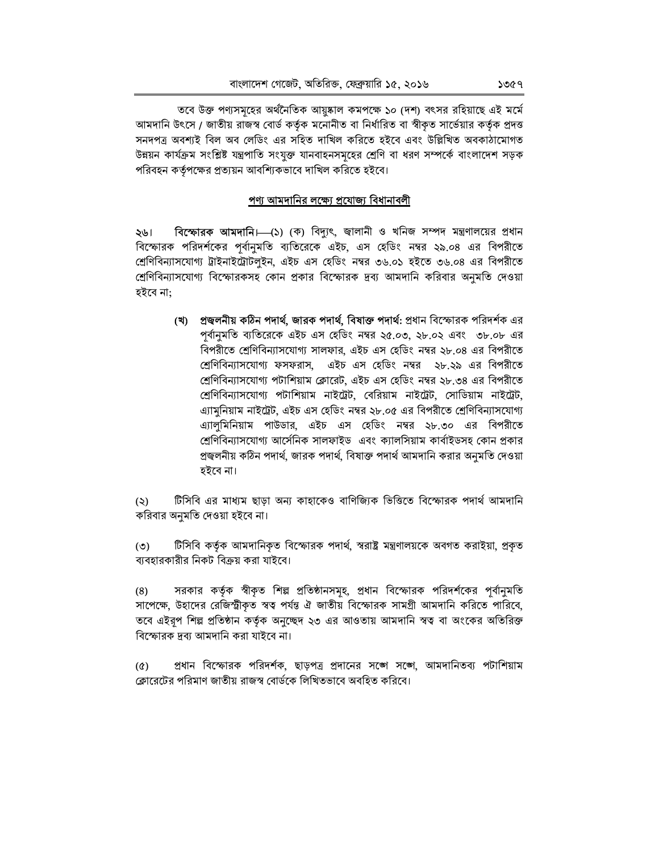তবে উক্ত পণ্যসমূহের অর্থনৈতিক আয়ুষ্কাল কমপক্ষে ১০ (দশ) বৎসর রহিয়াছে এই মর্মে আমদানি উৎসে / জাতীয় রাজস্ব বোর্ড কর্তৃক মনোনীত বা নির্ধারিত বা স্বীকৃত সার্ভেয়ার কর্তৃক প্রদত্ত সনদপত্ৰ অবশ্যই বিল অব লেডিং এর সহিত দাখিল করিতে হইবে এবং উল্লিখিত অবকাঠামোগত উন্নয়ন কাৰ্যক্ৰম সংশ্লিষ্ট যন্ত্ৰপাতি সংযুক্ত যানবাহনসমহের শ্ৰেণি বা ধরণ সম্পৰ্কে বাংলাদেশ সড়ক পরিবহন কর্তৃপক্ষের প্রত্যয়ন আবশ্যিকভাবে দাখিল করিতে হইবে।

### পণ্য আমদানির লক্ষ্যে প্রযোজ্য বিধানাবলী

বিক্ষোরক আমদানি। (১) (ক) বিদ্যুৎ, জ্বালানী ও খনিজ সম্পদ মন্ত্রণালয়ের প্রধান ২৬। বিস্ফোরক পরিদর্শকের পর্বানুমতি ব্যতিরেকে এইচ, এস হেডিং নম্বর ২৯.০৪ এর বিপরীতে শ্রেণিবিন্যাসযোগ্য ট্রাইনাইট্রোটলুইন, এইচ এস হেডিং নম্বর ৩৬.০১ হইতে ৩৬.০৪ এর বিপরীতে শ্রেণিবিন্যাসযোগ্য বিস্ফোরকসহ কোন প্রকার বিস্ফোরক দ্রব্য আমদানি করিবার অনুমতি দেওয়া হইবে না:

> (খ) প্র**জ্বলনীয় কঠিন পদার্থ, জারক পদার্থ, বিষাক্ত পদার্থ:** প্রধান বিস্ফোরক পরিদর্শক এর পূর্বানুমতি ব্যতিরেকে এইচ এস হেডিং নম্বর ২৫.০৩, ২৮.০২ এবং ৩৮.০৮ এর বিপরীতে শ্রেণিবিন্যাসযোগ্য সালফার, এইচ এস হেডিং নম্বর ২৮.০৪ এর বিপরীতে শ্রেণিবিন্যাসযোগ্য ফসফরাস, এইচ এস হেডিং নম্বর ২৮.২৯ এর বিপরীতে শ্রেণিবিন্যাসযোগ্য পটাশিয়াম ক্লোরেট, এইচ এস হেডিং নম্বর ২৮.৩৪ এর বিপরীতে শ্রেণিবিন্যাসযোগ্য পটাশিয়াম নাইট্রেট, বেরিয়াম নাইট্রেট, সোডিয়াম নাইট্রেট, এ্যামুনিয়াম নাইট্রেট, এইচ এস হেডিং নম্বর ২৮.০৫ এর বিপরীতে শ্রেণিবিন্যাসযোগ্য এ্যালুমিনিয়াম পাউডার, এইচ এস হেডিং নম্বর ২৮.৩০ এর বিপরীতে শ্ৰেণিবিন্যাসযোগ্য আৰ্সেনিক সালফাইড এবং ক্যালসিয়াম কাৰ্বাইডসহ কোন প্ৰকার প্রজ্বলনীয় কঠিন পদার্থ, জারক পদার্থ, বিষাক্ত পদার্থ আমদানি করার অনুমতি দেওয়া হইবে না।

টিসিবি এর মাধ্যম ছাড়া অন্য কাহাকেও বাণিজ্যিক ভিত্তিতে বিস্ফোরক পদার্থ আমদানি  $(5)$ করিবার অনুমতি দেওয়া হইবে না।

টিসিবি কর্তৃক আমদানিকৃত বিস্ফোরক পদার্থ, স্বরাষ্ট্র মন্ত্রণালয়কে অবগত করাইয়া, প্রকৃত  $(5)$ ব্যবহারকারীর নিকট বিক্রয় করা যাইবে।

সরকার কর্তৃক স্বীকৃত শিল্প প্রতিষ্ঠানসমূহ, প্রধান বিস্ফোরক পরিদর্শকের পূর্বানুমতি  $(8)$ সাপেক্ষে, উহাদের রেজিস্ট্রীকৃত স্বত্ব পর্যন্ত ঐ জাতীয় বিস্ফোরক সামগ্রী আমদানি করিতে পারিবে, তবে এইরূপ শিল্প প্রতিষ্ঠান কর্তৃক অনুচ্ছেদ ২৩ এর আওতায় আমদানি স্বত্ব বা অংকের অতিরিক্ত বিস্ফোরক দব্য আমদানি করা যাইবে না।

প্রধান বিস্ফোরক পরিদর্শক, ছাড়পত্র প্রদানের সঙ্গে সঙ্গে, আমদানিতব্য পটাশিয়াম  $(\mathcal{C})$ ক্লোরেটের পরিমাণ জাতীয় রাজস্ব বোর্ডকে লিখিতভাবে অবহিত করিবে।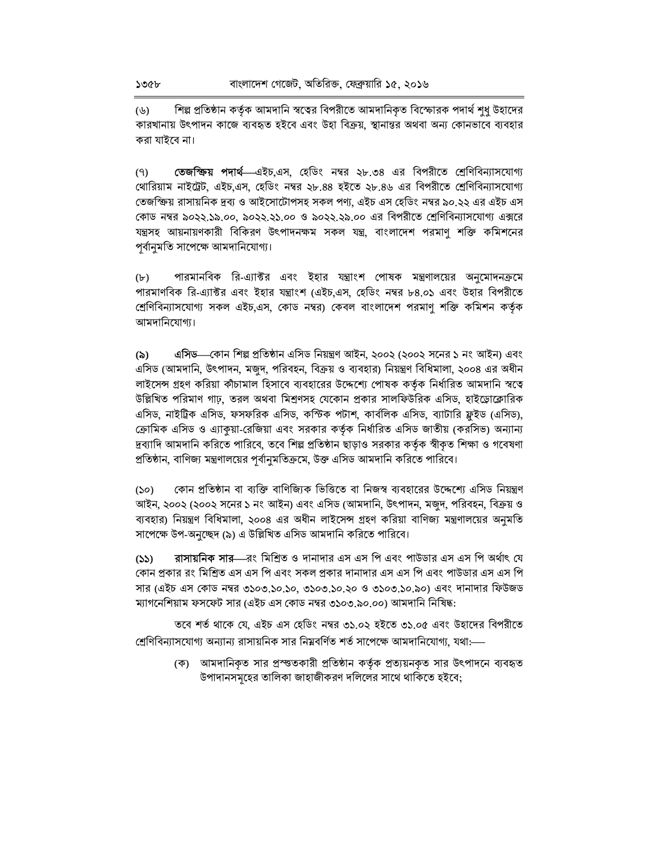শিল্প প্রতিষ্ঠান কর্তৃক আমদানি স্বত্বের বিপরীতে আমদানিকৃত বিস্ফোরক পদার্থ শৃধ উহাদের (৬) কারখানায় উৎপাদন কাজে ব্যবহৃত হইবে এবং উহা বিক্রয়, স্থানান্তর অথবা অন্য কোনভাবে ব্যবহার করা যাইবে না।

তেজস্ক্রিয় পদার্থ—এইচ.এস. হেডিং নম্বর ২৮.৩৪ এর বিপরীতে শ্রেণিবিন্যাসযোগ্য  $(9)$ থোরিয়াম নাইট্রেট, এইচ.এস, হেডিং নম্বর ২৮.৪৪ হইতে ২৮.৪৬ এর বিপরীতে শ্রেণিবিন্যাসযোগ্য তেজস্ক্রিয় রাসায়নিক দ্রব্য ও আইসোটোপসহ সকল পণ্য, এইচ এস হেডিং নম্বর ৯০.২২ এর এইচ এস কোড নম্বর ৯০২২.১৯.০০, ৯০২২.২১.০০ ও ৯০২২.২৯.০০ এর বিপরীতে শ্রেণিবিন্যাসযোগ্য এক্সরে যন্ত্রসহ আয়নায়ণকারী বিকিরণ উৎপাদনক্ষম সকল যন্ত্র, বাংলাদেশ পরমাণ শক্তি কমিশনের পৰ্বানুমতি সাপেক্ষে আমদানিযোগ্য।

পারমানবিক রি-এ্যাক্টর এবং ইহার যন্ত্রাংশ পোষক মন্ত্রণালয়ের অনুমোদনক্রমে  $(b)$ পারমাণবিক রি-এ্যাক্টর এবং ইহার যন্ত্রাংশ (এইচ.এস. হেডিং নম্বর ৮৪.০১ এবং উহার বিপরীতে শ্রেণিবিন্যাসযোগ্য সকল এইচ,এস, কোড নম্বর) কেবল বাংলাদেশ পরমাণু শক্তি কমিশন কর্তৃক আমদানিযোগ্য।

এ**সিড—**কোন শিল্প প্রতিষ্ঠান এসিড নিয়ন্ত্রণ আইন, ২০০২ (২০০২ সনের ১ নং আইন) এবং  $(\delta)$ এসিড (আমদানি, উৎপাদন, মজুদ, পরিবহন, বিক্রয় ও ব্যবহার) নিয়ন্ত্রণ বিধিমালা, ২০০৪ এর অধীন লাইসেন্স গ্রহণ করিয়া কাঁচামাল হিসাবে ব্যবহারের উদ্দেশ্যে পোষক কর্তৃক নির্ধারিত আমদানি স্বত্বে উল্লিখিত পরিমাণ গাঢ়, তরল অথবা মিশ্রণসহ যেকোন প্রকার সালফিউরিক এসিড, হাইড্রোক্লোরিক এসিড, নাইট্রিক এসিড, ফসফরিক এসিড, কস্টিক পটাশ, কার্বলিক এসিড, ব্যাটারি ফ্লুইড (এসিড), ক্রোমিক এসিড ও এ্যাকুয়া-রেজিয়া এবং সরকার কর্তৃক নির্ধারিত এসিড জাতীয় (করসিভ) অন্যান্য দ্রব্যাদি আমদানি করিতে পারিবে, তবে শিল্প প্রতিষ্ঠান ছাড়াও সরকার কর্তৃক স্বীকৃত শিক্ষা ও গবেষণা প্রতিষ্ঠান, বাণিজ্য মন্ত্রণালয়ের পর্বানমতিক্রমে, উক্ত এসিড আমদানি করিতে পারিবে।

কোন প্রতিষ্ঠান বা ব্যক্তি বাণিজ্যিক ভিত্তিতে বা নিজস্ব ব্যবহারের উদ্দেশ্যে এসিড নিয়ন্ত্রণ  $(S<sub>O</sub>)$ আইন, ২০০২ (২০০২ সনের ১ নং আইন) এবং এসিড (আমদানি, উৎপাদন, মজুদ, পরিবহন, বিক্রয় ও ব্যবহার) নিয়ন্ত্রণ বিধিমালা, ২০০৪ এর অধীন লাইসেন্স গ্রহণ করিয়া বাণিজ্য মন্ত্রণালয়ের অনমতি সাপেক্ষে উপ-অনচ্ছেদ (৯) এ উল্লিখিত এসিড আমদানি করিতে পারিবে।

**রাসায়নিক সার—**রং মিশ্রিত ও দানাদার এস এস পি এবং পাউডার এস এস পি অর্থাৎ যে  $(55)$ কোন প্রকার রং মিশ্রিত এস এস পি এবং সকল প্রকার দানাদার এস এস পি এবং পাউডার এস এস পি সার (এইচ এস কোড নম্বর ৩১০৩.১০.১০, ৩১০৩.১০.২০ ও ৩১০৩.১০.৯০) এবং দানাদার ফিউজড ম্যাগনেশিয়াম ফসফেট সার (এইচ এস কোড নম্বর ৩১০৩.৯০.০০) আমদানি নিষিদ্ধ:

তবে শর্ত থাকে যে, এইচ এস হেডিং নম্বর ৩১.০২ হইতে ৩১.০৫ এবং উহাদের বিপরীতে শ্ৰেণিবিন্যাসযোগ্য অন্যান্য রাসায়নিক সার নিম্নবর্ণিত শর্ত সাপেক্ষে আমদানিযোগ্য, যথা:—

(ক) আমদানিকৃত সার প্রস্তুতকারী প্রতিষ্ঠান কর্তৃক প্রত্যয়নকৃত সার উৎপাদনে ব্যবহৃত উপাদানসমূহের তালিকা জাহাজীকরণ দলিলের সাথে থাকিতে হইবে;

১৩৫৮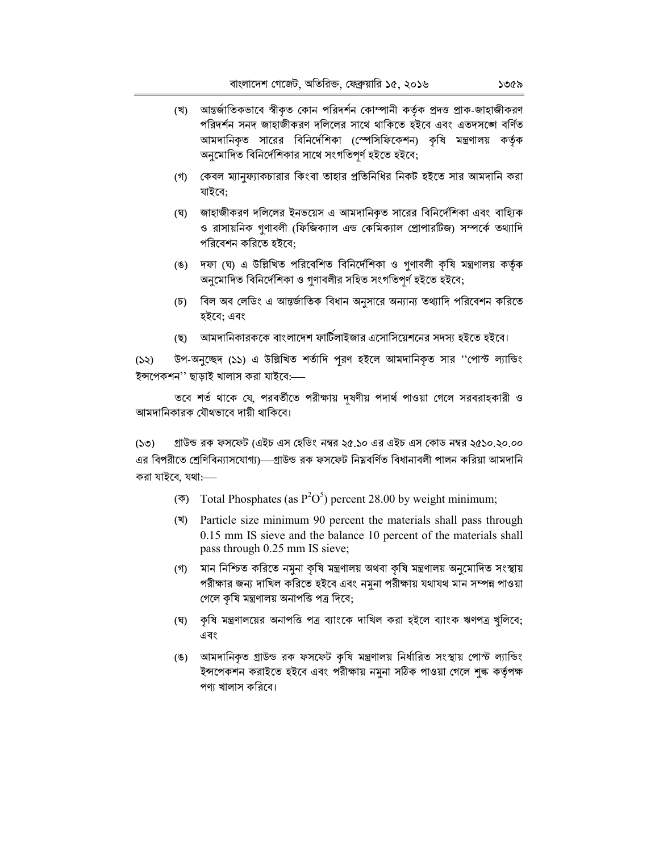- (খ) আন্তর্জাতিকভাবে স্বীকৃত কোন পরিদর্শন কোম্পানী কর্তৃক প্রদত্ত প্রাক-জাহাজীকরণ পরিদর্শন সনদ জাহাজীকরণ দলিলের সাথে থাকিতে হইবে এবং এতদসঙ্গে বর্ণিত আমদানিকৃত সারের বিনির্দেশিকা (স্পেসিফিকেশন) কৃষি মন্ত্রণালয় কর্তৃক অনুমোদিত বিনির্দেশিকার সাথে সংগতিপর্ণ হইতে হইবে;
- (গ) কেবল ম্যানুফ্যাকচারার কিংবা তাহার প্রতিনিধির নিকট হইতে সার আমদানি করা যাইবে:
- (ঘ) জাহাজীকরণ দলিলের ইনভয়েস এ আমদানিকৃত সারের বিনির্দেশিকা এবং বাহ্যিক ও রাসায়নিক গণাবলী (ফিজিক্যাল এন্ড কেমিক্যাল প্রোপারটিজ) সম্পর্কে তথ্যাদি পরিবেশন করিতে হইবে:
- (ঙ) দফা (ঘ) এ উল্লিখিত পরিবেশিত বিনির্দেশিকা ও গুণাবলী কৃষি মন্ত্রণালয় কর্তৃক অনুমোদিত বিনিৰ্দেশিকা ও গুণাবলীর সহিত সংগতিপূর্ণ হইতে হইবে;
- (চ) বিল অব লেডিং এ আন্তর্জাতিক বিধান অনুসারে অন্যান্য তথ্যাদি পরিবেশন করিতে হইবে; এবং
- (ছ) আমদানিকারককে বাংলাদেশ ফার্টিলাইজার এসোসিয়েশনের সদস্য হইতে হইবে।

উপ-অনুচ্ছেদ (১১) এ উল্লিখিত শর্তাদি পূরণ হইলে আমদানিকৃত সার ''পোস্ট ল্যান্ডিং  $(55)$ ইন্সপেকশন'' ছাড়াই খালাস করা যাইবে:—

তবে শর্ত থাকে যে, পরবর্তীতে পরীক্ষায় দূষণীয় পদার্থ পাওয়া গেলে সরবরাহকারী ও আমদানিকারক যৌথভাবে দায়ী থাকিবে।

গ্রাউন্ড রক ফসফেট (এইচ এস হেডিং নম্বর ২৫.১০ এর এইচ এস কোড নম্বর ২৫১০.২০.০০  $(SO)$ এর বিপরীতে শ্রেণিবিন্যাসযোগ্য)—গ্রাউন্ড রক ফসফেট নিম্নবর্ণিত বিধানাবলী পালন করিয়া আমদানি করা যাইবে, যথা:--

- ( $\overline{\Phi}$ ) Total Phosphates (as P<sup>2</sup>O<sup>5</sup>) percent 28.00 by weight minimum;
- (\*) Particle size minimum 90 percent the materials shall pass through 0.15 mm IS sieve and the balance 10 percent of the materials shall pass through 0.25 mm IS sieve;
- (গ) মান নিশ্চিত করিতে নমুনা কৃষি মন্ত্রণালয় অথবা কৃষি মন্ত্রণালয় অনুমোদিত সংস্থায় পরীক্ষার জন্য দাখিল করিতে হইবে এবং নমুনা পরীক্ষায় যথাযথ মান সম্পন্ন পাওয়া গেলে কৃষি মন্ত্ৰণালয় অনাপত্তি পত্ৰ দিবে;
- (ঘ) কৃষি মন্ত্রণালয়ের অনাপত্তি পত্র ব্যাংকে দাখিল করা হইলে ব্যাংক ঋণপত্র খুলিবে; এবং
- (ঙ) আমদানিকৃত গ্রাউন্ড রক ফসফেট কৃষি মন্ত্রণালয় নির্ধারিত সংস্থায় পোস্ট ল্যান্ডিং ইন্সপেকশন করাইতে হইবে এবং পরীক্ষায় নমুনা সঠিক পাওয়া গেলে শৃঙ্ক কর্তৃপক্ষ পণ্য খালাস করিবে।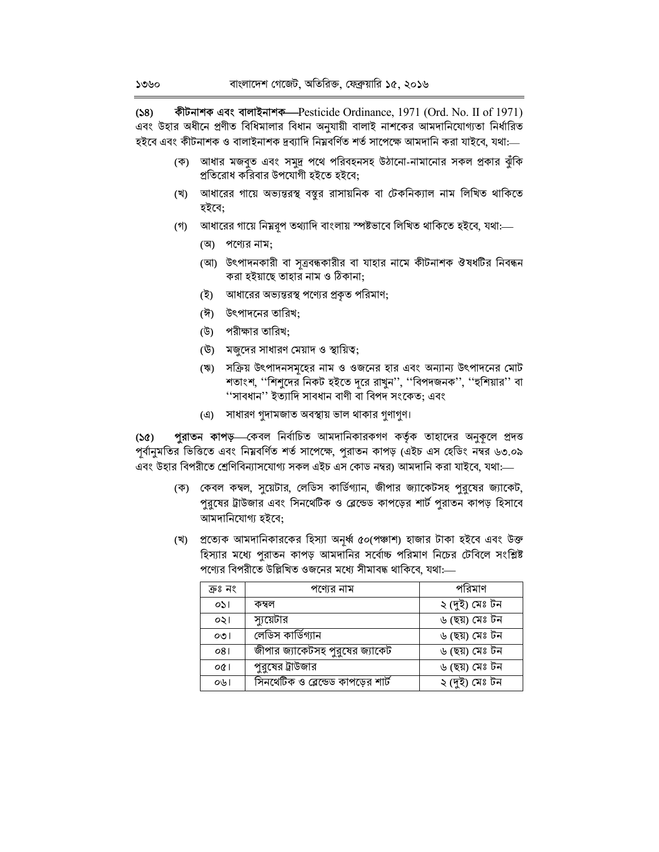কীটনাশক এবং বালাইনাশক—Pesticide Ordinance, 1971 (Ord. No. II of 1971)  $(58)$ এবং উহার অধীনে প্রণীত বিধিমালার বিধান অনুযায়ী বালাই নাশকের আমদানিযোগ্যতা নির্ধারিত হইবে এবং কীটনাশক ও বালাইনাশক দ্রব্যাদি নিম্নবর্ণিত শর্ত সাপেক্ষে আমদানি করা যাইবে, যথা:—

- (ক) আধার মজবুত এবং সমুদ্র পথে পরিবহনসহ উঠানো-নামানোর সকল প্রকার ঝুঁকি প্রতিরোধ করিবার উপযোগী হইতে হইবে:
- (খ) আধারের গায়ে অভ্যন্তরস্থ বস্থুর রাসায়নিক বা টেকনিক্যাল নাম লিখিত থাকিতে হইবে:
- (গ) আধারের গায়ে নিম্নরূপ তথ্যাদি বাংলায় স্পষ্টভাবে লিখিত থাকিতে হইবে, যথা:—
	- (অ) পণ্যের নাম:
	- (আ) উৎপাদনকারী বা সূত্রবন্ধকারীর বা যাহার নামে কীটনাশক ঔষধটির নিবন্ধন করা হইয়াছে তাহার নাম ও ঠিকানা;
	- (ই) আধারের অভ্যন্তরস্থ পণ্যের প্রকৃত পরিমাণ;
	- (ঈ) উৎপাদনের তারিখ;
	- (উ) পরীক্ষার তারিখ;
	- (উ) মজুদের সাধারণ মেয়াদ ও স্থায়িত্ব;
	- সক্রিয় উৎপাদনসমৃহের নাম ও ওজনের হার এবং অন্যান্য উৎপাদনের মোট (ঋ) শতাংশ, ''শিশুদের নিকট হইতে দূরে রাখুন'', ''বিপদজনক'', ''হশিয়ার'' বা ''সাবধান'' ইত্যাদি সাবধান বাণী বা বিপদ সংকেত; এবং
	- (এ) সাধারণ গুদামজাত অবস্থায় ভাল থাকার গুণাগুণ।

**পুরাতন কাপড়**—কেবল নির্বাচিত আমদানিকারকগণ কর্তৃক তাহাদের অনুকূলে প্রদত্ত  $(S<sub>c</sub>)$ পূর্বানুমতির ভিত্তিতে এবং নিম্নবর্ণিত শর্ত সাপেক্ষে, পুরাতন কাপড় (এইচ এস হেডিং নম্বর ৬৩.০৯ এবং উহার বিপরীতে শ্রেণিবিন্যাসযোগ্য সকল এইচ এস কোড নম্বর) আমদানি করা যাইবে, যথা:—

- (ক) কেবল কম্বল, সুয়েটার, লেডিস কার্ডিগ্যান, জীপার জ্যাকেটসহ পুরুষের জ্যাকেট, পুরুষের ট্রাউজার এবং সিনথেটিক ও ব্লেন্ডেড কাপড়ের শার্ট পুরাতন কাপড় হিসাবে আমদানিযোগ্য হইবে;
- (খ) প্রত্যেক আমদানিকারকের হিস্যা অনুর্ধ্ব ৫০(পঞ্চাশ) হাজার টাকা হইবে এবং উক্ত হিস্যার মধ্যে পুরাতন কাপড় আমদানির সর্বোচ্চ পরিমাণ নিচের টেবিলে সংশ্লিষ্ট পণ্যের বিপরীতে উল্লিখিত ওজনের মধ্যে সীমাবদ্ধ থাকিবে, যথা:—

| ক্ৰঃ নং | পণ্যের নাম                         | পরিমাণ         |
|---------|------------------------------------|----------------|
| 051     | কম্বল                              | ২ (দুই) মেঃ টন |
| ০২।     | স্যয়েটার                          | ৬ (ছয়) মেঃ টন |
| 001     | লেডিস কার্ডিন্যান                  | ৬ (ছয়) মেঃ টন |
| 081     | জীপার জ্যাকেটসহ পুরুষের জ্যাকেট    | ৬ (ছয়) মেঃ টন |
| o&1     | পুরুষের ট্রাউজার                   | ৬ (ছয়) মেঃ টন |
| ০৬।     | সিনথেটিক ও ব্লেন্ডেড কাপড়ের শার্ট | ২ (দুই) মেঃ টন |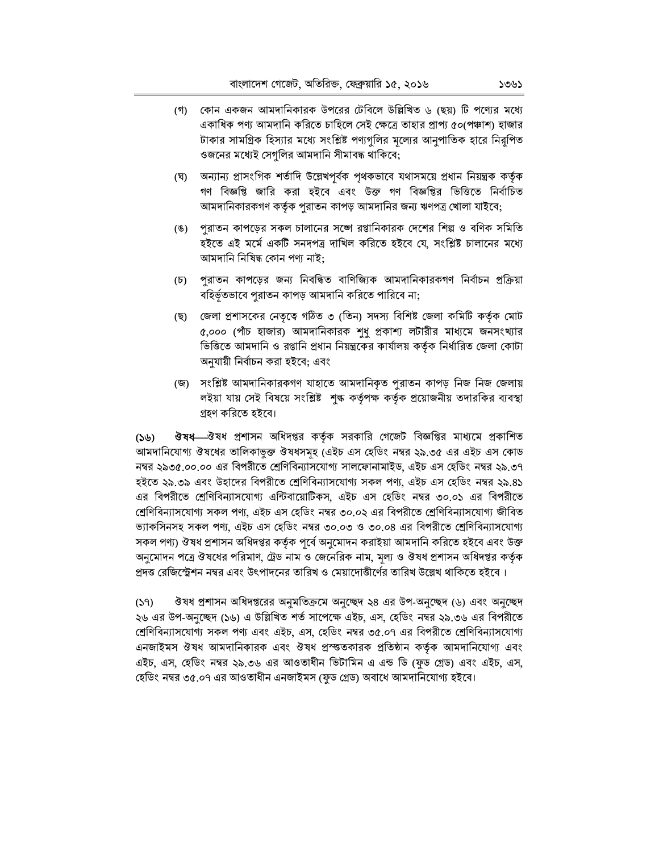- (গ) কোন একজন আমদানিকারক উপরের টেবিলে উল্লিখিত ৬ (ছয়) টি পণ্যের মধ্যে একাধিক পণ্য আমদানি করিতে চাহিলে সেই ক্ষেত্রে তাহার প্রাপ্য ৫০(পঞ্চাশ) হাজার টাকার সামগ্রিক হিস্যার মধ্যে সংশ্লিষ্ট পণ্যগুলির মূল্যের আনুপাতিক হারে নির্পিত ওজনের মধ্যেই সেগুলির আমদানি সীমাবদ্ধ থাকিবে;
- (ঘ) অন্যান্য প্রাসংগিক শর্তাদি উল্লেখপর্বক পৃথকভাবে যথাসময়ে প্রধান নিয়ন্ত্রক কর্তৃক গণ বিজ্ঞপ্তি জারি করা হইবে এবং উক্ত গণ বিজ্ঞপ্তির ভিত্তিতে নির্বাচিত আমদানিকারকগণ কর্তৃক পুরাতন কাপড় আমদানির জন্য ঋণপত্র খোলা যাইবে;
- (ঙ) পুরাতন কাপড়ের সকল চালানের সঙ্গে রপ্তানিকারক দেশের শিল্প ও বণিক সমিতি হইতে এই মর্মে একটি সনদপত্র দাখিল করিতে হইবে যে, সংশ্লিষ্ট চালানের মধ্যে আমদানি নিষিদ্ধ কোন পণ্য নাই:
- (চ) পুরাতন কাপড়ের জন্য নিবন্ধিত বাণিজ্যিক আমদানিকারকগণ নির্বাচন প্রক্রিয়া বহিৰ্ভূতভাবে পুরাতন কাপড় আমদানি করিতে পারিবে না;
- জেলা প্রশাসকের নেতৃত্বে গঠিত ৩ (তিন) সদস্য বিশিষ্ট জেলা কমিটি কর্তৃক মোট (ছ) ৫,০০০ (পাঁচ হাজার) আমদানিকারক শুধু প্রকাশ্য লটারীর মাধ্যমে জনসংখ্যার ভিত্তিতে আমদানি ও রপ্তানি প্রধান নিয়ন্ত্রকের কার্যালয় কর্তৃক নির্ধারিত জেলা কোটা অনুযায়ী নিৰ্বাচন করা হইবে; এবং
- (জ) সংশ্লিষ্ট আমদানিকারকগণ যাহাতে আমদানিকত পরাতন কাপড় নিজ নিজ জেলায় লইয়া যায় সেই বিষয়ে সংশ্লিষ্ট শৃঙ্ক কর্তৃপক্ষ কর্তৃক প্রয়োজনীয় তদারকির ব্যবস্থা গ্ৰহণ করিতে হইবে।

**ঔষধ**—ঔষধ প্রশাসন অধিদপ্তর কর্তৃক সরকারি গেজেট বিজ্ঞপ্তির মাধ্যমে প্রকাশিত  $(55)$ আমদানিযোগ্য ঔষধের তালিকাভুক্ত ঔষধসমহ (এইচ এস হেডিং নম্বর ২৯.৩৫ এর এইচ এস কোড নম্বর ২৯৩৫.০০.০০ এর বিপরীতে শ্রেণিবিন্যাসযোগ্য সালফোনামাইড, এইচ এস হেডিং নম্বর ২৯.৩৭ হইতে ২৯.৩৯ এবং উহাদের বিপরীতে শ্রেণিবিন্যাসযোগ্য সকল পণ্য, এইচ এস হেডিং নম্বর ২৯.৪১ এর বিপরীতে শ্রেণিবিন্যাসযোগ্য এন্টিবায়োটিকস, এইচ এস হেডিং নম্বর ৩০.০১ এর বিপরীতে শ্ৰেণিবিন্যাসযোগ্য সকল পণ্য, এইচ এস হেডিং নম্বর ৩০.০২ এর বিপরীতে শ্রেণিবিন্যাসযোগ্য জীবিত ভ্যাকসিনসহ সকল পণ্য, এইচ এস হেডিং নম্বর ৩০.০৩ ও ৩০.০৪ এর বিপরীতে শ্রেণিবিন্যাসযোগ্য সকল পণ্য) ঔষধ প্রশাসন অধিদপ্তর কর্তৃক পর্বে অনুমোদন করাইয়া আমদানি করিতে হইবে এবং উক্ত অনুমোদন পত্রে ঔষধের পরিমাণ, ট্রেড নাম ও জেনেরিক নাম, মূল্য ও ঔষধ প্রশাসন অধিদপ্তর কর্তৃক প্রদত্ত রেজিস্ট্রেশন নম্বর এবং উৎপাদনের তারিখ ও মেয়াদোত্তীর্ণের তারিখ উল্লেখ থাকিতে হইবে।

 $(59)$ ঔষধ প্রশাসন অধিদপ্তরের অনুমতিক্রমে অনুচ্ছেদ ২৪ এর উপ-অনুচ্ছেদ (৬) এবং অনুচ্ছেদ ২৬ এর উপ-অনুচ্ছেদ (১৬) এ উল্লিখিত শর্ত সাপেক্ষে এইচ, এস, হেডিং নম্বর ২৯.৩৬ এর বিপরীতে শ্রেণিবিন্যাসযোগ্য সকল পণ্য এবং এইচ, এস, হেডিং নম্বর ৩৫.০৭ এর বিপরীতে শ্রেণিবিন্যাসযোগ্য এনজাইমস ঔষধ আমদানিকারক এবং ঔষধ প্রস্তুতকারক প্রতিষ্ঠান কর্তৃক আমদানিযোগ্য এবং এইচ, এস, হেডিং নম্বর ২৯.৩৬ এর আওতাধীন ভিটামিন এ এন্ড ডি (ফুড গ্রেড) এবং এইচ, এস, হেডিং নম্বর ৩৫.০৭ এর আওতাধীন এনজাইমস (ফুড গ্রেড) অবাধে আমদানিযোগ্য হইবে।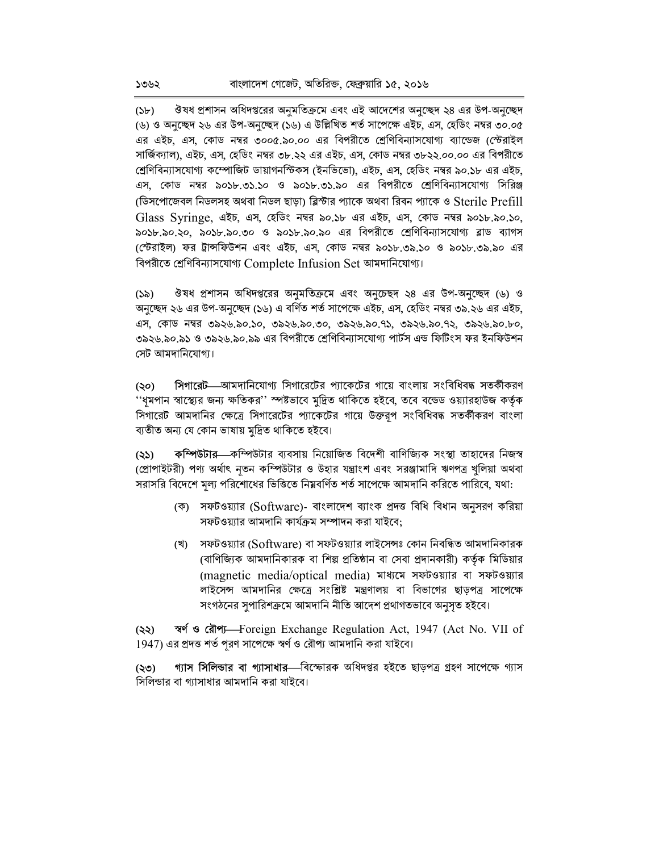ঔষধ প্রশাসন অধিদপ্তরের অনুমতিক্রমে এবং এই আদেশের অনুচ্ছেদ ২৪ এর উপ-অনুচ্ছেদ  $(Sb)$ (৬) ও অনুচ্ছেদ ২৬ এর উপ-অনুচ্ছেদ (১৬) এ উল্লিখিত শর্ত সাপেক্ষে এইচ, এস, হেডিং নম্বর ৩০.০৫ এর এইচ, এস, কোড নম্বর ৩০০৫.৯০.০০ এর বিপরীতে শ্রেণিবিন্যাসযোগ্য ব্যান্ডেজ (স্টেরাইল সার্জিক্যাল), এইচ, এস, হেডিং নম্বর ৩৮.২২ এর এইচ, এস, কোড নম্বর ৩৮২২.০০.০০ এর বিপরীতে শ্রেণিবিন্যাসযোগ্য কম্পোজিট ডায়াগনস্টিকস (ইনভিভো), এইচ, এস, হেডিং নম্বর ৯০.১৮ এর এইচ, এস, কোড নম্বর ৯০১৮.৩১.১০ ও ৯০১৮.৩১.৯০ এর বিপরীতে শ্রেণিবিন্যাসযোগ্য সিরিঞ্জ (ডিসপোজেবল নিডলসহ অথবা নিডল ছাড়া) ব্লিস্টার প্যাকে অথবা রিবন প্যাকে ও Sterile Prefill Glass Syringe, এইচ, এস, হেডিং নম্বর ৯০.১৮ এর এইচ, এস, কোড নম্বর ৯০১৮.৯০.১০, ৯০১৮.৯০.২০, ৯০১৮.৯০.৩০ ও ৯০১৮.৯০.৯০ এর বিপরীতে শ্রেণিবিন্যাসযোগ্য ব্লাড ব্যাগস (স্টেরাইল) ফর ট্রান্সফিউশন এবং এইচ, এস, কোড নম্বর ৯০১৮.৩৯.১০ ও ৯০১৮.৩৯.৯০ এর বিপরীতে শ্রেণিবিন্যাসযোগ্য Complete Infusion Set আমদানিযোগ্য।

ঔষধ প্রশাসন অধিদপ্তরের অনুমতিক্রমে এবং অনুচেছদ ২৪ এর উপ-অনুচ্ছেদ (৬) ও  $(5)$ অনুচ্ছেদ ২৬ এর উপ-অনুচ্ছেদ (১৬) এ বর্ণিত শর্ত সাপেক্ষে এইচ, এস, হেডিং নম্বর ৩৯.২৬ এর এইচ, এস, কোড নম্বর ৩৯২৬.৯০.১০, ৩৯২৬.৯০.৩০, ৩৯২৬.৯০.৭১, ৩৯২৬.৯০.৭২, ৩৯২৬.৯০.৮০, ৩৯২৬.৯০.৯১ ও ৩৯২৬.৯০.৯৯ এর বিপরীতে শ্রেণিবিন্যাসযোগ্য পার্টস এন্ড ফিটিংস ফর ইনফিউশন সেট আমদানিযোগ্য।

সিগারেট—আমদানিযোগ্য সিগারেটের প্যাকেটের গায়ে বাংলায় সংবিধিবদ্ধ সতর্কীকরণ  $($ ''ধমপান স্বাস্থ্যের জন্য ক্ষতিকর'' স্পষ্টভাবে মুদ্রিত থাকিতে হইবে, তবে বন্ডেড ওয়্যারহাউজ কর্তৃক সিগারেট আমদানির ক্ষেত্রে সিগারেটের প্যাকেটের গায়ে উক্তরপ সংবিধিবদ্ধ সতর্কীকরণ বাংলা ব্যতীত অন্য যে কোন ভাষায় মুদ্রিত থাকিতে হইবে।

**কম্পিউটার—**কম্পিউটার ব্যবসায় নিয়োজিত বিদেশী বাণিজ্যিক সংস্থা তাহাদের নিজস্ব  $(35)$ (প্রোপাইটরী) পণ্য অর্থাৎ নৃতন কম্পিউটার ও উহার যন্ত্রাংশ এবং সরঞ্জামাদি ঋণপত্র খুলিয়া অথবা সরাসরি বিদেশে মল্য পরিশোধের ভিত্তিতে নিম্নবর্ণিত শর্ত সাপেক্ষে আমদানি করিতে পারিবে, যথা:

- (ক) সফটওয়্যার (Software)- বাংলাদেশ ব্যাংক প্রদত্ত বিধি বিধান অনুসরণ করিয়া সফটওয়্যার আমদানি কার্যক্রম সম্পাদন করা যাইবে:
- (খ) সফটওয়্যার (Software) বা সফটওয়্যার লাইসেন্সঃ কোন নিবন্ধিত আমদানিকারক (বাণিজ্যিক আমদানিকারক বা শিল্প প্রতিষ্ঠান বা সেবা প্রদানকারী) কর্তক মিডিয়ার (magnetic media/optical media) মাধ্যমে সফটওয়্যার বা সফটওয়্যার লাইসেন্স আমদানির ক্ষেত্রে সংশ্লিষ্ট মন্ত্রণালয় বা বিভাগের ছাড়পত্র সাপেক্ষে সংগঠনের সুপারিশক্রমে আমদানি নীতি আদেশ প্রথাগতভাবে অনুসৃত হইবে।

শ্বর্ণ ও রৌপ্য—Foreign Exchange Regulation Act, 1947 (Act No. VII of  $(35)$  $1947$ ) এর প্রদত্ত শর্ত পরণ সাপেক্ষে স্বর্ণ ও রৌপ্য আমদানি করা যাইবে।

গ্যাস সিলিন্ডার বা গ্যাসাধার বিস্ফোরক অধিদপ্তর হইতে ছাড়পত্র গ্রহণ সাপেক্ষে গ্যাস  $(35)$ সিলিন্ডার বা গ্যাসাধার আমদানি করা যাইবে।

১৩৬২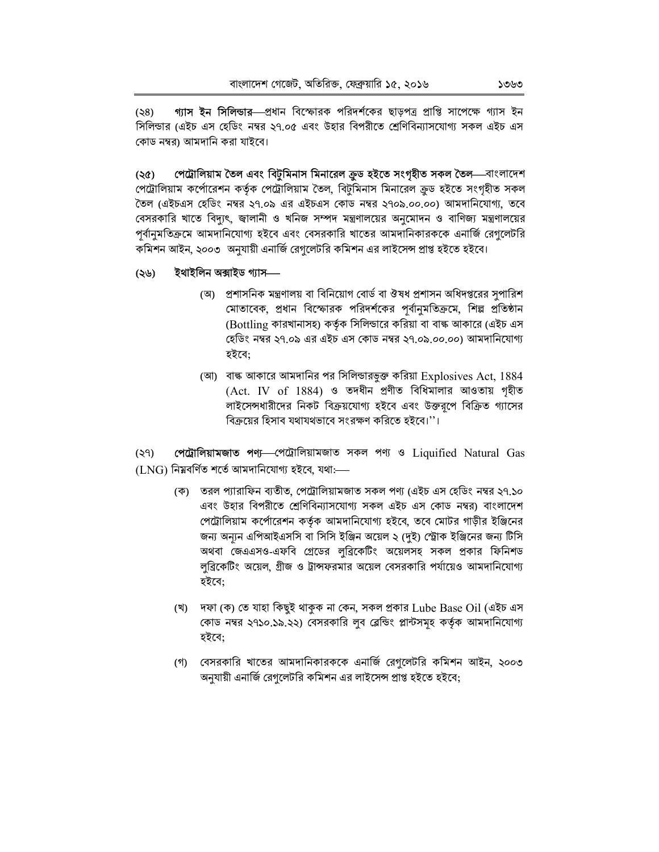**গ্যাস ইন সিলিভার**—প্রধান বিস্ফোরক পরিদর্শকের ছাড়পত্র প্রাপ্তি সাপেক্ষে গ্যাস ইন  $(38)$ সিলিন্ডার (এইচ এস হেডিং নম্বর ২৭.০৫ এবং উহার বিপরীতে শ্রেণিবিন্যাসযোগ্য সকল এইচ এস কোড নম্বর) আমদানি করা যাইবে।

পেট্রোলিয়াম তৈল এবং বিটুমিনাস মিনারেল ক্রুড হইতে সংগৃহীত সকল তৈল—বাংলাদেশ  $(\lambda \sigma)$ পেট্রোলিয়াম কর্পোরেশন কর্তৃক পেট্রোলিয়াম তৈল, বিটুমিনাস মিনারেল ক্রুড হইতে সংগৃহীত সকল তৈল (এইচএস হেডিং নম্বর ২৭.০৯ এর এইচএস কোড নম্বর ২৭০৯.০০.০০) আমদানিযোগ্য, তবে বেসরকারি খাতে বিদ্যুৎ, জ্বালানী ও খনিজ সম্পদ মন্ত্রণালয়ের অনুমোদন ও বাণিজ্য মন্ত্রণালয়ের পর্বানুমতিক্রমে আমদানিযোগ্য হইবে এবং বেসরকারি খাতের আমদানিকারককে এনার্জি রেগলেটরি কমিশন আইন, ২০০৩ অনুযায়ী এনার্জি রেগুলেটরি কমিশন এর লাইসেন্স প্রাপ্ত হইতে হইবে।

#### ইথাইলিন অক্সাইড গ্যাস— (২৬)

- (অ) প্রশাসনিক মন্ত্রণালয় বা বিনিয়োগ বোর্ড বা ঔষধ প্রশাসন অধিদপ্তরের সুপারিশ মোতাবেক, প্রধান বিস্ফোরক পরিদর্শকের পর্বানুমতিক্রমে, শিল্প প্রতিষ্ঠান (Bottling কারখানাসহ) কর্তৃক সিলিন্ডারে করিয়া বা বান্ধ আকারে (এইচ এস হেডিং নম্বর ২৭.০৯ এর এইচ এস কোড নম্বর ২৭.০৯.০০.০০) আমদানিযোগ্য হইবে:
- (আ) বান্ধ আকারে আমদানির পর সিলিন্ডারভুক্ত করিয়া Explosives Act, 1884 (Act. IV of 1884) ও তদধীন প্ৰণীত বিধিমালার আওতায় গৃহীত লাইসেন্সধারীদের নিকট বিক্রয়যোগ্য হইবে এবং উক্তরপে বিক্রিত গ্যাসের বিক্রয়ের হিসাব যথাযথভাবে সংরক্ষণ করিতে হইবে।''।

পেট্রৌলিয়ামজাত পণ্য-পেট্রৌলিয়ামজাত সকল পণ্য ও Liquified Natural Gas  $(89)$  $(LNG)$  নিম্নবৰ্ণিত শৰ্তে আমদানিযোগ্য হইবে, যথা:—

- (ক) তরল প্যারাফিন ব্যতীত, পেট্রোলিয়ামজাত সকল পণ্য (এইচ এস হেডিং নম্বর ২৭.১০ এবং উহার বিপরীতে শ্রেণিবিন্যাসযোগ্য সকল এইচ এস কোড নম্বর) বাংলাদেশ পেট্রোলিয়াম কর্পোরেশন কর্তৃক আমদানিযোগ্য হইবে, তবে মোটর গাড়ীর ইঞ্জিনের জন্য অন্যন এপিআইএসসি বা সিসি ইঞ্জিন অয়েল ২ (দুই) স্ট্রোক ইঞ্জিনের জন্য টিসি অথবা জেএএসও-এফবি গ্রেডের লুব্রিকেটিং অয়েলসহ সকল প্রকার ফিনিশড লুব্রিকেটিং অয়েল, গ্রীজ ও ট্রান্সফরমার অয়েল বেসরকারি পর্যায়েও আমদানিযোগ্য হইবে:
- (খ) দফা (ক) তে যাহা কিছুই থাকুক না কেন, সকল প্ৰকার Lube Base Oil (এইচ এস কোড নম্বর ২৭১০.১৯.২২) বেসরকারি লুব ব্লেন্ডিং প্লান্টসমূহ কর্তৃক আমদানিযোগ্য হইবে:
- (গ) বেসরকারি খাতের আমদানিকারককে এনার্জি রেগুলেটরি কমিশন আইন, ২০০৩ অনুযায়ী এনার্জি রেগুলেটরি কমিশন এর লাইসেন্স প্রাপ্ত হইতে হইবে;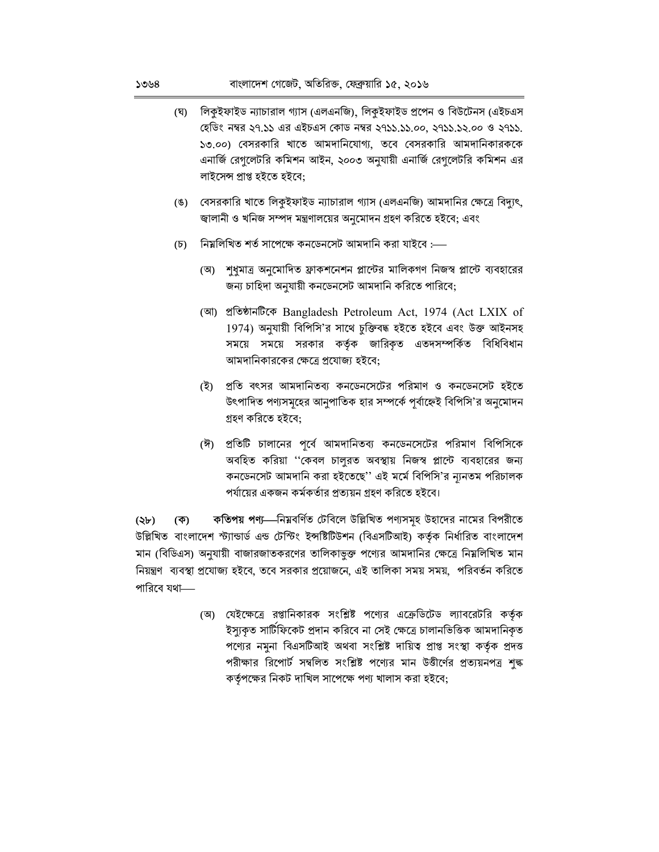- (ঘ) লিকুইফাইড ন্যাচারাল গ্যাস (এলএনজি), লিকুইফাইড প্রপেন ও বিউটেনস (এইচএস হেডিং নম্বর ২৭.১১ এর এইচএস কোড নম্বর ২৭১১.১১.০০, ২৭১১.১২.০০ ও ২৭১১. ১৩.০০) বেসরকারি খাতে আমদানিযোগ্য, তবে বেসরকারি আমদানিকারককে এনার্জি রেগুলেটরি কমিশন আইন, ২০০৩ অনুযায়ী এনার্জি রেগুলেটরি কমিশন এর লাইসেন্স প্ৰাপ্ত হইতে হইবে:
- (ঙ) বেসরকারি খাতে লিকুইফাইড ন্যাচারাল গ্যাস (এলএনজি) আমদানির ক্ষেত্রে বিদ্যুৎ, জ্বালানী ও খনিজ সম্পদ মন্ত্রণালয়ের অনুমোদন গ্রহণ করিতে হইবে; এবং
- নিয়লিখিত শর্ত সাপেক্ষে কনডেনসেট আমদানি করা যাইবে :—  $(\overline{b})$ 
	- (অ) শুধুমাত্র অনুমোদিত ফ্রাকশনেশন প্লান্টের মালিকগণ নিজস্ব প্লান্টে ব্যবহারের জন্য চাহিদা অনুযায়ী কনডেনসেট আমদানি করিতে পারিবে;
	- (আ) প্ৰতিষ্ঠানটিকে Bangladesh Petroleum Act, 1974 (Act LXIX of 1974) অনুযায়ী বিপিসি'র সাথে চুক্তিবদ্ধ হইতে হইবে এবং উক্ত আইনসহ সময়ে সময়ে সরকার কর্তৃক জারিকৃত এতদসম্পর্কিত বিধিবিধান আমদানিকারকের ক্ষেত্রে প্রযোজ্য হইবে:
	- (ই) প্রতি বৎসর আমদানিতব্য কনডেনসেটের পরিমাণ ও কনডেনসেট হইতে উৎপাদিত পণ্যসমূহের আনুপাতিক হার সম্পর্কে পর্বাহ্নেই বিপিসি'র অনুমোদন গ্ৰহণ করিতে হইবে:
	- (ঈ) প্রতিটি চালানের পূর্বে আমদানিতব্য কনডেনসেটের পরিমাণ বিপিসিকে অবহিত করিয়া ''কেবল চালুরত অবস্থায় নিজস্ব প্লান্টে ব্যবহারের জন্য কনডেনসেট আমদানি করা হইতেছে'' এই মর্মে বিপিসি'র ন্যনতম পরিচালক পর্যায়ের একজন কর্মকর্তার প্রত্যয়ন গ্রহণ করিতে হইবে।

কতিপয় পণ্য- নিম্নবর্ণিত টেবিলে উল্লিখিত পণ্যসমূহ উহাদের নামের বিপরীতে  $(\forall b)$  $($ উল্লিখিত বাংলাদেশ স্ট্যান্ডাৰ্ড এন্ড টেস্টিং ইন্সষ্টিটিউশন (বিএসটিআই) কৰ্তৃক নিৰ্ধারিত বাংলাদেশ মান (বিডিএস) অনুযায়ী বাজারজাতকরণের তালিকাভুক্ত পণ্যের আমদানির ক্ষেত্রে নিম্নলিখিত মান নিয়ন্ত্রণ ব্যবস্থা প্রযোজ্য হইবে, তবে সরকার প্রয়োজনে, এই তালিকা সময় সময়, পরিবর্তন করিতে পারিবে যথা—

> (অ) যেইক্ষেত্রে রপ্তানিকারক সংশ্লিষ্ট পণ্যের এক্রেডিটেড ল্যাবরেটরি কর্তৃক ইস্যুকৃত সাটিফিকেট প্রদান করিবে না সেই ক্ষেত্রে চালানভিত্তিক আমদানিকৃত পণ্যের নমুনা বিএসটিআই অথবা সংশ্লিষ্ট দায়িত্ব প্রাপ্ত সংস্থা কর্তৃক প্রদত্ত পরীক্ষার রিপোর্ট সম্বলিত সংশ্লিষ্ট পণ্যের মান উত্তীর্ণের প্রত্যয়নপত্র শুল্ক কর্তৃপক্ষের নিকট দাখিল সাপেক্ষে পণ্য খালাস করা হইবে;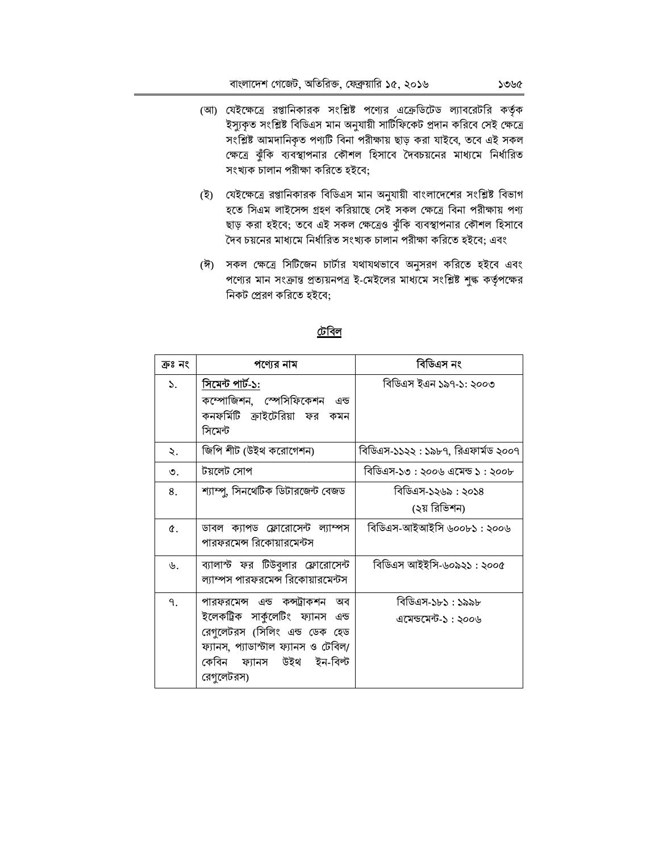- (আ) যেইক্ষেত্রে রপ্তানিকারক সংশ্লিষ্ট পণ্যের এক্রেডিটেড ল্যাবরেটরি কর্তৃক ইস্যুকৃত সংশ্লিষ্ট বিডিএস মান অনুযায়ী সাৰ্টিফিকেট প্ৰদান করিবে সেই ক্ষেত্রে সংশ্লিষ্ট আমদানিকৃত পণ্যটি বিনা পরীক্ষায় ছাড় করা যাইবে, তবে এই সকল ক্ষেত্রে ঝুঁকি ব্যবস্থাপনার কৌশল হিসাবে দৈবচয়নের মাধ্যমে নির্ধারিত সংখ্যক চালান পরীক্ষা করিতে হইবে;
- (ই) যেইক্ষেত্রে রপ্তানিকারক বিডিএস মান অনুযায়ী বাংলাদেশের সংশ্লিষ্ট বিভাগ হতে সিএম লাইসেন্স গ্রহণ করিয়াছে সেই সকল ক্ষেত্রে বিনা পরীক্ষায় পণ্য ছাড় করা হইবে; তবে এই সকল ক্ষেত্রেও ঝুঁকি ব্যবস্থাপনার কৌশল হিসাবে দৈব চয়নের মাধ্যমে নির্ধারিত সংখ্যক চালান পরীক্ষা করিতে হইবে; এবং
- (ঈ) সকল ক্ষেত্রে সিটিজেন চার্টার যথাযথভাবে অনুসরণ করিতে হইবে এবং পণ্যের মান সংক্রান্ত প্রত্যয়নপত্র ই-মেইলের মাধ্যমে সংশ্লিষ্ট শঙ্ক কর্তৃপক্ষের নিকট প্রেরণ করিতে হইবে:

| ক্ৰঃ নং         | পণ্যের নাম                                                                                                                                                                             | বিডিএস নং                                |
|-----------------|----------------------------------------------------------------------------------------------------------------------------------------------------------------------------------------|------------------------------------------|
| $\mathcal{L}$ . | সিমেন্ট পার্ট-১:<br>কম্পোজিশন, স্পেসিফিকেশন এন্ড<br>কনফর্মিটি ক্রাইটেরিয়া ফর কমন<br>সিমেন্ট                                                                                           | বিডিএস ইএন ১৯৭-১: ২০০৩                   |
| ২.              | জিপি শীট (উইথ করোগেশন)                                                                                                                                                                 | বিডিএস-১১২২ : ১৯৮৭, রিএফার্মড ২০০৭       |
| ৩.              | টয়লেট সোপ                                                                                                                                                                             | বিডিএস-১৩ : ২০০৬ এমেন্ড ১ : ২০০৮         |
| 8.              | শ্যাম্পু, সিনথেটিক ডিটারজেন্ট বেজড                                                                                                                                                     | বিডিএস-১২৬৯ : ২০১৪<br>(২য় রিভিশন)       |
| ¢.              | ডাবল ক্যাপড ফ্লোরোসেন্ট ল্যাম্পস<br>পারফরমেন্স রিকোয়ারমেন্টস                                                                                                                          | বিডিএস-আইআইসি ৬০০৮১ : ২০০৬               |
| ৬.              | ব্যালাস্ট ফর টিউবুলার ফ্লোরোসেন্ট<br>ল্যাম্পস পারফরমেন্স রিকোয়ারমেন্টস                                                                                                                | বিডিএস আইইসি-৬০৯২১ : ২০০৫                |
| ٩.              | পারফরমেন্স এন্ড কন্সট্রাকশন অব<br>ইলেকট্রিক সার্কুলেটিং ফ্যানস এন্ড<br>রেগুলেটরস (সিলিং এন্ড ডেক হেড<br>ফ্যানস, প্যাডাস্টাল ফ্যানস ও টেবিল/<br>কেবিন ফ্যানস উইথ ইন-বিল্ট<br>রেগুলেটরস) | বিডিএস-১৮১ : ১৯৯৮<br>এমেন্ডমেন্ট-১: ২০০৬ |

## টেবিল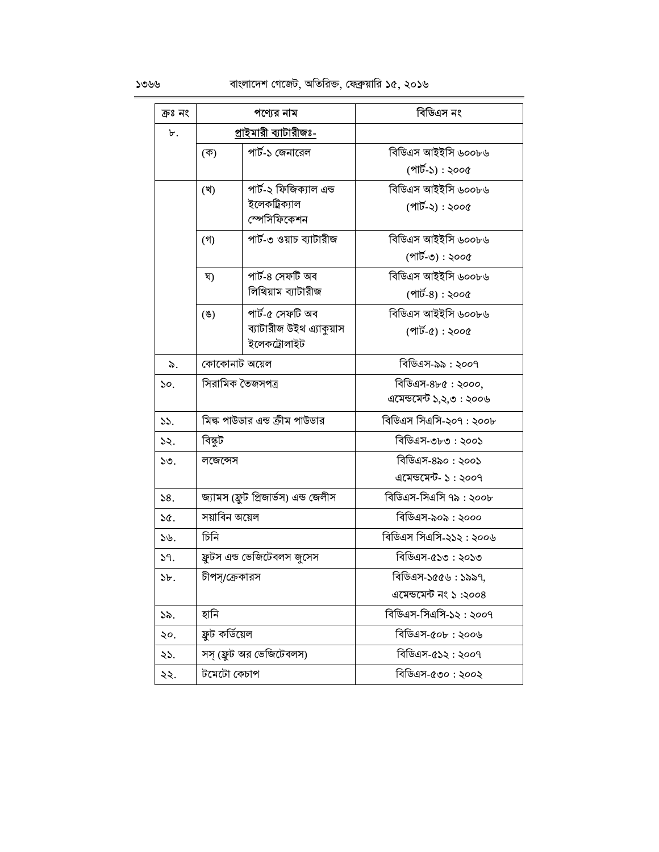| ক্ৰঃ নং           | পণ্যের নাম                           |                                              | বিডিএস নং                |
|-------------------|--------------------------------------|----------------------------------------------|--------------------------|
| ৮.                | প্ৰাইমারী ব্যাটারীজঃ-                |                                              |                          |
|                   | (ক)                                  | পার্ট-১ জেনারেল                              | বিডিএস আইইসি ৬০০৮৬       |
|                   |                                      |                                              | (পার্ট-১) : ২০০৫         |
|                   | (খ)                                  | পাৰ্ট-২ ফিজিক্যাল এন্ড                       | বিডিএস আইইসি ৬০০৮৬       |
|                   |                                      | ইলেকট্ৰিক্যাল                                | (পার্ট-২) : ২০০৫         |
|                   |                                      | স্পেসিফিকেশন                                 |                          |
|                   | $($ গী                               | পাৰ্ট-৩ ওয়াচ ব্যাটারীজ                      | বিডিএস আইইসি ৬০০৮৬       |
|                   |                                      |                                              | (পার্ট-৩) : ২০০৫         |
|                   | ঘ)                                   | পাৰ্ট-৪ সেফটি অব<br>লিথিয়াম ব্যাটারীজ       | বিডিএস আইইসি ৬০০৮৬       |
|                   |                                      |                                              | (পার্ট-৪) : ২০০৫         |
|                   | $($ E)                               | পাৰ্ট-৫ সেফটি অব<br>ব্যাটারীজ উইথ এ্যাকুয়াস | বিডিএস আইইসি ৬০০৮৬       |
|                   |                                      | ইলেকট্ৰোলাইট                                 | (পার্ট-৫) : ২০০৫         |
| ৯.                | কোকোনাট অয়েল                        |                                              | বিডিএস-৯৯ : ২০০৭         |
| $\mathcal{S}^o$ . | সিরামিক তৈজসপত্র                     |                                              | বিডিএস-৪৮৫: ২০০০,        |
|                   |                                      |                                              | এমেন্ডমেন্ট ১,২,৩ : ২০০৬ |
| 55.               | মিল্ক পাউডার এন্ড ক্রীম পাউডার       |                                              | বিডিএস সিএসি-২০৭ : ২০০৮  |
| ১২.               | বিস্কুট                              |                                              | বিডিএস-৩৮৩ : ২০০১        |
| 50.               | লজেন্সেস                             |                                              | বিডিএস-৪৯০ : ২০০১        |
|                   |                                      |                                              | এমেন্ডমেন্ট- ১: ২০০৭     |
| 58.               | জ্যামস (ফ্রুট প্রিজার্ভস) এন্ড জেলীস |                                              | বিডিএস-সিএসি ৭৯ : ২০০৮   |
| ১৫.               | সয়াবিন অয়েল                        |                                              | বিডিএস-৯০৯ : ২০০০        |
| $S\mathfrak{b}$ . | চিনি                                 |                                              | বিডিএস সিএসি-২১২: ২০০৬   |
| $S1$ .            | ফ্রুটস এন্ড ভেজিটেবলস জুসেস          |                                              | বিডিএস-৫১৩ : ২০১৩        |
| $\delta b$ .      | চীপস্/ক্রেকারস                       |                                              | বিডিএস-১৫৫৬ : ১৯৯৭,      |
|                   |                                      |                                              | এমেন্ডমেন্ট নং ১:২০০৪    |
| ১৯.               | হানি                                 |                                              | বিডিএস-সিএসি-১২ : ২০০৭   |
| ২০.               | ফ্ৰুট কৰ্ডিয়েল                      |                                              | বিডিএস-৫০৮ : ২০০৬        |
| ২১.               | সস় (ফ্রুট অর ভেজিটেবলস)             |                                              | বিডিএস-৫১২ : ২০০৭        |
| ২২.               | টমেটো কেচাপ                          |                                              | বিডিএস-৫৩০ : ২০০২        |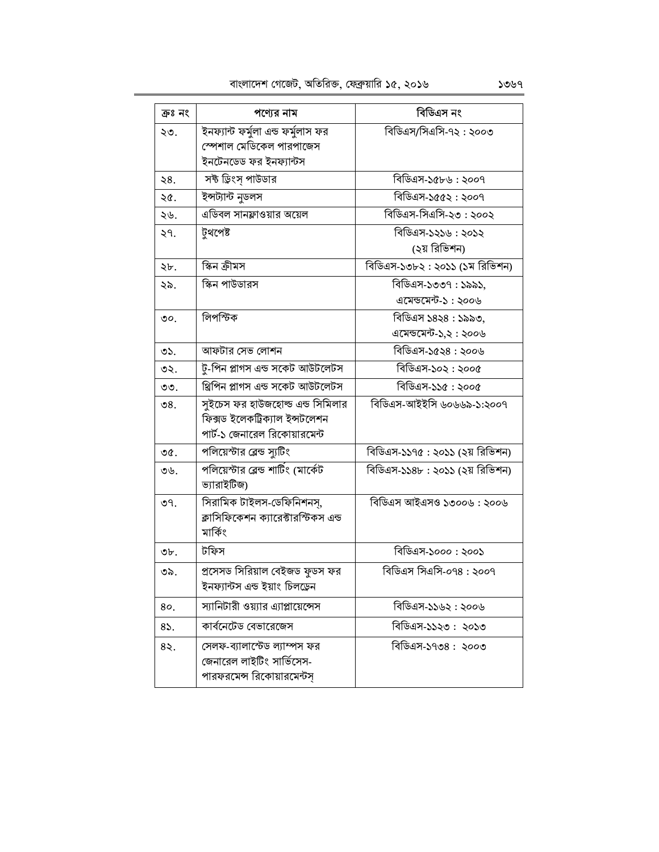| ক্ৰঃ নং        | পণ্যের নাম                                                                                          | বিডিএস নং                                    |  |
|----------------|-----------------------------------------------------------------------------------------------------|----------------------------------------------|--|
| ২৩.            | ইনফ্যান্ট ফর্মুলা এন্ড ফর্মুলাস ফর<br>স্পেশাল মেডিকেল পারপাজেস<br>ইনটেনডেড ফর ইনফ্যান্টস            | বিডিএস/সিএসি-৭২ : ২০০৩                       |  |
| ২8.            | সষ্ট ড্রিংস্ পাউডার                                                                                 | বিডিএস-১৫৮৬: ২০০৭                            |  |
| ২৫.            | ইন্সট্যান্ট নুডলস                                                                                   | বিডিএস-১৫৫২: ২০০৭                            |  |
| ২৬.            | এডিবল সানফ্লাওয়ার অয়েল                                                                            | বিডিএস-সিএসি-২৩: ২০০২                        |  |
| ২৭.            | টুথপেষ্ট                                                                                            | বিডিএস-১২১৬ : ২০১২<br>(২য় রিভিশন)           |  |
| ২৮.            | স্কিন ক্ৰীমস                                                                                        | বিডিএস-১৩৮২ : ২০১১ (১ম রিভিশন)               |  |
| ২৯.            | স্কিন পাউডারস                                                                                       | বিডিএস-১৩৩৭ : ১৯৯১,<br>এমেন্ডমেন্ট-১: ২০০৬   |  |
| $\mathcal{O}O$ | লিপস্টিক                                                                                            | বিডিএস ১৪২৪ : ১৯৯৩,<br>এমেন্ডমেন্ট-১,২: ২০০৬ |  |
| $O2$ .         | আফটার সেভ লোশন                                                                                      | বিডিএস-১৫২৪ : ২০০৬                           |  |
| ৩২.            | টৃ-পিন প্লাগস এন্ড সকেট আউটলেটস                                                                     | বিডিএস-১০২ : ২০০৫                            |  |
| ৩৩.            | থ্রিপিন প্লাগস এন্ড সকেট আউটলেটস                                                                    | বিডিএস-১১৫: ২০০৫                             |  |
| ৩8.            | সুইচেস ফর হাউজহোল্ড এন্ড সিমিলার<br>ফিক্সড ইলেকট্ৰিক্যাল ইন্সটলেশন<br>পার্ট-১ জেনারেল রিকোয়ারমেন্ট | বিডিএস-আইইসি ৬০৬৬৯-১:২০০৭                    |  |
| ৩৫.            | পলিয়েস্টার ব্লেন্ড স্যুটিং                                                                         | বিডিএস-১১৭৫ : ২০১১ (২য় রিভিশন)              |  |
| ৩৬.            | পলিয়েস্টার ব্লেন্ড শাটিং (মার্কেট<br>ভ্যারাইটিজ)                                                   | বিডিএস-১১৪৮ : ২০১১ (২য় রিভিশন)              |  |
| ৩৭.            | সিরামিক টাইলস-ডেফিনিশনস,<br>ক্লাসিফিকেশন ক্যারেক্টারস্টিকস এন্ড<br>মার্কিং                          | বিডিএস আইএসও ১৩০০৬ : ২০০৬                    |  |
| ৩৮.            | টফিস                                                                                                | বিডিএস-১০০০ : ২০০১                           |  |
| ৩৯.            | প্রসেসড সিরিয়াল বেইজড ফুডস ফর<br>ইনফ্যান্টস এন্ড ইয়াং চিলড্ৰেন                                    | বিডিএস সিএসি-০৭৪ : ২০০৭                      |  |
| 80.            | স্যানিটারী ওয়্যার এ্যাপ্লায়েন্সেস                                                                 | বিডিএস-১১৬২ : ২০০৬                           |  |
| 85.            | কার্বনেটেড বেভারেজেস                                                                                | বিডিএস-১১২৩ : ২০১৩                           |  |
| 8२.            | সেলফ-ব্যালাস্টেড ল্যাম্পস ফর<br>জেনারেল লাইটিং সার্ভিসেস-<br>পারফরমেন্স রিকোয়ারমেন্টস              | বিডিএস-১৭৩৪ : ২০০৩                           |  |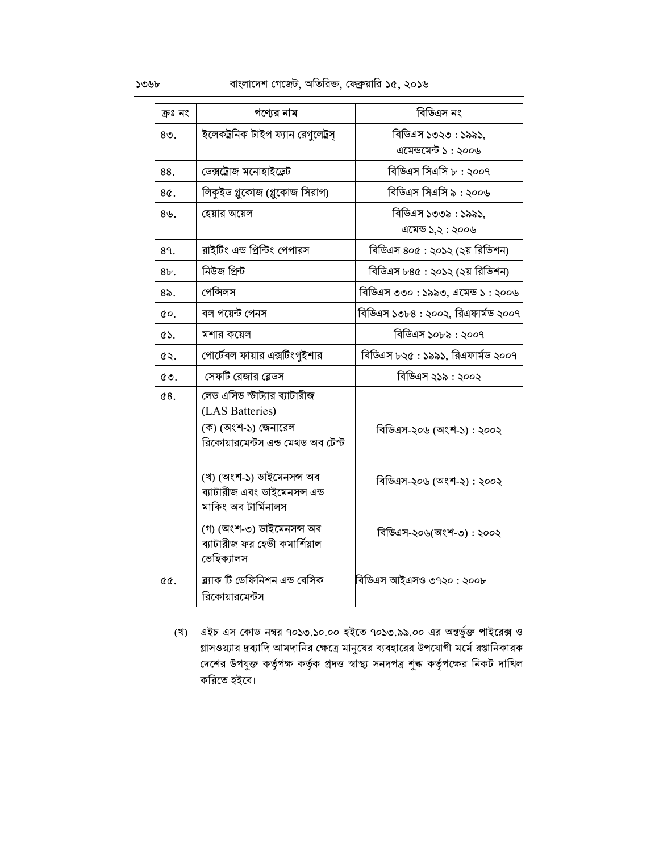## বাংলাদেশ গেজেট, অতিরিক্ত, ফেব্রুয়ারি ১৫, ২০১৬

| ক্ৰঃ নং         | পণ্যের নাম                        | বিডিএস নং                          |
|-----------------|-----------------------------------|------------------------------------|
| $80$ .          | ইলেকট্রনিক টাইপ ফ্যান রেগুলেট্রস  | বিডিএস ১৩২৩ : ১৯৯১,                |
|                 |                                   | এমেন্ডমেন্ট ১: ২০০৬                |
| 88.             | ডেক্সট্রোজ মনোহাইড্রেট            | বিডিএস সিএসি ৮: ২০০৭               |
| 8@.             | লিকুইড গ্লুকোজ (গ্লুকোজ সিরাপ)    | বিডিএস সিএসি ৯ : ২০০৬              |
| $8b$ .          | হেয়ার অয়েল                      | বিডিএস ১৩৩৯ : ১৯৯১,                |
|                 |                                   | এমেন্ড ১,২ : ২০০৬                  |
| 89.             | রাইটিং এন্ড প্রিন্টিং পেপারস      | বিডিএস ৪০৫ : ২০১২ (২য় রিভিশন)     |
| $8b$ .          | নিউজ প্ৰিন্ট                      | বিডিএস ৮৪৫ : ২০১২ (২য় রিভিশন)     |
| $8\delta$ .     | পেন্সিলস                          | বিডিএস ৩৩০ : ১৯৯৩, এমেন্ড ১ : ২০০৬ |
| QO.             | বল পয়েন্ট পেনস                   | বিডিএস ১৩৮৪ : ২০০২, রিএফার্মড ২০০৭ |
| ES.             | মশার কয়েল                        | বিডিএস ১০৮৯ : ২০০৭                 |
| ৫২.             | পোর্টেবল ফায়ার এক্সটিংগৃইশার     | বিডিএস ৮২৫ : ১৯৯১, রিএফার্মড ২০০৭  |
| ৫৩.             | সেফটি রেজার ব্লেডস                | বিডিএস ২১৯ : ২০০২                  |
| $\mathcal{C}8.$ | লেড এসিড স্টাট্যার ব্যাটারীজ      |                                    |
|                 | (LAS Batteries)                   |                                    |
|                 | (ক) (অংশ-১) জেনারেল               | বিডিএস-২০৬ (অংশ-১) : ২০০২          |
|                 | রিকোয়ারমেন্টস এন্ড মেথড অব টেস্ট |                                    |
|                 | (খ) (অংশ-১) ডাইমেনসন্স অব         |                                    |
|                 | ব্যাটারীজ এবং ডাইমেনসন্স এন্ড     | বিডিএস-২০৬ (অংশ-২) : ২০০২          |
|                 | মাকিং অব টাৰ্মিনালস               |                                    |
|                 | (গ) (অংশ-৩) ডাইমেনসন্স অব         | বিডিএস-২০৬(অংশ-৩) : ২০০২           |
|                 | ব্যাটারীজ ফর হেভী কমার্শিয়াল     |                                    |
|                 | ভেহিক্যালস                        |                                    |
| QQ.             | ৱ্যাক টি ডেফিনিশন এন্ড বেসিক      | বিডিএস আইএসও ৩৭২০ : ২০০৮           |
|                 | রিকোয়ারমেন্টস                    |                                    |

(খ) এইচ এস কোড নম্বর ৭০১৩.১০.০০ হইতে ৭০১৩.৯৯.০০ এর অন্তর্ভুক্ত পাইরেক্স ও গ্লাসওয়্যার দ্রব্যাদি আমদানির ক্ষেত্রে মানুষের ব্যবহারের উপযোগী মর্মে রপ্তানিকারক দেশের উপযুক্ত কর্তৃপক্ষ কর্তৃক প্রদত্ত স্বাস্থ্য সনদপত্র শুল্ক কর্তৃপক্ষের নিকট দাখিল করিতে হইবে।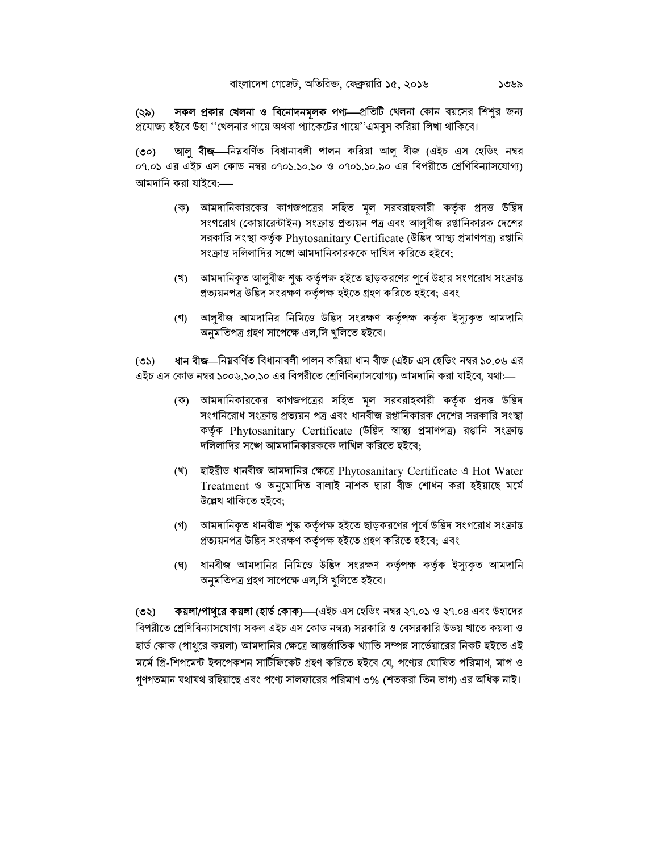সকল প্রকার খেলনা ও বিনোদনমূলক পণ্য- প্রতিটি খেলনা কোন বয়সের শিশুর জন্য (২৯) প্রযোজ্য হইবে উহা ''খেলনার গায়ে অথবা প্যাকেটের গায়ে''এমবুস করিয়া লিখা থাকিবে।

**আলু বীজ—**নিম্নবৰ্ণিত বিধানাবলী পালন করিয়া আলু বীজ (এইচ এস হেডিং নম্বর  $(90)$ ০৭.০১ এর এইচ এস কোড নম্বর ০৭০১.১০.১০ ও ০৭০১.১০.৯০ এর বিপরীতে শ্রেণিবিন্যাসযোগ্য) আমদানি করা যাইবে:—–

- (ক) আমদানিকারকের কাগজপত্রের সহিত মূল সরবরাহকারী কর্তৃক প্রদত্ত উদ্ভিদ সংগরোধ (কোয়ারেন্টাইন) সংক্রান্ত প্রত্যয়ন পত্র এবং আলুবীজ রপ্তানিকারক দেশের সরকারি সংস্থা কর্তৃক Phytosanitary Certificate (উদ্ভিদ স্বাস্থ্য প্রমাণপত্র) রপ্তানি সংক্রান্ত দলিলাদির সঙ্গে আমদানিকারককে দাখিল করিতে হইবে;
- (খ) আমদানিকৃত আলুবীজ শুল্ক কর্তৃপক্ষ হইতে ছাড়করণের পূর্বে উহার সংগরোধ সংক্রান্ত প্রত্যয়নপত্র উদ্ভিদ সংরক্ষণ কর্তৃপক্ষ হইতে গ্রহণ করিতে হইবে; এবং
- (গ) আলুবীজ আমদানির নিমিত্তে উদ্ভিদ সংরক্ষণ কর্তৃপক্ষ কর্তৃক ইস্যুকৃত আমদানি অনুমতিপত্র গ্রহণ সাপেক্ষে এল,সি খুলিতে হইবে।

**ধান বীজ**—নিম্নবৰ্ণিত বিধানাবলী পালন করিয়া ধান বীজ (এইচ এস হেডিং নম্বর ১০.০৬ এর  $(5)$ এইচ এস কোড নম্বর ১০০৬.১০.১০ এর বিপরীতে শ্রেণিবিন্যাসযোগ্য) আমদানি করা যাইবে, যথা:—

- (ক) আমদানিকারকের কাগজপত্রের সহিত মূল সরবরাহকারী কর্তৃক প্রদত্ত উদ্ভিদ সংগনিরোধ সংক্রান্ত প্রত্যয়ন পত্র এবং ধানবীজ রপ্তানিকারক দেশের সরকারি সংস্থা কর্তৃক Phytosanitary Certificate (উদ্ভিদ স্বাস্থ্য প্রমাণপত্র) রপ্তানি সংক্রান্ত দলিলাদির সঙ্গে আমদানিকারককে দাখিল করিতে হইবে:
- (খ) হাইৱীড ধানবীজ আমদানির ক্ষেত্রে Phytosanitary Certificate এ Hot Water Treatment ও অনুমোদিত বালাই নাশক দ্বারা বীজ শোধন করা হইয়াছে মর্মে উল্লেখ থাকিতে হইবে:
- (গ) আমদানিকৃত ধানবীজ শুল্ক কর্তৃপক্ষ হইতে ছাড়করণের পূর্বে উদ্ভিদ সংগরোধ সংক্রান্ত প্রত্যয়নপত্র উদ্ভিদ সংরক্ষণ কর্তৃপক্ষ হইতে গ্রহণ করিতে হইবে; এবং
- (ঘ) ধানবীজ আমদানির নিমিত্তে উদ্ভিদ সংরক্ষণ কর্তৃপক্ষ কর্তৃক ইস্যকৃত আমদানি অনুমতিপত্র গ্রহণ সাপেক্ষে এল,সি খুলিতে হইবে।

**কয়লা/পাথুরে কয়লা (হার্ড কোক)—**(এইচ এস হেডিং নম্বর ২৭.০১ ও ২৭.০৪ এবং উহাদের (৩২) বিপরীতে শ্রেণিবিন্যাসযোগ্য সকল এইচ এস কোড নম্বর) সরকারি ও বেসরকারি উভয় খাতে কয়লা ও হার্ড কোক (পাথরে কয়লা) আমদানির ক্ষেত্রে আন্তর্জাতিক খ্যাতি সম্পন্ন সার্ভেয়ারের নিকট হইতে এই মৰ্মে প্ৰি-শিপমেন্ট ইন্সপেকশন সাৰ্টিফিকেট গ্ৰহণ করিতে হইবে যে, পণ্যের ঘোষিত পরিমাণ, মাপ ও গুণগতমান যথাযথ রহিয়াছে এবং পগ্যে সালফারের পরিমাণ ৩% (শতকরা তিন ভাগ) এর অধিক নাই।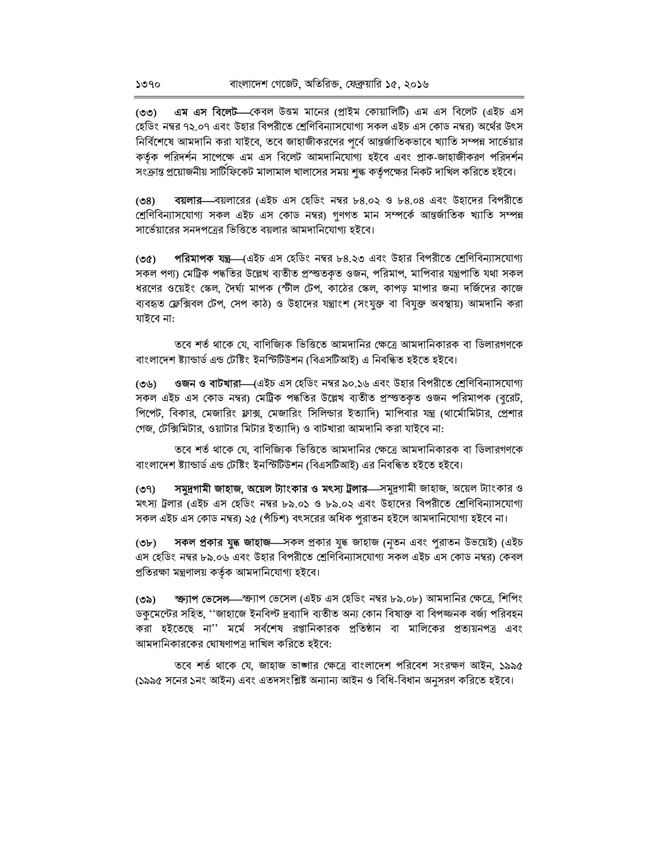**এম এস বিলেট—**কেবল উত্তম মানের (প্রাইম কোয়ালিটি) এম এস বিলেট (এইচ এস  $(99)$ হেডিং নম্বর ৭২.০৭ এবং উহার বিপরীতে শ্রেণিবিন্যাসযোগ্য সকল এইচ এস কোড নম্বর) অর্থের উৎস নির্বিশেষে আমদানি করা যাইবে, তবে জাহাজীকরণের পূর্বে আন্তর্জাতিকভাবে খ্যাতি সম্পন্ন সার্ভেয়ার কর্তৃক পরিদর্শন সাপেক্ষে এম এস বিলেট আমদানিযোগ্য হইবে এবং প্রাক-জাহাজীকরণ পরিদর্শন সংক্রান্ত প্রয়োজনীয় সার্টিফিকেট মালামাল খালাসের সময় শুল্ক কর্তৃপক্ষের নিকট দাখিল করিতে হইবে।

বয়লার—বয়লারের (এইচ এস হেডিং নম্বর ৮৪.০২ ও ৮৪.০৪ এবং উহাদের বিপরীতে  $(98)$ শ্রেণিবিন্যাসযোগ্য সকল এইচ এস কোড নম্বর) গুণগত মান সম্পর্কে আন্তর্জাতিক খ্যাতি সম্পন্ন সার্ভেয়ারের সনদপত্রের ভিত্তিতে বয়লার আমদানিযোগ্য হইবে।

**পরিমাপক যন্ত্র—**(এইচ এস হেডিং নম্বর ৮৪.২৩ এবং উহার বিপরীতে শ্রেণিবিন্যাসযোগ্য  $(90)$ সকল পণ্য) মেট্রিক পদ্ধতির উল্লেখ ব্যতীত প্রস্ত্তকৃত ওজন, পরিমাপ, মাপিবার যন্ত্রপাতি যথা সকল ধরণের ওয়েইং স্কেল, দৈর্ঘ্য মাপক (স্টীল টেপ, কাঠের স্কেল, কাপড় মাপার জন্য দর্জিদের কাজে ব্যবহৃত ফ্লেক্সিবল টেপ, সেপ কাঠ) ও উহাদের যন্ত্রাংশ (সংযুক্ত বা বিযুক্ত অবস্থায়) আমদানি করা যাইবে না:

তবে শর্ত থাকে যে, বাণিজ্যিক ভিত্তিতে আমদানির ক্ষেত্রে আমদানিকারক বা ডিলারগণকে বাংলাদেশ ষ্ট্যান্ডাৰ্ড এন্ড টেষ্টিং ইনস্টিটিউশন (বিএসটিআই) এ নিবন্ধিত হইতে হইবে।

(৩৬) ওজন ও বাটখারা—এেইচ এস হেডিং নম্বর ৯০.১৬ এবং উহার বিপরীতে শ্রেণিবিন্যাসযোগ্য সকল এইচ এস কোড নম্বর) মেট্রিক পদ্ধতির উল্লেখ ব্যতীত প্রস্ত্ততকত ওজন পরিমাপক (বরেট, পিপেট, বিকার, মেজারিং ফ্লাক্স, মেজারিং সিলিন্ডার ইত্যাদি) মাপিবার যন্ত্র (থার্মোমিটার, প্রেশার গেজ. টেক্সিমিটার, ওয়াটার মিটার ইত্যাদি) ও বাটখারা আমদানি করা যাইবে না:

তবে শর্ত থাকে যে, বাণিজ্যিক ভিত্তিতে আমদানির ক্ষেত্রে আমদানিকারক বা ডিলারগণকে বাংলাদেশ ষ্ট্যান্ডাৰ্ড এন্ড টেষ্টিং ইনস্টিটিউশন (বিএসটিআই) এর নিবন্ধিত হইতে হইবে।

**সমুদ্রগামী জাহাজ, অয়েল ট্যাংকার ও মৎস্য ট্রলার—**সমুদ্রগামী জাহাজ, অয়েল ট্যাংকার ও  $(99)$ মৎস্য ট্রলার (এইচ এস হেডিং নম্বর ৮৯.০১ ও ৮৯.০২ এবং উহাদের বিপরীতে শ্রেণিবিন্যাসযোগ্য সকল এইচ এস কোড নম্বর) ২৫ (পঁচিশ) বৎসরের অধিক পুরাতন হইলে আমদানিযোগ্য হইবে না।

সকল প্রকার যুদ্ধ জাহাজ-সকল প্রকার যুদ্ধ জাহাজ (নৃতন এবং পুরাতন উভয়েই) (এইচ (৩৮) এস হেডিং নম্বর ৮৯.০৬ এবং উহার বিপরীতে শ্রেণিবিন্যাসযোগ্য সকল এইচ এস কোড নম্বর) কেবল প্রতিরক্ষা মন্ত্রণালয় কর্তৃক আমদানিযোগ্য হইবে।

ম্ক্যাপ ভেসেল—স্ফ্যাপ ভেসেল (এইচ এস হেডিং নম্বর ৮৯.০৮) আমদানির ক্ষেত্রে, শিপিং  $($ ଓ৯) ডকুমেন্টের সহিত, ''জাহাজে ইনবিল্ট দ্রব্যাদি ব্যতীত অন্য কোন বিষাক্ত বা বিপজ্জনক বর্জ্য পরিবহন করা হইতেছে না'' মর্মে সর্বশেষ রপ্তানিকারক প্রতিষ্ঠান বা মালিকের প্রত্যয়নপত্র এবং আমদানিকারকের ঘোষণাপত্র দাখিল করিতে হইবে:

তবে শর্ত থাকে যে, জাহাজ ভাঙ্গার ক্ষেত্রে বাংলাদেশ পরিবেশ সংরক্ষণ আইন, ১৯৯৫ (১৯৯৫ সনের ১নং আইন) এবং এতদসংশ্লিষ্ট অন্যান্য আইন ও বিধি-বিধান অনুসরণ করিতে হইবে।

১৩৭০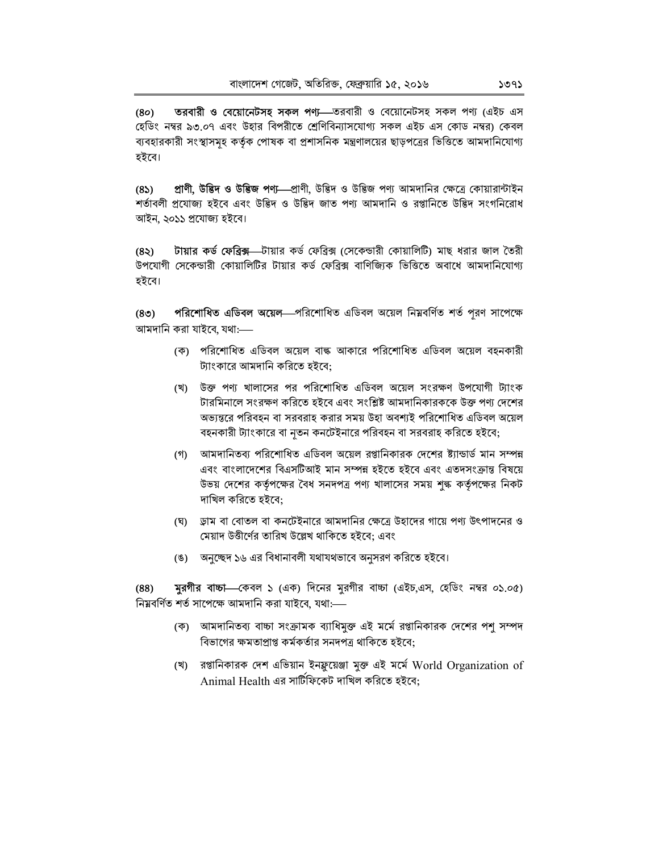$(80)$ তরবারী ও বেয়োনেটসহ সকল পণ্য- তরবারী ও বেয়োনেটসহ সকল পণ্য (এইচ এস হেডিং নম্বর ৯৩.০৭ এবং উহার বিপরীতে শ্রেণিবিন্যাসযোগ্য সকল এইচ এস কোড নম্বর) কেবল ব্যবহারকারী সংস্থাসমূহ কর্তৃক পোষক বা প্রশাসনিক মন্ত্রণালয়ের ছাড়পত্রের ভিত্তিতে আমদানিযোগ্য হইবে।

প্রা**ণী, উদ্ভিদ ও উদ্ভিজ পণ্য---**প্রাণী, উদ্ভিদ ও উদ্ভিজ পণ্য আমদানির ক্ষেত্রে কোয়ারান্টাইন  $(85)$ শর্তাবলী প্রযোজ্য হইবে এবং উদ্ভিদ ও উদ্ভিদ জাত পণ্য আমদানি ও রপ্তানিতে উদ্ভিদ সংগনিরোধ আইন, ২০১১ প্ৰযোজ্য হইবে।

**টায়ার কর্ড ফেব্রিক্স—**টায়ার কর্ড ফেব্রিক্স (সেকেন্ডারী কোয়ালিটি) মাছ ধরার জাল তৈরী  $(83)$ উপযোগী সেকেন্ডারী কোয়ালিটির টায়ার কর্ড ফেব্রিক্স বাণিজ্যিক ভিত্তিতে অবাধে আমদানিযোগ্য হইবে।

পরিশোধিত এডিবল অয়েল—পরিশোধিত এডিবল অয়েল নিম্নবর্ণিত শর্ত পূরণ সাপেক্ষে  $(8<sub>0</sub>)$ আমদানি করা যাইবে, যথা:—

- (ক) পরিশোধিত এডিবল অয়েল বাল্ক আকারে পরিশোধিত এডিবল অয়েল বহনকারী ট্যাংকারে আমদানি করিতে হইবে:
- (খ) উক্ত পণ্য খালাসের পর পরিশোধিত এডিবল অয়েল সংরক্ষণ উপযোগী ট্যাংক টারমিনালে সংরক্ষণ করিতে হইবে এবং সংশ্লিষ্ট আমদানিকারককে উক্ত পণ্য দেশের অভ্যন্তরে পরিবহন বা সরবরাহ করার সময় উহা অবশ্যই পরিশোধিত এডিবল অয়েল বহনকারী ট্যাংকারে বা নৃতন কনটেইনারে পরিবহন বা সরবরাহ করিতে হইবে;
- (গ) আমদানিতব্য পরিশোধিত এডিবল অয়েল রপ্তানিকারক দেশের ষ্ট্যান্ডার্ড মান সম্পন্ন এবং বাংলাদেশের বিএসটিআই মান সম্পন্ন হইতে হইবে এবং এতদসংক্রান্ত বিষয়ে উভয় দেশের কর্তৃপক্ষের বৈধ সনদপত্র পণ্য খালাসের সময় শুল্ক কর্তৃপক্ষের নিকট দাখিল করিতে হইবে:
- (ঘ) ড্রাম বা বোতল বা কনটেইনারে আমদানির ক্ষেত্রে উহাদের গায়ে পণ্য উৎপাদনের ও মেয়াদ উত্তীর্ণের তারিখ উল্লেখ থাকিতে হইবে: এবং
- (ঙ) অনুচ্ছেদ ১৬ এর বিধানাবলী যথাযথভাবে অনুসরণ করিতে হইবে।

**মূরগীর বাচ্চা—**কেবল ১ (এক) দিনের মুরগীর বাচ্চা (এইচ,এস, হেডিং নম্বর ০১.০৫)  $(88)$ নিম্নবৰ্ণিত শৰ্ত সাপেক্ষে আমদানি করা যাইবে, যথা:—

- (ক) আমদানিতব্য বাচ্চা সংক্রামক ব্যাধিমুক্ত এই মর্মে রপ্তানিকারক দেশের পশু সম্পদ বিভাগের ক্ষমতাপ্রাপ্ত কর্মকর্তার সনদপত্র থাকিতে হইবে;
- (খ) রপ্তানিকারক দেশ এভিয়ান ইনফ্লুয়েঞ্জা মুক্ত এই মর্মে World Organization of Animal Health এর সার্টিফিকেট দাখিল করিতে হইবে;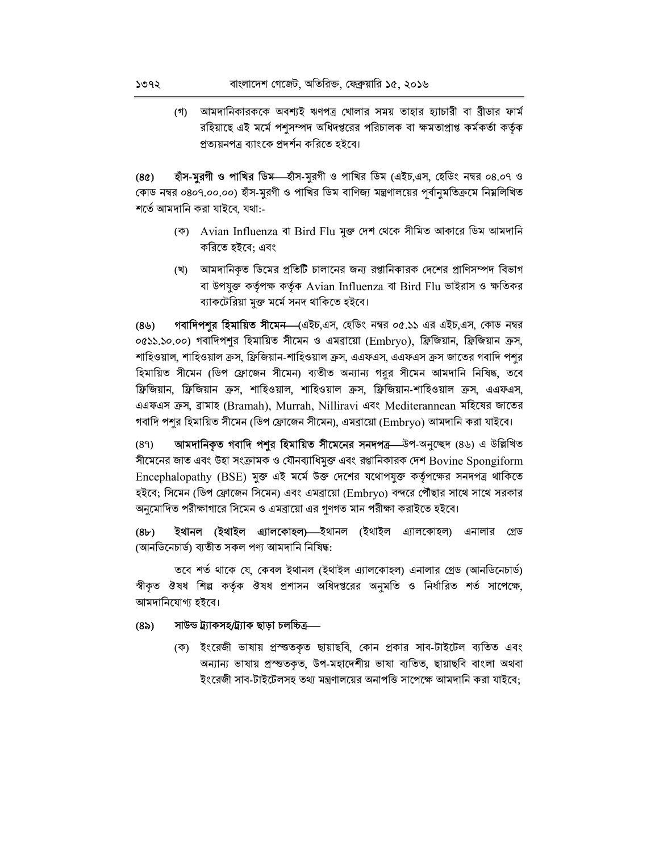(গ) আমদানিকারককে অবশ্যই ঋণপত্র খোলার সময় তাহার হ্যাচারী বা ব্রীডার ফার্ম রহিয়াছে এই মর্মে পশুসম্পদ অধিদপ্তরের পরিচালক বা ক্ষমতাপ্রাপ্ত কর্মকর্তা কর্তৃক প্রত্যয়নপত্র ব্যাংকে প্রদর্শন করিতে হইবে।

**হাঁস-মূরগী ও পাখির ডিম**—হাঁস-মূরগী ও পাখির ডিম (এইচ,এস, হেডিং নম্বর ০৪.০৭ ও  $(8<sub>0</sub>)$ কোড নম্বর ০৪০৭.০০.০০) হাঁস-মুরগী ও পাখির ডিম বাণিজ্য মন্ত্রণালয়ের পর্বানুমতিক্রমে নিয়লিখিত শৰ্তে আমদানি করা যাইবে, যথা:-

- (ক) Avian Influenza বা Bird Flu মুক্ত দেশ থেকে সীমিত আকারে ডিম আমদানি করিতে হইবে: এবং
- (খ) আমদানিকৃত ডিমের প্রতিটি চালানের জন্য রপ্তানিকারক দেশের প্রাণিসম্পদ বিভাগ বা উপযুক্ত কর্তৃপক্ষ কর্তৃক Avian Influenza বা Bird Flu ভাইরাস ও ক্ষতিকর ব্যাকটেরিয়া মুক্ত মর্মে সনদ থাকিতে হইবে।

 $(89)$ গবা**দিপশুর হিমায়িত সীমেন—**(এইচ,এস, হেডিং নম্বর ০৫.১১ এর এইচ,এস, কোড নম্বর ০৫১১.১০.০০) গবাদিপশুর হিমায়িত সীমেন ও এমব্রায়ো (Embryo), ফ্রিজিয়ান, ফ্রিজিয়ান ক্রস, শাহিওয়াল, শাহিওয়াল ক্রস, ফ্রিজিয়ান-শাহিওয়াল ক্রস, এএফএস, এএফএস ক্রস জাতের গবাদি পশুর হিমায়িত সীমেন (ডিপ ফ্রোজেন সীমেন) ব্যতীত অন্যান্য গরুর সীমেন আমদানি নিষিদ্ধ, তবে ফ্রিজিয়ান, ফ্রিজিয়ান ক্রস, শাহিওয়াল, শাহিওয়াল ক্রস, ফ্রিজিয়ান-শাহিওয়াল ক্রস, এএফএস, এএফএস ক্রস, ব্রামাহ (Bramah), Murrah, Nilliravi এবং Mediterannean মহিষের জাতের গবাদি পশুর হিমায়িত সীমেন (ডিপ ফ্রোজেন সীমেন), এমব্রায়ো (Embryo) আমদানি করা যাইবে।

আমদানিকৃত গবাদি পশুর হিমায়িত সীমেনের সনদপত্র—উপ-অনুচ্ছেদ (৪৬) এ উল্লিখিত  $(89)$ সীমেনের জাত এবং উহা সংক্রামক ও যৌনব্যাধিমুক্ত এবং রপ্তানিকারক দেশ Bovine Spongiform Encephalopathy (BSE) মুক্ত এই মর্মে উক্ত দেশের যথোপযুক্ত কর্তৃপক্ষের সনদপত্র থাকিতে হইবে; সিমেন (ডিপ ফ্রোজেন সিমেন) এবং এমব্রায়ো (Embryo) বন্দরে পৌঁছার সাথে সাথে সরকার অনুমোদিত পরীক্ষাগারে সিমেন ও এমব্রায়ো এর গুণগত মান পরীক্ষা করাইতে হইবে।

**ইথানল (ইথাইল এ্যালকোহল)—**ইথানল (ইথাইল এ্যালকোহল) এনালার  $(8b)$ গ্ৰেড (আনডিনেচাৰ্ড) ব্যতীত সকল পণ্য আমদানি নিষিদ্ধ:

তবে শর্ত থাকে যে, কেবল ইথানল (ইথাইল এ্যালকোহল) এনালার গ্রেড (আনডিনেচার্ড) স্বীকৃত ঔষধ শিল্প কর্তৃক ঔষধ প্রশাসন অধিদপ্তরের অনুমতি ও নির্ধারিত শর্ত সাপেক্ষে, আমদানিযোগ্য হইবে।

### সাউন্ড ট্যাকসহ/ট্যাক ছাড়া চলচ্চিত্ৰ—  $(8<sub>b</sub>)$

(ক) ইংরেজী ভাষায় প্রস্ততকৃত ছায়াছবি, কোন প্রকার সাব-টাইটেল ব্যতিত এবং অন্যান্য ভাষায় প্ৰস্তুতকত, উপ-মহাদেশীয় ভাষা ব্যতিত, ছায়াছবি বাংলা অথবা ইংরেজী সাব-টাইটেলসহ তথ্য মন্ত্রণালয়ের অনাপত্তি সাপেক্ষে আমদানি করা যাইবে: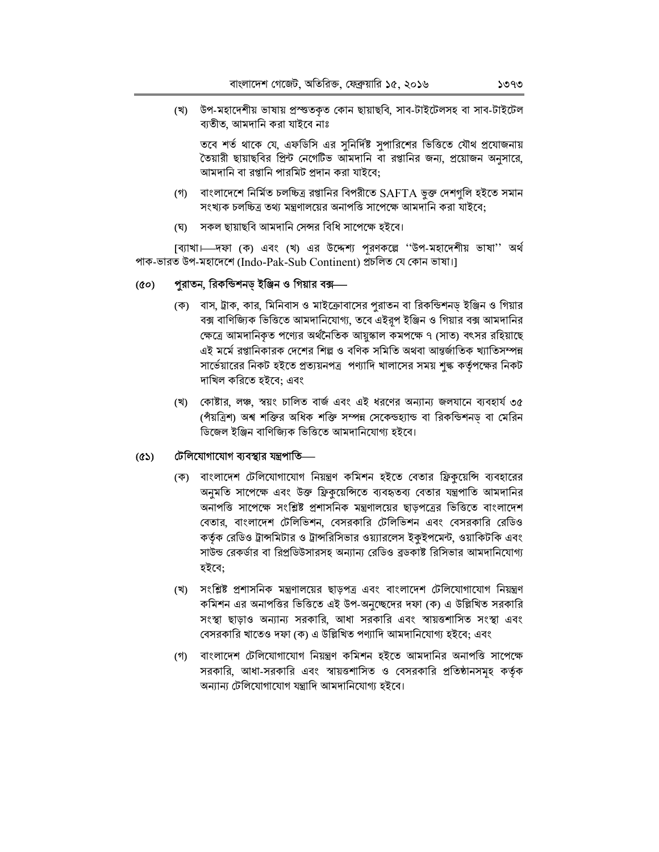(খ) উপ-মহাদেশীয় ভাষায় প্ৰস্ত্তকৃত কোন ছায়াছবি, সাব-টাইটেলসহ বা সাব-টাইটেল ব্যতীত, আমদানি করা যাইবে নাঃ

তবে শর্ত থাকে যে, এফডিসি এর সুনির্দিষ্ট সুপারিশের ভিত্তিতে যৌথ প্রযোজনায় তৈয়ারী ছায়াছবির প্রিন্ট নেগেটিভ আমদানি বা রপ্তানির জন্য, প্রয়োজন অনুসারে, আমদানি বা রপ্তানি পারমিট প্রদান করা যাইবে;

- (গ) বাংলাদেশে নির্মিত চলচ্চিত্র রপ্তানির বিপরীতে  $\operatorname{SAFTA}$  ভুক্ত দেশগুলি হইতে সমান সংখ্যক চলচ্চিত্র তথ্য মন্ত্রণালয়ের অনাপত্তি সাপেক্ষে আমদানি করা যাইবে;
- (ঘ) সকল ছায়াছবি আমদানি সেন্সর বিধি সাপেক্ষে হইবে।

[ব্যাখা। দফা (ক) এবং (খ) এর উদ্দেশ্য পূরণকল্পে ''উপ-মহাদেশীয় ভাষা'' অর্থ পাক-ভারত উপ-মহাদেশে (Indo-Pak-Sub Continent) প্রচলিত যে কোন ভাষা।]

### পুরাতন, রিকন্ডিশনড় ইঞ্জিন ও গিয়ার বক্স- $(60)$

- (ক) বাস, ট্রাক, কার, মিনিবাস ও মাইক্রোবাসের পুরাতন বা রিকন্ডিশনড় ইঞ্জিন ও গিয়ার বক্স বাণিজ্যিক ভিত্তিতে আমদানিযোগ্য, তবে এইরূপ ইঞ্জিন ও গিয়ার বক্স আমদানির ক্ষেত্রে আমদানিকৃত পণ্যের অর্থনৈতিক আয়ুস্কাল কমপক্ষে ৭ (সাত) বৎসর রহিয়াছে এই মর্মে রপ্তানিকারক দেশের শিল্প ও বণিক সমিতি অথবা আন্তর্জাতিক খ্যাতিসম্পন্ন সার্ভেয়ারের নিকট হইতে প্রত্যয়নপত্র পণ্যাদি খালাসের সময় শুল্ক কর্তৃপক্ষের নিকট দাখিল করিতে হইবে: এবং
- (খ) কোষ্টার, লঞ্চ, স্বয়ং চালিত বার্জ এবং এই ধরণের অন্যান্য জলযানে ব্যবহার্য ৩৫ (পঁয়ত্রিশ) অশ্ব শক্তির অধিক শক্তি সম্পন্ন সেকেন্ডহ্যান্ড বা রিকন্ডিশনড় বা মেরিন ডিজেল ইঞ্জিন বাণিজ্যিক ভিত্তিতে আমদানিযোগ্য হইবে।

#### টেলিযোগাযোগ ব্যবস্থার যন্ত্রপাতি  $(65)$

- (ক) বাংলাদেশ টেলিযোগাযোগ নিয়ন্ত্রণ কমিশন হইতে বেতার ফ্রিকুয়েন্সি ব্যবহারের অনুমতি সাপেক্ষে এবং উক্ত ফ্রিকুয়েন্সিতে ব্যবহৃতব্য বেতার যন্ত্রপাতি আমদানির অনাপত্তি সাপেক্ষে সংশ্লিষ্ট প্রশাসনিক মন্ত্রণালয়ের ছাড়পত্রের ভিত্তিতে বাংলাদেশ বেতার, বাংলাদেশ টেলিভিশন, বেসরকারি টেলিভিশন এবং বেসরকারি রেডিও কর্তৃক রেডিও ট্রান্সমিটার ও ট্রান্সরিসিভার ওয়্যারলেস ইকুইপমেন্ট, ওয়াকিটকি এবং সাউন্ড রেকর্ডার বা রিপ্রডিউসারসহ অন্যান্য রেডিও ব্রডকাষ্ট রিসিভার আমদানিযোগ্য হইবে:
- (খ) সংশ্লিষ্ট প্রশাসনিক মন্ত্রণালয়ের ছাড়পত্র এবং বাংলাদেশ টেলিযোগাযোগ নিয়ন্ত্রণ কমিশন এর অনাপত্তির ভিত্তিতে এই উপ-অনুচ্ছেদের দফা (ক) এ উল্লিখিত সরকারি সংস্থা ছাড়াও অন্যান্য সরকারি, আধা সরকারি এবং স্বায়ত্তশাসিত সংস্থা এবং বেসরকারি খাতেও দফা (ক) এ উল্লিখিত পণ্যাদি আমদানিযোগ্য হইবে; এবং
- (গ) বাংলাদেশ টেলিযোগাযোগ নিয়ন্ত্রণ কমিশন হইতে আমদানির অনাপত্তি সাপেক্ষে সরকারি, আধা-সরকারি এবং স্বায়ত্তশাসিত ও বেসরকারি প্রতিষ্ঠানসমূহ কর্তৃক অন্যান্য টেলিযোগাযোগ যন্ত্ৰাদি আমদানিযোগ্য হইবে।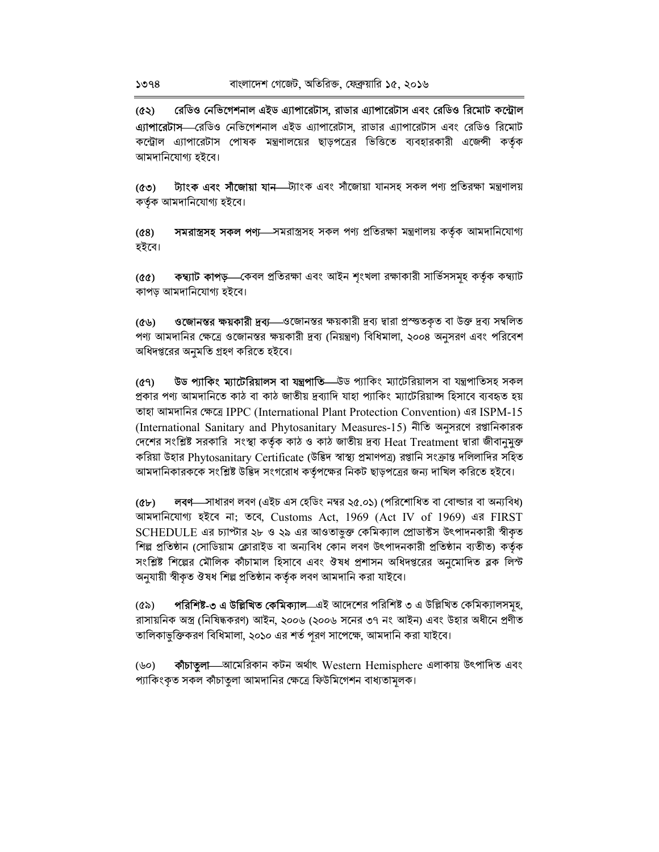রেডিও নেভিগেশনাল এইড এ্যাপারেটাস, রাডার এ্যাপারেটাস এবং রেডিও রিমোট কন্ট্রোল  $(65)$ **এ্যাপারেটাস্—**রেডিও নেভিগেশনাল এইড এ্যাপারেটাস, রাডার এ্যাপারেটাস এবং রেডিও রিমোট কন্ট্রোল এ্যাপারেটাস পোষক মন্ত্রণালয়ের ছাড়পত্রের ভিত্তিতে ব্যবহারকারী এজেন্সী কর্তৃক আমদানিযোগ্য হইবে।

**ট্যাংক এবং সীজোয়া যান—**ট্যাংক এবং সাঁজোয়া যানসহ সকল পণ্য প্ৰতিরক্ষা মন্ত্ৰণালয়  $(°)$ কৰ্তৃক আমদানিযোগ্য হইবে।

সমরাস্ত্রসহ সকল পণ্য-সমরাস্ত্রসহ সকল পণ্য প্রতিরক্ষা মন্ত্রণালয় কর্তৃক আমদানিযোগ্য  $(68)$ হইবে।

**কম্ব্যাট কাপড়—**কেবল প্ৰতিরক্ষা এবং আইন শংখলা রক্ষাকারী সার্ভিসসমহ কর্তৃক কম্ব্যাট  $(60)$ কাপড আমদানিযোগ্য হইবে।

ওজোনন্তর ক্ষয়কারী দ্রব্য—ওজোনস্তর ক্ষয়কারী দ্রব্য দ্বারা প্রস্ততকৃত বা উক্ত দ্রব্য সম্বলিত  $(45)$ পণ্য আমদানির ক্ষেত্রে ওজোনস্তর ক্ষয়কারী দ্রব্য (নিয়ন্ত্রণ) বিধিমালা, ২০০৪ অনুসরণ এবং পরিবেশ অধিদপ্তরের অনমতি গ্রহণ করিতে হইবে।

উড প্যাকিং ম্যাটেরিয়ালস বা যন্ত্রপাতি ভিড প্যাকিং ম্যাটেরিয়ালস বা যন্ত্রপাতিসহ সকল  $(69)$ প্ৰকার পণ্য আমদানিতে কাঠ বা কাঠ জাতীয় দ্রব্যাদি যাহা প্যাকিং ম্যাটেরিয়াল্স হিসাবে ব্যবহৃত হয় তাহা আমদানির ক্ষেত্রে IPPC (International Plant Protection Convention) এর ISPM-15 (International Sanitary and Phytosanitary Measures-15) নীতি অনুসরণে রপ্তানিকারক দেশের সংশ্লিষ্ট সরকারি সংস্থা কর্তৃক কাঠ ও কাঠ জাতীয় দ্রব্য Heat Treatment দ্বারা জীবানুমুক্ত করিয়া উহার Phytosanitary Certificate (উদ্ভিদ স্বাস্থ্য প্রমাণপত্র) রপ্তানি সংক্রান্ত দলিলাদির সহিত আমদানিকারককে সংশ্লিষ্ট উদ্ভিদ সংগরোধ কর্তৃপক্ষের নিকট ছাড়পত্রের জন্য দাখিল করিতে হইবে।

লবণ-সাধারণ লবণ (এইচ এস হেডিং নম্বর ২৫.০১) (পরিশোধিত বা বোল্ডার বা অন্যবিধ)  $(db)$ আমদানিযোগ্য হইবে না; তবে, Customs Act, 1969 (Act IV of 1969) এর FIRST SCHEDULE এর চ্যাপ্টার ২৮ ও ২৯ এর আওতাভুক্ত কেমিক্যাল প্রোডাক্টস উৎপাদনকারী স্বীকৃত শিল্প প্রতিষ্ঠান (সোডিয়াম ক্লোরাইড বা অন্যবিধ কোন লবণ উৎপাদনকারী প্রতিষ্ঠান ব্যতীত) কর্তৃক সংশ্লিষ্ট শিল্পের মৌলিক কাঁচামাল হিসাবে এবং ঔষধ প্রশাসন অধিদপ্তরের অনুমোদিত ব্লক লিস্ট অনযায়ী স্বীকত ঔষধ শিল্প প্ৰতিষ্ঠান কৰ্তৃক লবণ আমদানি করা যাইবে।

পরিশিষ্ট-৩ এ উল্লিখিত কেমিক্যাল—এই আদেশের পরিশিষ্ট ৩ এ উল্লিখিত কেমিক্যালসমহ.  $(\delta \delta)$ রাসায়নিক অস্ত্র (নিষিদ্ধকরণ) আইন, ২০০৬ (২০০৬ সনের ৩৭ নং আইন) এবং উহার অধীনে প্রণীত তালিকাভক্তিকরণ বিধিমালা, ২০১০ এর শর্ত পরণ সাপেক্ষে, আমদানি করা যাইবে।

কীচাতুলা—আমেরিকান কটন অর্থাৎ Western Hemisphere এলাকায় উৎপাদিত এবং  $(60)$ প্যাকিংকৃত সকল কাঁচাতৃলা আমদানির ক্ষেত্রে ফিউমিগেশন বাধ্যতামলক।

 $5098$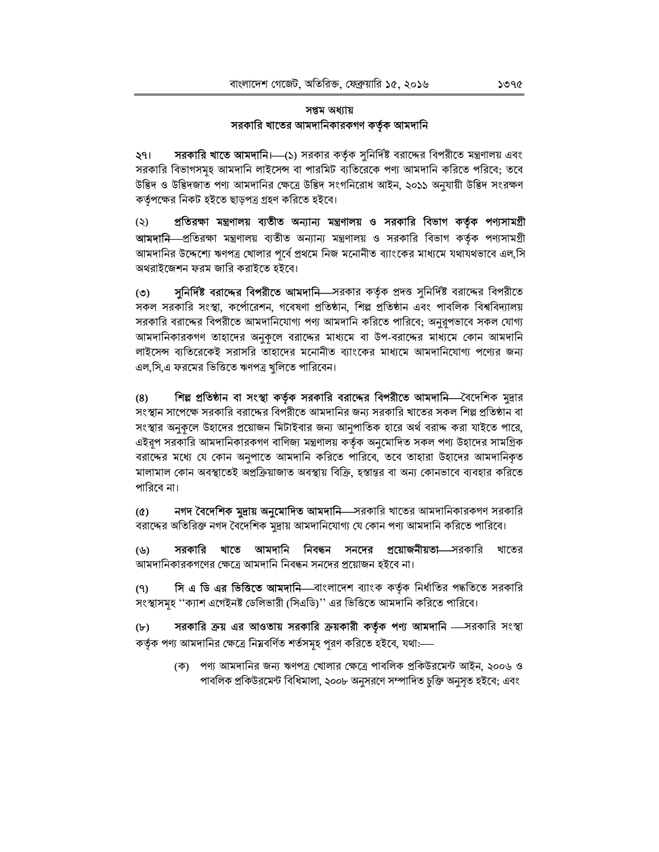## সপ্তম অধ্যায় সরকারি খাতের আমদানিকারকগণ কর্তৃক আমদানি

সরকারি খাতে আমদানি।—(১) সরকার কর্তৃক সুনির্দিষ্ট বরাদ্দের বিপরীতে মন্ত্রণালয় এবং ২৭। সরকারি বিভাগসমূহ আমদানি লাইসেন্স বা পারমিট ব্যতিরেকে পণ্য আমদানি করিতে পরিবে; তবে উদ্ভিদ ও উদ্ভিদজাত পণ্য আমদানির ক্ষেত্রে উদ্ভিদ সংগনিরোধ আইন, ২০১১ অনুযায়ী উদ্ভিদ সংরক্ষণ কর্তপক্ষের নিকট হইতে ছাড়পত্র গ্রহণ করিতে হইবে।

প্রতিরক্ষা মন্ত্রণালয় ব্যতীত অন্যান্য মন্ত্রণালয় ও সরকারি বিভাগ কর্তৃক পণ্যসামগ্রী  $(5)$ **আমদানি** প্রতিরক্ষা মন্ত্রণালয় ব্যতীত অন্যান্য মন্ত্রণালয় ও সরকারি বিভাগ কর্তৃক পণ্যসামগ্রী আমদানির উদ্দেশ্যে ঋণপত্র খোলার পূর্বে প্রথমে নিজ মনোনীত ব্যাংকের মাধ্যমে যথাযথভাবে এল,সি অথরাইজেশন ফরম জারি করাইতে হইবে।

সু**নির্দিষ্ট বরাদ্দের বিপরীতে আমদানি**—সরকার কর্তৃক প্রদত্ত সুনির্দিষ্ট বরাদ্দের বিপরীতে  $(5)$ সকল সরকারি সংস্থা, কর্পোরেশন, গবেষণা প্রতিষ্ঠান, শিল্প প্রতিষ্ঠান এবং পাবলিক বিশ্ববিদ্যালয় সরকারি বরাদ্দের বিপরীতে আমদানিযোগ্য পণ্য আমদানি করিতে পারিবে; অনুরূপভাবে সকল যোগ্য আমদানিকারকগণ তাহাদের অনুকূলে বরাদ্দের মাধ্যমে বা উপ-বরাদ্দের মাধ্যমে কোন আমদানি লাইসেন্স ব্যতিরেকেই সরাসরি তাহাদের মনোনীত ব্যাংকের মাধ্যমে আমদানিযোগ্য পণ্যের জন্য এল,সি,এ ফরমের ভিত্তিতে ঋণপত্র খুলিতে পারিবেন।

শিল্প প্রতিষ্ঠান বা সংস্থা কর্তৃক সরকারি বরাদ্দের বিপরীতে আমদানি—বৈদেশিক মুদ্রার  $(8)$ সংস্থান সাপেক্ষে সরকারি বরাদ্দের বিপরীতে আমদানির জন্য সরকারি খাতের সকল শিল্প প্রতিষ্ঠান বা সংস্থার অনুকূলে উহাদের প্রয়োজন মিটাইবার জন্য আনুপাতিক হারে অর্থ বরাদ্দ করা যাইতে পারে, এইরূপ সরকারি আমদানিকারকগণ বাণিজ্য মন্ত্রণালয় কর্তৃক অনুমোদিত সকল পণ্য উহাদের সামগ্রিক বরাদ্দের মধ্যে যে কোন অনুপাতে আমদানি করিতে পারিবে, তবে তাহারা উহাদের আমদানিকৃত মালামাল কোন অবস্থাতেই অপ্রক্রিয়াজাত অবস্থায় বিক্রি, হস্তান্তর বা অন্য কোনভাবে ব্যবহার করিতে পারিবে না।

নগদ বৈদেশিক মুদ্রায় অনুমোদিত আমদানি—সরকারি খাতের আমদানিকারকগণ সরকারি  $(\alpha)$ বরাদ্দের অতিরিক্ত নগদ বৈদেশিক মুদ্রায় আমদানিযোগ্য যে কোন পণ্য আমদানি করিতে পারিবে।

সরকারি খাতে আমদানি নিবন্ধন সনদের প্রয়োজনীয়তা—সরকারি  $(9)$ খাতের আমদানিকারকগণের ক্ষেত্রে আমদানি নিবন্ধন সনদের প্রয়োজন হইবে না।

সি এ ডি এর ভিত্তিতে আমদানি—বাংলাদেশ ব্যাংক কর্তৃক নির্ধাতির পদ্ধতিতে সরকারি  $(9)$ সংস্থাসমূহ ''ক্যাশ এগেইনষ্ট ডেলিভারী (সিএডি)'' এর ভিত্তিতে আমদানি করিতে পারিবে।

সরকারি ক্রয় এর আওতায় সরকারি ক্রয়কারী কর্তৃক পণ্য আমদানি —সরকারি সংস্থা  $(\mathbf{b})$ কর্তৃক পণ্য আমদানির ক্ষেত্রে নিম্নবর্ণিত শর্তসমূহ পূরণ করিতে হইবে, যথা:—

(ক) পণ্য আমদানির জন্য ঋণপত্র খোলার ক্ষেত্রে পাবলিক প্রকিউরমেন্ট আইন, ২০০৬ ও পাবলিক প্রকিউরমেন্ট বিধিমালা, ২০০৮ অনুসরণে সম্পাদিত চুক্তি অনুসৃত হইবে; এবং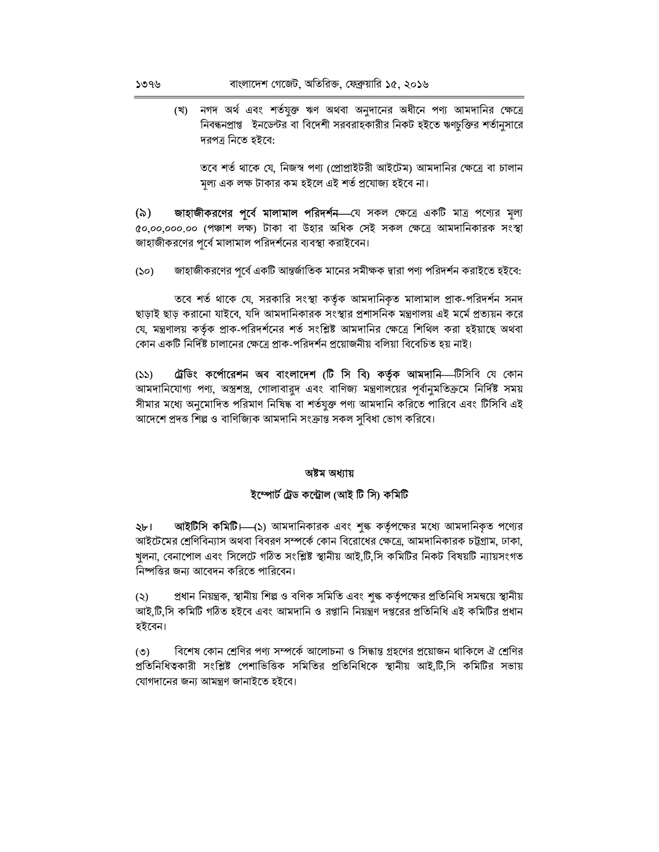(খ) নগদ অর্থ এবং শর্তযুক্ত ঋণ অথবা অনুদানের অধীনে পণ্য আমদানির ক্ষেত্রে নিবন্ধনপ্রাপ্ত ইনডেন্টর বা বিদেশী সরবরাহকারীর নিকট হইতে ঋণচুক্তির শর্তানুসারে দরপত্র নিতে হইবে:

তবে শর্ত থাকে যে, নিজস্ব পণ্য (প্রোপ্রাইটরী আইটেম) আমদানির ক্ষেত্রে বা চালান মূল্য এক লক্ষ টাকার কম হইলে এই শর্ত প্রযোজ্য হইবে না।

জাহাজীকরণের পূর্বে মালামাল পরিদর্শন—যে সকল ক্ষেত্রে একটি মাত্র পণ্যের মূল্য  $(\delta)$ ৫০,০০,০০০.০০ (পঞ্চাশ লক্ষ) টাকা বা উহার অধিক সেই সকল ক্ষেত্রে আমদানিকারক সংস্থা জাহাজীকরণের পূর্বে মালামাল পরিদর্শনের ব্যবস্থা করাইবেন।

জাহাজীকরণের পর্বে একটি আন্তর্জাতিক মানের সমীক্ষক দ্বারা পণ্য পরিদর্শন করাইতে হইবে:  $(S<sub>O</sub>)$ 

তবে শর্ত থাকে যে, সরকারি সংস্থা কর্তৃক আমদানিকৃত মালামাল প্রাক-পরিদর্শন সনদ ছাড়াই ছাড় করানো যাইবে, যদি আমদানিকারক সংস্থার প্রশাসনিক মন্ত্রণালয় এই মর্মে প্রত্যয়ন করে যে. মন্ত্রণালয় কর্তৃক প্রাক-পরিদর্শনের শর্ত সংশ্লিষ্ট আমদানির ক্ষেত্রে শিথিল করা হইয়াছে অথবা কোন একটি নির্দিষ্ট চালানের ক্ষেত্রে প্রাক-পরিদর্শন প্রয়োজনীয় বলিয়া বিবেচিত হয় নাই।

ট্রেডিং কর্পোরেশন অব বাংলাদেশ (টি সি বি) কর্তৃক আমদানি—টিসিবি যে কোন  $(55)$ আমদানিযোগ্য পণ্য, অস্ত্রশস্ত্র, গোলাবারুদ এবং বাণিজ্য মন্ত্রণালয়ের পূর্বানুমতিক্রমে নির্দিষ্ট সময় সীমার মধ্যে অনুমোদিত পরিমাণ নিষিদ্ধ বা শর্তযুক্ত পণ্য আমদানি করিতে পারিবে এবং টিসিবি এই আদেশে প্রদত্ত শিল্প ও বাণিজ্যিক আমদানি সংক্রান্ত সকল সুবিধা ভোগ করিবে।

### অষ্টম অধ্যায়

### ইম্পোৰ্ট ট্ৰেড কন্ট্ৰোল (আই টি সি) কমিটি

আইটিসি কমিটি। (১) আমদানিকারক এবং শুল্ক কর্তৃপক্ষের মধ্যে আমদানিকৃত পণ্যের ২৮। আইটেমের শ্রেণিবিন্যাস অথবা বিবরণ সম্পর্কে কোন বিরোধের ক্ষেত্রে, আমদানিকারক চট্টগ্রাম, ঢাকা, খুলনা, বেনাপোল এবং সিলেটে গঠিত সংশ্লিষ্ট স্থানীয় আই,টি,সি কমিটির নিকট বিষয়টি ন্যায়সংগত নিষ্পত্তির জন্য আবেদন করিতে পারিবেন।

প্রধান নিয়ন্ত্রক, স্থানীয় শিল্প ও বণিক সমিতি এবং শৃঙ্ক কর্তৃপক্ষের প্রতিনিধি সমন্বয়ে স্থানীয়  $(5)$ আই.টি.সি কমিটি গঠিত হইবে এবং আমদানি ও রপ্তানি নিয়ন্ত্রণ দপ্তরের প্রতিনিধি এই কমিটির প্রধান হইবেন।

বিশেষ কোন শ্রেণির পণ্য সম্পর্কে আলোচনা ও সিদ্ধান্ত গ্রহণের প্রয়োজন থাকিলে ঐ শ্রেণির  $(\circ)$ প্রতিনিধিত্বকারী সংশ্লিষ্ট পেশাভিত্তিক সমিতির প্রতিনিধিকে স্থানীয় আই.টি.সি কমিটির সভায় যোগদানের জন্য আমন্ত্রণ জানাইতে হইবে।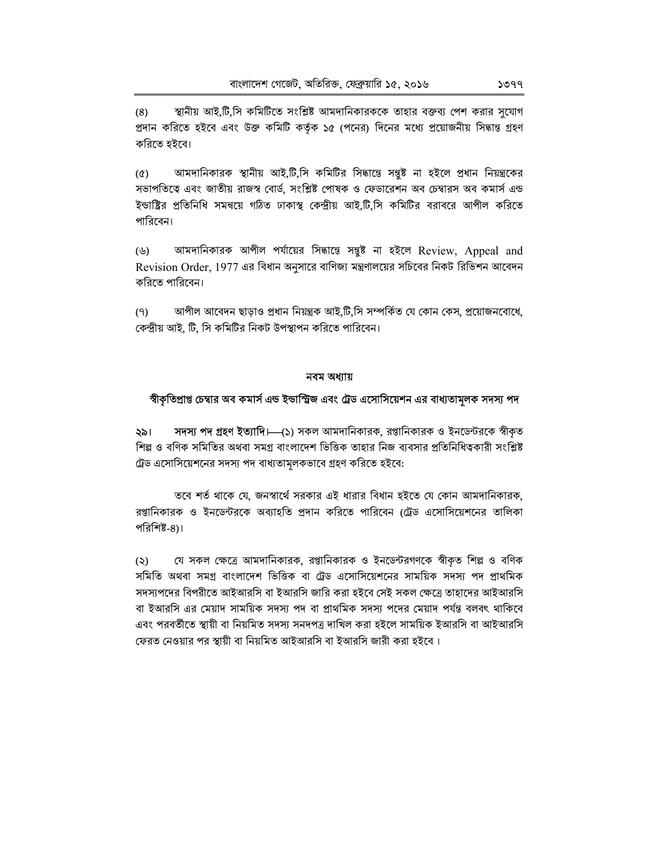স্থানীয় আই,টি,সি কমিটিতে সংশ্লিষ্ট আমদানিকারককে তাহার বক্তব্য পেশ করার সুযোগ  $(8)$ প্রদান করিতে হইবে এবং উক্ত কমিটি কর্তৃক ১৫ (পনের) দিনের মধ্যে প্রয়োজনীয় সিদ্ধান্ত গ্রহণ করিতে হইবে।

আমদানিকারক স্থানীয় আই,টি,সি কমিটির সিদ্ধান্তে সন্তুষ্ট না হইলে প্রধান নিয়ন্ত্রকের  $\left( \mathbf{\hat{v}}\right)$ সভাপতিত্বে এবং জাতীয় রাজস্ব বোর্ড, সংশ্লিষ্ট পোষক ও ফেডারেশন অব চেম্বারস অব কমার্স এন্ড ইন্ডাষ্ট্রির প্রতিনিধি সমন্বয়ে গঠিত ঢাকাস্থ কেন্দ্রীয় আই.টি.সি কমিটির বরাবরে আপীল করিতে পারিবেন।

আমদানিকারক আপীল পর্যায়ের সিদ্ধান্তে সন্তুষ্ট না হইলে Review, Appeal and (৬) Revision Order, 1977 এর বিধান অনুসারে বাণিজ্য মন্ত্রণালয়ের সচিবের নিকট রিভিশন আবেদন করিতে পারিবেন।

আপীল আবেদন ছাড়াও প্রধান নিয়ন্ত্রক আই,টি,সি সম্পর্কিত যে কোন কেস, প্রয়োজনবোধে,  $(9)$ কেন্দ্রীয় আই. টি. সি কমিটির নিকট উপস্থাপন করিতে পারিবেন।

### নবম অধ্যায়

### স্বীকৃতিপ্রাপ্ত চেম্বার অব কমার্স এন্ড ইন্ডাস্ট্রিজ এবং ট্রেড এসোসিয়েশন এর বাধ্যতামূলক সদস্য পদ

সদস্য পদ গ্রহণ ইত্যাদি।—(১) সকল আমদানিকারক, রপ্তানিকারক ও ইনডেন্টরকে স্বীকৃত ১৯। শিল্প ও বণিক সমিতির অথবা সমগ্র বাংলাদেশ ভিত্তিক তাহার নিজ ব্যবসার প্রতিনিধিত্বকারী সংশ্লিষ্ট ট্রেড এসোসিয়েশনের সদস্য পদ বাধ্যতামূলকভাবে গ্রহণ করিতে হইবে:

তবে শর্ত থাকে যে, জনস্বার্থে সরকার এই ধারার বিধান হইতে যে কোন আমদানিকারক, রপ্তানিকারক ও ইনডেন্টরকে অব্যাহতি প্রদান করিতে পারিবেন (ট্রেড এসোসিয়েশনের তালিকা পরিশিষ্ট-৪)।

যে সকল ক্ষেত্রে আমদানিকারক, রপ্তানিকারক ও ইনডেন্টরগণকে স্বীকৃত শিল্প ও বণিক  $(5)$ সমিতি অথবা সমগ্ৰ বাংলাদেশ ভিত্তিক বা ট্ৰেড এসোসিয়েশনের সাময়িক সদস্য পদ প্ৰাথমিক সদস্যপদের বিপরীতে আইআরসি বা ইআরসি জারি করা হইবে সেই সকল ক্ষেত্রে তাহাদের আইআরসি বা ইআরসি এর মেয়াদ সাময়িক সদস্য পদ বা প্রাথমিক সদস্য পদের মেয়াদ পর্যন্ত বলবৎ থাকিবে এবং পরবর্তীতে স্থায়ী বা নিয়মিত সদস্য সনদপত্র দাখিল করা হইলে সাময়িক ইআরসি বা আইআরসি ফেরত নেওয়ার পর স্থায়ী বা নিয়মিত আইআরসি বা ইআরসি জারী করা হইবে।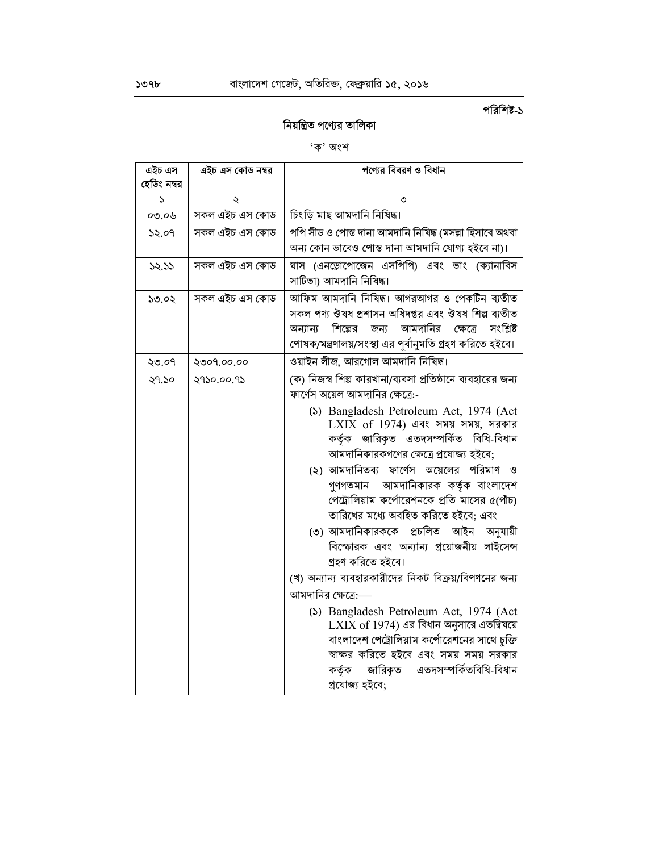# পরিশিষ্ট-১

## নিয়ন্ত্রিত পণ্যের তালিকা

## 'ক' অংশ

| এইচ এস      | এইচ এস কোড নম্বর | পণ্যের বিবরণ ও বিধান                                                                                                                                                                                                                                                                                                                                                                                                                                                                                                                                                                                                                                                                                                                                                                                                                                                                                  |  |
|-------------|------------------|-------------------------------------------------------------------------------------------------------------------------------------------------------------------------------------------------------------------------------------------------------------------------------------------------------------------------------------------------------------------------------------------------------------------------------------------------------------------------------------------------------------------------------------------------------------------------------------------------------------------------------------------------------------------------------------------------------------------------------------------------------------------------------------------------------------------------------------------------------------------------------------------------------|--|
| হেডিং নম্বর |                  |                                                                                                                                                                                                                                                                                                                                                                                                                                                                                                                                                                                                                                                                                                                                                                                                                                                                                                       |  |
| S           | ₹                | ৩                                                                                                                                                                                                                                                                                                                                                                                                                                                                                                                                                                                                                                                                                                                                                                                                                                                                                                     |  |
| 00.09       | সকল এইচ এস কোড   | চিংড়ি মাছ আমদানি নিষিদ্ধ।                                                                                                                                                                                                                                                                                                                                                                                                                                                                                                                                                                                                                                                                                                                                                                                                                                                                            |  |
| 52.09       | সকল এইচ এস কোড   | পপি সীড ও পোস্ত দানা আমদানি নিষিদ্ধ (মসল্লা হিসাবে অথবা<br>অন্য কোন ভাবেও পোস্ত দানা আমদানি যোগ্য হইবে না)।                                                                                                                                                                                                                                                                                                                                                                                                                                                                                                                                                                                                                                                                                                                                                                                           |  |
| 32.55       | সকল এইচ এস কোড   | ঘাস (এনড়োপোজেন এসপিপি) এবং ভাং (ক্যানাবিস<br>সাটিভা) আমদানি নিষিদ্ধ।                                                                                                                                                                                                                                                                                                                                                                                                                                                                                                                                                                                                                                                                                                                                                                                                                                 |  |
| ১৩.০২       | সকল এইচ এস কোড   | আফিম আমদানি নিষিদ্ধ। আগরআগর ও পেকটিন ব্যতীত<br>সকল পণ্য ঔষধ প্রশাসন অধিদপ্তর এবং ঔষধ শিল্প ব্যতীত<br>শিল্পের<br>আমদানির<br>সংশ্লিষ্ট<br>জন্য<br>ক্ষেত্ৰে<br>অন্যান্য<br>পোষক/মন্ত্রণালয়/সংস্থা এর পূর্বানুমতি গ্রহণ করিতে হইবে।                                                                                                                                                                                                                                                                                                                                                                                                                                                                                                                                                                                                                                                                      |  |
| ২৩.০৭       | ২৩০৭.০০.০০       | ওয়াইন লীজ, আরগোল আমদানি নিষিদ্ধ।                                                                                                                                                                                                                                                                                                                                                                                                                                                                                                                                                                                                                                                                                                                                                                                                                                                                     |  |
| ২৭.১০       | 2920.00.92       | (ক) নিজস্ব শিল্প কারখানা/ব্যবসা প্রতিষ্ঠানে ব্যবহারের জন্য<br>ফার্ণেস অয়েল আমদানির ক্ষেত্রে:-<br>(5) Bangladesh Petroleum Act, 1974 (Act<br>$LXIX$ of 1974) এবং সময় সময়, সরকার<br>কর্তৃক জারিকৃত এতদসম্পর্কিত বিধি-বিধান<br>আমদানিকারকগণের ক্ষেত্রে প্রযোজ্য হইবে;<br>(২) আমদানিতব্য ফার্ণেস অয়েলের পরিমাণ<br>ভ<br>গুণগতমান আমদানিকারক কর্তৃক বাংলাদেশ<br>পেট্রোলিয়াম কর্পোরেশনকে প্রতি মাসের ৫(পাঁচ)<br>তারিখের মধ্যে অবহিত করিতে হইবে; এবং<br>৩) আমদানিকারককে প্রচলিত<br>আইন অনুযায়ী<br>বিস্ফোরক এবং অন্যান্য প্রয়োজনীয় লাইসেন্স<br>গ্ৰহণ করিতে হইবে।<br>(খ) অন্যান্য ব্যবহারকারীদের নিকট বিক্রয়/বিপণনের জন্য<br>আমদানির ক্ষেত্রে:–<br>(5) Bangladesh Petroleum Act, 1974 (Act<br>$LXIX$ of 1974) এর বিধান অনুসারে এতদ্বিষয়ে<br>বাংলাদেশ পেট্রোলিয়াম কর্পোরেশনের সাথে চুক্তি<br>স্বাক্ষর করিতে হইবে এবং সময় সময় সরকার<br>জারিকৃত<br>কৰ্তৃক<br>এতদসম্পর্কিতবিধি-বিধান<br>প্ৰযোজ্য হইবে; |  |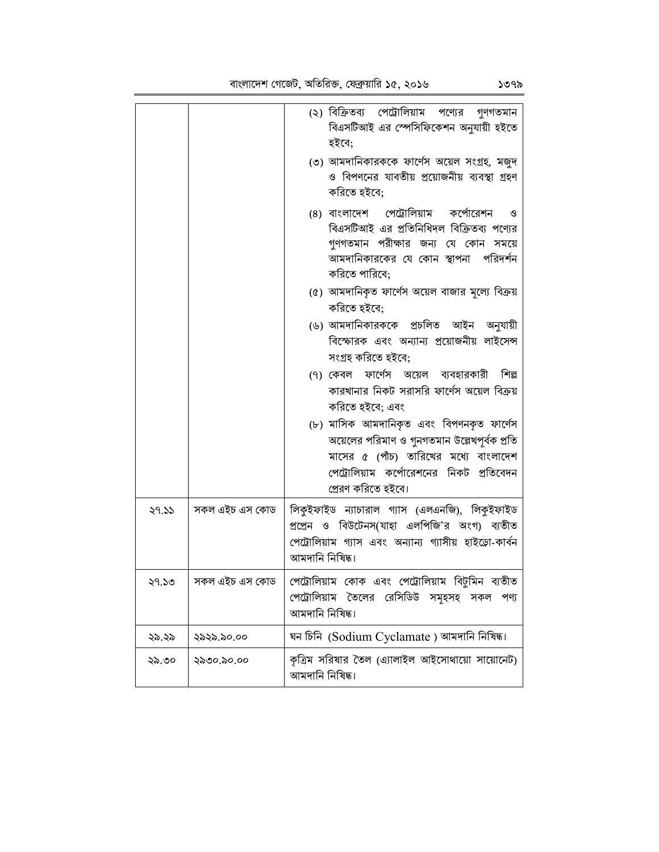|       |                | (২) বিক্রিতব্য পেট্রোলিয়াম পণ্যের গুণগতমান<br>বিএসটিআই এর স্পেসিফিকেশন অনুযায়ী হইতে<br>হইবে;                                                                                                     |
|-------|----------------|----------------------------------------------------------------------------------------------------------------------------------------------------------------------------------------------------|
|       |                | ৩) আমদানিকারককে ফার্ণেস অয়েল সংগ্রহ, মজুদ<br>ও বিপণনের যাবতীয় প্রয়োজনীয় ব্যবস্থা গ্রহণ<br>করিতে হইবে;                                                                                          |
|       |                | (8) বাংলাদেশ পেট্রোলিয়াম কর্পোরেশন<br>಄<br>বিএসটিআই এর প্রতিনিধিদল বিক্রিতব্য পণ্যের<br>গুণগতমান পরীক্ষার জন্য যে কোন সময়ে<br>আমদানিকারকের যে কোন স্থাপনা  পরিদর্শন<br>করিতে পারিবে;             |
|       |                | (৫) আমদানিকৃত ফার্ণেস অয়েল বাজার মূল্যে বিক্রয়<br>করিতে হইবে;                                                                                                                                    |
|       |                | (৬) আমদানিকারককে প্রচলিত আইন অনুযায়ী<br>বিস্ফোরক এবং অন্যান্য প্রয়োজনীয় লাইসেন্স<br>সংগ্ৰহ করিতে হইবে;                                                                                          |
|       |                | (৭) কেবল ফার্ণেস অয়েল ব্যবহারকারী<br>শিল্প<br>কারখানার নিকট সরাসরি ফার্ণেস অয়েল বিক্রয়<br>করিতে হইবে; এবং                                                                                       |
|       |                | (৮) মাসিক আমদানিকৃত এবং বিপণনকৃত ফাৰ্ণেস<br>অয়েলের পরিমাণ ও গুনগতমান উল্লেখপূর্বক প্রতি<br>মাসের ৫ (পাঁচ) তারিখের মধ্যে বাংলাদেশ<br>পেট্রোলিয়াম কর্পোরেশনের নিকট প্রতিবেদন<br>প্ৰেরণ করিতে হইবে। |
| 29.55 | সকল এইচ এস কোড | লিকুইফাইড ন্যাচারাল গ্যাস (এলএনজি), লিকুইফাইড<br>প্রপ্রেন ও বিউটেনস(যাহা এলপিজি'র অংগ) ব্যতীত<br>পেট্রোলিয়াম গ্যাস এবং অন্যান্য গ্যাসীয় হাইড়ো-কার্বন<br>আমদানি নিষিদ্ধ।                         |
| ২৭.১৩ | সকল এইচ এস কোড | পেট্রোলিয়াম কোক এবং পেট্রোলিয়াম বিটুমিন ব্যতীত<br>পেট্রোলিয়াম তৈলের রেসিডিউ সমৃহসহ সকল<br>পণ্য<br>আমদানি নিষিদ্ধ।                                                                               |
| ২৯.২৯ | ২৯২৯.৯০.০০     | ঘন চিনি  (Sodium Cyclamate ) আমদানি নিষিদ্ধ।                                                                                                                                                       |
| ২৯.৩০ | ২৯৩০.৯০.০০     | কৃত্রিম সরিষার তৈল (এ্যালাইল আইসোথায়ো সায়োনেট)<br>আমদানি নিষিদ্ধ।                                                                                                                                |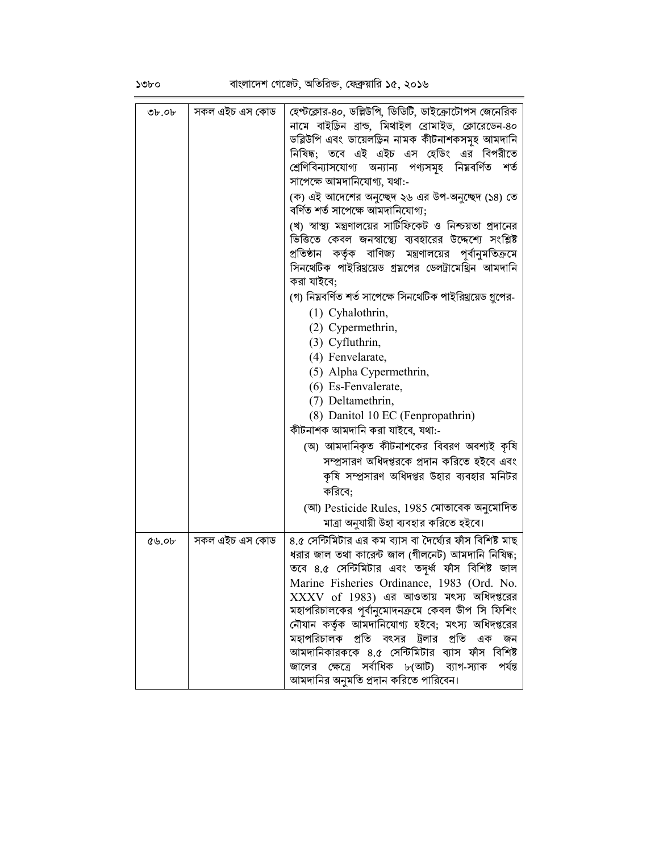| Ob.               | সকল এইচ এস কোড | হেপ্টক্লোর-৪০, ডল্লিউপি, ডিডিটি, ডাইক্রোটোপস জেনেরিক         |
|-------------------|----------------|--------------------------------------------------------------|
|                   |                | নামে বাইড়িন ব্রান্ড, মিথাইল ব্রোমাইড, ক্লোরেডেন-৪০          |
|                   |                | ডব্লিউপি এবং ডায়েলড়িন নামক কীটনাশকসমূহ আমদানি              |
|                   |                | নিষিদ্ধ; তবে এই এইচ এস হেডিং এর বিপরীতে                      |
|                   |                | শ্ৰেণিবিন্যাসযোগ্য অন্যান্য পণ্যসমূহ নিম্নবৰ্ণিত শৰ্ত        |
|                   |                | সাপেক্ষে আমদানিযোগ্য, যথা:-                                  |
|                   |                | (ক) এই আদেশের অনুচ্ছেদ ২৬ এর উপ-অনুচ্ছেদ (১৪) তে             |
|                   |                | বৰ্ণিত শৰ্ত সাপেক্ষে আমদানিযোগ্য;                            |
|                   |                | (খ) স্বাস্থ্য মন্ত্রণালয়ের সার্টিফিকেট ও নিশ্চয়তা প্রদানের |
|                   |                | ভিত্তিতে কেবল জনস্বাস্থ্যে ব্যবহারের উদ্দেশ্যে সংশ্লিষ্ট     |
|                   |                | প্রতিষ্ঠান কর্তৃক বাণিজ্য মন্ত্রণালয়ের পূর্বানুমতিক্রমে     |
|                   |                | সিনথেটিক পাইরিথ্রয়েড গ্রয়পের ডেলট্রামেথ্রিন আমদানি         |
|                   |                | করা যাইবে;                                                   |
|                   |                | (গ) নিম্নবৰ্ণিত শৰ্ত সাপেক্ষে সিনথেটিক পাইরিথ্রয়েড গ্রুপের- |
|                   |                | (1) Cyhalothrin,                                             |
|                   |                | (2) Cypermethrin,                                            |
|                   |                | (3) Cyfluthrin,                                              |
|                   |                | (4) Fenvelarate,                                             |
|                   |                | (5) Alpha Cypermethrin,                                      |
|                   |                | (6) Es-Fenvalerate,                                          |
|                   |                | (7) Deltamethrin,                                            |
|                   |                | (8) Danitol 10 EC (Fenpropathrin)                            |
|                   |                | কীটনাশক আমদানি করা যাইবে, যথা:-                              |
|                   |                | (অ) আমদানিকৃত কীটনাশকের বিবরণ অবশ্যই কৃষি                    |
|                   |                | সম্প্রসারণ অধিদপ্তরকে প্রদান করিতে হইবে এবং                  |
|                   |                | কৃষি সম্প্রসারণ অধিদপ্তর উহার ব্যবহার মনিটর                  |
|                   |                | করিবে;                                                       |
|                   |                | (আ) Pesticide Rules, 1985 মোতাবেক অনুমোদিত                   |
|                   |                | মাত্রা অনুযায়ী উহা ব্যবহার করিতে হইবে।                      |
| 89.0 <sub>b</sub> | সকল এইচ এস কোড | ৪.৫ সেন্টিমিটার এর কম ব্যাস বা দৈর্ঘ্যের ফাঁস বিশিষ্ট মাছ    |
|                   |                | ধরার জাল তথা কারেন্ট জাল (গীলনেট) আমদানি নিষিদ্ধ;            |
|                   |                | তবে ৪.৫ সেন্টিমিটার এবং তদূর্ধ্ব ফাঁস বিশিষ্ট জাল            |
|                   |                | Marine Fisheries Ordinance, 1983 (Ord. No.                   |
|                   |                | $XXXV$ of 1983) এর আওতায় মৎস্য অধিদপ্তরের                   |
|                   |                | মহাপরিচালকের পূর্বানুমোদনক্রমে কেবল ডীপ সি ফিশিং             |
|                   |                | নৌযান কর্তৃক আমদানিযোগ্য হইবে; মৎস্য অধিদপ্তরের              |
|                   |                | মহাপরিচালক প্রতি বৎসর ট্রলার প্রতি এক<br>জন                  |
|                   |                | আমদানিকারককে ৪.৫ সেন্টিমিটার ব্যাস ফাঁস বিশিষ্ট              |
|                   |                | জালের ক্ষেত্রে সর্বাধিক ৮(আট) ব্যাগ-স্যাক<br>পৰ্যন্ত         |
|                   |                | আমদানির অনুমতি প্রদান করিতে পারিবেন।                         |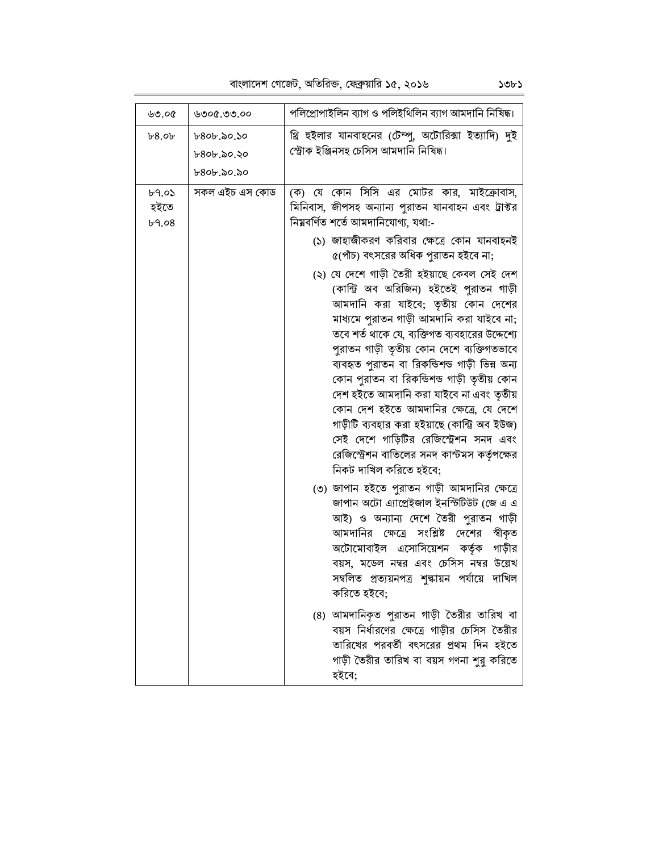| ৬৩.০৫                  | ৬৩০৫.৩৩.০০               | পলিপ্ৰোপাইলিন ব্যাগ ও পলিইথিলিন ব্যাগ আমদানি নিষিদ্ধ।                                                                                                                                                                                                                                                                                                                                                                                                                                                                                                                                                                                                                                                                                                                                                                                                               |
|------------------------|--------------------------|---------------------------------------------------------------------------------------------------------------------------------------------------------------------------------------------------------------------------------------------------------------------------------------------------------------------------------------------------------------------------------------------------------------------------------------------------------------------------------------------------------------------------------------------------------------------------------------------------------------------------------------------------------------------------------------------------------------------------------------------------------------------------------------------------------------------------------------------------------------------|
| b8.0b                  | b80b.50.50<br>৮৪০৮.৯০.২০ | থ্রি হইলার যানবাহনের (টেম্পু, অটোরিক্সা ইত্যাদি) দুই<br>স্ট্ৰোক ইঞ্জিনসহ চেসিস আমদানি নিষিদ্ধ।                                                                                                                                                                                                                                                                                                                                                                                                                                                                                                                                                                                                                                                                                                                                                                      |
|                        | $b80b$ .20.20            |                                                                                                                                                                                                                                                                                                                                                                                                                                                                                                                                                                                                                                                                                                                                                                                                                                                                     |
| b9.05<br>হইতে<br>b9.08 | সকল এইচ এস কোড           | (ক) যে কোন সিসি এর মোটর কার, মাইক্রোবাস,<br>মিনিবাস, জীপসহ অন্যান্য পুরাতন যানবাহন এবং ট্রাক্টর<br>নিয়বর্ণিত শর্তে আমদানিযোগ্য, যথা:-<br>(১) জাহাজীকরণ করিবার ক্ষেত্রে কোন যানবাহনই<br>৫(পাঁচ) বৎসরের অধিক পুরাতন হইবে না;<br>(২) যে দেশে গাড়ী তৈরী হইয়াছে কেবল সেই দেশ<br>(কান্ট্রি অব অরিজিন) হইতেই পুরাতন গাড়ী<br>আমদানি করা যাইবে; তৃতীয় কোন দেশের<br>মাধ্যমে পুরাতন গাড়ী আমদানি করা যাইবে না;<br>তবে শর্ত থাকে যে, ব্যক্তিগত ব্যবহারের উদ্দেশ্যে<br>পুরাতন গাড়ী তৃতীয় কোন দেশে ব্যক্তিগতভাবে<br>ব্যবহৃত পুরাতন বা রিকন্ডিশন্ড গাড়ী ভিন্ন অন্য<br>কোন পুরাতন বা রিকন্ডিশন্ড গাড়ী তৃতীয় কোন<br>দেশ হইতে আমদানি করা যাইবে না এবং তৃতীয়<br>কোন দেশ হইতে আমদানির ক্ষেত্রে, যে দেশে<br>গাড়ীটি ব্যবহার করা হইয়াছে (কান্ট্রি অব ইউজ)<br>সেই দেশে গাড়িটির রেজিস্ট্রেশন সনদ এবং<br>রেজিস্ট্রেশন বাতিলের সনদ কাস্টমস কর্তৃপক্ষের<br>নিকট দাখিল করিতে হইবে; |
|                        |                          | (৩) জাপান হইতে পুরাতন গাড়ী আমদানির ক্ষেত্রে<br>জাপান অটো এ্যাপ্রেইজাল ইনস্টিটিউট (জে এ এ<br>আই) ও অন্যান্য দেশে তৈরী পুরাতন গাড়ী<br>সংশ্লিষ্ট দেশের স্বীকৃত<br>আমদানির ক্ষেত্রে<br>অটোমোবাইল এসোসিয়েশন কর্তৃক গাড়ীর<br>বয়স, মডেল নম্বর এবং চেসিস নম্বর উল্লেখ<br>সম্বলিত প্ৰত্যয়নপত্ৰ শঙ্কায়ন পৰ্যায়ে দাখিল<br>করিতে হইবে;                                                                                                                                                                                                                                                                                                                                                                                                                                                                                                                                  |
|                        |                          | (৪) আমদানিকৃত পুরাতন গাড়ী তৈরীর তারিখ বা<br>বয়স নির্ধারণের ক্ষেত্রে গাড়ীর চেসিস তৈরীর<br>তারিখের পরবর্তী বৎসরের প্রথম দিন হইতে<br>গাড়ী তৈরীর তারিখ বা বয়স গণনা শুরু করিতে<br>হইবে;                                                                                                                                                                                                                                                                                                                                                                                                                                                                                                                                                                                                                                                                             |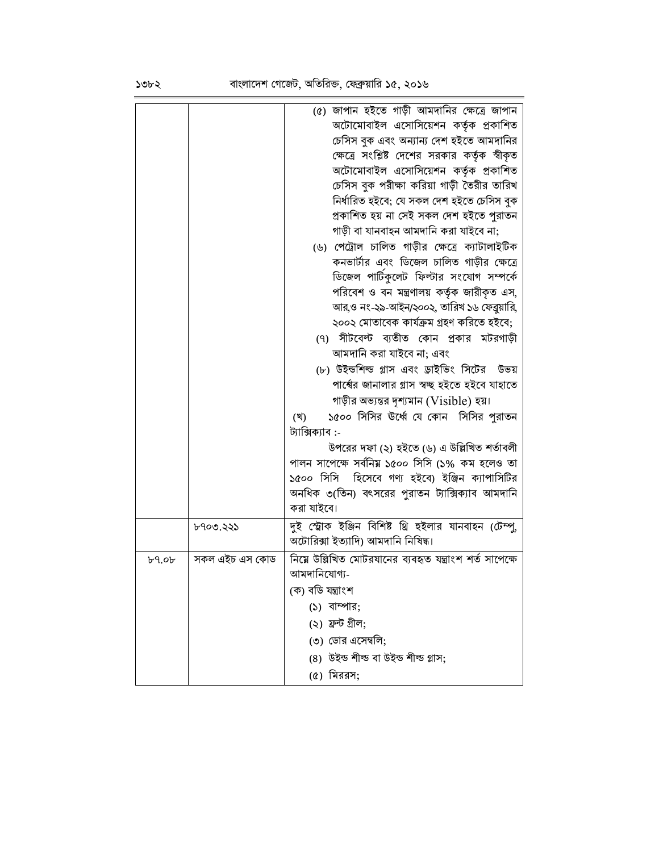বাংলাদেশ গেজেট, অতিরিক্ত, ফেব্রুয়ারি ১৫, ২০১৬

|       |                | (৫) জাপান হইতে গাড়ী আমদানির ক্ষেত্রে জাপান               |
|-------|----------------|-----------------------------------------------------------|
|       |                | অটোমোবাইল এসোসিয়েশন কর্তৃক প্রকাশিত                      |
|       |                | চেসিস বুক এবং অন্যান্য দেশ হইতে আমদানির                   |
|       |                | ক্ষেত্রে সংশ্লিষ্ট দেশের সরকার কর্তৃক স্বীকৃত             |
|       |                | অটোমোবাইল এসোসিয়েশন কর্তৃক প্রকাশিত                      |
|       |                | চেসিস বুক পরীক্ষা করিয়া গাড়ী তৈরীর তারিখ                |
|       |                | নিৰ্ধারিত হইবে; যে সকল দেশ হইতে চেসিস বুক                 |
|       |                | প্রকাশিত হয় না সেই সকল দেশ হইতে পুরাতন                   |
|       |                | গাড়ী বা যানবাহন আমদানি করা যাইবে না;                     |
|       |                | (৬) পেট্রোল চালিত গাড়ীর ক্ষেত্রে ক্যাটালাইটিক            |
|       |                | কনভার্টার এবং ডিজেল চালিত গাড়ীর ক্ষেত্রে                 |
|       |                | ডিজেল পার্টিকুলেট ফিল্টার সংযোগ সম্পর্কে                  |
|       |                | পরিবেশ ও বন মন্ত্রণালয় কর্তৃক জারীকৃত এস,                |
|       |                | আর,ও নং-২৯-আইন/২০০২, তারিখ ১৬ ফেব্রুয়ারি,                |
|       |                | ২০০২ মোতাবেক কাৰ্যক্ৰম গ্ৰহণ করিতে হইবে;                  |
|       |                | (৭) সীটবেল্ট ব্যতীত কোন প্রকার মটরগাড়ী                   |
|       |                | আমদানি করা যাইবে না; এবং                                  |
|       |                | (৮) উইন্ডশিল্ড গ্লাস এবং ড্রাইভিং সিটের উভয়              |
|       |                | পার্শ্বের জানালার গ্লাস স্বচ্ছ হইতে হইবে যাহাতে           |
|       |                | গাড়ীর অভ্যন্তর দৃশ্যমান (Visible) হয়।                   |
|       |                | ১৫০০ সিসির উর্ধ্বে যে কোন  সিসির পুরাতন<br>(খ)            |
|       |                | ট্যাক্সিক্যাব :-                                          |
|       |                | উপরের দফা (২) হইতে (৬) এ উল্লিখিত শর্তাবলী                |
|       |                | পালন সাপেক্ষে সর্বনিয় ১৫০০ সিসি (১% কম হলেও তা           |
|       |                | ১৫০০ সিসি  হিসেবে গণ্য হইবে) ইঞ্জিন ক্যাপাসিটির           |
|       |                | অনধিক ৩(তিন) বৎসরের পুরাতন ট্যাক্সিক্যাব আমদানি           |
|       |                | করা যাইবে।                                                |
|       | ৮৭০৩.২২১       | দুই স্ট্রোক ইঞ্জিন বিশিষ্ট থ্রি হুইলার যানবাহন (টেম্পু,   |
|       |                | অটোরিক্সা ইত্যাদি) আমদানি নিষিদ্ধ।                        |
| b9.0b | সকল এইচ এস কোড | নিম্নে উল্লিখিত মোটরযানের ব্যবহৃত যন্ত্রাংশ শর্ত সাপেক্ষে |
|       |                | আমদানিযোগ্য-                                              |
|       |                | (ক) বডি যন্ত্ৰাংশ                                         |
|       |                | (১) বাম্পার;                                              |
|       |                | (২) ফ্রন্ট গ্রীল;                                         |
|       |                | (৩) ডোর এসেম্বলি;                                         |
|       |                | (8) উইন্ড শীল্ড বা উইন্ড শীল্ড গ্লাস;                     |
|       |                | $(0)$ মিররস;                                              |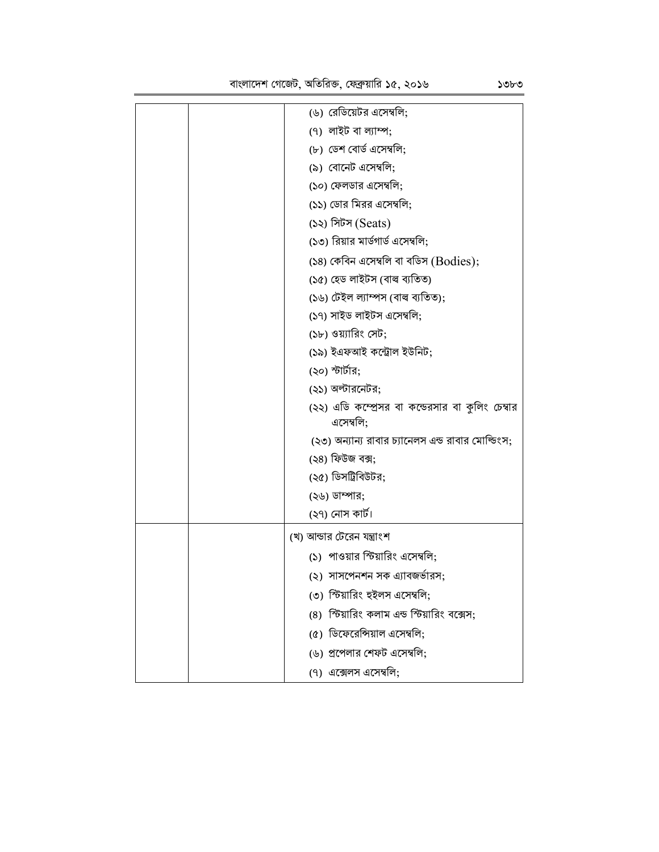| (৬) রেডিয়েটর এসেম্বলি;                                       |
|---------------------------------------------------------------|
| (৭) লাইট বা ল্যাম্প;                                          |
| (৮) ডেশ বোর্ড এসেম্বলি;                                       |
| (৯) বোনেট এসেম্বলি;                                           |
| (১০) ফেলডার এসেম্বলি;                                         |
| (১১) ডোর মিরর এসেম্বলি;                                       |
| (১২) সিটস (Seats)                                             |
| (১৩) রিয়ার মার্ডগার্ড এসেম্বলি;                              |
| (১৪) কেবিন এসেম্বলি বা বডিস (Bodies);                         |
| (১৫) হেড লাইটস (বাল্ব ব্যতিত)                                 |
| (১৬) টেইল ল্যাম্পস (বাল্ব ব্যতিত);                            |
| (১৭) সাইড লাইটস এসেম্বলি;                                     |
| (১৮) ওয়্যারিং সেট;                                           |
| (১৯) ইএফআই কন্ট্ৰোল ইউনিট;                                    |
| (২০) স্টার্টার;                                               |
| (২১) অল্টারনেটর;                                              |
| (২২) এডি কম্প্রেসর বা কন্ডেরসার বা কুলিং চেম্বার<br>এসেম্বলি; |
| (২৩) অন্যান্য রাবার চ্যানেলস এন্ড রাবার মোল্ডিংস;             |
| (২৪) ফিউজ বক্স;                                               |
| (২৫) ডিসট্রিবিউটর;                                            |
| (২৬) ডাম্পার;                                                 |
| (২৭) নোস কার্ট।                                               |
| (খ) আন্ডার টেরেন যন্ত্রাংশ                                    |
| (১) পাওয়ার স্টিয়ারিং এসেম্বলি;                              |
| (২) সাসপেনশন সক এ্যাবজর্ভারস:                                 |
| (৩) স্টিয়ারিং হুইলস এসেম্বলি;                                |
| (৪) স্টিয়ারিং কলাম এন্ড স্টিয়ারিং বক্সেস:                   |
| (৫) ডিফেরেন্সিয়াল এসেম্বলি;                                  |
| (৬) প্রপেলার শেফট এসেম্বলি;                                   |
| (৭) এক্সেলস এসেম্বলি;                                         |
|                                                               |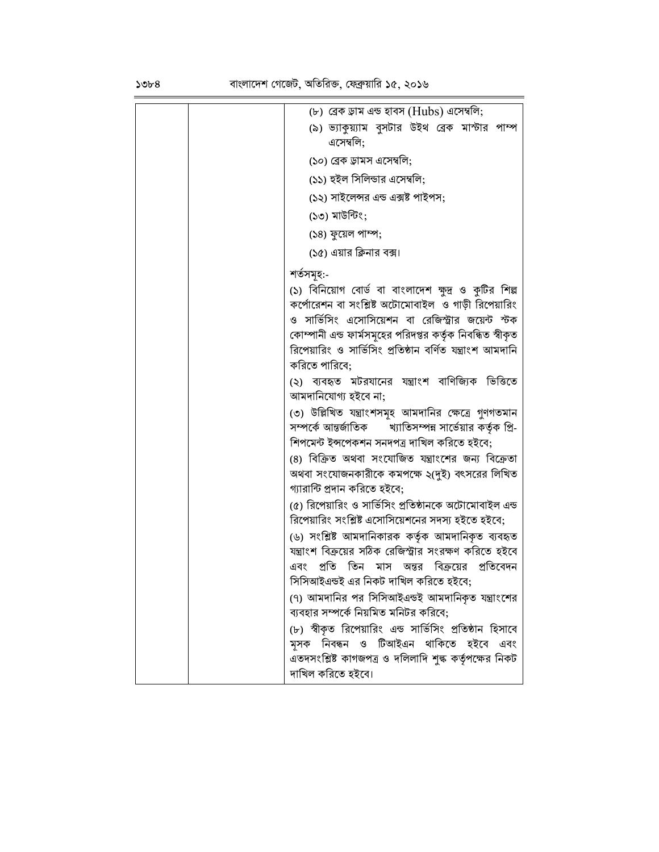| (৮) ব্ৰেক ড্ৰাম এন্ড হাবস (Hubs) এসেম্বলি;                                                |
|-------------------------------------------------------------------------------------------|
| (৯) ভ্যাকুয়্যাম বুসটার উইথ ব্রেক মাস্টার পাম্প<br>এসেম্বলি;                              |
| (১০) ব্ৰেক ড্ৰামস এসেম্বলি;                                                               |
| (১১) হুইল সিলিন্ডার এসেম্বলি;                                                             |
| (১২) সাইলেন্সর এন্ড এক্সষ্ট পাইপস;                                                        |
| (১৩) মাউন্টিং;                                                                            |
| (১৪) ফুয়েল পাম্প;                                                                        |
| (১৫) এয়ার ক্লিনার বক্স।                                                                  |
| শর্তসমূহ:-                                                                                |
| (১) বিনিয়োগ বোর্ড বা বাংলাদেশ ক্ষুদ্র ও কুটির শিল্প                                      |
| কর্পোরেশন বা সংশ্লিষ্ট অটোমোবাইল ও গাড়ী রিপেয়ারিং                                       |
| ও সার্ভিসিং এসোসিয়েশন বা রেজিস্ট্রার জয়েন্ট স্টক                                        |
| কোম্পানী এন্ড ফার্মসমূহের পরিদপ্তর কর্তৃক নিবন্ধিত স্বীকৃত                                |
| রিপেয়ারিং ও সার্ভিসিং প্রতিষ্ঠান বর্ণিত যন্ত্রাংশ আমদানি<br>করিতে পারিবে:                |
| (২) ব্যবহৃত মটরযানের যন্ত্রাংশ বাণিজ্যিক ভিত্তিতে                                         |
| আমদানিযোগ্য হইবে না;                                                                      |
| (৩) উল্লিখিত যন্ত্ৰাংশসমূহ আমদানির ক্ষেত্রে গুণগতমান                                      |
| সম্পর্কে আন্তর্জাতিক       খ্যাতিসম্পন্ন সার্ভেয়ার কর্তৃক প্রি-                          |
| শিপমেন্ট ইন্সপেকশন সনদপত্র দাখিল করিতে হইবে;                                              |
| (৪) বিক্রিত অথবা সংযোজিত যন্ত্রাংশের জন্য বিক্রেতা                                        |
| অথবা সংযোজনকারীকে কমপক্ষে ২(দুই) বৎসরের লিখিত<br>গ্যারান্টি প্রদান করিতে হইবে;            |
| (৫) রিপেয়ারিং ও সার্ভিসিং প্রতিষ্ঠানকে অটোমোবাইল এন্ড                                    |
| রিপেয়ারিং সংশ্লিষ্ট এসোসিয়েশনের সদস্য হইতে হইবে;                                        |
| (৬) সংশ্লিষ্ট আমদানিকারক কর্তৃক আমদানিকৃত ব্যবহৃত                                         |
| যন্ত্রাংশ বিক্রয়ের সঠিক রেজিস্ট্রার সংরক্ষণ করিতে হইবে                                   |
| প্ৰতি<br>তিন মাস অন্তর বিক্রয়ের প্রতিবেদন<br>এবং                                         |
| সিসিআইএন্ডই এর নিকট দাখিল করিতে হইবে;                                                     |
| (৭) আমদানির পর সিসিআইএন্ডই আমদানিকৃত যন্ত্রাংশের<br>ব্যবহার সম্পর্কে নিয়মিত মনিটর করিবে; |
| (৮) স্বীকৃত রিপেয়ারিং এন্ড সার্ভিসিং প্রতিষ্ঠান হিসাবে                                   |
| মৃসক নিবন্ধন ও টিআইএন থাকিতে হইবে<br>এবং                                                  |
| এতদসংশ্লিষ্ট কাগজপত্র ও দলিলাদি শুল্ক কর্তৃপক্ষের নিকট                                    |
| দাখিল করিতে হইবে।                                                                         |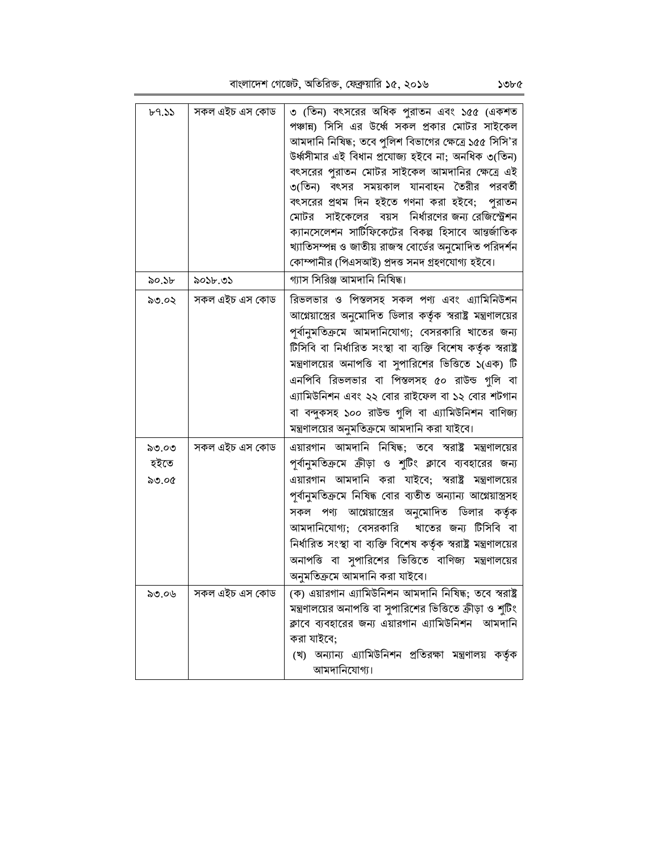বাংলাদেশ গেজেট, অতিরিক্ত, ফেব্রুয়ারি ১৫, ২০১৬

| b9.55 | সকল এইচ এস কোড | ৩ (তিন) বৎসরের অধিক পুরাতন এবং ১৫৫ (একশত<br>পঞ্চান্ন) সিসি এর উর্ধ্বে সকল প্রকার মোটর সাইকেল |
|-------|----------------|----------------------------------------------------------------------------------------------|
|       |                | আমদানি নিষিদ্ধ; তবে পুলিশ বিভাগের ক্ষেত্রে ১৫৫ সিসি'র                                        |
|       |                | উৰ্ধ্বসীমার এই বিধান প্রযোজ্য হইবে না; অনধিক ৩(তিন)                                          |
|       |                | বৎসরের পুরাতন মোটর সাইকেল আমদানির ক্ষেত্রে এই                                                |
|       |                | ৩(তিন) বৎসর সময়কাল যানবাহন তৈরীর<br>পরবর্তী                                                 |
|       |                | বৎসরের প্রথম দিন হইতে গণনা করা হইবে; পুরাতন                                                  |
|       |                | মোটর সাইকেলের বয়স নির্ধারণের-জন্য-রেজিস্ট্রেশন                                              |
|       |                | ক্যানসেলেশন সার্টিফিকেটের বিকল্প হিসাবে আন্তর্জাতিক                                          |
|       |                | খ্যাতিসম্পন্ন ও জাতীয় রাজস্ব বোর্ডের অনুমোদিত পরিদর্শন                                      |
|       |                | কোম্পানীর (পিএসআই) প্রদত্ত সনদ গ্রহণযোগ্য হইবে।                                              |
| ৯০.১৮ | ৯০১৮.৩১        | গ্যাস সিরিঞ্জ আমদানি নিষিদ্ধ।                                                                |
| ৯৩.০২ | সকল এইচ এস কোড | রিভলভার ও পিস্তলসহ সকল পণ্য এবং এ্যামিনিউশন                                                  |
|       |                | আগ্নেয়াস্ত্রের অনুমোদিত ডিলার কর্তৃক স্বরাষ্ট্র মন্ত্রণালয়ের                               |
|       |                | পূর্বানুমতিক্রমে আমদানিযোগ্য; বেসরকারি খাতের জন্য                                            |
|       |                | টিসিবি বা নিৰ্ধারিত সংস্থা বা ব্যক্তি বিশেষ কর্তৃক স্বরাষ্ট্র                                |
|       |                | মন্ত্রণালয়ের অনাপত্তি বা সুপারিশের ভিত্তিতে ১(এক) টি                                        |
|       |                | এনপিবি রিভলভার বা পিস্তলসহ ৫০ রাউন্ড গুলি বা                                                 |
|       |                | এ্যামিউনিশন এবং ২২ বোর রাইফেল বা ১২ বোর শটগান                                                |
|       |                | বা বন্দুকসহ ১০০ রাউন্ড গুলি বা এ্যামিউনিশন বাণিজ্য                                           |
|       |                | মন্ত্রণালয়ের অনুমতিক্রমে আমদানি করা যাইবে।                                                  |
|       | সকল এইচ এস কোড | এয়ারগান আমদানি নিষিদ্ধ; তবে স্বরাষ্ট্র মন্ত্রণালয়ের                                        |
| ৯৩.০৩ |                |                                                                                              |
| হইতে  |                | পূর্বানুমতিক্রমে ক্রীড়া ও শুটিং ক্লাবে ব্যবহারের জন্য                                       |
| ৯৩.০৫ |                | এয়ারগান আমদানি করা যাইবে; স্বরাষ্ট্র মন্ত্রণালয়ের                                          |
|       |                | পূর্বানুমতিক্রমে নিষিদ্ধ বোর ব্যতীত অন্যান্য আগ্নেয়াস্ত্রসহ                                 |
|       |                | সকল পণ্য আগ্নেয়াস্ত্রের অনুমোদিত ডিলার কর্তৃক                                               |
|       |                | আমদানিযোগ্য; বেসরকারি<br>খাতের জন্য টিসিবি বা                                                |
|       |                | নির্ধারিত সংস্থা বা ব্যক্তি বিশেষ কর্তৃক স্বরাষ্ট্র মন্ত্রণালয়ের                            |
|       |                | অনাপত্তি বা সুপারিশের ভিত্তিতে বাণিজ্য মন্ত্রণালয়ের                                         |
|       |                | অনুমতিক্ৰমে আমদানি করা যাইবে।                                                                |
| ৯৩.০৬ | সকল এইচ এস কোড | (ক) এয়ারগান এ্যামিউনিশন আমদানি নিষিদ্ধ; তবে স্বরাষ্ট্র                                      |
|       |                | মন্ত্রণালয়ের অনাপত্তি বা সুপারিশের ভিত্তিতে ক্রীড়া ও শুটিং                                 |
|       |                | ক্লাবে ব্যবহারের জন্য এয়ারগান এ্যামিউনিশন  আমদানি                                           |
|       |                | করা যাইবে;                                                                                   |
|       |                | (খ) অন্যান্য এ্যামিউনিশন প্রতিরক্ষা মন্ত্রণালয়<br>কতৃক                                      |
|       |                | আমদানিযোগ্য।                                                                                 |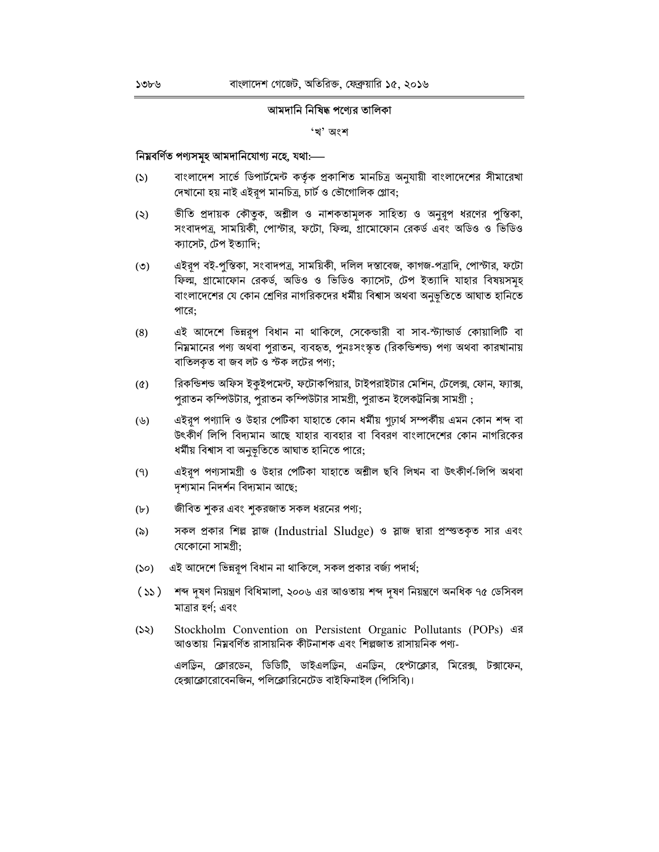#### আমদানি নিষিদ্ধ পণ্যের তালিকা

'খ' অংশ

#### নিয়বৰ্ণিত পণ্যসমূহ আমদানিযোগ্য নহে, যথা:----

- বাংলাদেশ সার্ভে ডিপার্টমেন্ট কর্তৃক প্রকাশিত মানচিত্র অনুযায়ী বাংলাদেশের সীমারেখা  $(5)$ দেখানো হয় নাই এইরূপ মানচিত্র, চার্ট ও ভৌগোলিক গ্লোব;
- ভীতি প্রদায়ক কৌতুক, অশ্লীল ও নাশকতামূলক সাহিত্য ও অনুরূপ ধরণের পুস্তিকা,  $(5)$ সংবাদপত্র, সাময়িকী, পোস্টার, ফটো, ফিল্ম, গ্রামোফোন রেকর্ড এবং অডিও ও ভিডিও ক্যাসেট, টেপ ইত্যাদি;
- এইরূপ বই-পুস্তিকা, সংবাদপত্র, সাময়িকী, দলিল দস্তাবেজ, কাগজ-পত্রাদি, পোস্টার, ফটো  $(5)$ ফিল্ম, গ্রামোফোন রেকর্ড, অডিও ও ভিডিও ক্যাসেট, টেপ ইত্যাদি যাহার বিষয়সমূহ বাংলাদেশের যে কোন শ্রেণির নাগরিকদের ধর্মীয় বিশ্বাস অথবা অনুভূতিতে আঘাত হানিতে পারে;
- এই আদেশে ভিন্নরূপ বিধান না থাকিলে, সেকেন্ডারী বা সাব-স্ট্যান্ডার্ড কোয়ালিটি বা  $(8)$ নিম্নমানের পণ্য অথবা পুরাতন, ব্যবহৃত, পুনঃসংস্কৃত (রিকন্ডিশন্ড) পণ্য অথবা কারখানায় বাতিলকত বা জব লট ও স্টক লটের পণ্য;
- রিকন্ডিশন্ড অফিস ইকইপমেন্ট, ফটোকপিয়ার, টাইপরাইটার মেশিন, টেলেক্স, ফোন, ফ্যাক্স,  $(\mathcal{C})$ পুরাতন কম্পিউটার, পুরাতন কম্পিউটার সামগ্রী, পুরাতন ইলেকট্রনিক্স সামগ্রী ;
- এইরূপ পণ্যাদি ও উহার পেটিকা যাহাতে কোন ধর্মীয় গুঢ়ার্থ সম্পর্কীয় এমন কোন শব্দ বা  $($ উৎকীর্ণ লিপি বিদ্যমান আছে যাহার ব্যবহার বা বিবরণ বাংলাদেশের কোন নাগরিকের ধৰ্মীয় বিশ্বাস বা অনুভূতিতে আঘাত হানিতে পারে;
- $(9)$ এইরূপ পণ্যসামগ্রী ও উহার পেটিকা যাহাতে অশ্লীল ছবি লিখন বা উৎকীর্ণ-লিপি অথবা দশ্যমান নিদৰ্শন বিদ্যমান আছে:
- জীবিত শুকর এবং শুকরজাত সকল ধরনের পণ্য;  $(b)$
- সকল প্রকার শিল্প স্লাজ (Industrial Sludge) ও স্লাজ দ্বারা প্রস্ততকৃত সার এবং  $(\delta)$ যেকোনো সামগ্ৰী:
- এই আদেশে ভিন্নরূপ বিধান না থাকিলে, সকল প্রকার বর্জ্য পদার্থ;  $(S<sub>O</sub>)$
- শব্দ দৃষণ নিয়ন্ত্রণ বিধিমালা, ২০০৬ এর আওতায় শব্দ দৃষণ নিয়ন্ত্রণে অনধিক ৭৫ ডেসিবল  $(35)$ মাত্রার হর্ণ: এবং
- Stockholm Convention on Persistent Organic Pollutants (POPs) এর  $(55)$ আওতায় নিম্নবৰ্ণিত রাসায়নিক কীটনাশক এবং শিল্পজাত রাসায়নিক পণ্য-

এলড়িন, ক্লোরডেন, ডিডিটি, ডাইএলড়িন, এনড়িন, হেপ্টাক্লোর, মিরেক্স, টক্সাফেন, হেক্সাক্লোরোবেনজিন, পলিক্লোরিনেটেড বাইফিনাইল (পিসিবি)।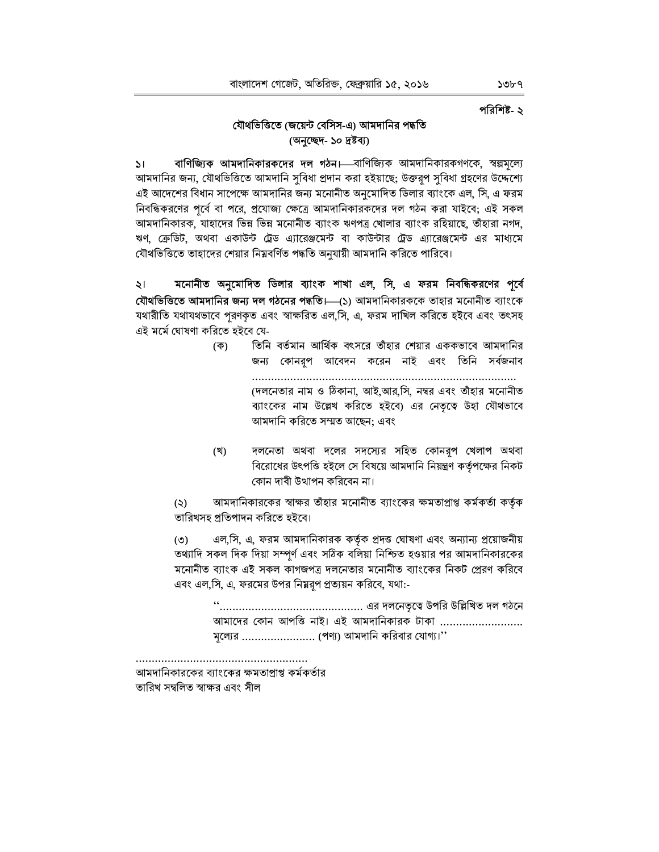#### পরিশিষ্ট- ২

#### যৌথভিত্তিতে (জয়েন্ট বেসিস-এ) আমদানির পদ্ধতি (অনুচ্ছেদ- ১০ দ্ৰষ্টব্য)

বাণিজ্যিক আমদানিকারকদের দল গঠন। বাণিজ্যিক আমদানিকারকগণকে, স্বল্লসূল্যে  $51$ আমদানির জন্য, যৌথভিত্তিতে আমদানি সুবিধা প্রদান করা হইয়াছে; উক্তরূপ সুবিধা গ্রহণের উদ্দেশ্যে এই আদেশের বিধান সাপেক্ষে আমদানির জন্য মনোনীত অনুমোদিত ডিলার ব্যাংকে এল, সি, এ ফরম নিবন্ধিকরণের পর্বে বা পরে, প্রযোজ্য ক্ষেত্রে আমদানিকারকদের দল গঠন করা যাইবে; এই সকল আমদানিকারক, যাহাদের ভিন্ন ভিন্ন মনোনীত ব্যাংক ঋণপত্র খোলার ব্যাংক রহিয়াছে, তাঁহারা নগদ, ঋণ, ক্রেডিট, অথবা একাউন্ট ট্রেড এ্যারেঞ্জমেন্ট বা কাউন্টার ট্রেড এ্যারেঞ্জমেন্ট এর মাধ্যমে যৌথভিত্তিতে তাহাদের শেয়ার নিম্নবর্ণিত পদ্ধতি অনুযায়ী আমদানি করিতে পারিবে।

মনোনীত অনুমোদিত ডিলার ব্যাংক শাখা এল, সি, এ ফরম নিবন্ধিকরণের পূর্বে  $\mathbf{S}$ **যৌথভিত্তিতে আমদানির জন্য দল গঠনের পদ্ধতি।—(**১) আমদানিকারককে তাহার মনোনীত ব্যাংকে যথারীতি যথাযথভাবে পুরণকৃত এবং স্বাক্ষরিত এল,সি, এ, ফরম দাখিল করিতে হইবে এবং তৎসহ এই মৰ্মে ঘোষণা করিতে হইবে যে-

- তিনি বর্তমান আর্থিক বৎসরে তাঁহার শেয়ার এককভাবে আমদানির (ক) জন্য কোনরূপ আবেদন করেন নাই এবং তিনি সর্বজনাব (দলনেতার নাম ও ঠিকানা, আই,আর,সি, নম্বর এবং তাঁহার মনোনীত ব্যাংকের নাম উল্লেখ করিতে হইবে) এর নেতৃত্বে উহা যৌথভাবে আমদানি করিতে সম্মত আছেন: এবং
- দলনেতা অথবা দলের সদস্যের সহিত কোনরপ খেলাপ অথবা (খ) বিরোধের উৎপত্তি হইলে সে বিষয়ে আমদানি নিয়ন্ত্রণ কর্তৃপক্ষের নিকট কোন দাবী উত্থাপন করিবেন না।

আমদানিকারকের স্বাক্ষর তাঁহার মনোনীত ব্যাংকের ক্ষমতাপ্রাপ্ত কর্মকর্তা কর্তৃক  $(5)$ তারিখসহ প্রতিপাদন করিতে হইবে।

এল,সি, এ, ফরম আমদানিকারক কর্তৃক প্রদত্ত ঘোষণা এবং অন্যান্য প্রয়োজনীয়  $(5)$ তথ্যাদি সকল দিক দিয়া সম্পর্ণ এবং সঠিক বলিয়া নিশ্চিত হওয়ার পর আমদানিকারকের মনোনীত ব্যাংক এই সকল কাগজপত্র দলনেতার মনোনীত ব্যাংকের নিকট প্রেরণ করিবে এবং এল,সি, এ, ফরমের উপর নিম্নরপ প্রত্যয়ন করিবে, যথা:-

> আমাদের কোন আপত্তি নাই। এই আমদানিকারক টাকা .......................... মূল্যের ....................... (পণ্য) আমদানি করিবার যোগ্য।''

আমদানিকারকের ব্যাংকের ক্ষমতাপ্রাপ্ত কর্মকর্তার তারিখ সম্বলিত স্বাক্ষর এবং সীল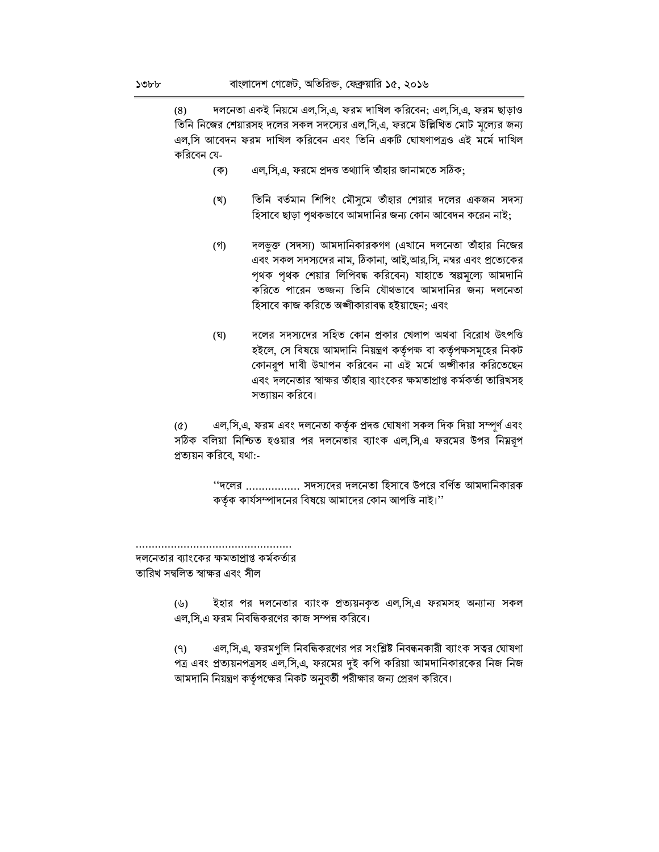দলনেতা একই নিয়মে এল,সি,এ, ফরম দাখিল করিবেন; এল,সি,এ, ফরম ছাড়াও  $(8)$ তিনি নিজের শেয়ারসহ দলের সকল সদস্যের এল,সি,এ, ফরমে উল্লিখিত মোট মল্যের জন্য এল.সি আবেদন ফরম দাখিল করিবেন এবং তিনি একটি ঘোষণাপত্রও এই মর্মে দাখিল করিবেন যে-

> এল,সি.এ, ফরমে প্রদত্ত তথ্যাদি তাঁহার জানামতে সঠিক;  $($ ক)

- তিনি বর্তমান শিপিং মৌসুমে তাঁহার শেয়ার দলের একজন সদস্য (খ) হিসাবে ছাড়া পৃথকভাবে আমদানির জন্য কোন আবেদন করেন নাই;
- দলভুক্ত (সদস্য) আমদানিকারকগণ (এখানে দলনেতা তাঁহার নিজের  $($ গ) এবং সকল সদস্যদের নাম, ঠিকানা, আই,আর,সি, নম্বর এবং প্রত্যেকের পৃথক পৃথক শেয়ার লিপিবদ্ধ করিবেন) যাহাতে স্বল্পমূল্যে আমদানি করিতে পারেন তজ্জন্য তিনি যৌথভাবে আমদানির জন্য দলনেতা হিসাবে কাজ করিতে অঙ্গীকারাবদ্ধ হইয়াছেন: এবং
- দলের সদস্যদের সহিত কোন প্রকার খেলাপ অথবা বিরোধ উৎপত্তি (ঘৃ) হইলে, সে বিষয়ে আমদানি নিয়ন্ত্রণ কর্তৃপক্ষ বা কর্তৃপক্ষসমূহের নিকট কোনরূপ দাবী উত্থাপন করিবেন না এই মর্মে অঙ্গীকার করিতেছেন এবং দলনেতার স্বাক্ষর তাঁহার ব্যাংকের ক্ষমতাপ্রাপ্ত কর্মকর্তা তারিখসহ সত্যায়ন করিবে।

এল,সি,এ, ফরম এবং দলনেতা কর্তৃক প্রদত্ত ঘোষণা সকল দিক দিয়া সম্পূর্ণ এবং  $(\delta)$ সঠিক বলিয়া নিশ্চিত হওয়ার পর দলনেতার ব্যাংক এল,সি,এ ফরমের উপর নিম্নরপ প্রত্যয়ন করিবে, যথা:-

> ''দলের …………….. সদস্যদের দলনেতা হিসাবে উপরে বর্ণিত আমদানিকারক কর্তৃক কার্যসম্পাদনের বিষয়ে আমাদের কোন আপত্তি নাই।''

দলনেতার ব্যাংকের ক্ষমতাপ্রাপ্ত কর্মকর্তার তারিখ সম্বলিত স্বাক্ষর এবং সীল

> ইহার পর দলনেতার ব্যাংক প্রত্যয়নকৃত এল,সি,এ ফরমসহ অন্যান্য সকল  $(\mathcal{V})$ এল,সি,এ ফরম নিবন্ধিকরণের কাজ সম্পন্ন করিবে।

> এল,সি,এ, ফরমগুলি নিবন্ধিকরণের পর সংশ্লিষ্ট নিবন্ধনকারী ব্যাংক সত্বর ঘোষণা  $(9)$ পত্র এবং প্রত্যয়নপত্রসহ এল,সি,এ, ফরমের দুই কপি করিয়া আমদানিকারকের নিজ নিজ আমদানি নিয়ন্ত্রণ কর্তৃপক্ষের নিকট অনুবর্তী পরীক্ষার জন্য প্রেরণ করিবে।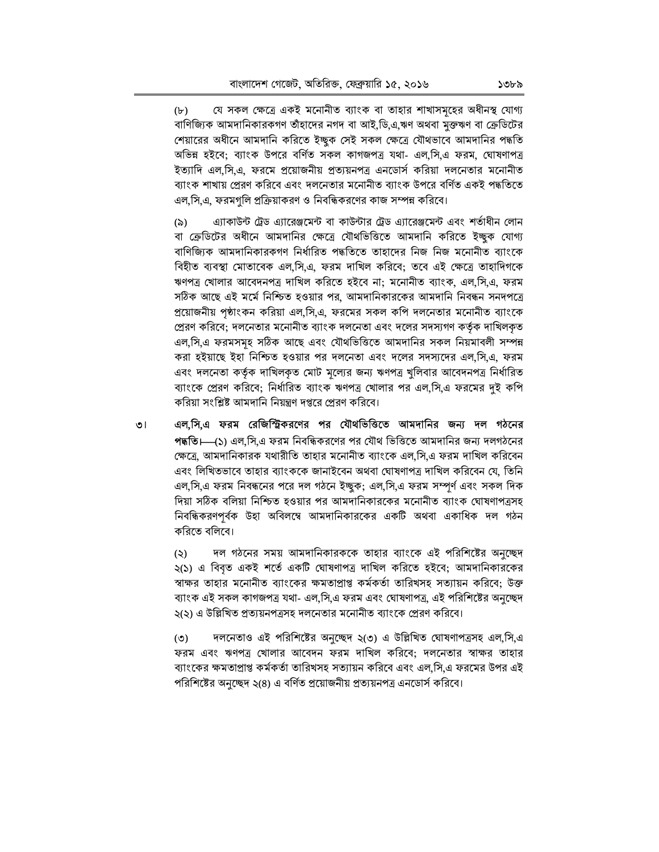যে সকল ক্ষেত্রে একই মনোনীত ব্যাংক বা তাহার শাখাসমূহের অধীনস্থ যোগ্য  $(b)$ বাণিজ্যিক আমদানিকারকগণ তাঁহাদের নগদ বা আই,ডি.এ.ঋণ অথবা মুক্তঋণ বা ক্রেডিটের শেয়ারের অধীনে আমদানি করিতে ইচ্ছুক সেই সকল ক্ষেত্রে যৌথভাবে আমদানির পদ্ধতি অভিন্ন হইবে; ব্যাংক উপরে বর্ণিত সকল কাগজপত্র যথা- এল,সি,এ ফরম, ঘোষণাপত্র ইত্যাদি এল.সি.এ. ফরমে প্রয়োজনীয় প্রত্যয়নপত্র এনডোর্স করিয়া দলনেতার মনোনীত ব্যাংক শাখায় প্রেরণ করিবে এবং দলনেতার মনোনীত ব্যাংক উপরে বর্ণিত একই পদ্ধতিতে এল,সি,এ, ফরমগুলি প্রক্রিয়াকরণ ও নিবন্ধিকরণের কাজ সম্পন্ন করিবে।

 $(5)$ এ্যাকাউন্ট ট্রেড এ্যারেঞ্জমেন্ট বা কাউন্টার ট্রেড এ্যারেঞ্জমেন্ট এবং শর্তাধীন লোন বা ক্রেডিটের অধীনে আমদানির ক্ষেত্রে যৌথভিত্তিতে আমদানি করিতে ইচ্ছুক যোগ্য বাণিজ্যিক আমদানিকারকগণ নির্ধারিত পদ্ধতিতে তাহাদের নিজ নিজ মনোনীত ব্যাংকে বিহীত ব্যবস্থা মোতাবেক এল,সি.এ, ফরম দাখিল করিবে; তবে এই ক্ষেত্রে তাহাদিগকে ঋণপত্র খোলার আবেদনপত্র দাখিল করিতে হইবে না; মনোনীত ব্যাংক, এল,সি,এ, ফরম সঠিক আছে এই মর্মে নিশ্চিত হওয়ার পর, আমদানিকারকের আমদানি নিবন্ধন সনদপত্রে প্রয়োজনীয় পৃষ্ঠাংকন করিয়া এল,সি.এ, ফরমের সকল কপি দলনেতার মনোনীত ব্যাংকে প্রেরণ করিবে; দলনেতার মনোনীত ব্যাংক দলনেতা এবং দলের সদস্যগণ কর্তৃক দাখিলকৃত এল,সি,এ ফরমসমূহ সঠিক আছে এবং যৌথভিত্তিতে আমদানির সকল নিয়মাবলী সম্পন্ন করা হইয়াছে ইহা নিশ্চিত হওয়ার পর দলনেতা এবং দলের সদস্যদের এল,সি.এ, ফরম এবং দলনেতা কর্তৃক দাখিলকৃত মোট মূল্যের জন্য ঋণপত্র খুলিবার আবেদনপত্র নির্ধারিত ব্যাংকে প্রেরণ করিবে: নির্ধারিত ব্যাংক ঋণপত্র খোলার পর এল.সি.এ ফরমের দই কপি করিয়া সংশ্লিষ্ট আমদানি নিয়ন্ত্রণ দপ্তরে প্রেরণ করিবে।

এল,সি,এ ফরম রেজিস্ট্রিকরণের পর যৌথভিত্তিতে আমদানির জন্য দল গঠনের তা পদ্ধতি।—(১) এল,সি,এ ফরম নিবন্ধিকরণের পর যৌথ ভিত্তিতে আমদানির জন্য দলগঠনের ক্ষেত্রে, আমদানিকারক যথারীতি তাহার মনোনীত ব্যাংকে এল,সি,এ ফরম দাখিল করিবেন এবং লিখিতভাবে তাহার ব্যাংককে জানাইবেন অথবা ঘোষণাপত্র দাখিল করিবেন যে, তিনি এল.সি.এ ফরম নিবন্ধনের পরে দল গঠনে ইচ্ছক: এল.সি.এ ফরম সম্পর্ণ এবং সকল দিক দিয়া সঠিক বলিয়া নিশ্চিত হওয়ার পর আমদানিকারকের মনোনীত ব্যাংক ঘোষণাপত্রসহ নিবন্ধিকরণপর্বক উহা অবিলম্বে আমদানিকারকের একটি অথবা একাধিক দল গঠন করিতে বলিবে।

> দল গঠনের সময় আমদানিকারককে তাহার ব্যাংকে এই পরিশিষ্টের অনুচ্ছেদ  $(5)$ ২(১) এ বিবৃত একই শর্তে একটি ঘোষণাপত্র দাখিল করিতে হইবে; আমদানিকারকের স্বাক্ষর তাহার মনোনীত ব্যাংকের ক্ষমতাপ্রাপ্ত কর্মকর্তা তারিখসহ সত্যায়ন করিবে; উক্ত ব্যাংক এই সকল কাগজপত্র যথা- এল,সি,এ ফরম এবং ঘোষণাপত্র, এই পরিশিষ্টের অনুচ্ছেদ ২(২) এ উল্লিখিত প্রত্যয়নপত্রসহ দলনেতার মনোনীত ব্যাংকে প্রেরণ করিবে।

> দলনেতাও এই পরিশিষ্টের অনুচ্ছেদ ২(৩) এ উল্লিখিত ঘোষণাপত্রসহ এল,সি,এ  $(°)$ ফরম এবং ঋণপত্র খোলার আবেদন ফরম দাখিল করিবে; দলনেতার স্বাক্ষর তাহার ব্যাংকের ক্ষমতাপ্রাপ্ত কর্মকর্তা তারিখসহ সত্যায়ন করিবে এবং এল,সি,এ ফরমের উপর এই পরিশিষ্টের অনুচ্ছেদ ২(৪) এ বর্ণিত প্রয়োজনীয় প্রত্যয়নপত্র এনডোর্স করিবে।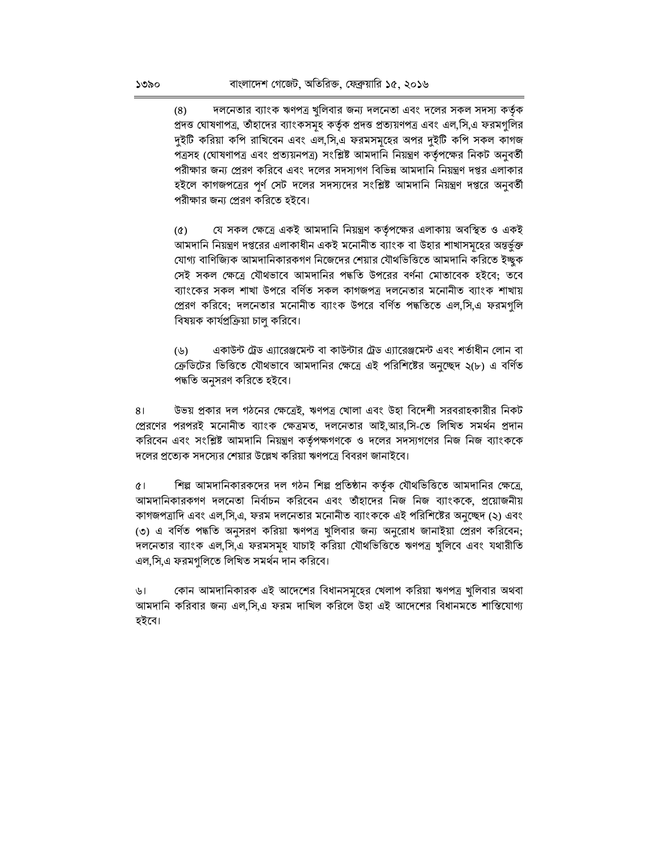দলনেতার ব্যাংক ঋণপত্র খুলিবার জন্য দলনেতা এবং দলের সকল সদস্য কর্তৃক  $(8)$ প্রদত্ত ঘোষণাপত্র, তাঁহাদের ব্যাংকসমহ কর্তৃক প্রদত্ত প্রত্যয়ণপত্র এবং এল,সি,এ ফরমগুলির দুইটি করিয়া কপি রাখিবেন এবং এল,সি,এ ফরমসমূহের অপর দুইটি কপি সকল কাগজ পত্রসহ (ঘোষণাপত্র এবং প্রত্যয়নপত্র) সংশ্লিষ্ট আমদানি নিয়ন্ত্রণ কর্তৃপক্ষের নিকট অনুবর্তী পরীক্ষার জন্য প্রেরণ করিবে এবং দলের সদস্যগণ বিভিন্ন আমদানি নিয়ন্ত্রণ দপ্তর এলাকার হইলে কাগজপত্রের পর্ণ সেট দলের সদস্যদের সংশ্লিষ্ট আমদানি নিয়ন্ত্রণ দপ্তরে অনবর্তী পরীক্ষার জন্য প্রেরণ করিতে হইবে।

যে সকল ক্ষেত্রে একই আমদানি নিয়ন্ত্রণ কর্তৃপক্ষের এলাকায় অবস্থিত ও একই  $(\delta)$ আমদানি নিয়ন্ত্রণ দপ্তরের এলাকাধীন একই মনোনীত ব্যাংক বা উহার শাখাসমূহের অন্তর্ভূক্ত যোগ্য বাণিজ্যিক আমদানিকারকগণ নিজেদের শেয়ার যৌথভিত্তিতে আমদানি করিতে ইচ্ছুক সেই সকল ক্ষেত্রে যৌথভাবে আমদানির পদ্ধতি উপরের বর্ণনা মোতাবেক হইবে: তবে ব্যাংকের সকল শাখা উপরে বর্ণিত সকল কাগজপত্র দলনেতার মনোনীত ব্যাংক শাখায় প্রেরণ করিবে: দলনেতার মনোনীত ব্যাংক উপরে বর্ণিত পদ্ধতিতে এল.সি.এ ফরমগলি বিষয়ক কাৰ্যপ্ৰক্ৰিয়া চালু করিবে।

একাউন্ট ট্রেড এ্যারেঞ্জমেন্ট বা কাউন্টার ট্রেড এ্যারেঞ্জমেন্ট এবং শর্তাধীন লোন বা (৬) ক্রেডিটের ভিত্তিতে যৌথভাবে আমদানির ক্ষেত্রে এই পরিশিষ্টের অনুচ্ছেদ ২(৮) এ বর্ণিত পদ্ধতি অনসরণ করিতে হইবে।

উভয় প্রকার দল গঠনের ক্ষেত্রেই, ঋণপত্র খোলা এবং উহা বিদেশী সরবরাহকারীর নিকট  $81$ প্রেরণের পরপরই মনোনীত ব্যাংক ক্ষেত্রমত, দলনেতার আই,আর,সি-তে লিখিত সমর্থন প্রদান করিবেন এবং সংশ্লিষ্ট আমদানি নিয়ন্ত্রণ কর্তৃপক্ষগণকে ও দলের সদস্যগণের নিজ নিজ ব্যাংককে দলের প্রত্যেক সদস্যের শেয়ার উল্লেখ করিয়া ঋণপত্রে বিবরণ জানাইবে।

শিল্প আমদানিকারকদের দল গঠন শিল্প প্রতিষ্ঠান কর্তৃক যৌথভিত্তিতে আমদানির ক্ষেত্রে,  $\alpha$ আমদানিকারকগণ দলনেতা নির্বাচন করিবেন এবং তাঁহাদের নিজ নিজ ব্যাংককে, প্রয়োজনীয় কাগজপত্রাদি এবং এল,সি.এ, ফরম দলনেতার মনোনীত ব্যাংককে এই পরিশিষ্টের অনুচ্ছেদ (২) এবং (৩) এ বর্ণিত পদ্ধতি অনুসরণ করিয়া ঋণপত্র খলিবার জন্য অনুরোধ জানাইয়া প্রেরণ করিবেন; দলনেতার ব্যাংক এল,সি,এ ফরমসমূহ যাচাই করিয়া যৌথভিত্তিতে ঋণপত্র খুলিবে এবং যথারীতি এল,সি,এ ফরমগুলিতে লিখিত সমর্থন দান করিবে।

কোন আমদানিকারক এই আদেশের বিধানসমূহের খেলাপ করিয়া ঋণপত্র খুলিবার অথবা ৬। আমদানি করিবার জন্য এল.সি.এ ফরম দাখিল করিলে উহা এই আদেশের বিধানমতে শাস্তিযোগ্য হইবে।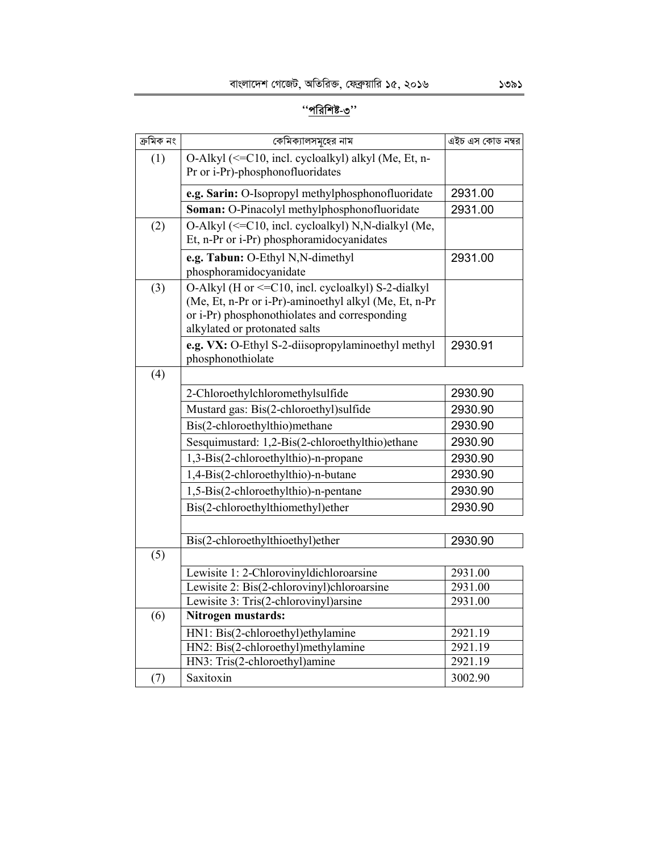| ক্ৰমিক নং | কেমিক্যালসমূহের নাম                                                                                                                                                                            | এইচ এস কোড নম্বর |
|-----------|------------------------------------------------------------------------------------------------------------------------------------------------------------------------------------------------|------------------|
| (1)       | O-Alkyl (<= C10, incl. cycloalkyl) alkyl (Me, Et, n-<br>Pr or i-Pr)-phosphonofluoridates                                                                                                       |                  |
|           | e.g. Sarin: O-Isopropyl methylphosphonofluoridate                                                                                                                                              | 2931.00          |
|           | Soman: O-Pinacolyl methylphosphonofluoridate                                                                                                                                                   | 2931.00          |
| (2)       | O-Alkyl (<=C10, incl. cycloalkyl) N,N-dialkyl (Me,<br>Et, n-Pr or i-Pr) phosphoramidocyanidates                                                                                                |                  |
|           | e.g. Tabun: O-Ethyl N,N-dimethyl<br>phosphoramidocyanidate                                                                                                                                     | 2931.00          |
| (3)       | O-Alkyl (H or <= C10, incl. cycloalkyl) S-2-dialkyl<br>(Me, Et, n-Pr or i-Pr)-aminoethyl alkyl (Me, Et, n-Pr<br>or i-Pr) phosphonothiolates and corresponding<br>alkylated or protonated salts |                  |
|           | e.g. VX: O-Ethyl S-2-diisopropylaminoethyl methyl<br>phosphonothiolate                                                                                                                         | 2930.91          |
| (4)       |                                                                                                                                                                                                |                  |
|           | 2-Chloroethylchloromethylsulfide                                                                                                                                                               | 2930.90          |
|           | Mustard gas: Bis(2-chloroethyl)sulfide                                                                                                                                                         | 2930.90          |
|           | Bis(2-chloroethylthio)methane                                                                                                                                                                  | 2930.90          |
|           | Sesquimustard: 1,2-Bis(2-chloroethylthio)ethane                                                                                                                                                | 2930.90          |
|           | 1,3-Bis(2-chloroethylthio)-n-propane                                                                                                                                                           | 2930.90          |
|           | 1,4-Bis(2-chloroethylthio)-n-butane                                                                                                                                                            | 2930.90          |
|           | 1,5-Bis(2-chloroethylthio)-n-pentane                                                                                                                                                           | 2930.90          |
|           | Bis(2-chloroethylthiomethyl)ether                                                                                                                                                              | 2930.90          |
|           |                                                                                                                                                                                                |                  |
|           | Bis(2-chloroethylthioethyl)ether                                                                                                                                                               | 2930.90          |
| (5)       |                                                                                                                                                                                                |                  |
|           | Lewisite 1: 2-Chlorovinyldichloroarsine                                                                                                                                                        | 2931.00          |
|           | Lewisite 2: Bis(2-chlorovinyl)chloroarsine                                                                                                                                                     | 2931.00          |
|           | Lewisite 3: Tris(2-chlorovinyl)arsine                                                                                                                                                          | 2931.00          |
| (6)       | Nitrogen mustards:                                                                                                                                                                             |                  |
|           | HN1: Bis(2-chloroethyl)ethylamine                                                                                                                                                              | 2921.19          |
|           | HN2: Bis(2-chloroethyl)methylamine                                                                                                                                                             | 2921.19          |
|           | HN3: Tris(2-chloroethyl)amine                                                                                                                                                                  | 2921.19          |
| (7)       | Saxitoxin                                                                                                                                                                                      | 3002.90          |

### "<u>পরিশিষ্ট-৩</u>"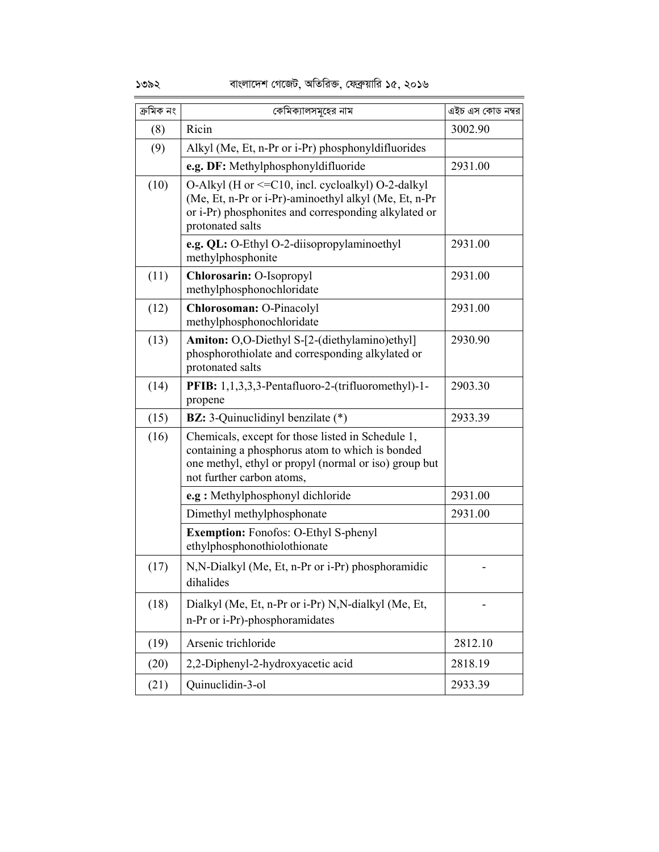| ক্ৰমিক নং | কেমিক্যালসমূহের নাম                                                                                                                                                                        | এইচ এস কোড নম্বর |
|-----------|--------------------------------------------------------------------------------------------------------------------------------------------------------------------------------------------|------------------|
| (8)       | Ricin                                                                                                                                                                                      | 3002.90          |
| (9)       | Alkyl (Me, Et, n-Pr or i-Pr) phosphonyldifluorides                                                                                                                                         |                  |
|           | e.g. DF: Methylphosphonyldifluoride                                                                                                                                                        | 2931.00          |
| (10)      | O-Alkyl (H or <= C10, incl. cycloalkyl) O-2-dalkyl<br>(Me, Et, n-Pr or i-Pr)-aminoethyl alkyl (Me, Et, n-Pr<br>or i-Pr) phosphonites and corresponding alkylated or<br>protonated salts    |                  |
|           | e.g. QL: O-Ethyl O-2-diisopropylaminoethyl<br>methylphosphonite                                                                                                                            | 2931.00          |
| (11)      | Chlorosarin: O-Isopropyl<br>methylphosphonochloridate                                                                                                                                      | 2931.00          |
| (12)      | Chlorosoman: O-Pinacolyl<br>methylphosphonochloridate                                                                                                                                      | 2931.00          |
| (13)      | Amiton: O,O-Diethyl S-[2-(diethylamino)ethyl]<br>phosphorothiolate and corresponding alkylated or<br>protonated salts                                                                      | 2930.90          |
| (14)      | PFIB: 1,1,3,3,3-Pentafluoro-2-(trifluoromethyl)-1-<br>propene                                                                                                                              | 2903.30          |
| (15)      | <b>BZ:</b> 3-Quinuclidinyl benzilate $(*)$                                                                                                                                                 | 2933.39          |
| (16)      | Chemicals, except for those listed in Schedule 1,<br>containing a phosphorus atom to which is bonded<br>one methyl, ethyl or propyl (normal or iso) group but<br>not further carbon atoms, |                  |
|           | e.g: Methylphosphonyl dichloride                                                                                                                                                           | 2931.00          |
|           | Dimethyl methylphosphonate                                                                                                                                                                 | 2931.00          |
|           | <b>Exemption:</b> Fonofos: O-Ethyl S-phenyl<br>ethylphosphonothiolothionate                                                                                                                |                  |
| (17)      | N, N-Dialkyl (Me, Et, n-Pr or i-Pr) phosphoramidic<br>dihalides                                                                                                                            |                  |
| (18)      | Dialkyl (Me, Et, n-Pr or i-Pr) N,N-dialkyl (Me, Et,<br>n-Pr or i-Pr)-phosphoramidates                                                                                                      |                  |
| (19)      | Arsenic trichloride                                                                                                                                                                        | 2812.10          |
| (20)      | 2,2-Diphenyl-2-hydroxyacetic acid                                                                                                                                                          | 2818.19          |
| (21)      | Quinuclidin-3-ol                                                                                                                                                                           | 2933.39          |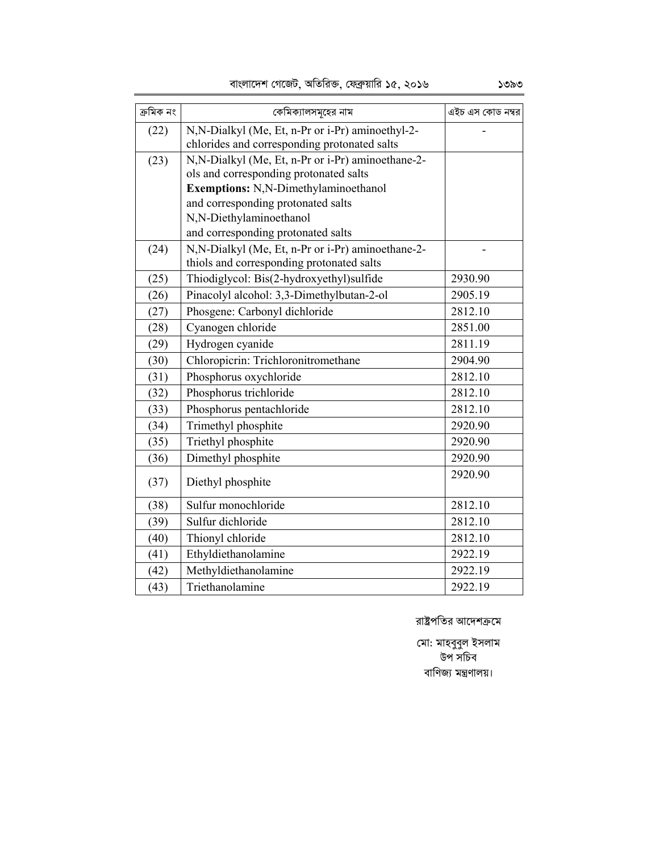| ক্ৰমিক নং | কেমিক্যালসমূহের নাম                               | এইচ এস কোড নম্বর |
|-----------|---------------------------------------------------|------------------|
| (22)      | N,N-Dialkyl (Me, Et, n-Pr or i-Pr) aminoethyl-2-  |                  |
|           | chlorides and corresponding protonated salts      |                  |
| (23)      | N,N-Dialkyl (Me, Et, n-Pr or i-Pr) aminoethane-2- |                  |
|           | ols and corresponding protonated salts            |                  |
|           | Exemptions: N,N-Dimethylaminoethanol              |                  |
|           | and corresponding protonated salts                |                  |
|           | N,N-Diethylaminoethanol                           |                  |
|           | and corresponding protonated salts                |                  |
| (24)      | N,N-Dialkyl (Me, Et, n-Pr or i-Pr) aminoethane-2- |                  |
|           | thiols and corresponding protonated salts         |                  |
| (25)      | Thiodiglycol: Bis(2-hydroxyethyl)sulfide          | 2930.90          |
| (26)      | Pinacolyl alcohol: 3,3-Dimethylbutan-2-ol         | 2905.19          |
| (27)      | Phosgene: Carbonyl dichloride                     | 2812.10          |
| (28)      | Cyanogen chloride                                 | 2851.00          |
| (29)      | Hydrogen cyanide                                  | 2811.19          |
| (30)      | Chloropicrin: Trichloronitromethane               | 2904.90          |
| (31)      | Phosphorus oxychloride                            | 2812.10          |
| (32)      | Phosphorus trichloride                            | 2812.10          |
| (33)      | Phosphorus pentachloride                          | 2812.10          |
| (34)      | Trimethyl phosphite                               | 2920.90          |
| (35)      | Triethyl phosphite                                | 2920.90          |
| (36)      | Dimethyl phosphite                                | 2920.90          |
| (37)      | Diethyl phosphite                                 | 2920.90          |
|           |                                                   |                  |
| (38)      | Sulfur monochloride                               | 2812.10          |
| (39)      | Sulfur dichloride                                 | 2812.10          |
| (40)      | Thionyl chloride                                  | 2812.10          |
| (41)      | Ethyldiethanolamine                               | 2922.19          |
| (42)      | Methyldiethanolamine                              | 2922.19          |
| (43)      | Triethanolamine                                   | 2922.19          |

রাষ্ট্রপতির আদেশক্রমে

মো: মাহবুবুল ইসলাম উপ সচিব বাণিজ্য মন্ত্ৰণালয়।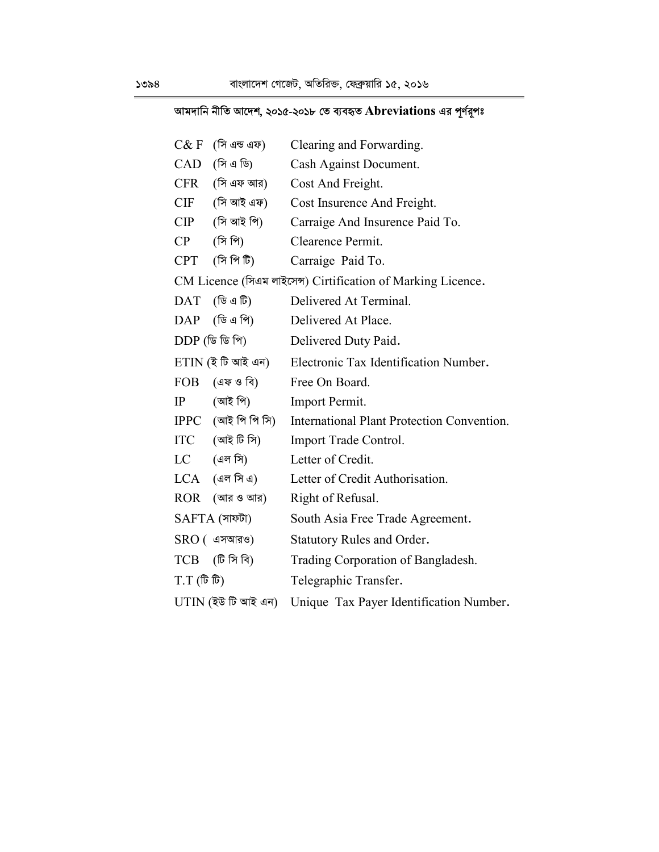# আমদানি নীতি আদেশ, ২০১৫-২০১৮ তে ব্যবহৃত  ${\bf A}$ breviations এর পূর্ণরূপঃ

| $C\& F$                                     | (সি এন্ড এফ)                               | Clearing and Forwarding.                                     |
|---------------------------------------------|--------------------------------------------|--------------------------------------------------------------|
|                                             | $CAD$ (সি এ ডি)                            | Cash Against Document.                                       |
|                                             | $CFR$ (সি এফ আর)                           | Cost And Freight.                                            |
|                                             | $CIF$ (সি আই এফ)                           | Cost Insurence And Freight.                                  |
|                                             | $\text{CIP}$ (সি আই পি)                    | Carraige And Insurence Paid To.                              |
| $CP$ (সি পি)                                |                                            | Clearence Permit.                                            |
|                                             | $CPT$ $($ সিপিটি)                          | Carraige Paid To.                                            |
|                                             |                                            | CM Licence (সিএম লাইসেন্স) Cirtification of Marking Licence. |
|                                             | $DATA (G \triangleleft G)$                 | Delivered At Terminal.                                       |
| DAP                                         | (ডি এ পি)                                  | Delivered At Place.                                          |
|                                             | $DDP$ (ডি ডি পি)                           | Delivered Duty Paid.                                         |
| $\text{ETIN}$ (ই টি আই এন)                  |                                            | Electronic Tax Identification Number.                        |
|                                             | $FOB$ $(4\overline{v} \cdot \overline{v})$ | Free On Board.                                               |
| IP                                          | (আই পি)                                    | Import Permit.                                               |
|                                             | $IPPC$ (আই পি পি সি)                       | <b>International Plant Protection Convention.</b>            |
|                                             | $ITC$ (আই টি সি)                           | Import Trade Control.                                        |
|                                             | $LC$ (এল সি)                               | Letter of Credit.                                            |
|                                             | $LCA$ $($ এল সি এ $)$                      | Letter of Credit Authorisation.                              |
|                                             | $ROR$ (আর ও আর)                            | Right of Refusal.                                            |
|                                             | $SAFTA$ (সাফটা)                            | South Asia Free Trade Agreement.                             |
|                                             | $SRO$ ( এসআরও)                             | Statutory Rules and Order.                                   |
|                                             | $TCB$ $(\mathbb{B} \boxtimes \mathbb{R})$  | Trading Corporation of Bangladesh.                           |
| $T.T$ $(\hat{\mathbb{D}} \hat{\mathbb{D}})$ |                                            | Telegraphic Transfer.                                        |
|                                             | $UTIN$ (ইউ টি আই এন)                       | Unique Tax Payer Identification Number.                      |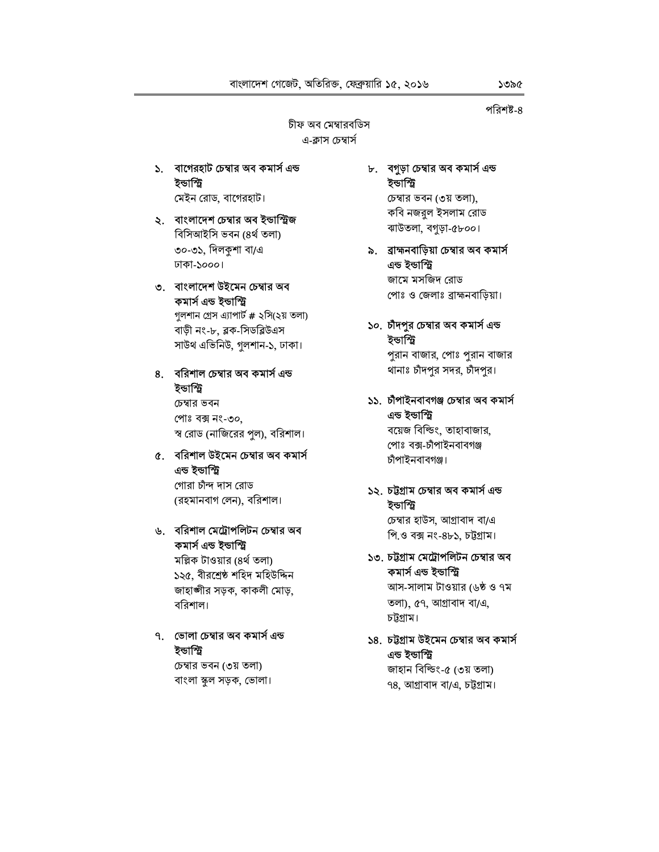পরিশষ্ট-৪

চীফ অব মেম্বারবডিস এ-ক্লাস চেম্বাৰ্স

১. বাগেরহাট চেম্বার অব কমার্স এন্ড ইভাস্ট্রি

মেইন রোড, বাগেরহাট।

#### ২. বাংলাদেশ চেম্বার অব ইন্ডাস্ট্রিজ বিসিআইসি ভবন (৪র্থ তলা) ৩০-৩১, দিলকুশা বা/এ ঢাকা-১০০০।

৩. বাংলাদেশ উইমেন চেম্বার অব কমাৰ্স এন্ড ইন্ডাস্ট্ৰি

গলশান গ্রেস এ্যাপার্ট # ২সি(২য় তলা) বাড়ী নং-৮, ব্লক-সিডব্লিউএস সাউথ এভিনিউ, গুলশান-১, ঢাকা।

### ৪. বরিশাল চেম্বার অব কমার্স এন্ড ইভাস্ট্রি

চেম্বার ভবন পোঃ বক্স নং-৩০, স্ব রোড (নাজিরের পূল), বরিশাল।

#### ৫. বরিশাল উইমেন চেম্বার অব কমার্স এন্ড ইন্ডাস্ট্রি

গোরা চাঁন্দ দাস রোড (রহমানবাগ লেন), বরিশাল।

#### ৬. বরিশাল মেট্রোপলিটন চেম্বার অব কমাৰ্স এন্ড ইন্ডাস্ট্ৰি

মল্লিক টাওয়ার (৪র্থ তলা) ১২৫, বীরশ্রেষ্ঠ শহিদ মহিউদ্দিন জাহাঙ্গীর সড়ক, কাকলী মোড়, বরিশাল।

#### ৭. ভোলা চেম্বার অব কমার্স এন্ড ইভাস্ট্রি

চেম্বার ভবন (৩য় তলা) বাংলা স্কুল সড়ক, ভোলা।

#### ৮. বগুড়া চেম্বার অব কমার্স এন্ড ইন্ডাস্ট্রি

চেম্বার ভবন (৩য় তলা), কবি নজরুল ইসলাম রোড ঝাউতলা, বগুড়া-৫৮০০।

৯. ব্রাহ্মনবাড়িয়া চেম্বার অব কমার্স এন্ড ইন্ডাস্ট্রি জামে মসজিদ রোড পোঃ ও জেলাঃ ব্রাহ্মনবাড়িয়া।

### ১০. চীদপুর চেম্বার অব কমার্স এন্ড ইন্ডাস্ট্রি

পুরান বাজার, পোঃ পুরান বাজার থানাঃ চাঁদপুর সদর, চাঁদপুর।

#### ১১. চীপাইনবাবগঞ্জ চেম্বার অব কমার্স এন্ড ইন্ডাস্ট্রি

বয়েজ বিল্ডিং, তাহাবাজার, পোঃ বক্স-চাঁপাইনবাবগঞ্জ চাঁপাইনবাবগঞ্জ।

#### ১২. চট্টগ্রাম চেম্বার অব কমার্স এন্ড ইন্ডাস্ট্রি

চেম্বার হাউস, আগ্রাবাদ বা/এ পি.ও বক্স নং-৪৮১, চট্টগ্রাম।

#### ১৩. চট্টগ্রাম মেট্রোপলিটন চেম্বার অব কমাৰ্স এন্ড ইন্ডাস্ট্ৰি

আস-সালাম টাওয়ার (৬ষ্ঠ ও ৭ম তলা), ৫৭, আগ্রাবাদ বা/এ, চট্টগ্ৰাম।

#### ১৪. চট্টগ্রাম উইমেন চেম্বার অব কমার্স এন্ড ইন্ডাস্ট্রি জাহান বিল্ডিং-৫ (৩য় তলা) ৭৪, আগ্রাবাদ বা/এ, চট্টগ্রাম।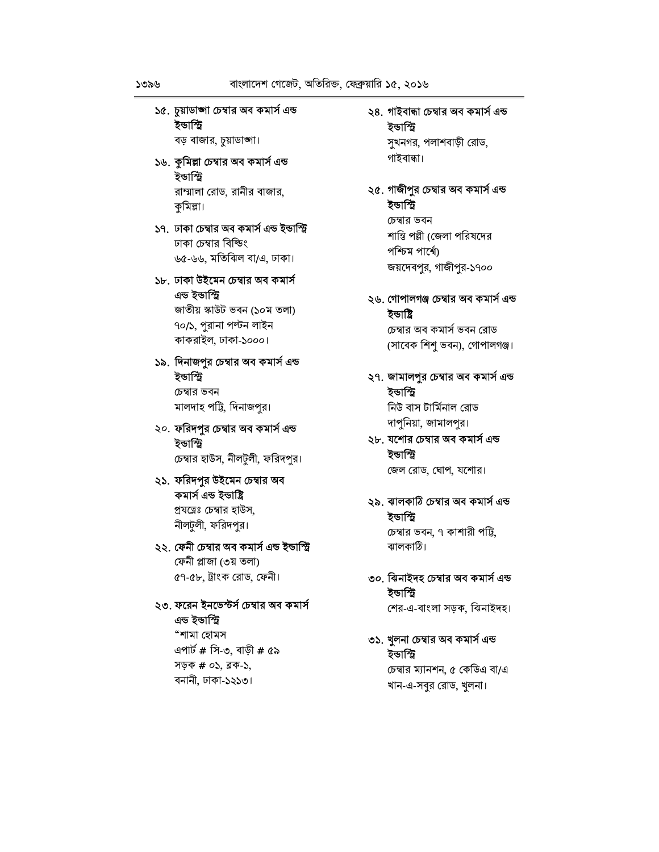### ১৫. চুয়াডাঙ্গা চেম্বার অব কমার্স এন্ড ইন্ডাস্ট্রি

বড় বাজার, চুয়াডাঙ্গা।

#### ১৬. কুমিল্লা চেম্বার অব কমার্স এন্ড ইন্ডাস্ট্রি

রাম্মালা রোড, রানীর বাজার, কুমিল্লা।

#### ১৭. ঢাকা চেম্বার অব কমার্স এন্ড ইন্ডাস্ট্রি ঢাকা চেম্বার বিল্ডিং ৬৫-৬৬, মতিঝিল বা/এ, ঢাকা।

#### ১৮. ঢাকা উইমেন চেম্বার অব কমার্স এন্ড ইন্ডাস্ট্রি

জাতীয় স্কাউট ভবন (১০ম তলা) ৭০/১, পুরানা পল্টন লাইন কাকরাইল, ঢাকা-১০০০।

### ১৯. দিনাজপুর চেম্বার অব কমার্স এন্ড ইন্ডাস্ট্রি

চেম্বার ভবন মালদাহ পট্টি, দিনাজপুর।

#### ২০. ফরিদপুর চেম্বার অব কমার্স এন্ড ইন্ডাস্ট্রি চেম্বার হাউস, নীলটুলী, ফরিদপুর।

# ২১. ফরিদপুর উইমেন চেম্বার অব

কমাৰ্স এন্ড ইন্ডাষ্ট্ৰি প্রযত্নেঃ চেম্বার হাউস. নীলট়লী, ফরিদপুর।

#### ২২. ফেনী চেম্বার অব কমার্স এন্ড ইন্ডাস্ট্রি ফেনী প্লাজা (৩য় তলা) ৫৭-৫৮, ট্রাংক রোড, ফেনী।

#### ২৩. ফরেন ইনভেস্টর্স চেম্বার অব কমার্স এন্ড ইন্ডাস্ট্রি "শামা হোমস

এপার্ট # সি-৩, বাড়ী # ৫৯ সড়ক  $#$  ০১, ৱক-১, বনানী, ঢাকা-১২১৩।

#### ২৪. গাইবান্ধা চেম্বার অব কমার্স এন্ড ইভাস্ট্রি সুখনগর, পলাশবাড়ী রোড,

গাইবান্ধা।

### ২৫. গাজীপুর চেম্বার অব কমার্স এন্ড ইন্ডাস্ট্রি

চেম্বার ভবন শান্তি পল্লী (জেলা পরিষদের পশ্চিম পার্শ্বে) জয়দেবপুর, গাজীপুর-১৭০০

### ২৬. গোপালগঞ্জ চেম্বার অব কমার্স এন্ড ইভাষ্টি চেম্বার অব কমার্স ভবন রোড

(সাবেক শিশ ভবন), গোপালগঞ্জ।

#### ২৭. জামালপুর চেম্বার অব কমার্স এন্ড ইন্ডাস্ট্রি নিউ বাস টার্মিনাল রোড

দাপুনিয়া, জামালপুর।

#### ২৮. যশোর চেম্বার অব কমার্স এন্ড ইভাস্ট্রি জেল রোড, ঘোপ, যশোর।

### ২৯. ঝালকাঠি চেম্বার অব কমার্স এন্ড ইন্ডাস্ট্রি

চেম্বার ভবন, ৭ কাশারী পট্টি, ঝালকাঠি।

### ৩০. ঝিনাইদহ চেম্বার অব কমার্স এন্ড ইভাস্ট্রি

শের-এ-বাংলা সড়ক, ঝিনাইদহ।

#### ৩১. খুলনা চেম্বার অব কমার্স এন্ড ইভাস্ত্ৰি

চেম্বার ম্যানশন, ৫ কেডিএ বা/এ খান-এ-সবুর রোড, খুলনা।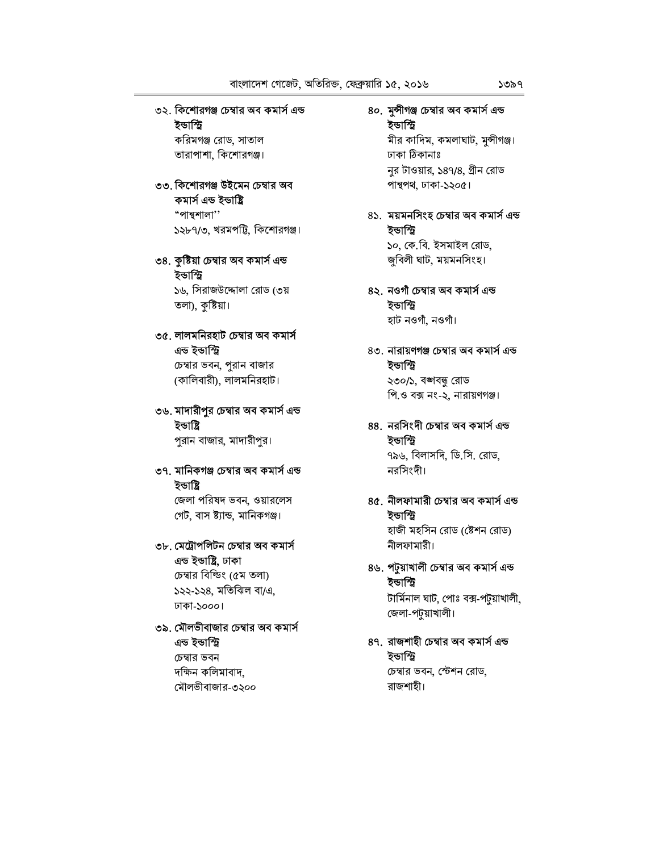### ৩২. কিশোরগঞ্জ চেম্বার অব কমার্স এন্ড ইন্ডাস্ট্রি

করিমগঞ্জ রোড, সাতাল তারাপাশা, কিশোরগঞ্জ।

#### ৩৩. কিশোরগঞ্জ উইমেন চেম্বার অব কমাৰ্স এন্ড ইন্ডাষ্ট্ৰি "পান্থশালা''

১২৮৭/৩, খরমপট্টি, কিশোরগঞ্জ।

#### ৩৪. কুষ্টিয়া চেম্বার অব কমার্স এন্ড ইন্ডাস্ট্রি

১৬, সিরাজউদ্দোলা রোড (৩য় তলা), কৃষ্টিয়া।

# ৩৫. লালমনিরহাট চেম্বার অব কমার্স এন্ড ইন্ডাস্ট্রি

চেম্বার ভবন, পুরান বাজার (কালিবারী), লালমনিরহাট।

# ৩৬. মাদারীপুর চেম্বার অব কমার্স এন্ড ইভাষ্ট্ৰি

পুরান বাজার, মাদারীপুর।

#### ৩৭. মানিকগঞ্জ চেম্বার অব কমার্স এন্ড ইন্ডাষ্ট্ৰি

জেলা পরিষদ ভবন, ওয়ারলেস গেট, বাস ষ্ট্যান্ড, মানিকগঞ্জ।

#### ৩৮. মেট্রোপলিটন চেম্বার অব কমার্স এন্ড ইন্ডাষ্ট্ৰি, ঢাকা

চেম্বার বিল্ডিং (৫ম তলা) ১২২-১২৪, মতিঝিল বা/এ, ঢাকা-১০০০।

#### ৩৯. মৌলভীবাজার চেম্বার অব কমার্স এন্ড ইন্ডাস্ট্রি

চেম্বার ভবন দক্ষিন কলিমাবাদ, মৌলভীবাজার-৩২০০

#### ৪০. মুন্সীগঞ্জ চেম্বার অব কমার্স এন্ড ইন্ডাস্ট্রি মীর কাদিম, কমলাঘাট, মুন্সীগঞ্জ।

ঢাকা ঠিকানাঃ নুর টাওয়ার, ১৪৭/৪, গ্রীন রোড পান্থপথ, ঢাকা-১২০৫।

৪১. ময়মনসিংহ চেম্বার অব কমার্স এন্ড ইন্ডাস্ট্রি ১০, কে.বি. ইসমাইল রোড, জুবিলী ঘাট, ময়মনসিংহ।

#### ৪২. নওগী চেম্বার অব কমার্স এন্ড ইন্ডাস্ট্রি হাট নওগাঁ, নওগাঁ।

৪৩. নারায়ণগঞ্জ চেম্বার অব কমার্স এন্ড ইভাস্ট্রি ২৩০/১, বজাবন্ধু রোড পি.ও বক্স নং-২, নারায়ণগঞ্জ।

#### ৪৪. নরসিংদী চেম্বার অব কমার্স এন্ড ইন্ডাস্ট্রি

৭৯৬, বিলাসদি, ডি.সি. রোড, নরসিংদী।

### ৪৫. নীলফামারী চেম্বার অব কমার্স এন্ড ইন্ডাস্ট্রি হাজী মহসিন রোড (ষ্টেশন রোড)

নীলফামারী। ৪৬. পটুয়াখালী চেম্বার অব কমার্স এন্ড

# ইন্ডাস্ট্রি

টার্মিনাল ঘাট, পোঃ বক্স-পট্য়াখালী, জেলা-পটুয়াখালী।

#### ৪৭. রাজশাহী চেম্বার অব কমার্স এন্ড ইন্ডাস্ট্রি

চেম্বার ভবন, স্টেশন রোড, রাজশাহী।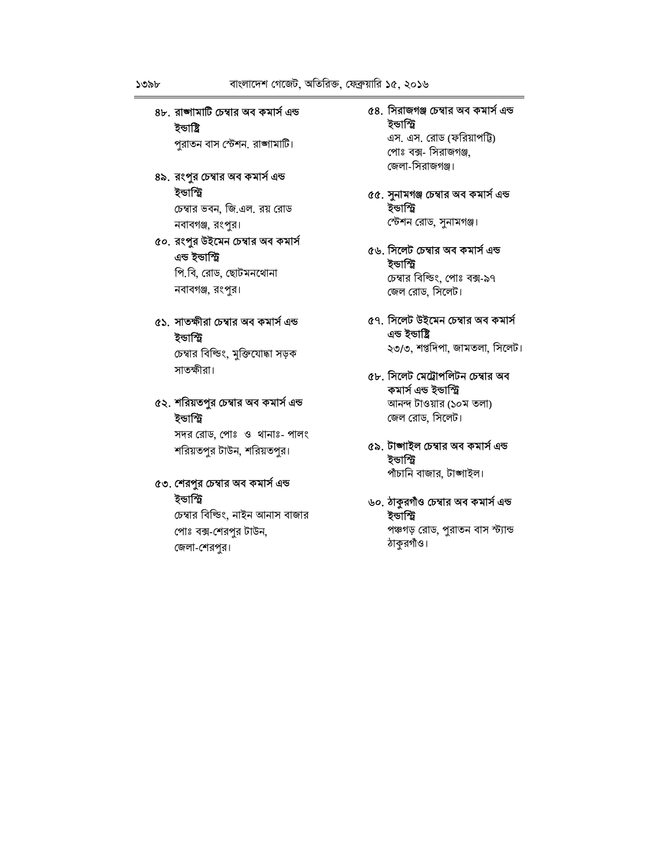### ৪৮. রাজামাটি চেম্বার অব কমার্স এন্ড ইন্ডাষ্ট্ৰি

পুরাতন বাস স্টেশন, রাজ্ঞামাটি।

#### ৪৯. রংপুর চেম্বার অব কমার্স এন্ড ইন্ডাস্ট্রি

চেম্বার ভবন, জি.এল. রয় রোড নবাবগঞ্জ, রংপুর।

#### ৫০. রংপুর উইমেন চেম্বার অব কমার্স এন্ড ইন্ডাস্ট্রি

পি.বি, রোড, ছোটমনথোনা নবাবগঞ্জ, রংপুর।

#### ৫১. সাতক্ষীরা চেম্বার অব কমার্স এন্ড ইন্ডাস্ট্রি

চেম্বার বিল্ডিং, মুক্তিযোদ্ধা সড়ক সাতক্ষীরা।

#### ৫২. শরিয়তপুর চেম্বার অব কমার্স এন্ড ইভাস্ট্রি

সদর রোড, পোঃ ও থানাঃ- পালং শরিয়তপুর টাউন, শরিয়তপুর।

#### ৫৩. শেরপুর চেম্বার অব কমার্স এন্ড ইন্ডাস্ট্রি

চেম্বার বিল্ডিং, নাইন আনাস বাজার পোঃ বক্স-শেরপুর টাউন, জেলা-শেরপুর।

### ৫৪. সিরাজগঞ্জ চেম্বার অব কমার্স এন্ড ইভাস্ট্রি

এস. এস. রোড (ফরিয়াপট্টি) পোঃ বক্স- সিরাজগঞ্জ, জেলা-সিরাজগঞ্জ।

#### ৫৫. সুনামগঞ্জ চেম্বার অব কমার্স এন্ড ইভাস্ট্রি স্টেশন রোড, সুনামগঞ্জ।

৫৬. সিলেট চেম্বার অব কমার্স এন্ড ইভাস্ট্রি চেম্বার বিল্ডিং, পোঃ বক্স-৯৭ জেল রোড, সিলেট।

### ৫৭. সিলেট উইমেন চেম্বার অব কমার্স এন্ড ইন্ডাষ্ট্ৰি

২৩/৩, শপ্তদিপা, জামতলা, সিলেট।

৫৮. সিলেট মেট্রোপলিটন চেম্বার অব কমাৰ্স এন্ড ইন্ডাস্ট্ৰি আনন্দ টাওয়ার (১০ম তলা)

জেল রোড, সিলেট।

### ৫৯. টাঙ্গাইল চেম্বার অব কমার্স এন্ড ইভাস্ট্রি

পাঁচানি বাজার, টাঙ্গাইল।

#### ৬০. ঠাকুরগাঁও চেম্বার অব কমার্স এন্ড ইন্ডাস্ট্রি পঞ্চগড় রোড, পুরাতন বাস স্ট্যান্ড ঠাকুরগাঁও।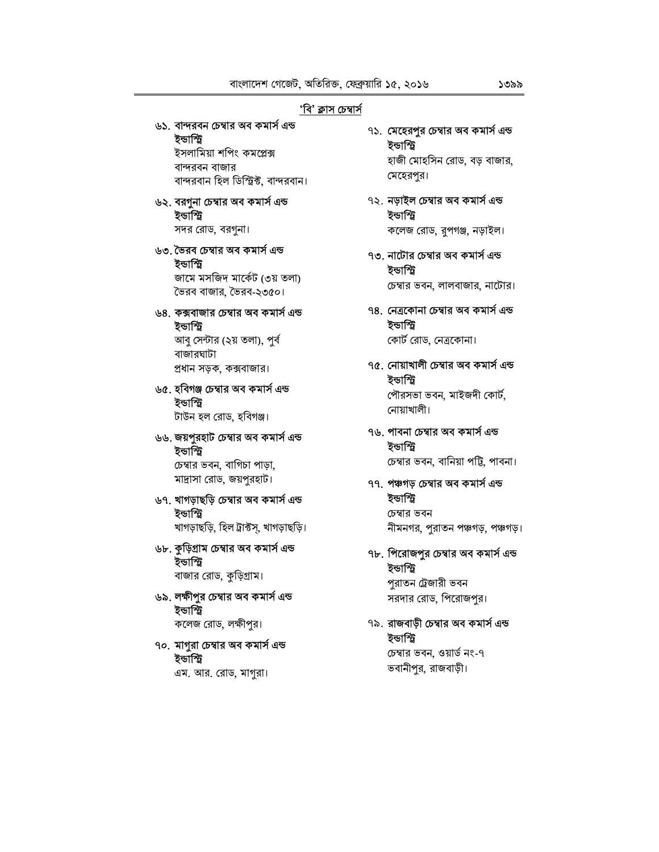#### 'বি' ক্লাস চেম্বাৰ্স

#### ৬১. বান্দরবন চেম্বার অব কমার্স এন্ড ইভাস্ট্রি

ইসলামিয়া শপিং কমপ্লেক্স বান্দরবন বাজার বান্দরবান হিল ডিস্ট্রিক্ট, বান্দরবান।

### ৬২. বরগুনা চেম্বার অব কমার্স এন্ড ইন্ডাস্ট্রি

সদর রোড, বরগুনা।

#### ৬৩. ভৈরব চেম্বার অব কমার্স এন্ড ইভাস্ট্রি

জামে মসজিদ মার্কেট (৩য় তলা) ভৈরব বাজার, ভৈরব-২৩৫০।

#### ৬৪. কক্সবাজার চেম্বার অব কমার্স এন্ড ইন্ডাস্ট্রি

আবু সেন্টার (২য় তলা), পূর্ব বাজারঘাটা প্রধান সড়ক, কক্সবাজার।

#### ৬৫. হবিগঞ্জ চেম্বার অব কমার্স এন্ড ইন্ডাস্ট্রি

টাউন হল রোড, হবিগঞ্জ।

## ৬৬. জয়পুরহাট চেম্বার অব কমার্স এন্ড ইভাস্ট্রি

চেম্বার ভবন, বাগিচা পাড়া, মাদ্রাসা রোড, জয়পুরহাট।

#### ৬৭. খাগড়াছড়ি চেম্বার অব কমার্স এন্ড ইভাস্ট্রি

খাগড়াছড়ি, হিল ট্রাক্টস, খাগড়াছড়ি।

#### ৬৮. কুড়িগ্রাম চেম্বার অব কমার্স এন্ড ইভাস্ট্রি বাজার রোড, কুড়িগ্রাম।

৬৯. লক্ষীপুর চেম্বার অব কমার্স এন্ড ইন্ডাস্টি

কলেজ রোড, লক্ষীপর।

#### ৭০. মাগুরা চেম্বার অব কমার্স এন্ড ইন্ডাস্ট্রি

এম. আর. রোড, মাগুরা।

- ৭১. মেহেরপুর চেম্বার অব কমার্স এন্ড ইন্ডাস্ট্রি হাজী মোহসিন রোড, বড় বাজার, মেহেরপুর।
- ৭২. নড়াইল চেম্বার অব কমার্স এন্ড ইন্ডাস্ট্রি কলেজ রোড, রুপগঞ্জ, নড়াইল।
- ৭৩. নাটোর চেম্বার অব কমার্স এন্ড ইন্ডাস্ট্রি চেম্বার ভবন, লালবাজার, নাটোর।

#### ৭৪. নেত্রকোনা চেম্বার অব কমার্স এন্ড ইন্ডাস্ট্রি কোর্ট রোড, নেত্রকোনা।

#### ৭৫. নোয়াখালী চেম্বার অব কমার্স এন্ড ইন্ডাস্ট্রি পৌরসভা ভবন, মাইজদী কোর্ট,

নোয়াখালী।

#### ৭৬. পাবনা চেম্বার অব কমার্স এন্ড ইন্ডাস্ট্রি

চেম্বার ভবন, বানিয়া পট্টি, পাবনা।

### ৭৭. পঞ্চগড় চেম্বার অব কমার্স এন্ড

ইন্ডাস্ট্রি চেম্বার ভবন নীমনগর, প্রাতন পঞ্চগড়, পঞ্চগড়।

#### ৭৮. পিরোজপুর চেম্বার অব কমার্স এন্ড ইন্ডাস্টি

পুরাতন ট্রেজারী ভবন সরদার রোড, পিরোজপুর।

#### ৭৯. রাজবাড়ী চেম্বার অব কমার্স এন্ড ইন্ডাস্ট্রি চেম্বার ভবন, ওয়ার্ড নং-৭ ভবানীপুর, রাজবাড়ী।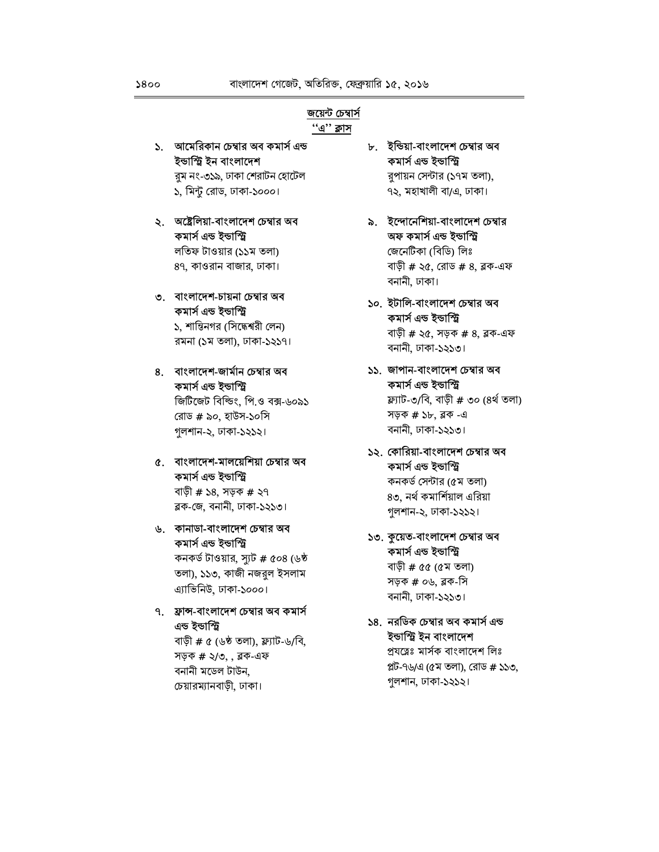#### জয়েন্ট চেম্বাৰ্স ''এ'' ক্লাস

### ১. আমেরিকান চেম্বার অব কমার্স এন্ড ইন্ডাস্ট্রি ইন বাংলাদেশ

রুম নং-৩১৯, ঢাকা শেরাটন হোটেল ১, মিন্ট রোড, ঢাকা-১০০০।

#### ২. অষ্ট্রেলিয়া-বাংলাদেশ চেম্বার অব কমাৰ্স এন্ড ইন্ডাস্ট্ৰি

লতিফ টাওয়ার (১১ম তলা) ৪৭, কাওরান বাজার, ঢাকা।

#### ৩. বাংলাদেশ-চায়না চেম্বার অব কমাৰ্স এন্ড ইন্ডাস্ট্ৰি

১. শান্তিনগর (সিদ্ধেশ্বরী লেন) রমনা (১ম তলা), ঢাকা-১২১৭।

#### ৪. বাংলাদেশ-জার্মান চেম্বার অব কমাৰ্স এন্ড ইন্ডাস্ট্ৰি

জিটিজেট বিল্ডিং, পি.ও বক্স-৬০৯১ রোড # ৯০, হাউস-১০সি গুলশান-২, ঢাকা-১২১২।

#### $c.$  বাংলাদেশ-মালয়েশিয়া চেম্বার অব কমাৰ্স এন্ড ইন্ডাস্ট্ৰি বাড়ী # ১৪, সড়ক # ২৭

ৱক-জে, বনানী, ঢাকা-১২১৩।

### ৬. কানাডা-বাংলাদেশ চেম্বার অব কমাৰ্স এন্ড ইন্ডাস্ট্ৰি

কনকর্ড টাওয়ার, স্যুট # ৫০৪ (৬ষ্ঠ তলা), ১১৩, কাজী নজরুল ইসলাম এ্যাভিনিউ, ঢাকা-১০০০।

#### ৭. ফ্রান্স-বাংলাদেশ চেম্বার অব কমার্স এন্ড ইন্ডাস্ট্রি

বাড়ী # ৫ (৬ষ্ঠ তলা), ফ্ল্যাট-৬/বি, সড়ক # ২/৩,, ৱক-এফ বনানী মডেল টাউন. চেয়ারম্যানবাড়ী, ঢাকা।

# ৮. ইন্ডিয়া-বাংলাদেশ চেম্বার অব কমাৰ্স এন্ড ইন্ডাস্ট্ৰি

রুপায়ন সেন্টার (১৭ম তলা),  $92,$  মহাখালী বা/এ, ঢাকা।

৯. ইন্দোনেশিয়া-বাংলাদেশ চেম্বার অফ কমাৰ্স এন্ড ইন্ডাস্ট্ৰি জেনেটিকা (বিডি) লিঃ

বাড়ী # ২৫, রোড # ৪, ব্লক-এফ বনানী, ঢাকা।

#### ১০. ইটালি-বাংলাদেশ চেম্বার অব কমাৰ্স এন্ড ইন্ডাস্ট্ৰি বাড়ী # ২৫, সড়ক # ৪, ৱক-এফ বনানী, ঢাকা-১২১৩।

১১. জাপান-বাংলাদেশ চেম্বার অব কমাৰ্স এন্ড ইন্ডাস্ট্ৰি ফ্ল্যাট-৩/বি, বাড়ী # ৩০ (৪র্থ তলা) সড়ক # ১৮, ব্লক -এ বনানী, ঢাকা-১২১৩।

### ১২. কোরিয়া-বাংলাদেশ চেম্বার অব কমাৰ্স এন্ড ইন্ডাস্ট্ৰি

কনকর্ড সেন্টার (৫ম তলা) ৪৩, নৰ্থ কমাৰ্শিয়াল এরিয়া গুলশান-২, ঢাকা-১২১২।

### ১৩. কুয়েত-বাংলাদেশ চেম্বার অব কমাৰ্স এন্ড ইন্ডাস্ট্ৰি

বাড়ী # ৫৫ (৫ম তলা) সড়ক # ০৬, ব্লক-সি বনানী, ঢাকা-১২১৩।

#### ১৪. নরডিক চেম্বার অব কমার্স এন্ড ইন্ডাস্ট্রি ইন বাংলাদেশ

প্ৰযন্নেঃ মাৰ্সক বাংলাদেশ লিঃ প্লট-৭৬/এ (৫ম তলা), রোড # ১১৩, গুলশান, ঢাকা-১২১২।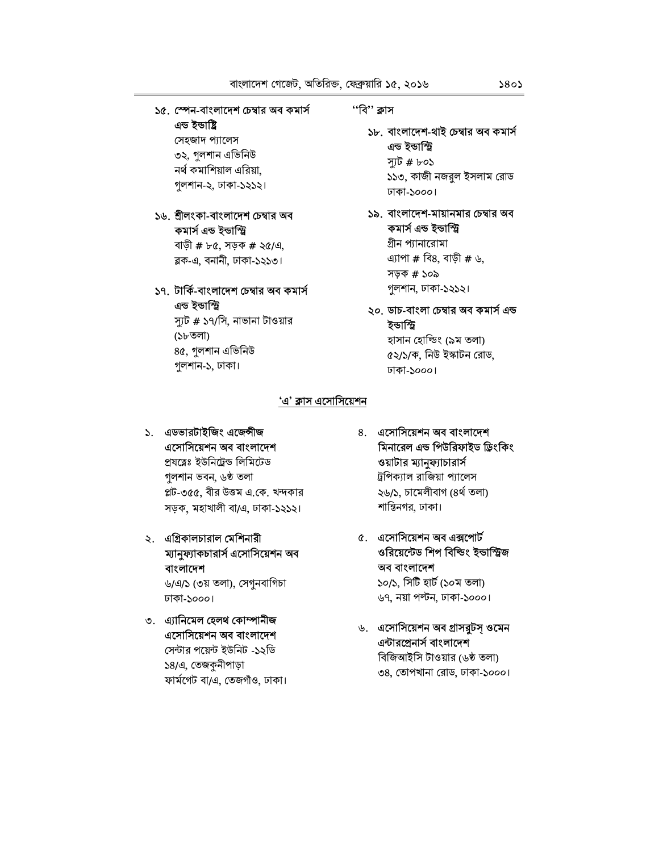### ১৫. স্পেন-বাংলাদেশ চেম্বার অব কমার্স এন্ড ইন্ডাষ্ট্ৰি

সেহজাদ প্যালেস ৩২, গুলশান এভিনিউ নৰ্থ কমাশিয়াল এরিয়া, গুলশান-২, ঢাকা-১২১২।

#### ১৬. শ্ৰীলংকা-বাংলাদেশ চেম্বার অব কমাৰ্স এন্ড ইন্ডাস্ট্ৰি

বাড়ী # ৮৫, সড়ক # ২৫/এ, ৱক-এ, বনানী, ঢাকা-১২১৩।

#### ১৭. টার্কি-বাংলাদেশ চেম্বার অব কমার্স এন্ড ইন্ডাস্ট্রি

স্যুট # ১৭/সি, নাভানা টাওয়ার (১৮তলা) ৪৫, গুলশান এভিনিউ গুলশান-১, ঢাকা।

#### ''বি'' ক্লাস

### ১৮. বাংলাদেশ-থাই চেম্বার অব কমার্স এন্ড ইন্ডাস্ট্রি স্যুট # ৮০১

১১৩, কাজী নজরুল ইসলাম রোড ঢাকা-১০০০।

#### ১৯. বাংলাদেশ-মায়ানমার চেম্বার অব কমাৰ্স এন্ড ইন্ডাস্ট্ৰি গ্রীন প্যানারোমা এ্যাপা # বি৪, বাড়ী # ৬, সডক # ১০৯ গুলশান, ঢাকা-১২১২।

#### ২০. ডাচ-বাংলা চেম্বার অব কমার্স এন্ড ইন্ডাস্ট্রি

হাসান হোল্ডিং (৯ম তলা) ৫২/১/ক, নিউ ইস্কাটন রোড, ঢাকা-১০০০।

#### 'এ' ক্লাস এসোসিয়েশন

১. এডভারটাইজিং এজেন্সীজ এসোসিয়েশন অব বাংলাদেশ প্ৰযন্নেঃ ইউনিট্ৰেন্ড লিমিটেড গুলশান ভবন, ৬ষ্ঠ তলা প্লট-৩৫৫, বীর উত্তম এ.কে. খন্দকার সড়ক, মহাখালী বা/এ, ঢাকা-১২১২।

#### ২. এগ্রিকালচারাল মেশিনারী ম্যানুফ্যাকচারার্স এসোসিয়েশন অব বাংলাদেশ

৬/এ/১ (৩য় তলা), সেগুনবাগিচা ঢাকা-১০০০।

৩. এ্যানিমেল হেলথ কোম্পানীজ এসোসিয়েশন অব বাংলাদেশ সেন্টার পয়েন্ট ইউনিট -১২ডি ১৪/এ, তেজকুনীপাড়া ফাৰ্মগেট বা/এ, তেজগাঁও, ঢাকা।

- ৪. এসোসিয়েশন অব বাংলাদেশ মিনারেল এন্ড পিউরিফাইড ড্রিংকিং ওয়াটার ম্যানুফ্যাচারার্স ট্রপিক্যাল রাজিয়া প্যালেস ২৬/১, চামেলীবাগ (৪র্থ তলা) শান্তিনগর, ঢাকা।
- ৫. এসোসিয়েশন অব এক্সপোর্ট ওরিয়েন্টেড শিপ বিল্ডিং ইন্ডাস্ট্রিজ অব বাংলাদেশ ১০/১, সিটি হার্ট (১০ম তলা) ৬৭, নয়া পল্টন, ঢাকা-১০০০।
- ৬. এসোসিয়েশন অব গ্রাসরুটস্ ওমেন এন্টারপ্রেনার্স বাংলাদেশ বিজিআইসি টাওয়ার (৬ষ্ঠ তলা) ৩৪, তোপখানা রোড, ঢাকা-১০০০।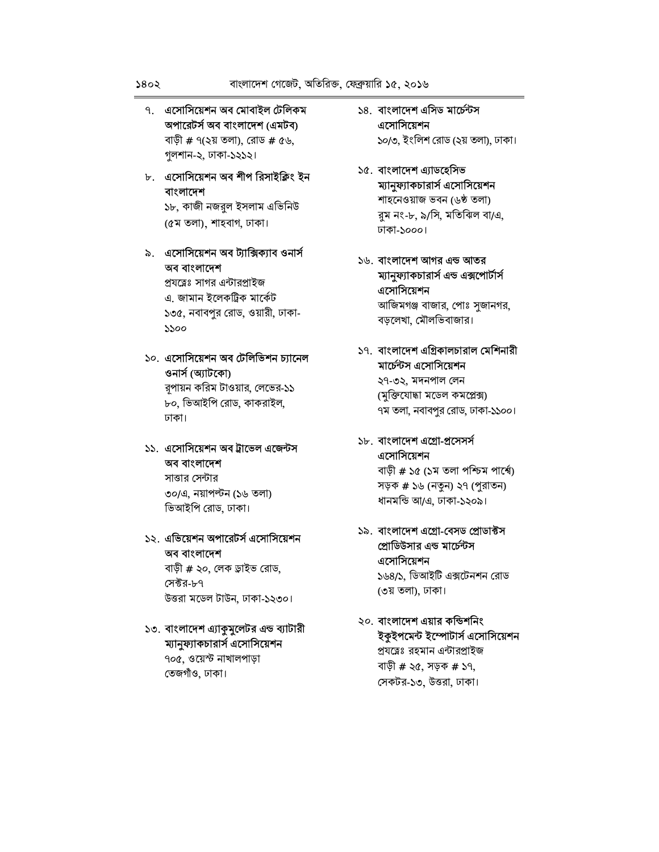- ৭. এসোসিয়েশন অব মোবাইল টেলিকম অপারেটর্স অব বাংলাদেশ (এমটব) বাড়ী # ৭(২য় তলা), রোড # ৫৬, গুলশান-২, ঢাকা-১২১২।
- ৮. এসোসিয়েশন অব শীপ রিসাইক্লিং ইন বাংলাদেশ ১৮, কাজী নজরুল ইসলাম এভিনিউ

(৫ম তলা), শাহবাগ, ঢাকা।

#### ৯. এসোসিয়েশন অব ট্যাক্সিক্যাব ওনার্স অব বাংলাদেশ

প্রযত্নেঃ সাগর এন্টারপ্রাইজ এ. জামান ইলেকট্ৰিক মাৰ্কেট ১৩৫, নবাবপুর রোড, ওয়ারী, ঢাকা- $5500$ 

#### ১০. এসোসিয়েশন অব টেলিভিশন চ্যানেল ওনার্স (অ্যাটকো)

রপায়ন করিম টাওয়ার, লেভের-১১ ৮০, ভিআইপি রোড, কাকরাইল, ঢাকা।

#### ১১. এসোসিয়েশন অব ট্রাভেল এজেন্টস অব বাংলাদেশ সাত্তার সেন্টার

৩০/এ, নয়াপল্টন (১৬ তলা) ভিআইপি রোড, ঢাকা।

#### ১২. এভিয়েশন অপারেটর্স এসোসিয়েশন অব বাংলাদেশ

বাড়ী # ২০, লেক ড্ৰাইভ রোড, সেক্টর-৮৭ উত্তরা মডেল টাউন, ঢাকা-১২৩০।

#### ১৩. বাংলাদেশ এ্যাকুমুলেটর এন্ড ব্যাটারী ম্যানুফ্যাকচারার্স এসোসিয়েশন

৭০৫, ওয়েস্ট নাখালপাড়া তেজগাঁও, ঢাকা।

- ১৪. বাংলাদেশ এসিড মার্চেন্টস এসোসিয়েশন ১০/৩, ইংলিশ রোড (২য় তলা), ঢাকা।
- ১৫. বাংলাদেশ এ্যাডহেসিভ ম্যানুষ্যাকচারার্স এসোসিয়েশন শাহনেওয়াজ ভবন (৬ষ্ঠ তলা) ব্রম নং-৮, ৯/সি, মতিঝিল বা/এ, ঢাকা-১০০০।
- ১৬. বাংলাদেশ আগর এন্ড আতর ম্যানুফ্যাকচারার্স এন্ড এক্সপোর্টার্স এসোসিয়েশন আজিমগঞ্জ বাজার, পোঃ সুজানগর, বড়লেখা, মৌলভিবাজার।
- ১৭. বাংলাদেশ এগ্রিকালচারাল মেশিনারী মার্চেন্টস এসোসিয়েশন ২৭-৩২, মদনপাল লেন (মুক্তিযোদ্ধা মডেল কমপ্লেক্স) ৭ম তলা, নবাবপুর রোড, ঢাকা-১১০০।

#### ১৮. বাংলাদেশ এগ্রো-প্রসেসর্স এসোসিয়েশন

বাড়ী # ১৫ (১ম তলা পশ্চিম পার্শ্বে) সড়ক # ১৬ (নতুন) ২৭ (পুরাতন) ধানমন্ডি আ/এ, ঢাকা-১২০৯।

১৯. বাংলাদেশ এগ্রো-বেসড প্রোডাক্টস প্রোডিউসার এন্ড মার্চেন্টস এসোসিয়েশন ১৬৪/১, ডিআইটি এক্সটেনশন রোড (৩য় তলা), ঢাকা।

#### ২০. বাংলাদেশ এয়ার কন্ডিশনিং ইকুইপমেন্ট ইম্পোটার্স এসোসিয়েশন প্ৰযন্নেঃ রহমান এন্টারপ্রাইজ বাড়ী # ২৫, সড়ক # ১৭, সেকটর-১৩, উত্তরা, ঢাকা।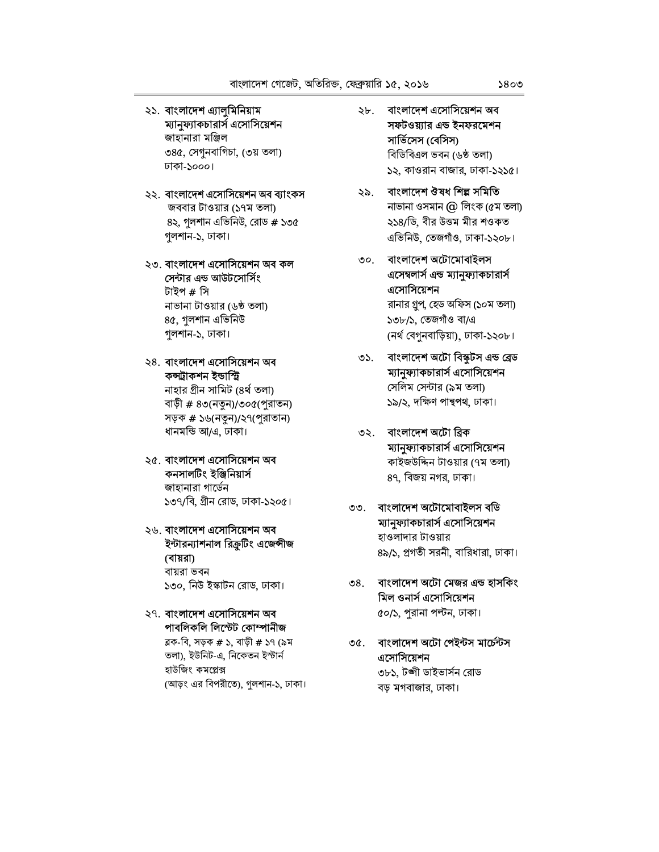#### ২১. বাংলাদেশ এ্যালুমিনিয়াম ম্যানুফ্যাকচারার্স এসোসিয়েশন জাহানারা মঞ্জিল

৩৪৫, সেগুনবাগিচা, (৩য় তলা) ঢাকা-১০০০।

#### ২২. বাংলাদেশ এসোসিয়েশন অব ব্যাংকস জববার টাওয়ার (১৭ম তলা) ৪২, গুলশান এভিনিউ, রোড # ১৩৫ গুলশান-১, ঢাকা।

#### ২৩. বাংলাদেশ এসোসিয়েশন অব কল সেন্টার এন্ড আউটসোর্সিং টাইপ # সি নাভানা টাওয়ার (৬ষ্ঠ তলা)

৪৫, গুলশান এভিনিউ গুলশান-১, ঢাকা।

#### ২৪. বাংলাদেশ এসোসিয়েশন অব কন্সট্রাকশন ইন্ডাস্ট্রি

নাহার গ্রীন সামিট (৪র্থ তলা) বাড়ী # ৪৩(নতুন)/৩০৫(পুরাতন) সড়ক # ১৬(নতুন)/২৭(পুরাতান) ধানমন্ডি আ/এ, ঢাকা।

#### ২৫. বাংলাদেশ এসোসিয়েশন অব কনসালটিং ইঞ্জিনিয়ার্স জাহানারা গার্ডেন

১৩৭/বি, গ্রীন রোড, ঢাকা-১২০৫।

#### ২৬. বাংলাদেশ এসোসিয়েশন অব ইন্টারন্যাশনাল রিক্রুটিং এজেন্সীজ (বায়রা)

বায়রা ভবন ১৩০, নিউ ইস্কাটন রোড, ঢাকা।

#### ২৭. বাংলাদেশ এসোসিয়েশন অব পাবলিকলি লিস্টেট কোম্পানীজ

ৱক-বি, সড়ক # ১, বাড়ী # ১৭ (৯ম তলা), ইউনিট-এ, নিকেতন ইস্টার্ন হাউজিং কমপ্লেক্স (আড়ং এর বিপরীতে), গুলশান-১, ঢাকা।

- বাংলাদেশ এসোসিয়েশন অব ২৮. সফটওয়্যার এন্ড ইনফরমেশন সার্ভিসেস (বেসিস) বিডিবিএল ভবন (৬ষ্ঠ তলা) ১২, কাওরান বাজার, ঢাকা-১২১৫।
- বাংলাদেশ ঔষধ শিল্প সমিতি ২৯. নাভানা ওসমান @ লিংক (৫ম তলা) ২১৪/ডি, বীর উত্তম মীর শওকত এভিনিউ তেজগাঁও ঢাকা-১২০৮।
- ৩০. বাংলাদেশ অটোমোবাইলস এসেম্বলার্স এন্ড ম্যানুফ্যাকচারার্স এসোসিয়েশন

রানার গ্রুপ, হেড অফিস (১০ম তলা) ১৩৮/১, তেজগাঁও বা/এ (নৰ্থ বেগুনবাড়িয়া), ঢাকা-১২০৮।

- বাংলাদেশ অটো বিস্কুটস এন্ড ব্রেড ৩১. ম্যানুফ্যাকচারার্স এসোসিয়েশন সেলিম সেন্টার (৯ম তলা) ১৯/২, দক্ষিণ পান্থপথ, ঢাকা।
- ৩২. বাংলাদেশ অটো ব্রিক ম্যানুষ্যাকচারার্স এসোসিয়েশন কাইজউদ্দিন টাওয়ার (৭ম তলা) ৪৭, বিজয় নগর, ঢাকা।

### ৩৩. বাংলাদেশ অটোমোবাইলস বডি ম্যানুফ্যাকচারার্স এসোসিয়েশন হাওলাদার টাওয়ার

৪৯/১, প্রগতী সরনী, বারিধারা, ঢাকা।

### ৩৪. বাংলাদেশ অটো মেজর এন্ড হাসকিং মিল ওনার্স এসোসিয়েশন

৫০/১, পুরানা পল্টন, ঢাকা।

#### ৩৫. বাংলাদেশ অটো পেইন্টস মার্চেন্টস এসোসিয়েশন ৩৮১, টঙ্গী ডাইভাৰ্সন রোড

বড় মগবাজার, ঢাকা।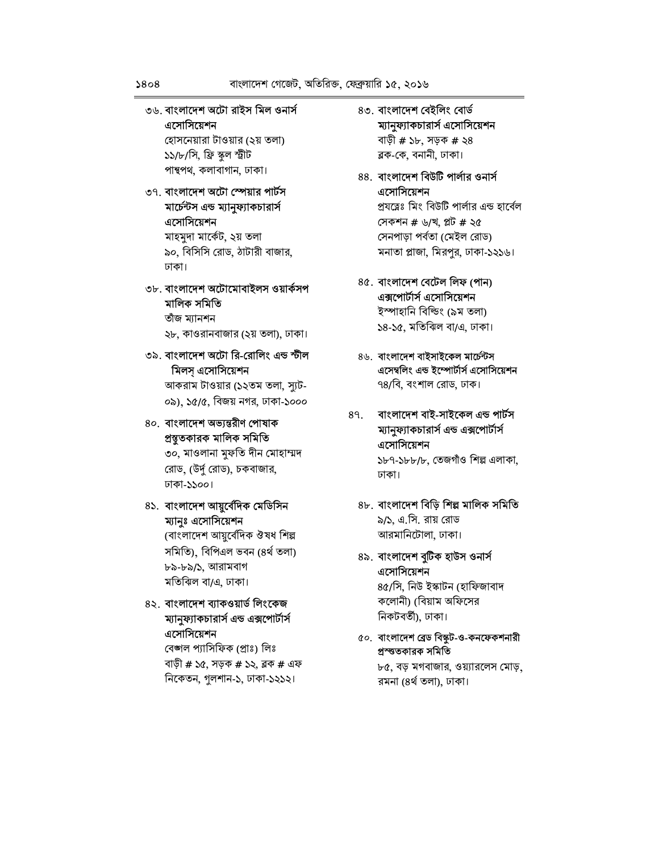#### ৩৬. বাংলাদেশ অটো রাইস মিল ওনার্স এসোসিয়েশন

হোসনেয়ারা টাওয়ার (২য় তলা) ১১/৮/সি, ফ্রি স্কুল স্ট্রীট পান্থপথ, কলাবাগান, ঢাকা।

#### ৩৭. বাংলাদেশ অটো স্পেয়ার পার্টস মার্চেন্টস এন্ড ম্যানুফ্যাকচারার্স এসোসিয়েশন

মাহমুদা মার্কেট, ২য় তলা ৯০, বিসিসি রোড, ঠাটারী বাজার, ঢাকা।

#### ৩৮. বাংলাদেশ অটোমোবাইলস ওয়ার্কসপ মালিক সমিতি তাঁজ ম্যানশন

২৮, কাওরানবাজার (২য় তলা), ঢাকা।

#### ৩৯. বাংলাদেশ অটো রি-রোলিং এন্ড স্টীল মিলস্ এসোসিয়েশন

আকরাম টাওয়ার (১২তম তলা, স্যুট-০৯), ১৫/৫, বিজয় নগর, ঢাকা-১০০০

#### ৪০. বাংলাদেশ অভ্যন্তরীণ পোষাক প্ৰস্থুতকারক মালিক সমিতি ৩০, মাওলানা মুফতি দীন মোহাম্মদ

রোড, (উর্দু রোড), চকবাজার, ঢাকা-১১০০।

#### ৪১. বাংলাদেশ আয়ুর্বেদিক মেডিসিন ম্যানুঃ এসোসিয়েশন

(বাংলাদেশ আয়ুর্বেদিক ঔষধ শিল্প সমিতি), বিপিএল ভবন (৪র্থ তলা) ৮৯-৮৯/১, আরামবাগ মতিঝিল বা/এ, ঢাকা।

#### ৪২. বাংলাদেশ ব্যাকওয়ার্ড লিংকেজ ম্যানুফ্যাকচারার্স এন্ড এক্সপোর্টার্স এসোসিয়েশন

বেজ্ঞাল প্যাসিফিক (প্ৰাঃ) লিঃ বাড়ী # ১৫, সড়ক # ১২, ব্লক # এফ নিকেতন, গুলশান-১, ঢাকা-১২১২।

- ৪৩. বাংলাদেশ বেইলিং বোর্ড ম্যানুফ্যাকচারার্স এসোসিয়েশন বাড়ী # ১৮, সড়ক # ২৪ ৱক-কে, বনানী, ঢাকা।
- ৪৪. বাংলাদেশ বিউটি পার্লার ওনার্স এসোসিয়েশন প্রযন্নেঃ মিং বিউটি পার্লার এন্ড হার্বেল সেকশন # ৬/খ, প্লট # ২৫ সেনপাড়া পর্বতা (মেইল রোড) মনাতা প্লাজা, মিরপুর, ঢাকা-১২১৬।
- ৪৫. বাংলাদেশ বেটেল লিফ (পান) এক্সপোর্টার্স এসোসিয়েশন ইস্পাহানি বিল্ডিং (৯ম তলা) ১৪-১৫, মতিঝিল বা/এ, ঢাকা।
- ৪৬. বাংলাদেশ বাইসাইকেল মার্চেন্টস এসেম্বলিং এন্ড ইম্পোর্টার্স এসোসিয়েশন ৭৪/বি, বংশাল রোড, ঢাক।

#### ৪৭. বাংলাদেশ বাই-সাইকেল এন্ড পার্টস ম্যানুফ্যাকচারার্স এন্ড এক্সপোর্টার্স এসোসিয়েশন ১৮৭-১৮৮/৮, তেজগাঁও শিল্প এলাকা,

ঢাকা।

৪৮. বাংলাদেশ বিড়ি শিল্প মালিক সমিতি ৯/১, এ.সি. রায় রোড আরমানিটোলা, ঢাকা।

#### ৪৯. বাংলাদেশ বুটিক হাউস ওনার্স এসোসিয়েশন ৪৫/সি, নিউ ইস্কাটন (হাফিজাবাদ

কলোনী) (বিয়াম অফিসের নিকটবর্তী), ঢাকা।

#### ৫০. বাংলাদেশ ব্রেড বিস্কুট-ও-কনফেকশনারী প্ৰস্তুতকারক সমিতি

৮৫, বড় মগবাজার, ওয়্যারলেস মোড়, রমনা (৪র্থ তলা), ঢাকা।

 $$808$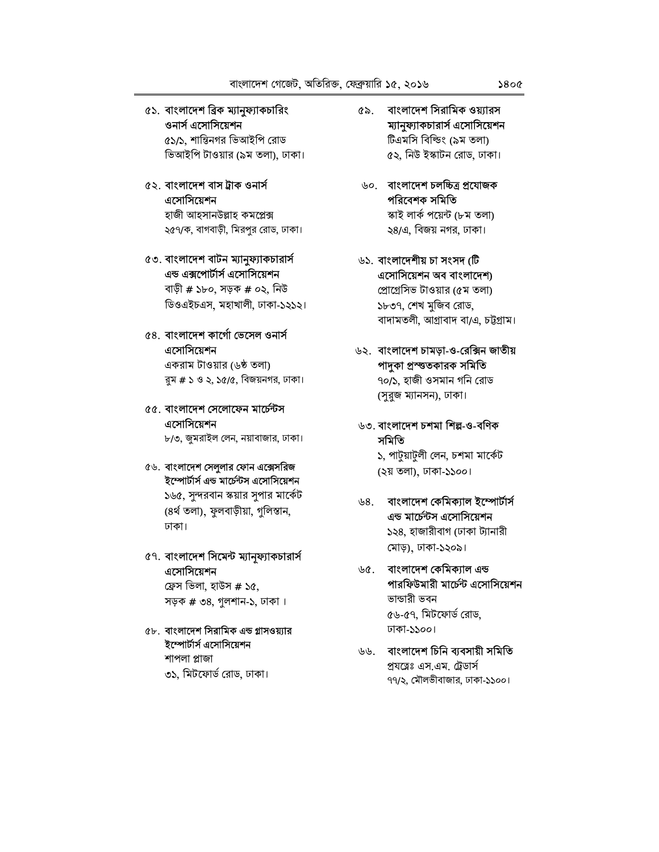#### ৫১. বাংলাদেশ ব্রিক ম্যানুফ্যাকচারিং ওনার্স এসোসিয়েশন

৫১/১, শান্তিনগর ভিআইপি রোড ভিআইপি টাওয়ার (৯ম তলা), ঢাকা।

#### $c$ ২. বাংলাদেশ বাস ট্রাক ওনার্স এসোসিয়েশন

হাজী আহসানউল্লাহ কমপ্লেক্স ২৫৭/ক, বাগবাড়ী, মিরপুর রোড, ঢাকা।

#### ৫৩. বাংলাদেশ বাটন ম্যানুফ্যাকচারার্স এন্ড এক্সপোর্টার্স এসোসিয়েশন

বাড়ী # ১৮০, সড়ক # ০২, নিউ ডিওএইচএস, মহাখালী, ঢাকা-১২১২।

#### ৫৪. বাংলাদেশ কার্গো ভেসেল ওনার্স এসোসিয়েশন

একরাম টাওয়ার (৬ষ্ঠ তলা) রুম # ১ ও ২, ১৫/৫, বিজয়নগর, ঢাকা।

### ৫৫. বাংলাদেশ সেলোফেন মার্চেন্টস এসোসিয়েশন

৮/৩, জুমরাইল লেন, নয়াবাজার, ঢাকা।

#### ৫৬. বাংলাদেশ সেলুলার ফোন এক্সেসরিজ ইম্পোর্টার্স এন্ড মার্চেন্টস এসোসিয়েশন ১৬৫, সুন্দরবান স্কয়ার সুপার মার্কেট (৪র্থ তলা), ফুলবাড়ীয়া, গুলিস্তান, ঢাকা।

### ৫৭. বাংলাদেশ সিমেন্ট ম্যানুফ্যাকচারার্স এসোসিয়েশন

ফ্রেস ভিলা, হাউস # ১৫, সড়ক # ৩৪, গুলশান-১, ঢাকা।

#### ৫৮. বাংলাদেশ সিরামিক এন্ড গ্লাসওয়্যার ইম্পোর্টার্স এসোসিয়েশন

শাপলা প্লাজা ৩১, মিটফোর্ড রোড, ঢাকা।

- বাংলাদেশ সিরামিক ওয়্যারস ৫৯. ম্যানুফ্যাকচারার্স এসোসিয়েশন টিএমসি বিল্ডিং (৯ম তলা) ৫২, নিউ ইস্কাটন রোড, ঢাকা।
- ৬০. বাংলাদেশ চলচ্চিত্ৰ প্ৰযোজক পরিবেশক সমিতি স্কাই লাৰ্ক পয়েন্ট (৮ম তলা) ২৪/এ, বিজয় নগর, ঢাকা।
- ৬১. বাংলাদেশীয় চা সংসদ (টি এসোসিয়েশন অব বাংলাদেশ) প্রোগ্রেসিভ টাওয়ার (৫ম তলা) ১৮৩৭, শেখ মুজিব রোড, বাদামতলী, আগ্ৰাবাদ বা/এ, চট্টগ্ৰাম।
- ৬২. বাংলাদেশ চামড়া-ও-রেক্সিন জাতীয় পাদুকা প্ৰস্তুতকারক সমিতি ৭০/১, হাজী ওসমান গনি রোড (সুরুজ ম্যানসন), ঢাকা।

#### ৬৩. বাংলাদেশ চশমা শিল্প-ও-বণিক সমিতি

১, পাটুয়াটুলী লেন, চশমা মার্কেট (২য় তলা), ঢাকা-১১০০।

- ৬৪. বাংলাদেশ কেমিক্যাল ইম্পোর্টার্স এন্ড মার্চেন্টস এসোসিয়েশন ১২৪, হাজারীবাগ (ঢাকা ট্যানারী মোড়), ঢাকা-১২০৯।
- ৬৫. বাংলাদেশ কেমিক্যাল এন্ড পারফিউমারী মার্চেন্ট এসোসিয়েশন ভান্ডারী ভবন ৫৬-৫৭, মিটফোর্ড রোড, ঢাকা-১১০০।
- ৬৬. বাংলাদেশ চিনি ব্যবসায়ী সমিতি প্রযত্নেঃ এস.এম. ট্রেডার্স ৭৭/২, মৌলভীবাজার, ঢাকা-১১০০।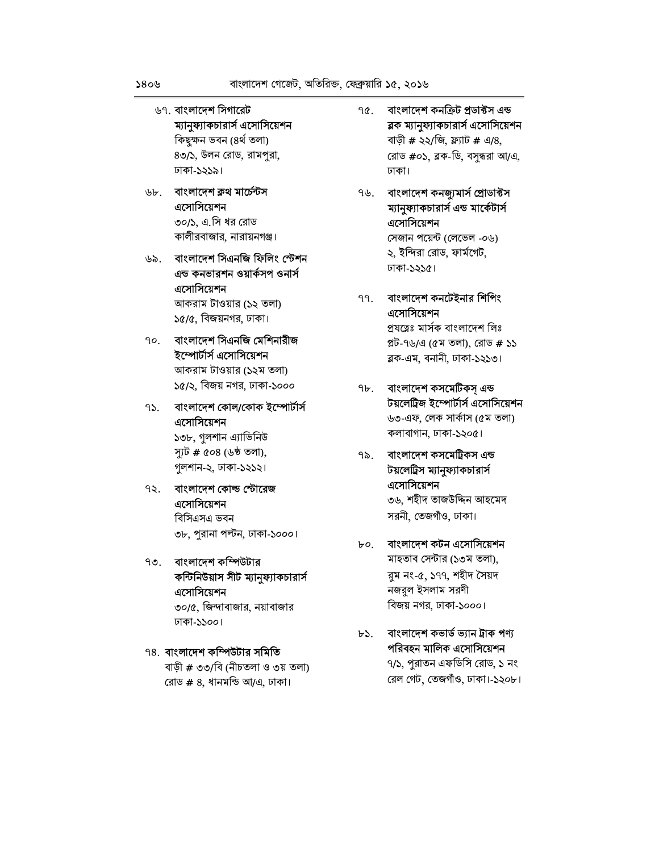- ৬৭. বাংলাদেশ সিগারেট ম্যানুফ্যাকচারার্স এসোসিয়েশন কিছুক্ষন ভবন (৪র্থ তলা) ৪৩/১, উলন রোড, রামপুরা, ঢাকা-১২১৯।
- ৬৮. বাংলাদেশ ক্লথ মার্চেন্টস এসোসিয়েশন ৩০/১, এ.সি ধর রোড কালীরবাজার, নারায়নগঞ্জ।
- ৬৯. বাংলাদেশ সিএনজি ফিলিং স্টেশন এন্ড কনভারশন ওয়ার্কসপ ওনার্স এসোসিয়েশন

আকরাম টাওয়ার (১২ তলা) ১৫/৫, বিজয়নগর, ঢাকা।

- বাংলাদেশ সিএনজি মেশিনারীজ  $90<sub>1</sub>$ ইম্পোর্টার্স এসোসিয়েশন আকরাম টাওয়ার (১২ম তলা) ১৫/২, বিজয় নগর, ঢাকা-১০০০
- বাংলাদেশ কোল/কোক ইম্পোর্টার্স 95. এসোসিয়েশন ১৩৮, গুলশান এ্যাভিনিউ স্যুট # ৫০৪ (৬ষ্ঠ তলা), গুলশান-২, ঢাকা-১২১২।
- ৭২. বাংলাদেশ কোল্ড স্টোরেজ এসোসিয়েশন বিসিএসএ ভবন ৩৮, পুরানা পল্টন, ঢাকা-১০০০।
- ৭৩. বাংলাদেশ কম্পিউটার কন্টিনিউয়াস সীট ম্যানুফ্যাকচারার্স এসোসিয়েশন ৩০/৫, জিন্দাবাজার, নয়াবাজার

ঢাকা-১১০০।

৭৪. বাংলাদেশ কম্পিউটার সমিতি বাড়ী # ৩৩/বি (নীচতলা ও ৩য় তলা) রোড # ৪. ধানমন্ডি আ/এ. ঢাকা।

- বাংলাদেশ কনক্রিট প্রডাক্টস এন্ড ۹৫. ব্লক ম্যানুষ্যাকচারার্স এসোসিয়েশন বাড়ী # ২২/জি, ফ্ল্যাট # এ/৪, রোড #০১, ৱক-ডি, বসুন্ধরা আ/এ, ঢাকা।
- বাংলাদেশ কনজ্যুমার্স প্রোডাক্টস ৭৬. ম্যানুফ্যাকচারার্স এন্ড মার্কেটার্স এসোসিয়েশন সেজান পয়েন্ট (লেভেল -০৬) ২, ইন্দিরা রোড, ফার্মগেট, ঢাকা-১২১৫।
- ৭৭. বাংলাদেশ কনটেইনার শিপিং এসোসিয়েশন প্ৰযন্নেঃ মাৰ্সক বাংলাদেশ লিঃ প্লট-৭৬/এ (৫ম তলা), রোড # ১১ ৱক-এম, বনানী, ঢাকা-১২১৩।
- বাংলাদেশ কসমেটিকসূ এন্ড  $9<sub>b</sub>$ . টয়লেট্রিজ ইম্পোর্টার্স এসোসিয়েশন ৬৩-এফ, লেক সার্কাস (৫ম তলা) কলাবাগান, ঢাকা-১২০৫।
- বাংলাদেশ কসমেট্রিকস এন্ড  $9\delta$ . টয়লেট্রিস ম্যানুষ্যাকচারার্স এসোসিয়েশন

৩৬. শহীদ তাজউদ্দিন আহমেদ সরনী, তেজগাঁও, ঢাকা।

- বাংলাদেশ কটন এসোসিয়েশন ৮০. মাহতাব সেন্টার (১৩ম তলা), ব্রম নং-৫, ১৭৭, শহীদ সৈয়দ নজরুল ইসলাম সরণী বিজয় নগর, ঢাকা-১০০০।
- ৮১. বাংলাদেশ কভাৰ্ড ভ্যান ট্ৰাক পণ্য পরিবহন মালিক এসোসিয়েশন ৭/১, পুরাতন এফডিসি রোড, ১ নং রেল গেট, তেজগাঁও, ঢাকা।-১২০৮।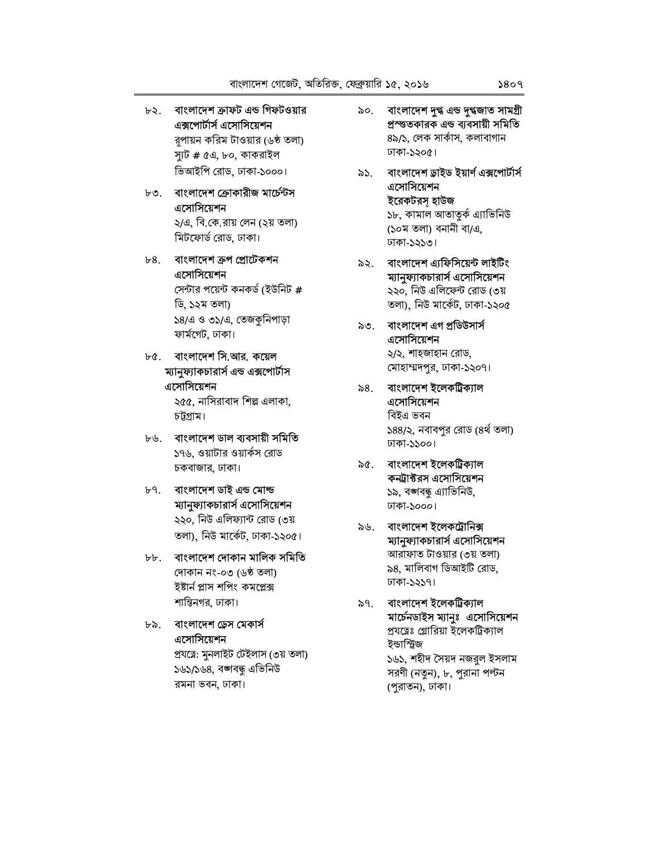৮২. বাংলাদেশ ক্রাফট এন্ড গিফটওয়ার এক্সপোর্টার্স এসোসিয়েশন রপায়ন করিম টাওয়ার (৬ষ্ঠ তলা)

স্যুট # ৫এ, ৮০, কাকরাইল ভিআইপি রোড, ঢাকা-১০০০।

- ৮৩. বাংলাদেশ ক্রোকারীজ মার্চেন্টস এসোসিয়েশন ২/এ, বি.কে.রায় লেন (২য় তলা) মিটফোর্ড রোড, ঢাকা।
- ৮৪. বাংলাদেশ ক্রপ প্রোটেকশন এসোসিয়েশন

সেন্টার পয়েন্ট কনকর্ড (ইউনিট # ডি, ১২ম তলা) ১৪/এ ও ৩১/এ, তেজকুনিপাড়া ফাৰ্মগেট, ঢাকা।

 $b\alpha$  বাংলাদেশ সি.আর. কয়েল ম্যানুফ্যাকচারার্স এন্ড এক্সপোর্টাস এসোসিয়েশন

> ২৫৫, নাসিরাবাদ শিল্প এলাকা, চট্টগ্ৰাম।

- ৮৬. বাংলাদেশ ডাল ব্যবসায়ী সমিতি ১৭৬, ওয়াটার ওয়ার্কস রোড চকবাজার, ঢাকা।
- ৮৭. বাংলাদেশ ডাই এন্ড মোল্ড ম্যানুফ্যাকচারার্স এসোসিয়েশন ২২০, নিউ এলিফ্যান্ট রোড (৩য় তলা), নিউ মার্কেট, ঢাকা-১২০৫।
- বাংলাদেশ দোকান মালিক সমিতি  $b\bar{b}$ . দোকান নং-০৩ (৬ষ্ঠ তলা) ইষ্টার্ন প্লাস শপিং কমপ্লেক্স শান্তিনগর, ঢাকা।
- বাংলাদেশ ডেস মেকার্স ৮৯. এসোসিয়েশন প্ৰযত্নে: মুনলাইট টেইলাস (৩য় তলা) ১৬১/১৬৪, বজাবন্ধ এভিনিউ রমনা ভবন, ঢাকা।
- বাংলাদেশ দুগ্ধ এন্ড দুগ্ধজাত সামগ্ৰী ৯০. প্ৰস্তুতকারক এন্ড ব্যবসায়ী সমিতি ৪৯/১, লেক সার্কাস, কলাবাগান ঢাকা-১২০৫।
- বাংলাদেশ ড্ৰাইড ইয়াৰ্ণ এক্সপোৰ্টাৰ্স ৯১. এসোসিয়েশন ইরেকটরসূ হাউজ ১৮, কামাল আতাতুর্ক এ্যাভিনিউ (১০ম তলা) বনানী বা/এ,
- ৯২. বাংলাদেশ এ্যফিসিয়েন্ট লাইটিং ম্যানুষ্যাকচারার্স এসোসিয়েশন ২২০, নিউ এলিফেন্ট রোড (৩য় তলা), নিউ মাৰ্কেট, ঢাকা-১২০৫
- ৯৩. বাংলাদেশ এগ প্রডিউসার্স এসোসিয়েশন ২/২, শাহজাহান রোড, মোহাম্মদপুর, ঢাকা-১২০৭।

ঢাকা-১২১৩।

- বাংলাদেশ ইলেকট্ৰিক্যাল ৯৪. এসোসিয়েশন বিইএ ভবন ১৪৪/২, নবাবপুর রোড (৪র্থ তলা) ঢাকা-১১০০।
- ৯৫. বাংলাদেশ ইলেকট্ৰিক্যাল কনট্রাক্টরস এসোসিয়েশন ১৯, বঙ্গবন্ধ এ্যাভিনিউ, ঢাকা-১০০০।
- ৯৬. বাংলাদেশ ইলেকট্রোনিক্স ম্যানুষ্যাকচারার্স এসোসিয়েশন আরাফাত টাওয়ার (৩য় তলা) ৯৪, মালিবাগ ডিআইটি রোড, ঢাকা-১২১৭।
- বাংলাদেশ ইলেকট্ৰিক্যাল ৯৭. মার্চেনডাইস ম্যানুঃ এসোসিয়েশন প্রযত্নেঃ গ্লোরিয়া ইলেকট্রিক্যাল ইন্ডাস্ট্রিজ ১৬১, শহীদ সৈয়দ নজরুল ইসলাম সরণী (নতুন), ৮, পুরানা পল্টন (পুরাতন), ঢাকা।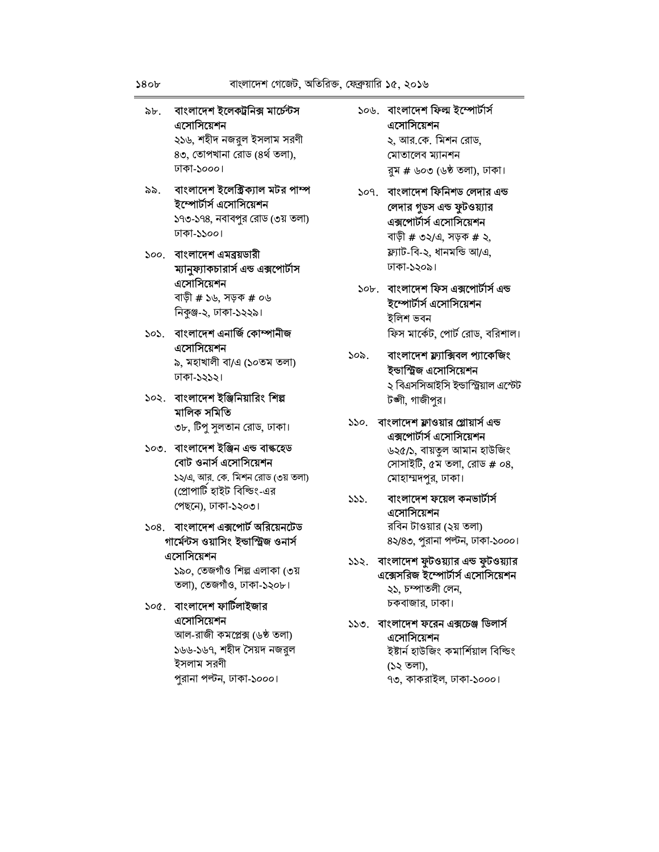#### বাংলাদেশ ইলেকট্ৰনিক্স মাৰ্চেন্টস ৯৮. এসোসিয়েশন

২১৬, শহীদ নজরল ইসলাম সরণী ৪৩, তোপখানা রোড (৪র্থ তলা), ঢাকা-১০০০।

#### বাংলাদেশ ইলেক্ট্রিক্যাল মটর পাম্প ৯৯. ইম্পোর্টার্স এসোসিয়েশন ১৭৩-১৭৪, নবাবপুর রোড (৩য় তলা) ঢাকা-১১০০।

- ১০০. বাংলাদেশ এমব্রয়ডারী ম্যানুফ্যাকচারার্স এন্ড এক্সপোর্টাস এসোসিয়েশন বাড়ী # ১৬. সডক # ০৬ নিকুঞ্জ-২, ঢাকা-১২২৯।
- ১০১. বাংলাদেশ এনার্জি কোম্পানীজ এসোসিয়েশন ৯, মহাখালী বা/এ (১০তম তলা) ঢাকা-১২১২।
- ১০২. বাংলাদেশ ইঞ্জিনিয়ারিং শিল্প মালিক সমিতি

৩৮, টিপ সলতান রোড, ঢাকা।

১০৩. বাংলাদেশ ইঞ্জিন এন্ড বাঙ্কহেড বোট ওনার্স এসোসিয়েশন ১২/এ, আর. কে. মিশন রোড (৩য় তলা) (প্রোপার্টি হাইট বিল্ডিং-এর পেছনে), ঢাকা-১২০৩।

#### ১০৪. বাংলাদেশ এক্সপোর্ট অরিয়েনটেড গাৰ্মেন্টস ওয়াসিং ইন্ডাস্ট্ৰিজ ওনাৰ্স এসোসিয়েশন

১৯০. তেজগাঁও শিল্প এলাকা (৩য় তলা), তেজগাঁও, ঢাকা-১২০৮।

### ১০৫. বাংলাদেশ ফার্টিলাইজার এসোসিয়েশন

আল-রাজী কমপ্লেক্স (৬ষ্ঠ তলা) ১৬৬-১৬৭, শহীদ সৈয়দ নজরল ইসলাম সরণী পুরানা পল্টন, ঢাকা-১০০০।

### ১০৬. বাংলাদেশ ফিল্ম ইম্পোর্টার্স এসোসিয়েশন

২, আর.কে. মিশন রোড, মোতালেব ম্যানশন রম # ৬০৩ (৬ষ্ঠ তলা), ঢাকা।

- ১০৭. বাংলাদেশ ফিনিশড লেদার এন্ড লেদার গুডস এন্ড ফুটওয়্যার এক্সপোর্টার্স এসোসিয়েশন বাড়ী # ৩২/এ, সড়ক # ২, ফ্ল্যাট-বি-২, ধানমন্ডি আ/এ,
- ১০৮. বাংলাদেশ ফিস এক্সপোর্টার্স এন্ড ইম্পোর্টার্স এসোসিয়েশন ইলিশ ভবন ফিস মার্কেট, পোর্ট রোড, বরিশাল।

ঢাকা-১২০৯।

- বাংলাদেশ ফ্ল্যাক্সিবল প্যাকেজিং ১০৯. ইন্ডাস্ট্রিজ এসোসিয়েশন ২ বিএসসিআইসি ইন্ডাস্ট্রিয়াল এস্টেট টঙ্গী, গাজীপুর।
- ১১০. বাংলাদেশ ফ্লাওয়ার গ্লোয়ার্স এন্ড এক্সপোর্টার্স এসোসিয়েশন ৬২৫/১, বায়তুল আমান হাউজিং সোসাইটি, ৫ম তলা, রোড # ০৪, মোহাম্মদপুর, ঢাকা।
- বাংলাদেশ ফয়েল কনভার্টার্স  $555.$ এসোসিয়েশন রবিন টাওয়ার (২য় তলা) ৪২/৪৩, পুরানা পল্টন, ঢাকা-১০০০।

#### ১১২. বাংলাদেশ ফুটওয়্যার এন্ড ফুটওয়্যার এক্সেসরিজ ইম্পোর্টার্স এসোসিয়েশন ২১, চম্পাতলী লেন, চকবাজার, ঢাকা।

১১৩. বাংলাদেশ ফরেন এক্সচেঞ্জ ডিলার্স এসোসিয়েশন ইষ্টাৰ্ন হাউজিং কমাৰ্শিয়াল বিল্ডিং (১২ তলা), ৭৩, কাকরাইল, ঢাকা-১০০০।

 $580<sub>b</sub>$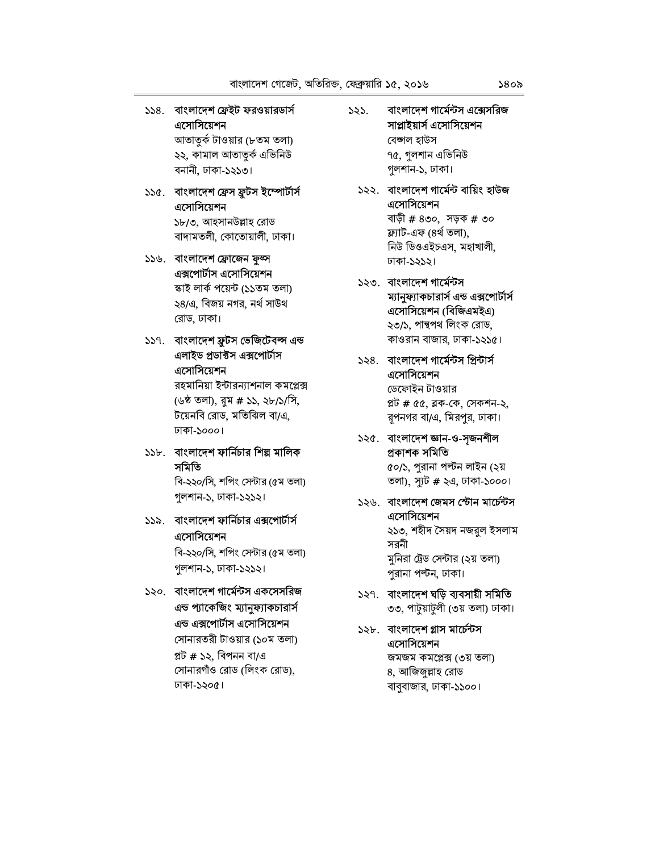#### ১১৪. বাংলাদেশ ফ্রেইট ফরওয়ারডার্স এসোসিয়েশন

আতাতুর্ক টাওয়ার (৮তম তলা) ২২, কামাল আতাতুর্ক এভিনিউ বনানী, ঢাকা-১২১৩।

১১৫. বাংলাদেশ ফ্রেস ফুটস ইম্পোর্টার্স এসোসিয়েশন ১৮/৩, আহসানউল্লাহ রোড

বাদামতলী, কোতোয়ালী, ঢাকা।

১১৬. বাংলাদেশ ফ্রোজেন ফুড্স এক্সপোর্টাস এসোসিয়েশন স্কাই লার্ক পয়েন্ট (১১তম তলা) ২৪/এ, বিজয় নগর, নর্থ সাউথ

রোড, ঢাকা। ১১৭. বাংলাদেশ ফুটস ভেজিটেবন্স এন্ড এলাইড প্ৰডাক্টস এক্সপোৰ্টাস এসোসিয়েশন

> রহমানিয়া ইন্টারন্যাশনাল কমপ্লেক্স (৬ষ্ঠ তলা), রুম # ১১, ২৮/১/সি, টয়েনবি রোড, মতিঝিল বা/এ, ঢাকা-১০০০।

১১৮. বাংলাদেশ ফার্নিচার শিল্প মালিক সমিতি

বি-২২০/সি. শপিং সেন্টার (৫ম তলা) গুলশান-১, ঢাকা-১২১২।

#### ১১৯. বাংলাদেশ ফার্নিচার এক্সপোর্টার্স এসোসিয়েশন

বি-২২০/সি, শপিং সেন্টার (৫ম তলা) গুলশান-১, ঢাকা-১২১২।

- ১২০. বাংলাদেশ গার্মেন্টস একসেসরিজ এন্ড প্যাকেজিং ম্যানুফ্যাকচারার্স এন্ড এক্সপোর্টাস এসোসিয়েশন সোনারতরী টাওয়ার (১০ম তলা) প্লট # ১২, বিপনন বা/এ সোনারগাঁও রোড (লিংক রোড),
	- ঢাকা-১২০৫।
- বাংলাদেশ গার্মেন্টস এক্সেসরিজ  $535.$ সাপ্লাইয়ার্স এসোসিয়েশন বেঙ্গাল হাউস ৭৫, গুলশান এভিনিউ গুলশান-১, ঢাকা।
	- ১২২. বাংলাদেশ গার্মেন্ট বায়িং হাউজ এসোসিয়েশন বাড়ী # ৪৩০, সড়ক # ৩০ ফ্ল্যাট-এফ (৪র্থ তলা). নিউ ডিওএইচএস, মহাখালী, ঢাকা-১২১২।
	- ১২৩. বাংলাদেশ গার্মেন্টস ম্যানুফ্যাকচারার্স এন্ড এক্সপোর্টার্স এসোসিয়েশন (বিজিএমইএ) ২৩/১, পান্থপথ লিংক রোড, কাওরান বাজার, ঢাকা-১২১৫।
	- ১২৪. বাংলাদেশ গার্মেন্টস প্রিন্টার্স এসোসিয়েশন

ডেফোইন টাওয়ার প্লট # ৫৫, ৱক-কে, সেকশন-২, রূপনগর বা/এ, মিরপুর, ঢাকা।

১২৫. বাংলাদেশ জ্ঞান-ও-সজনশীল প্ৰকাশক সমিতি

> ৫০/১, পুরানা পল্টন লাইন (২য় তলা), স্যুট # ২এ, ঢাকা-১০০০।

১২৬. বাংলাদেশ জেমস স্টোন মার্চেন্টস এসোসিয়েশন ২১৩, শহীদ সৈয়দ নজরুল ইসলাম সরনী মুনিরা ট্রেড সেন্টার (২য় তলা)

পুরানা পল্টন, ঢাকা।

- ১২৭. বাংলাদেশ ঘড়ি ব্যবসায়ী সমিতি ৩৩, পাটুয়াটুলী (৩য় তলা) ঢাকা।
- ১২৮. বাংলাদেশ গ্লাস মার্চেন্টস এসোসিয়েশন জমজম কমপ্লেক্স (৩য় তলা) ৪, আজিজল্লাহ রোড

বাবুবাজার, ঢাকা-১১০০।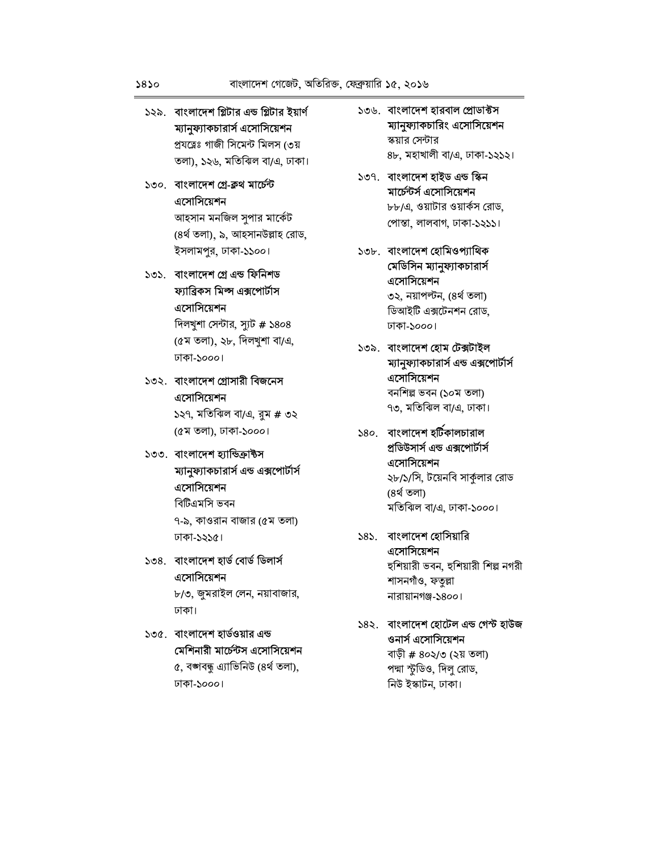# ১২৯. বাংলাদেশ গ্লিটার এন্ড গ্লিটার ইয়ার্ণ ম্যানুফ্যাকচারার্স এসোসিয়েশন

প্ৰযন্নেঃ গাজী সিমেন্ট মিলস (৩য় তলা), ১২৬. মতিঝিল বা/এ. ঢাকা।

### ১৩০. বাংলাদেশ গ্ৰে-ক্লথ মাৰ্চেন্ট এসোসিয়েশন

আহসান মনজিল সুপার মার্কেট (৪র্থ তলা), ৯, আহসানউল্লাহ রোড, ইসলামপুর, ঢাকা-১১০০।

১৩১. বাংলাদেশ গ্ৰে এন্ড ফিনিশড ফ্যাব্রিকস মিল্স এক্সপোর্টাস এসোসিয়েশন

> দিলখুশা সেন্টার, স্যুট # ১৪০৪ (৫ম তলা), ২৮, দিলখুশা বা/এ, ঢাকা-১০০০।

#### ১৩২. বাংলাদেশ গ্রোসারী বিজনেস এসোসিয়েশন

১২৭, মতিঝিল বা/এ, রুম # ৩২ (৫ম তলা), ঢাকা-১০০০।

### ১৩৩. বাংলাদেশ হ্যান্ডিক্রাক্টস ম্যানুফ্যাকচারার্স এন্ড এক্সপোর্টার্স এসোসিয়েশন

বিটিএমসি ভবন ৭-৯, কাওরান বাজার (৫ম তলা) ঢাকা-১২১৫।

### ১৩৪. বাংলাদেশ হার্ড বোর্ড ডিলার্স এসোসিয়েশন

৮/৩, জমরাইল লেন, নয়াবাজার, ঢাকা।

### ১৩৫. বাংলাদেশ হার্ডওয়ার এন্ড মেশিনারী মার্চেন্টস এসোসিয়েশন ৫, বঙ্গবন্ধু এ্যাভিনিউ (৪র্থ তলা), ঢাকা-১০০০।

- ১৩৬. বাংলাদেশ হারবাল প্রোডাক্টস ম্যানুষ্যাকচারিং এসোসিয়েশন স্কয়ার সেন্টার ৪৮, মহাখালী বা/এ, ঢাকা-১২১২।
- ১৩৭. বাংলাদেশ হাইড এন্ড স্কিন মার্চেন্টর্স এসোসিয়েশন ৮৮/এ, ওয়াটার ওয়ার্কস রোড, পোস্তা, লালবাগ, ঢাকা-১২১১।
- ১৩৮. বাংলাদেশ হোমিওপ্যাথিক মেডিসিন ম্যানুষ্যাকচারার্স এসোসিয়েশন ৩২, নয়াপল্টন, (৪র্থ তলা) ডিআইটি এক্সটেনশন রোড, ঢাকা-১০০০।
- ১৩৯. বাংলাদেশ হোম টেক্সটাইল ম্যানুফ্যাকচারার্স এন্ড এক্সপোর্টার্স এসোসিয়েশন বনশিল্প ভবন (১০ম তলা) ৭৩, মতিঝিল বা/এ, ঢাকা।

### ১৪০. বাংলাদেশ হর্টিকালচারাল প্রডিউসার্স এন্ড এক্সপোর্টার্স এসোসিয়েশন ২৮/১/সি, টয়েনবি সার্কুলার রোড

(৪ৰ্থ তলা) মতিঝিল বা/এ, ঢাকা-১০০০।

১৪১. বাংলাদেশ হোসিয়ারি এসোসিয়েশন হশিয়ারী ভবন, হশিয়ারী শিল্প নগরী শাসনগাঁও, ফতল্লা নারায়ানগঞ্জ-১৪০০।

#### ১৪২. বাংলাদেশ হোটেল এন্ড গেস্ট হাউজ ওনার্স এসোসিয়েশন বাড়ী # ৪০২/৩ (২য় তলা) পদ্মা স্টুডিও, দিলু রোড, নিউ ইস্কাটন, ঢাকা।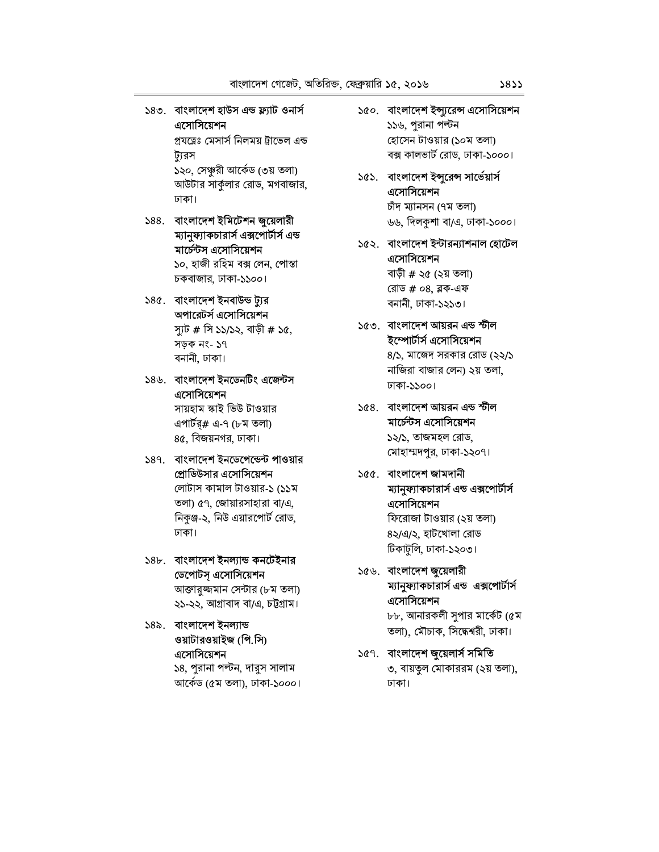#### ১৪৩. বাংলাদেশ হাউস এন্ড ফ্ল্যাট ওনার্স এসোসিয়েশন

প্রযন্নেঃ মেসার্স নিলময় ট্রাভেল এন্ড ট্যরস ১২০, সেঞ্চুরী আর্কেড (৩য় তলা) আউটার সার্কুলার রোড, মগবাজার, ঢাকা।

১৪৪. বাংলাদেশ ইমিটেশন জুয়েলারী ম্যানুফ্যাকচারার্স এক্সপোর্টার্স এন্ড মার্চেন্টস এসোসিয়েশন ১০, হাজী রহিম বক্স লেন, পোস্তা

চকবাজার, ঢাকা-১১০০।

### ১৪৫. বাংলাদেশ ইনবাউন্ড ট্যুর অপারেটর্স এসোসিয়েশন স্যুট # সি ১১/১২, বাড়ী # ১৫,

সড়ক নং- ১৭ বনানী, ঢাকা।

#### ১৪৬. বাংলাদেশ ইনডেনটিং এজেন্টস এসোসিয়েশন সায়হাম স্কাই ভিউ টাওয়ার

এপার্টর# এ-৭ (৮ম তলা) ৪৫, বিজয়নগর, ঢাকা।

#### ১৪৭. বাংলাদেশ ইনডেপেন্ডেন্ট পাওয়ার প্রোডিউসার এসোসিয়েশন লোটাস কামাল টাওয়ার-১ (১১ম তলা) ৫৭, জোয়ারসাহারা বা/এ, নিকুঞ্জ-২, নিউ এয়ারপোর্ট রোড,

ঢাকা।

#### ১৪৮. বাংলাদেশ ইনল্যান্ড কনটেইনার ডেপোটস্ এসোসিয়েশন আক্তারুজ্জমান সেন্টার (৮ম তলা) ২১-২২, আগ্রাবাদ বা/এ, চট্টগ্রাম।

#### ১৪৯. বাংলাদেশ ইনল্যান্ড ওয়াটারওয়াইজ (পি.সি) এসোসিয়েশন

১৪, পুরানা পল্টন, দারুস সালাম আৰ্কেড (৫ম তলা), ঢাকা-১০০০।

- ১৫০. বাংলাদেশ ইন্সুরেন্স এসোসিয়েশন ১১৬, পুরানা পল্টন হোসেন টাওয়ার (১০ম তলা) বক্স কালভার্ট রোড, ঢাকা-১০০০।
- ১৫১. বাংলাদেশ ইন্সুরেন্স সার্ভেয়ার্স এসোসিয়েশন চাঁদ ম্যানসন (৭ম তলা) ৬৬, দিলকুশা বা/এ, ঢাকা-১০০০।
- ১৫২. বাংলাদেশ ইন্টারন্যাশনাল হোটেল এসোসিয়েশন বাড়ী # ২৫ (২য় তলা) রোড # ০৪, ব্লক-এফ বনানী, ঢাকা-১২১৩।

### ১৫৩. বাংলাদেশ আয়রন এন্ড স্টীল ইম্পোর্টার্স এসোসিয়েশন

৪/১, মাজেদ সরকার রোড (২২/১ নাজিরা বাজার লেন) ২য় তলা, ঢাকা-১১০০।

- ১৫৪. বাংলাদেশ আয়রন এন্ড স্টীল মার্চেন্টস এসোসিয়েশন ১২/১, তাজমহল রোড, মোহাম্মদপুর, ঢাকা-১২০৭।
- ১৫৫. বাংলাদেশ জামদানী ম্যানুফ্যাকচারার্স এন্ড এক্সপোর্টার্স এসোসিয়েশন ফিরোজা টাওয়ার (২য় তলা) ৪২/এ/২, হাটখোলা রোড টিকাটুলি, ঢাকা-১২০৩।

### ১৫৬. বাংলাদেশ জুয়েলারী ম্যানুফ্যাকচারার্স এন্ড এক্সপোর্টার্স এসোসিয়েশন

৮৮, আনারকলী সুপার মার্কেট (৫ম তলা), মৌচাক, সিদ্ধেশ্বরী, ঢাকা।

১৫৭. বাংলাদেশ জুয়েলার্স সমিতি ৩, বায়তুল মোকাররম (২য় তলা), ঢাকা।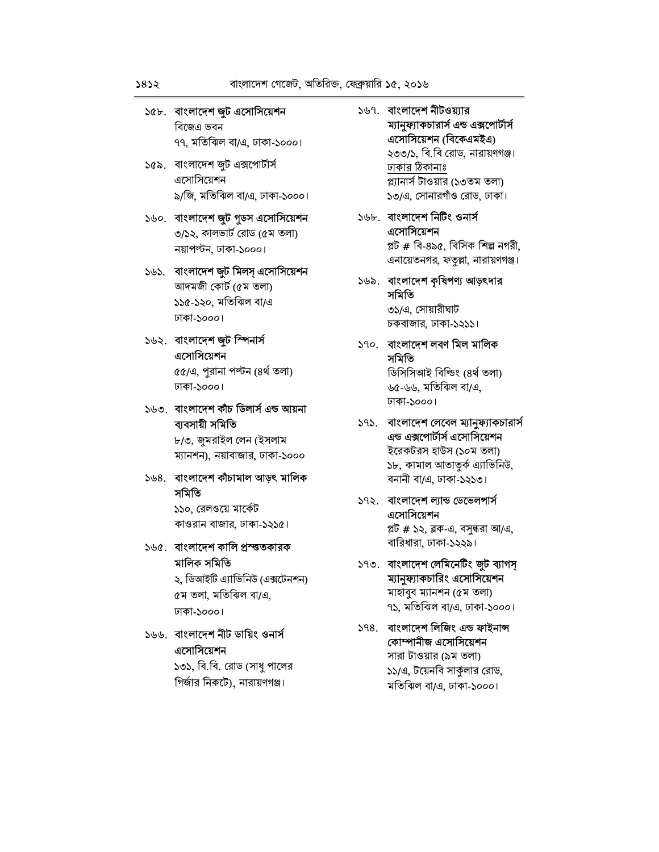### ১৫৮. বাংলাদেশ জুট এসোসিয়েশন

বিজেএ ভবন ৭৭, মতিঝিল বা/এ, ঢাকা-১০০০।

- ১৫৯. বাংলাদেশ জট এক্সপোর্টার্স এসোসিয়েশন ৯/জি, মতিঝিল বা/এ, ঢাকা-১০০০।
- ১৬০. বাংলাদেশ জুট গুডস এসোসিয়েশন ৩/১২, কালভার্ট রোড (৫ম তলা) নয়াপল্টন, ঢাকা-১০০০।
- ১৬১. বাংলাদেশ জুট মিলস এসোসিয়েশন আদমজী কোর্ট (৫ম তলা) ১১৫-১২০, মতিঝিল বা/এ ঢাকা-১০০০।

#### ১৬২. বাংলাদেশ জুট স্পিনার্স এসোসিয়েশন ৫৫/এ, পুরানা পল্টন (৪র্থ তলা) ঢাকা-১০০০।

১৬৩. বাংলাদেশ কীচ ডিলার্স এন্ড আয়না ব্যবসায়ী সমিতি

> ৮/৩, জুমরাইল লেন (ইসলাম ম্যানশন), নয়াবাজার, ঢাকা-১০০০

১৬৪. বাংলাদেশ কীচামাল আড়ৎ মালিক সমিতি

> ১১০, রেলওয়ে মার্কেট কাওরান বাজার, ঢাকা-১২১৫।

১৬৫. বাংলাদেশ কালি প্ৰস্ত্তকারক মালিক সমিতি

> ২, ডিআইটি এ্যাভিনিউ (এক্সটেনশন) ৫ম তলা, মতিঝিল বা/এ, ঢাকা-১০০০।

#### ১৬৬. বাংলাদেশ নীট ডায়িং ওনার্স এসোসিয়েশন

১৩১, বি.বি. রোড (সাধ পালের গির্জার নিকটে) নারায়ণগঞ্জ।

- ১৬৭. বাংলাদেশ নীটওয়্যার ম্যানুফ্যাকচারার্স এন্ড এক্সপোর্টার্স এসোসিয়েশন (বিকেএমইএ) ২৩৩/১, বি.বি রোড, নারায়ণগঞ্জ। ঢাকার ঠিকানাঃ প্ল্যানার্স টাওয়ার (১৩তম তলা) ১৩/এ, সোনারগাঁও রোড, ঢাকা।
- ১৬৮. বাংলাদেশ নিটিং ওনার্স এসোসিয়েশন প্লট # বি-৪৯৫, বিসিক শিল্প নগরী,

এনায়েতনগর, ফতুল্লা, নারায়ণগঞ্জ।

- ১৬৯. বাংলাদেশ কৃষিপণ্য আড়ৎদার সমিতি ৩১/এ, সোয়ারীঘাট চকবাজার, ঢাকা-১২১১।
- ১৭০. বাংলাদেশ লবণ মিল মালিক সমিতি ডিসিসিআই বিল্ডিং (৪ৰ্থ তলা) ৬৫-৬৬, মতিঝিল বা/এ, ঢাকা-১০০০।
- ১৭১. বাংলাদেশ লেবেল ম্যানুফ্যাকচারার্স এন্ড এক্সপোর্টার্স এসোসিয়েশন ইরেকটরস হাউস (১০ম তলা) ১৮, কামাল আতাতুর্ক এ্যাভিনিউ, বনানী বা/এ, ঢাকা-১২১৩।
- ১৭২. বাংলাদেশ ল্যান্ড ডেভেলপার্স এসোসিয়েশন প্লট # ১২, ব্লক-এ, বসুন্ধরা আ/এ, বারিধারা, ঢাকা-১২২৯।
- ১৭৩. বাংলাদেশ লেমিনেটিং জুট ব্যাগসূ ম্যানুষ্যাকচারিং এসোসিয়েশন মাহাবুব ম্যানশন (৫ম তলা) ৭১, মতিঝিল বা/এ, ঢাকা-১০০০।
- ১৭৪. বাংলাদেশ লিজিং এন্ড ফাইনান্স কোম্পানীজ এসোসিয়েশন সারা টাওয়ার (৯ম তলা) ১১/এ, টয়েনবি সার্কুলার রোড, মতিঝিল বা/এ, ঢাকা-১০০০।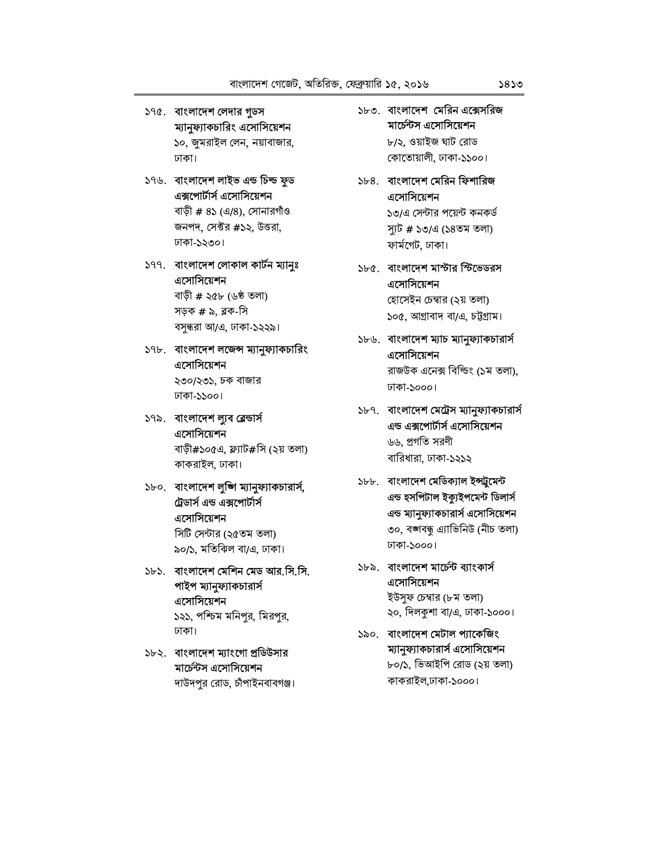- ১৭৫. বাংলাদেশ লেদার গুডস ম্যানুষ্যাকচারিং এসোসিয়েশন ১০, জুমরাইল লেন, নয়াবাজার, ঢাকা।
- ১৭৬. বাংলাদেশ লাইভ এন্ড চিল্ড ফুড এক্সপোর্টার্স এসোসিয়েশন বাড়ী # 8১ (এ/8), সোনারগাঁও জনপদ, সেক্টর #১২, উত্তরা, ঢাকা-১২৩০।
- ১৭৭. বাংলাদেশ লোকাল কার্টন ম্যানুঃ এসোসিয়েশন বাড়ী # ২৫৮ (৬ষ্ঠ তলা) সড়ক # ৯, ব্লক-সি বসুন্ধরা আ/এ, ঢাকা-১২২৯।
- ১৭৮. বাংলাদেশ লজেন্স ম্যানুফ্যাকচারিং এসোসিয়েশন ২৩০/২৩১, চক বাজার ঢাকা-১১০০।
- ১৭৯. বাংলাদেশ ল্যুব ব্লেভার্স এসোসিয়েশন বাড়ী#১০৫এ, ফ্ল্যাট#সি (২য় তলা) কাকরাইল, ঢাকা।
- ১৮০. বাংলাদেশ লুজি ম্যানুফ্যাকচারার্স, ট্রেডার্স এন্ড এক্সপোর্টার্স এসোসিয়েশন সিটি সেন্টার (২৫তম তলা) ৯০/১, মতিঝিল বা/এ, ঢাকা।
- ১৮১. বাংলাদেশ মেশিন মেড আর.সি.সি. পাইপ ম্যানুফ্যাকচারার্স এসোসিয়েশন ১২১, পশ্চিম মনিপুর, মিরপুর,

ঢাকা।

১৮২. বাংলাদেশ ম্যাংগো প্রডিউসার মার্চেন্টস এসোসিয়েশন দাউদপুর রোড, চাঁপাইনবাবগঞ্জ। ১৮৩. বাংলাদেশ মেরিন এক্সেসরিজ মার্চেন্টস এসোসিয়েশন ৮/২, ওয়াইজ ঘাট রোড

কোতোয়ালী, ঢাকা-১১০০।

১৮৪. বাংলাদেশ মেরিন ফিশারিজ এসোসিয়েশন ১৩/এ সেন্টার পয়েন্ট কনকর্ড স্যট # ১৩/এ (১৪তম তলা)

ফাৰ্মগেট, ঢাকা।

- ১৮৫. বাংলাদেশ মাস্টার স্টিভেডরস এসোসিয়েশন হোসেইন চেম্বার (২য় তলা) ১০৫, আগ্ৰাবাদ বা/এ, চট্টগ্ৰাম।
- ১৮৬. বাংলাদেশ ম্যাচ ম্যানুফ্যাকচারার্স এসোসিয়েশন রাজউক এনেক্স বিল্ডিং (১ম তলা), ঢাকা-১০০০।
- ১৮৭. বাংলাদেশ মেট্রস ম্যানুফ্যাকচারার্স এন্ড এক্সপোর্টার্স এসোসিয়েশন ৬৬. প্রগতি সরণী বারিধারা, ঢাকা-১২১২
- ১৮৮. বাংলাদেশ মেডিক্যাল ইন্স্টুমেন্ট এন্ড হসপিটাল ইক্যুইপমেন্ট ডিলার্স এন্ড ম্যানুফ্যাকচারার্স এসোসিয়েশন ৩০, বজ্ঞাবন্ধু এ্যাভিনিউ (নীচ তলা) ঢাকা-১০০০।
- ১৮৯. বাংলাদেশ মার্চেন্ট ব্যাংকার্স এসোসিয়েশন ইউসুফ চেম্বার (৮ম তলা) ২০, দিলকুশা বা/এ, ঢাকা-১০০০।
- ১৯০. বাংলাদেশ মেটাল প্যাকেজিং ম্যানুফ্যাকচারার্স এসোসিয়েশন ৮০/১, ভিআইপি রোড (২য় তলা) কাকরাইল,ঢাকা-১০০০।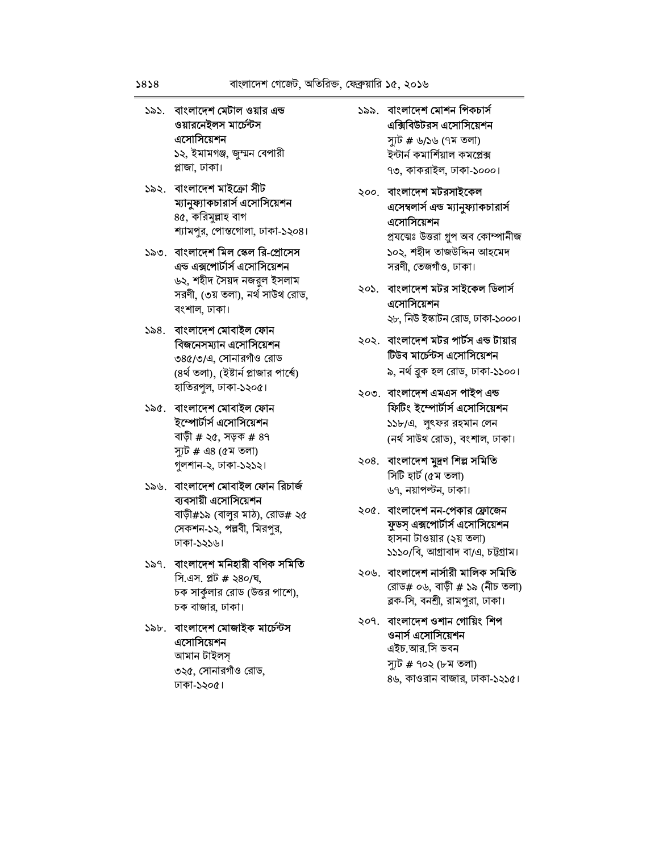#### ১৯১. বাংলাদেশ মেটাল ওয়ার এন্ড ওয়ারনেইলস মার্চেন্টস এসোসিয়েশন ১২, ইমামগঞ্জ, জুম্মন বেপারী

প্লাজা, ঢাকা।

- ১৯২. বাংলাদেশ মাইক্রো সীট ম্যানুফ্যাকচারার্স এসোসিয়েশন ৪৫, করিমুল্লাহ বাগ শ্যামপুর, পোস্তগোলা, ঢাকা-১২০৪।
- ১৯৩. বাংলাদেশ মিল স্কেল রি-প্রোসেস এন্ড এক্সপোর্টার্স এসোসিয়েশন ৬২, শহীদ সৈয়দ নজরুল ইসলাম সরণী, (৩য় তলা), নর্থ সাউথ রোড, বংশাল, ঢাকা।
- ১৯৪. বাংলাদেশ মোবাইল ফোন বিজনেসম্যান এসোসিয়েশন ৩৪৫/৩/এ, সোনারগাঁও রোড (৪র্থ তলা), (ইষ্টার্ন প্লাজার পার্শ্বে) হাতিরপল, ঢাকা-১২০৫।
- ১৯৫. বাংলাদেশ মোবাইল ফোন ইম্পোর্টার্স এসোসিয়েশন বাড়ী # ২৫, সড়ক # ৪৭ স্যুট # এ৪ (৫ম তলা) গুলশান-২, ঢাকা-১২১২।
- ১৯৬. বাংলাদেশ মোবাইল ফোন রিচার্জ ব্যবসায়ী এসোসিয়েশন বাড়ী#১৯ (বালুর মাঠ), রোড# ২৫ সেকশন-১২, পল্লবী, মিরপুর, ঢাকা-১২১৬।
- ১৯৭. বাংলাদেশ মনিহারী বণিক সমিতি সি.এস. প্লট # ২৪০/ঘ, চক সার্কুলার রোড (উত্তর পাশে), চক বাজার, ঢাকা।
- ১৯৮. বাংলাদেশ মোজাইক মার্চেন্টস এসোসিয়েশন আমান টাইলস্ ৩২৫, সোনারগাঁও রোড, ঢাকা-১২০৫।

১৯৯. বাংলাদেশ মোশন পিকচার্স এক্সিবিউটরস এসোসিয়েশন স্যুট # ৬/১৬ (৭ম তলা)

ইন্টাৰ্ন কমাৰ্শিয়াল কমপ্লেক্স ৭৩, কাকরাইল, ঢাকা-১০০০।

২০০. বাংলাদেশ মটরসাইকেল এসেম্বলার্স এন্ড ম্যানুফ্যাকচারার্স এসোসিয়েশন

> প্ৰযত্মেঃ উত্তরা গ্রুপ অব কোম্পানীজ ১০২, শহীদ তাজউদ্দিন আহমেদ সরণী, তেজগাঁও, ঢাকা।

২০১. বাংলাদেশ মটর সাইকেল ডিলার্স এসোসিয়েশন

২৮, নিউ ইস্কাটন রোড, ঢাকা-১০০০।

- ২০২. বাংলাদেশ মটর পার্টস এন্ড টায়ার টিউব মার্চেন্টস এসোসিয়েশন ৯, নৰ্থ বুক হল রোড, ঢাকা-১১০০।
- ২০৩. বাংলাদেশ এমএস পাইপ এন্ড ফিটিং ইম্পোর্টার্স এসোসিয়েশন ১১৮/এ, লুৎফর রহমান লেন (নৰ্থ সাউথ রোড), বংশাল, ঢাকা।
- ২০৪. বাংলাদেশ মুদ্রণ শিল্প সমিতি সিটি হার্ট (৫ম তলা) ৬৭, নয়াপল্টন, ঢাকা।
- ২০৫. বাংলাদেশ নন-পেকার ফ্রোজেন ফুডস্ এক্সপোর্টার্স এসোসিয়েশন হাসনা টাওয়ার (২য় তলা) ১১১০/বি, আগ্রাবাদ বা/এ, চট্টগ্রাম।
- ২০৬. বাংলাদেশ নার্সারী মালিক সমিতি রোড# ০৬, বাড়ী # ১৯ (নীচ তলা) ৱক-সি, বনশ্রী, রামপুরা, ঢাকা।
- ২০৭. বাংলাদেশ ওশান গোয়িং শিপ ওনার্স এসোসিয়েশন এইচ.আর.সি ভবন স্যট # ৭০২ (৮ম তলা) ৪৬, কাওরান বাজার, ঢাকা-১২১৫।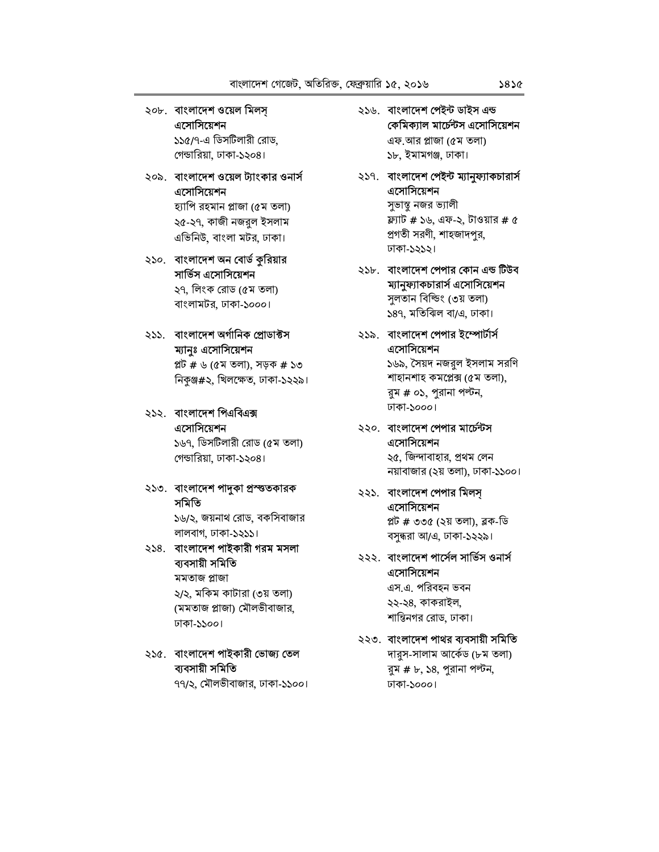## ২০৮. বাংলাদেশ ওয়েল মিলসূ এসোসিয়েশন

১১৫/৭-এ ডিসটিলারী রোড, গেন্ডারিয়া, ঢাকা-১২০৪।

২০৯. বাংলাদেশ ওয়েল ট্যাংকার ওনার্স এসোসিয়েশন হ্যাপি রহমান প্লাজা (৫ম তলা) ২৫-২৭, কাজী নজরুল ইসলাম

এভিনিউ, বাংলা মটর, ঢাকা।

২১০. বাংলাদেশ অন বোর্ড কুরিয়ার সার্ভিস এসোসিয়েশন

> ২৭, লিংক রোড (৫ম তলা) বাংলামটর, ঢাকা-১০০০।

২১১. বাংলাদেশ অর্গানিক প্রোডাক্টস ম্যানুঃ এসোসিয়েশন

> প্লট # ৬ (৫ম তলা), সড়ক # ১৩ নিকুঞ্জ#২, খিলক্ষেত, ঢাকা-১২২৯।

২১২. বাংলাদেশ পিএবিএক্স এসোসিয়েশন ১৬৭, ডিসটিলারী রোড (৫ম তলা)

গেন্ডারিয়া, ঢাকা-১২০৪।

#### ২১৩. বাংলাদেশ পাদুকা প্ৰস্তুতকারক সমিতি

১৬/২, জয়নাথ রোড, বকসিবাজার লালবাগ, ঢাকা-১২১১।

২১৪. বাংলাদেশ পাইকারী গরম মসলা ব্যবসায়ী সমিতি মমতাজ প্লাজা ২/২, মকিম কাটারা (৩য় তলা) (মমতাজ প্লাজা) মৌলভীবাজার,

ঢাকা-১১০০।

#### ২১৫. বাংলাদেশ পাইকারী ভোজ্য তেল ব্যবসায়ী সমিতি

৭৭/২, মৌলভীবাজার, ঢাকা-১১০০।

- ২১৬. বাংলাদেশ পেইন্ট ডাইস এন্ড কেমিক্যাল মার্চেন্টস এসোসিয়েশন এফ.আর প্লাজা (৫ম তলা) ১৮, ইমামগঞ্জ, ঢাকা।
- ২১৭. বাংলাদেশ পেইন্ট ম্যানুফ্যাকচারার্স এসোসিয়েশন সুভাস্থু নজর ভ্যালী ফ্ল্যাট # ১৬, এফ-২, টাওয়ার # ৫ প্রগতী সরণী, শাহজাদপুর, ঢাকা-১২১২।
- ২১৮. বাংলাদেশ পেপার কোন এন্ড টিউব ম্যানুফ্যাকচারার্স এসোসিয়েশন সুলতান বিল্ডিং (৩য় তলা) ১৪৭, মতিঝিল বা/এ, ঢাকা।
- ২১৯. বাংলাদেশ পেপার ইম্পোর্টার্স এসোসিয়েশন ১৬৯, সৈয়দ নজরুল ইসলাম সরণি শাহানশাহ কমপ্লেক্স (৫ম তলা), রুম # ০১, পুরানা পল্টন,
- ২২০. বাংলাদেশ পেপার মার্চেন্টস এসোসিয়েশন ২৫, জিন্দাবাহার, প্রথম লেন নয়াবাজার (২য় তলা), ঢাকা-১১০০।

ঢাকা-১০০০।

- ২২১. বাংলাদেশ পেপার মিলসূ এসোসিয়েশন প্লট # ৩৩৫ (২য় তলা), ব্লক-ডি বসুন্ধরা আ/এ, ঢাকা-১২২৯।
- ২২২. বাংলাদেশ পার্সেল সার্ভিস ওনার্স এসোসিয়েশন এস.এ. পরিবহন ভবন ২২-২৪, কাকরাইল, শান্তিনগর রোড, ঢাকা।
- ২২৩. বাংলাদেশ পাথর ব্যবসায়ী সমিতি দারুস-সালাম আর্কেড (৮ম তলা) রুম # ৮, ১৪, পুরানা পল্টন, ঢাকা-১০০০।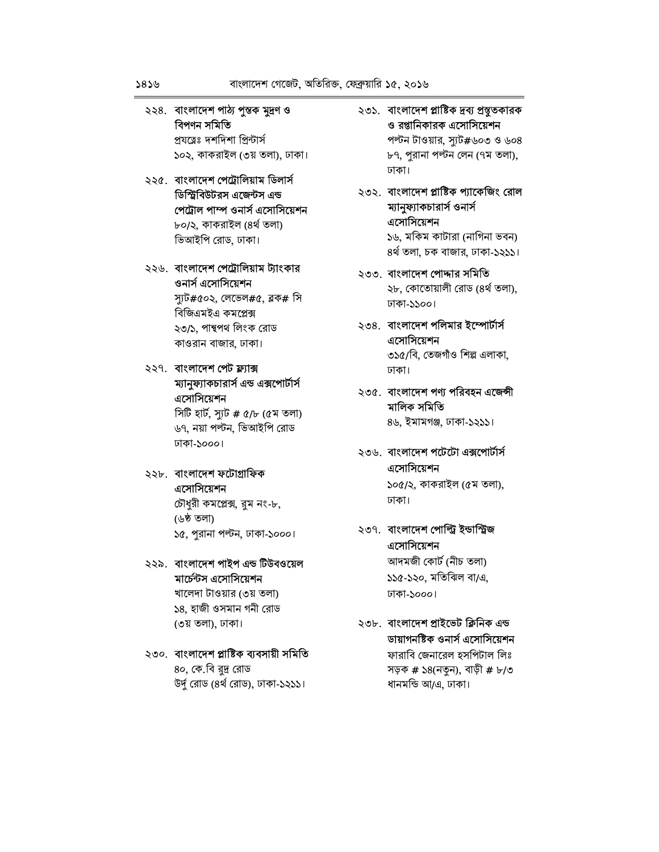### ২২৪. বাংলাদেশ পাঠ্য পুস্তক মুদ্রণ ও বিপণন সমিতি

প্ৰযত্নেঃ দশদিশা প্ৰিন্টাৰ্স ১০২, কাকরাইল (৩য় তলা), ঢাকা।

### ২২৫. বাংলাদেশ পেট্রোলিয়াম ডিলার্স ডিস্ট্রিবিউটরস এজেন্টস এন্ড পেট্রোল পাম্প ওনার্স এসোসিয়েশন ৮০/২, কাকরাইল (৪র্থ তলা) ভিআইপি রোড, ঢাকা।

২২৬. বাংলাদেশ পেট্রোলিয়াম ট্যাংকার ওনার্স এসোসিয়েশন

স্যুট#৫০২, লেভেল#৫, ব্লক# সি বিজিএমইএ কমপ্লেক্স ২৩/১, পান্থপথ লিংক রোড কাওরান বাজার, ঢাকা।

### ২২৭. বাংলাদেশ পেট ফ্ল্যাক্স ম্যানুফ্যাকচারার্স এন্ড এক্সপোর্টার্স এসোসিয়েশন

সিটি হার্ট, স্যুট # ৫/৮ (৫ম তলা) ৬৭, নয়া পল্টন, ভিআইপি রোড ঢাকা-১০০০।

### ২২৮. বাংলাদেশ ফটোগ্ৰাফিক এসোসিয়েশন

চৌধরী কমপ্লেক্স, রম নং-৮, (৬ষ্ঠ তলা) ১৫, পুরানা পল্টন, ঢাকা-১০০০।

### ২২৯. বাংলাদেশ পাইপ এন্ড টিউবওয়েল মার্চেন্টস এসোসিয়েশন খালেদা টাওয়ার (৩য় তলা) ১৪, হাজী ওসমান গনী রোড

(৩য় তলা), ঢাকা।

### ২৩০. বাংলাদেশ প্লাষ্টিক ব্যবসায়ী সমিতি ৪০, কে.বি রুদ্র রোড উর্দু রোড (৪র্থ রোড), ঢাকা-১২১১।

# ২৩১. বাংলাদেশ প্লাষ্টিক দ্রব্য প্রস্তুতকারক ও রপ্তানিকারক এসোসিয়েশন

পল্টন টাওয়ার, স্যুট#৬০৩ ও ৬০৪ ৮৭, পুরানা পল্টন লেন (৭ম তলা), ঢাকা।

২৩২. বাংলাদেশ প্লাষ্টিক প্যাকেজিং রোল ম্যানুফ্যাকচারার্স ওনার্স এসোসিয়েশন

> ১৬, মকিম কাটারা (নাগিনা ভবন) ৪র্থ তলা, চক বাজার, ঢাকা-১২১১।

- ২৩৩. বাংলাদেশ পোদ্দার সমিতি ২৮, কোতোয়ালী রোড (৪র্থ তলা), ঢাকা-১১০০।
- ২৩৪. বাংলাদেশ পলিমার ইম্পোর্টার্স এসোসিয়েশন ৩১৫/বি, তেজগাঁও শিল্প এলাকা, ঢাকা।
- ২৩৫. বাংলাদেশ পণ্য পরিবহন এজেন্সী মালিক সমিতি ৪৬, ইমামগঞ্জ, ঢাকা-১২১১।
- ২৩৬. বাংলাদেশ পটেটো এক্সপোর্টার্স এসোসিয়েশন ১০৫/২, কাকরাইল (৫ম তলা), ঢাকা।
- ২৩৭. বাংলাদেশ পোল্ট্রি ইন্ডাস্ট্রিজ এসোসিয়েশন আদমজী কোর্ট (নীচ তলা) ১১৫-১২০, মতিঝিল বা/এ, ঢাকা-১০০০।

### ২৩৮. বাংলাদেশ প্ৰাইভেট ক্লিনিক এন্ড ডায়াগনষ্টিক ওনার্স এসোসিয়েশন ফারাবি জেনারেল হসপিটাল লিঃ সড়ক # ১৪(নতুন), বাড়ী # ৮/৩ ধানমন্ডি আ/এ, ঢাকা।

১৪১৬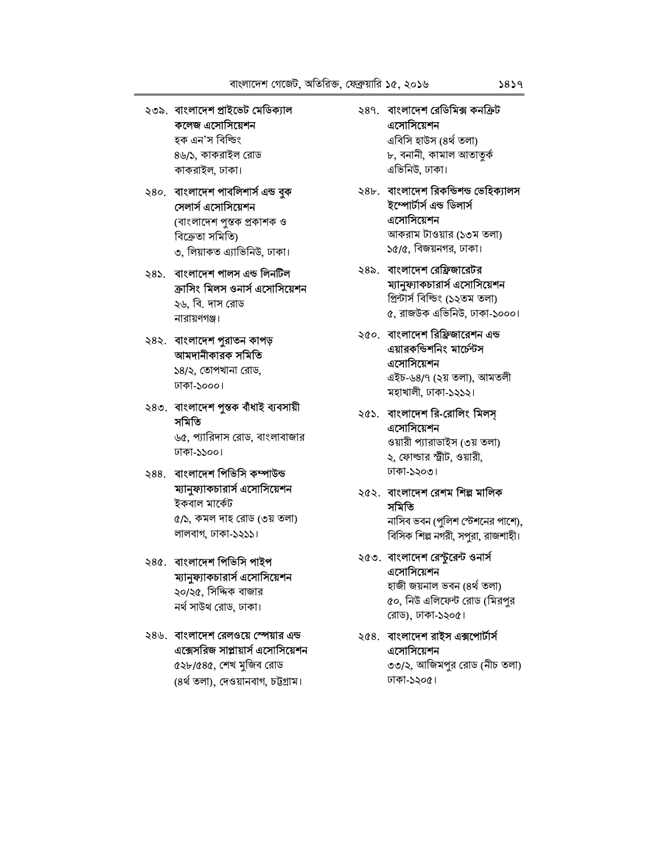## ২৩৯. বাংলাদেশ প্রাইভেট মেডিক্যাল কলেজ এসোসিয়েশন

হক এন'স বিল্ডিং ৪৬/১, কাকরাইল রোড কাকরাইল, ঢাকা।

- ২৪০. বাংলাদেশ পাবলিশার্স এন্ড বুক সেলার্স এসোসিয়েশন (বাংলাদেশ পুস্তক প্ৰকাশক ও বিক্ৰেতা সমিতি) ৩, লিয়াকত এ্যাভিনিউ, ঢাকা।
- ২৪১. বাংলাদেশ পালস এন্ড লিনটিল ক্রাসিং মিলস ওনার্স এসোসিয়েশন ২৬, বি. দাস রোড নারায়ণগঞ্জ।
- ২৪২. বাংলাদেশ পুরাতন কাপড় আমদানীকারক সমিতি ১৪/২, তোপখানা রোড, ঢাকা-১০০০।
- ২৪৩. বাংলাদেশ পুস্তক বাঁধাই ব্যবসায়ী সমিতি ৬৫, প্যারিদাস রোড, বাংলাবাজার

ঢাকা-১১০০।

- ২৪৪. বাংলাদেশ পিভিসি কম্পাউন্ড ম্যানুফ্যাকচারার্স এসোসিয়েশন ইকবাল মাৰ্কেট ৫/১, কমল দাহ রোড (৩য় তলা) লালবাগ, ঢাকা-১২১১।
- ২৪৫. বাংলাদেশ পিভিসি পাইপ ম্যানুফ্যাকচারার্স এসোসিয়েশন ২০/২৫, সিদ্দিক বাজার নৰ্থ সাউথ রোড, ঢাকা।
- ২৪৬. বাংলাদেশ রেলওয়ে স্পেয়ার এন্ড এক্সেসরিজ সাপ্লায়ার্স এসোসিয়েশন ৫২৮/৫৪৫, শেখ মুজিব রোড (৪র্থ তলা), দেওয়ানবাগ, চট্টগ্রাম।

২৪৭. বাংলাদেশ রেডিমিক্স কনক্রিট এসোসিয়েশন এবিসি হাউস (৪র্থ তলা) ৮, বনানী, কামাল আতাতুৰ্ক

এভিনিউ, ঢাকা। ২৪৮. বাংলাদেশ রিকন্ডিশন্ড ভেহিক্যালস ইম্পোৰ্টাৰ্স এন্ড ডিলাৰ্স

> এসোসিয়েশন আকরাম টাওয়ার (১৩ম তলা) ১৫/৫, বিজয়নগর, ঢাকা।

- ২৪৯. বাংলাদেশ রেফ্রিজারেটর ম্যানুফ্যাকচারার্স এসোসিয়েশন প্ৰিন্টাৰ্স বিল্ডিং (১২তম তলা) ৫, রাজউক এভিনিউ, ঢাকা-১০০০।
- ২৫০. বাংলাদেশ রিফ্রিজারেশন এন্ড এয়ারকন্ডিশনিং মার্চেন্টস এসোসিয়েশন এইচ-৬৪/৭ (২য় তলা), আমতলী

মহাখালী, ঢাকা-১২১২।

- ২৫১. বাংলাদেশ রি-রোলিং মিলস্ এসোসিয়েশন ওয়ারী প্যারাডাইস (৩য় তলা) ২, ফোল্ডার স্ট্রীট, ওয়ারী, ঢাকা-১২০৩।
- ২৫২. বাংলাদেশ রেশম শিল্প মালিক সমিতি নাসিব ভবন (পুলিশ স্টেশনের পাশে), বিসিক শিল্প নগরী, সপুরা, রাজশাহী।
- ২৫৩. বাংলাদেশ রেস্টুরেন্ট ওনার্স এসোসিয়েশন হাজী জয়নাল ভবন (৪র্থ তলা) ৫০, নিউ এলিফেন্ট রোড (মিরপুর রোড), ঢাকা-১২০৫।
- ২৫৪. বাংলাদেশ রাইস এক্সপোর্টার্স এসোসিয়েশন ৩৩/২, আজিমপুর রোড (নীচ তলা) ঢাকা-১২০৫।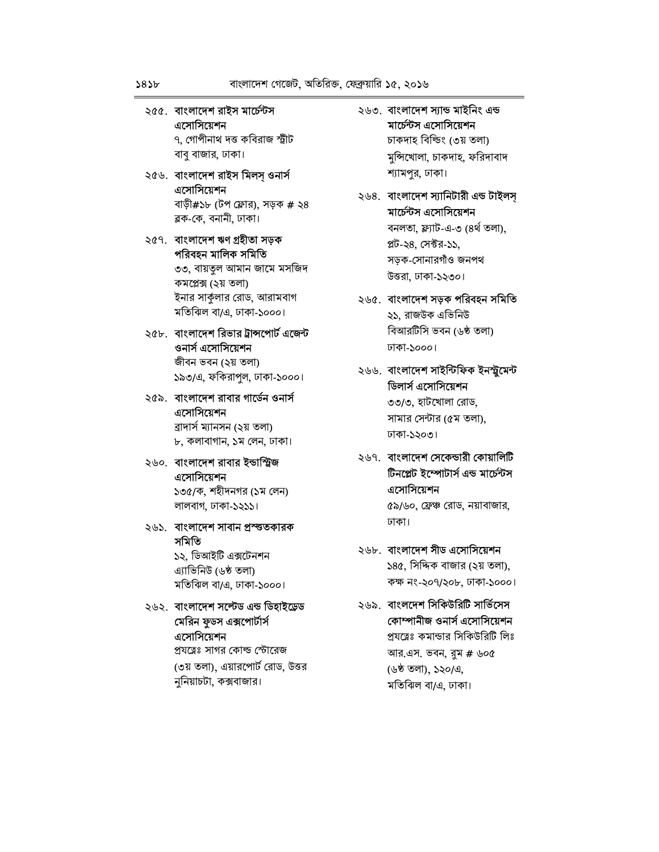### ২৫৫. বাংলাদেশ রাইস মার্চেন্টস এসোসিয়েশন

৭, গোপীনাথ দত্ত কবিরাজ স্ট্রীট বাবু বাজার, ঢাকা।

২৫৬. বাংলাদেশ রাইস মিলস্ ওনার্স এসোসিয়েশন বাড়ী#১৮ (টপ ফ্লোর), সড়ক # ২৪ ৱক-কে, বনানী, ঢাকা।

### ২৫৭. বাংলাদেশ ঋণ গ্ৰহীতা সড়ক পরিবহন মালিক সমিতি ৩৩, বায়তৃল আমান জামে মসজিদ কমপ্লেক্স (২য় তলা) ইনার সার্কলার রোড, আরামবাগ

### ২৫৮. বাংলাদেশ রিভার ট্রান্সপোর্ট এজেন্ট ওনার্স এসোসিয়েশন জীবন ভবন (২য় তলা) ১৯৩/এ, ফকিরাপল, ঢাকা-১০০০।

মতিঝিল বা/এ, ঢাকা-১০০০।

২৫৯. বাংলাদেশ রাবার গার্ডেন ওনার্স এসোসিয়েশন ব্রাদার্স ম্যানসন (২য় তলা)

৮, কলাবাগান, ১ম লেন, ঢাকা।

### ২৬০. বাংলাদেশ রাবার ইন্ডাস্ট্রিজ এসোসিয়েশন ১৩৫/ক, শহীদনগর (১ম লেন) লালবাগ, ঢাকা-১২১১।

#### ২৬১. বাংলাদেশ সাবান প্ৰস্ত্তকারক সমিতি

১২, ডিআইটি এক্সটেনশন এ্যাভিনিউ (৬ষ্ঠ তলা) মতিঝিল বা/এ, ঢাকা-১০০০।

### ২৬২. বাংলাদেশ সল্টেড এন্ড ডিহাইড্রেড মেরিন ফুডস এক্সপোর্টার্স এসোসিয়েশন

প্রযত্নেঃ সাগর কোল্ড স্টোরেজ (৩য় তলা), এয়ারপোর্ট রোড, উত্তর নুনিয়াচটা, কক্সবাজার।

### ২৬৩. বাংলাদেশ স্যান্ড মাইনিং এন্ড মার্চেন্টস এসোসিয়েশন চাকদাহ বিল্ডিং (৩য় তলা) মুন্সিখোলা, চাকদাহ, ফরিদাবাদ

শ্যামপুর, ঢাকা।

- ২৬৪. বাংলাদেশ স্যানিটারী এন্ড টাইলসূ মার্চেন্টস এসোসিয়েশন বনলতা, ফ্ল্যাট-এ-৩ (৪র্থ তলা), প্লট-২৪. সেক্টর-১১. সড়ক-সোনারগাঁও জনপথ উত্তরা, ঢাকা-১২৩০।
- ২৬৫. বাংলাদেশ সড়ক পরিবহন সমিতি ২১, রাজউক এভিনিউ বিআরটিসি ভবন (৬ষ্ঠ তলা) ঢাকা-১০০০।
- ২৬৬. বাংলাদেশ সাইন্টিফিক ইনস্ট্রুমেন্ট ডিলার্স এসোসিয়েশন ৩৩/৩, হাটখোলা রোড, সামার সেন্টার (৫ম তলা), ঢাকা-১২০৩।
- ২৬৭. বাংলাদেশ সেকেন্ডারী কোয়ালিটি টিনপ্লেট ইম্পোটাৰ্স এন্ড মাৰ্চেন্টস এসোসিয়েশন ৫৯/৬০, ফ্রেঞ্চ রোড, নয়াবাজার, ঢাকা।
- ২৬৮. বাংলাদেশ সীড এসোসিয়েশন ১৪৫, সিদ্দিক বাজার (২য় তলা), কক্ষ নং-২০৭/২০৮, ঢাকা-১০০০।
- ২৬৯. বাংলদেশ সিকিউরিটি সার্ভিসেস কোম্পানীজ ওনার্স এসোসিয়েশন প্রযন্নেঃ কমান্ডার সিকিউরিটি লিঃ আর.এস. ভবন, রুম # ৬০৫ (৬ষ্ঠ তলা), ১২০/এ, মতিঝিল বা/এ, ঢাকা।

 $585b$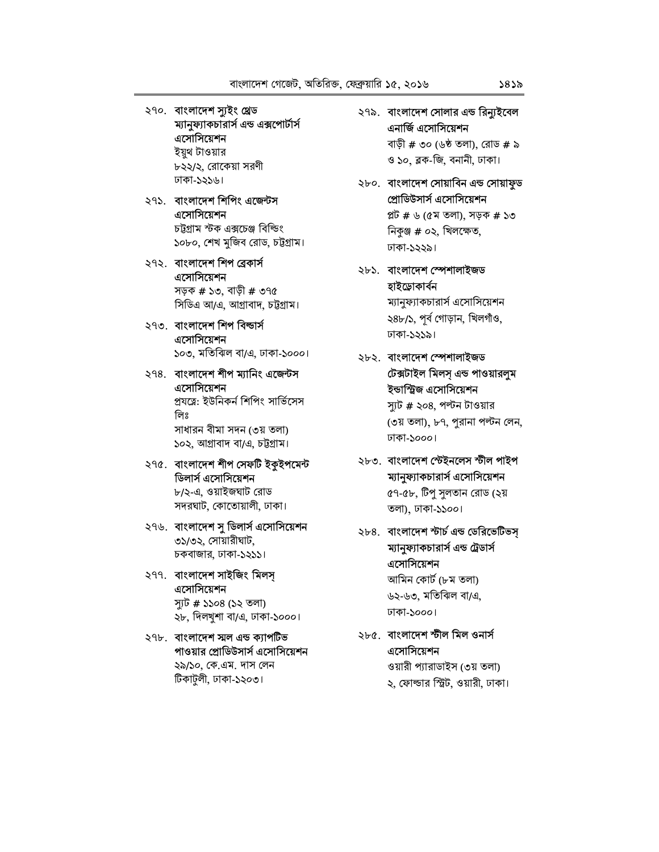২৭০. বাংলাদেশ স্যুইং থ্ৰেড ম্যানুফ্যাকচারার্স এন্ড এক্সপোর্টার্স এসোসিয়েশন ইয়ুথ টাওয়ার ৮২২/২, রোকেয়া সরণী ঢাকা-১২১৬।

#### ২৭১. বাংলাদেশ শিপিং এজেন্টস এসোসিয়েশন চট্টগ্ৰাম স্টক এক্সচেঞ্জ বিল্ডিং ১০৮০, শেখ মুজিব রোড, চট্টগ্রাম।

- ২৭২. বাংলাদেশ শিপ ব্ৰেকাৰ্স এসোসিয়েশন সড়ক # ১৩, বাড়ী # ৩৭৫ সিডিএ আ/এ, আগ্রাবাদ, চট্টগ্রাম।
- ২৭৩. বাংলাদেশ শিপ বিল্ডাৰ্স এসোসিয়েশন ১০৩, মতিঝিল বা/এ, ঢাকা-১০০০।
- ২৭৪. বাংলাদেশ শীপ ম্যানিং এজেন্টস এসোসিয়েশন

প্ৰযন্নে: ইউনিকৰ্ন শিপিং সাৰ্ভিসেস লিঃ সাধারন বীমা সদন (৩য় তলা)

১০২, আগ্ৰাবাদ বা/এ, চট্টগ্ৰাম।

- ২৭৫. বাংলাদেশ শীপ সেফটি ইকুইপমেন্ট ডিলার্স এসোসিয়েশন ৮/২-এ, ওয়াইজঘাট রোড সদরঘাট, কোতোয়ালী, ঢাকা।
- ২৭৬. বাংলাদেশ সু ডিলার্স এসোসিয়েশন ৩১/৩২, সোয়ারীঘাট, চকবাজার, ঢাকা-১২১১।
- ২৭৭. বাংলাদেশ সাইজিং মিলস এসোসিয়েশন স্যুট # ১১০৪ (১২ তলা)

২৮, দিলখুশা বা/এ, ঢাকা-১০০০।

২৭৮. বাংলাদেশ স্মল এন্ড ক্যাপটিভ পাওয়ার প্রোডিউসার্স এসোসিয়েশন ২৯/১০, কে.এম. দাস লেন টিকাটুলী, ঢাকা-১২০৩।

২৭৯. বাংলাদেশ সোলার এন্ড রিন্যুইবেল এনার্জি এসোসিয়েশন

> বাড়ী # ৩০ (৬ষ্ঠ তলা), রোড # ৯ ও ১০, ব্লক-জি, বনানী, ঢাকা।

২৮০. বাংলাদেশ সোয়াবিন এন্ড সোয়াফুড প্রোডিউসার্স এসোসিয়েশন

> প্লট # ৬ (৫ম তলা), সড়ক # ১৩ নিকুঞ্জ # ০২, খিলক্ষেত, ঢাকা-১২২৯।

২৮১. বাংলাদেশ স্পেশালাইজড হাইডোকাৰ্বন ম্যানুফ্যাকচারার্স এসোসিয়েশন

> ২৪৮/১, পূর্ব গোড়ান, খিলগাঁও, ঢাকা-১২১৯।

- ২৮২. বাংলাদেশ স্পেশালাইজড টেক্সটাইল মিলস এন্ড পাওয়ারলম ইন্ডাস্ট্রিজ এসোসিয়েশন স্যুট # ২০৪, পল্টন টাওয়ার (৩য় তলা), ৮৭, পুরানা পল্টন লেন, ঢাকা-১০০০।
- ২৮৩. বাংলাদেশ স্টেইনলেস স্টীল পাইপ ম্যানুফ্যাকচারার্স এসোসিয়েশন ৫৭-৫৮, টিপু সুলতান রোড (২য় তলা), ঢাকা-১১০০।
- ২৮৪. বাংলাদেশ স্টার্চ এন্ড ডেরিভেটিভসূ ম্যানুফ্যাকচারার্স এন্ড ট্রেডার্স এসোসিয়েশন আমিন কোর্ট (৮ম তলা) ৬২-৬৩, মতিঝিল বা/এ, ঢাকা-১০০০।
- ২৮৫. বাংলাদেশ স্টীল মিল ওনার্স এসোসিয়েশন ওয়ারী প্যারাডাইস (৩য় তলা) ২, ফোল্ডার স্ট্রিট, ওয়ারী, ঢাকা।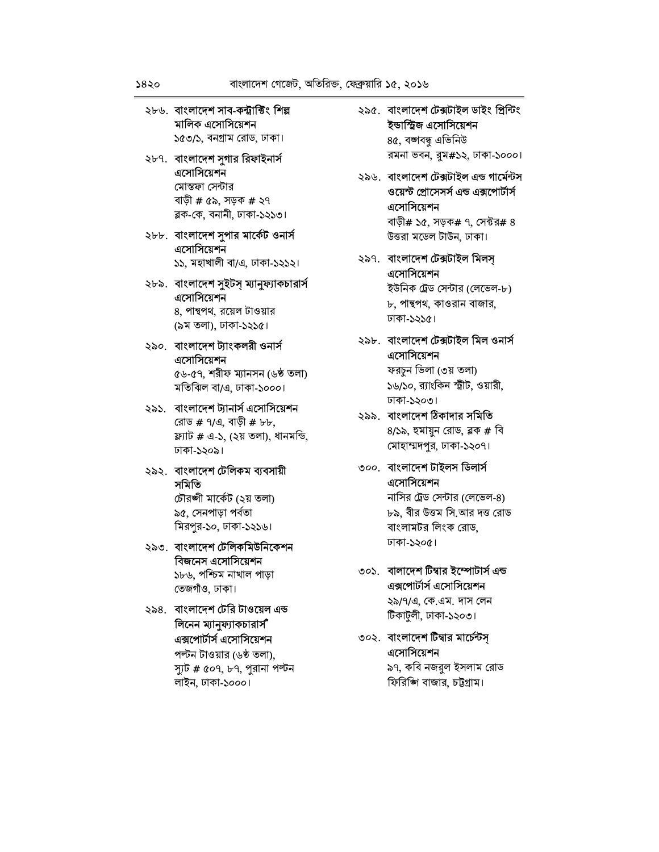## ২৮৬. বাংলাদেশ সাব-কন্ট্রাক্টিং শিল্প মালিক এসোসিয়েশন

১৫৩/১, বনগ্রাম রোড, ঢাকা।

- ২৮৭. বাংলাদেশ সুগার রিফাইনার্স এসোসিয়েশন মোস্তফা সেন্টার বাড়ী # ৫৯, সড়ক # ২৭ ৱক-কে, বনানী, ঢাকা-১২১৩।
- ২৮৮. বাংলাদেশ সুপার মার্কেট ওনার্স এসোসিয়েশন ১১, মহাখালী বা/এ, ঢাকা-১২১২।
- ২৮৯. বাংলাদেশ সুইটস্ ম্যানুফ্যাকচারার্স এসোসিয়েশন ৪, পান্থপথ, রয়েল টাওয়ার (৯ম তলা), ঢাকা-১২১৫।
- ২৯০. বাংলাদেশ ট্যাংকলরী ওনার্স এসোসিয়েশন ৫৬-৫৭, শরীফ ম্যানসন (৬ষ্ঠ তলা) মতিঝিল বা/এ, ঢাকা-১০০০।
- ২৯১. বাংলাদেশ ট্যানার্স এসোসিয়েশন রোড # ৭/এ, বাড়ী # ৮৮, ফ্ল্যাট # এ-১, (২য় তলা), ধানমন্ডি, ঢাকা-১২০৯।
- ২৯২. বাংলাদেশ টেলিকম ব্যবসায়ী সমিতি চৌরঙ্গী মার্কেট (২য় তলা)

৯৫, সেনপাড়া পর্বতা মিরপুর-১০, ঢাকা-১২১৬।

- ২৯৩. বাংলাদেশ টেলিকমিউনিকেশন বিজনেস এসোসিয়েশন ১৮৬, পশ্চিম নাখাল পাড়া তেজগাঁও, ঢাকা।
- ২৯৪. বাংলাদেশ টেরি টাওয়েল এন্ড লিনেন ম্যানুফ্যাকচারার্স এক্সপোর্টার্স এসোসিয়েশন

পল্টন টাওয়ার (৬ষ্ঠ তলা), স্যুট # ৫০৭, ৮৭, পুরানা পল্টন লাইন, ঢাকা-১০০০।

- ২৯৫. বাংলাদেশ টেক্সটাইল ডাইং প্ৰিন্টিং ইন্ডাস্ট্রিজ এসোসিয়েশন ৪৫, বঙ্গবন্ধু এভিনিউ রমনা ভবন, রুম#১২, ঢাকা-১০০০।
- ২৯৬. বাংলাদেশ টেক্সটাইল এন্ড গাৰ্মেন্টস ওয়েস্ট প্রোসেসর্স এন্ড এক্সপোর্টার্স এসোসিয়েশন বাড়ী# ১৫, সড়ক# ৭, সেক্টর# ৪ উত্তরা মডেল টাউন, ঢাকা।
- ২৯৭. বাংলাদেশ টেক্সটাইল মিলসূ এসোসিয়েশন ইউনিক ট্রেড সেন্টার (লেভেল-৮)

৮, পান্থপথ, কাওরান বাজার, ঢাকা-১২১৫।

২৯৮. বাংলাদেশ টেক্সটাইল মিল ওনার্স এসোসিয়েশন ফরচন ভিলা (৩য় তলা) ১৬/১০, র্যাংকিন স্ট্রীট, ওয়ারী,

ঢাকা-১২০৩।

- ২৯৯. বাংলাদেশ ঠিকাদার সমিতি ৪/১৯, হুমায়ুন রোড, ব্লক # বি মোহাম্মদপুর, ঢাকা-১২০৭।
- ৩০০. বাংলাদেশ টাইলস ডিলার্স এসোসিয়েশন

নাসির ট্রেড সেন্টার (লেভেল-৪) ৮৯, বীর উত্তম সি.আর দত্ত রোড বাংলামটর লিংক রোড, ঢাকা-১২০৫।

- ৩০১. বালাদেশ টিম্বার ইম্পোটার্স এন্ড এক্সপোর্টার্স এসোসিয়েশন ২৯/৭/এ, কে.এম. দাস লেন টিকাটুলী, ঢাকা-১২০৩।
- ৩০২. বাংলাদেশ টিম্বার মার্চেন্টসৃ এসোসিয়েশন ৯৭, কবি নজরুল ইসলাম রোড ফিরিজ্ঞা বাজার, চট্টগ্রাম।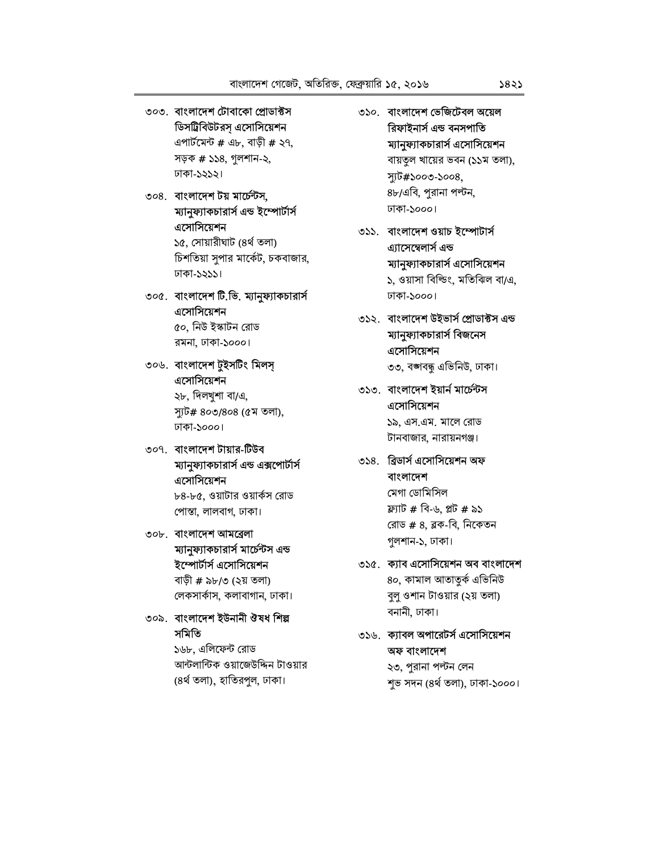৩০৩. বাংলাদেশ টোবাকো প্ৰোডাক্টস ডিসট্রিবিউটরসূ এসোসিয়েশন এপার্টমেন্ট # এ৮, বাড়ী # ২৭,

সড়ক # ১১৪, গুলশান-২, ঢাকা-১২১২।

৩০৪. বাংলাদেশ টয় মার্চেন্টস, ম্যানুফ্যাকচারার্স এন্ড ইম্পোর্টার্স এসোসিয়েশন ১৫, সোয়ারীঘাট (৪র্থ তলা)

চিশতিয়া সুপার মার্কেট, চকবাজার, ঢাকা-১২১১।

৩০৫. বাংলাদেশ টি.ভি. ম্যানুফ্যাকচারার্স এসোসিয়েশন

৫০, নিউ ইস্কাটন রোড রমনা, ঢাকা-১০০০।

৩০৬. বাংলাদেশ টুইসটিং মিলসূ এসোসিয়েশন

> ২৮, দিলখুশা বা/এ, স্যুট# ৪০৩/৪০৪ (৫ম তলা), ঢাকা-১০০০।

৩০৭. বাংলাদেশ টায়ার-টিউব ম্যানুফ্যাকচারার্স এন্ড এক্সপোর্টার্স এসোসিয়েশন

> ৮৪-৮৫, ওয়াটার ওয়ার্কস রোড পোস্তা, লালবাগ, ঢাকা।

৩০৮. বাংলাদেশ আমব্ৰেলা ম্যানুফ্যাকচারার্স মার্চেন্টস এন্ড ইম্পোর্টার্স এসোসিয়েশন বাড়ী # ৯৮/৩ (২য় তলা)

লেকসার্কাস, কলাবাগান, ঢাকা।

৩০৯. বাংলাদেশ ইউনানী ঔষধ শিল্প সমিতি

> ১৬৮, এলিফেন্ট রোড আন্টলান্টিক ওয়াজেউদ্দিন টাওয়ার (৪র্থ তলা), হাতিরপুল, ঢাকা।

- ৩১০. বাংলাদেশ ভেজিটেবল অয়েল রিফাইনার্স এন্ড বনসপাতি ম্যানুফ্যাকচারার্স এসোসিয়েশন বায়তৃল খায়ের ভবন (১১ম তলা), স্যুট#১০০৩-১০০৪, ৪৮/এবি, পুরানা পল্টন, ঢাকা-১০০০।
- ৩১১. বাংলাদেশ ওয়াচ ইম্পোটার্স এ্যাসেম্বেলার্স এন্ড ম্যানুষ্যাকচারার্স এসোসিয়েশন ১, ওয়াসা বিল্ডিং, মতিঝিল বা/এ, ঢাকা-১০০০।
- ৩১২. বাংলাদেশ উইভাৰ্স প্ৰোডাক্টস এন্ড ম্যানুফ্যাকচারার্স বিজনেস এসোসিয়েশন ৩৩, বঙ্গবন্ধু এভিনিউ, ঢাকা।
- ৩১৩. বাংলাদেশ ইয়ার্ন মার্চেন্টস এসোসিয়েশন ১৯, এস.এম. মালে রোড টানবাজার, নারায়নগঞ্জ।
- ৩১৪. ব্রিডার্স এসোসিয়েশন অফ বাংলাদেশ মেগা ডোমিসিল ফ্ল্যাট # বি-৬, প্লট # ৯১ রোড # ৪, ব্লক-বি, নিকেতন গুলশান-১, ঢাকা।
- ৩১৫. ক্যাব এসোসিয়েশন অব বাংলাদেশ ৪০, কামাল আতাতুর্ক এভিনিউ বুলু ওশান টাওয়ার (২য় তলা) বনানী, ঢাকা।
- ৩১৬. ক্যাবল অপারেটর্স এসোসিয়েশন অফ বাংলাদেশ ২৩, পুরানা পল্টন লেন শুভ সদন (৪র্থ তলা), ঢাকা-১০০০।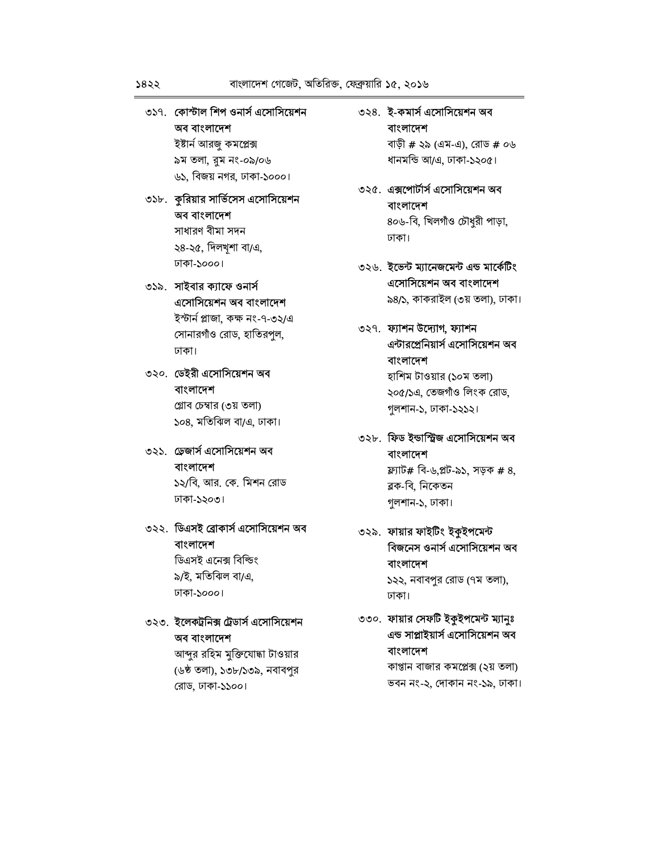### ৩১৭. কোস্টাল শিপ ওনার্স এসোসিয়েশন অব বাংলাদেশ

ইষ্টার্ন আরজু কমপ্লেক্স ৯ম তলা, রুম নং-০৯/০৬ ৬১, বিজয় নগর, ঢাকা-১০০০।

৩১৮. কুরিয়ার সার্ভিসেস এসোসিয়েশন অব বাংলাদেশ সাধারণ বীমা সদন ২৪-২৫, দিলখশা বা/এ, ঢাকা-১০০০।

- ৩১৯. সাইবার ক্যাফে ওনার্স এসোসিয়েশন অব বাংলাদেশ ইস্টার্ন প্লাজা, কক্ষ নং-৭-৩২/এ সোনারগাঁও রোড, হাতিরপুল, ঢাকা।
- ৩২০. ডেইরী এসোসিয়েশন অব বাংলাদেশ গ্লোব চেম্বার (৩য় তলা)

১০৪, মতিঝিল বা/এ, ঢাকা।

৩২১. ডেজার্স এসোসিয়েশন অব বাংলাদেশ

১২/বি, আর. কে. মিশন রোড ঢাকা-১২০৩।

## ৩২২. ডিএসই ব্রোকার্স এসোসিয়েশন অব বাংলাদেশ

ডিএসই এনেক্স বিল্ডিং ৯/ই. মতিঝিল বা/এ. ঢাকা-১০০০।

## ৩২৩. ইলেকট্রনিক্স ট্রেডার্স এসোসিয়েশন অব বাংলাদেশ

আব্দুর রহিম মুক্তিযোদ্ধা টাওয়ার (৬ষ্ঠ তলা), ১৩৮/১৩৯, নবাবপুর রোড, ঢাকা-১১০০।

## ৩২৪. ই-কমার্স এসোসিয়েশন অব বাংলাদেশ

বাড়ী # ২৯ (এম-এ), রোড # ০৬ ধানমন্ডি আ/এ, ঢাকা-১২০৫।

- ৩২৫. এক্সপোর্টার্স এসোসিয়েশন অব বাংলাদেশ ৪০৬-বি, খিলগাঁও চৌধুরী পাড়া, ঢাকা।
- ৩২৬. ইভেন্ট ম্যানেজমেন্ট এন্ড মার্কেটিং এসোসিয়েশন অব বাংলাদেশ ৯৪/১, কাকরাইল (৩য় তলা), ঢাকা।
- ৩২৭. ফ্যাশন উদ্যোগ, ফ্যাশন এন্টারপ্রেনিয়ার্স এসোসিয়েশন অব বাংলাদেশ হাশিম টাওয়ার (১০ম তলা) ২০৫/১এ, তেজগাঁও লিংক রোড. গুলশান-১, ঢাকা-১২১২।
- ৩২৮. ফিড ইন্ডাস্ট্রিজ এসোসিয়েশন অব বাংলাদেশ ফ্ল্যাট# বি-৬,প্লট-৯১, সড়ক # 8, ৱক-বি, নিকেতন

গুলশান-১, ঢাকা।

### ৩২৯. ফায়ার ফাইটিং ইকুইপমেন্ট বিজনেস ওনার্স এসোসিয়েশন অব বাংলাদেশ ১২২, নবাবপুর রোড (৭ম তলা), ঢাকা।

# ৩৩০. ফায়ার সেফটি ইকুইপমেন্ট ম্যানুঃ এন্ড সাপ্লাইয়ার্স এসোসিয়েশন অব বাংলাদেশ

কাপ্তান বাজার কমপ্লেক্স (২য় তলা) ভবন নং-২, দোকান নং-১৯, ঢাকা।

#### $5822$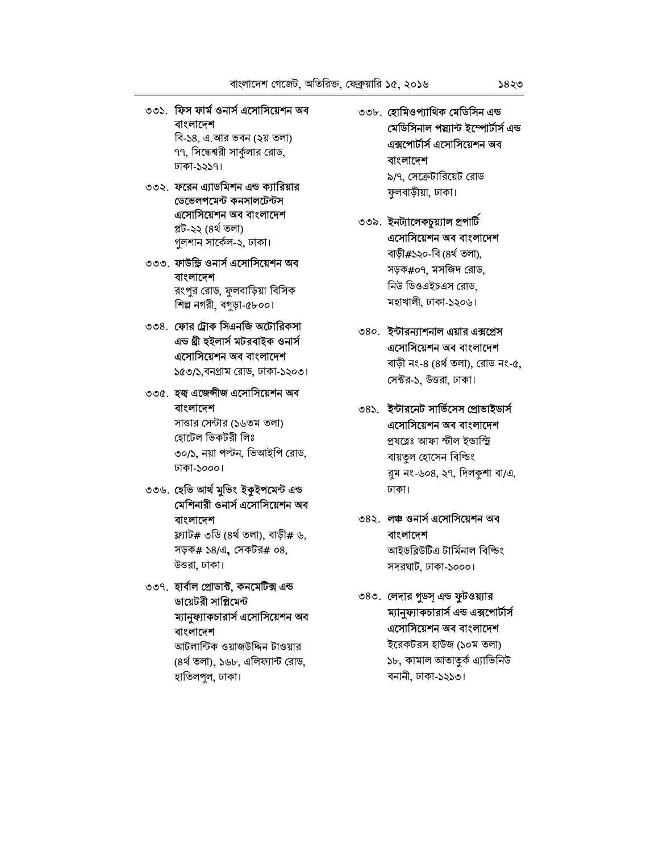### ৩৩১. ফিস ফার্ম ওনার্স এসোসিয়েশন অব বাংলাদেশ

বি-১৪, এ.আর ভবন (২য় তলা) ৭৭, সিদ্ধেশ্বরী সার্কুলার রোড, ঢাকা-১২১৭।

- ৩৩২. ফরেন এ্যাডমিশন এন্ড ক্যারিয়ার ডেভেলপমেন্ট কনসালটেন্টস এসোসিয়েশন অব বাংলাদেশ প্লট-২২ (৪ৰ্থ তলা) গুলশান সার্কেল-২, ঢাকা।
- ৩৩৩. ফাউন্ডি ওনার্স এসোসিয়েশন অব বাংলাদেশ রংপুর রোড, ফুলবাড়িয়া বিসিক শিল্প নগরী, বগুড়া-৫৮০০।

৩৩৪. ফোর ট্রোক সিএনজি অটোরিকসা এন্ড থ্রী হইলার্স মটরবাইক ওনার্স এসোসিয়েশন অব বাংলাদেশ ১৫৩/১,বনগ্রাম রোড, ঢাকা-১২০৩।

৩৩৫. হজ্ব এজেন্সীজ এসোসিয়েশন অব বাংলাদেশ

> সাত্তার সেন্টার (১৬তম তলা) হোটেল ভিকটরী লিঃ ৩০/১, নয়া পল্টন, ভিআইপি রোড, ঢাকা-১০০০।

৩৩৬. হেভি আৰ্থ মুভিং ইকুইপমেন্ট এন্ড মেশিনারী ওনার্স এসোসিয়েশন অব বাংলাদেশ

> ফ্ল্যাট# ৩ডি (৪র্থ তলা), বাড়ী# ৬, সড়ক# ১৪/এ, সেকটর# ০৪, উত্তরা, ঢাকা।

৩৩৭. হাৰ্বাল প্ৰোডাক্ট, কনমেটিক্স এন্ড ডায়েটরী সাপ্লিমেন্ট ম্যানুফ্যাকচারার্স এসোসিয়েশন অব বাংলাদেশ

আটলান্টিক ওয়াজউদ্দিন টাওয়ার (৪র্থ তলা), ১৬৮, এলিফ্যান্ট রোড, হাতিলপুল, ঢাকা।

- ৩৩৮. হোমিওপ্যাথিক মেডিসিন এন্ড মেডিসিনাল পয়্যান্ট ইম্পোর্টার্স এন্ড এক্সপোর্টার্স এসোসিয়েশন অব বাংলাদেশ ৯/৭, সেক্রেটারিয়েট রোড ফুলবাড়ীয়া, ঢাকা।
- ৩৩৯. ইনট্যালেকচুয়্যাল প্রপার্টি এসোসিয়েশন অব বাংলাদেশ বাড়ী#১২০-বি (৪র্থ তলা), সড়ক#০৭, মসজিদ রোড, নিউ ডিওএইচএস রোড. মহাখালী, ঢাকা-১২০৬।
- ৩৪০. ইন্টারন্যাশনাল এয়ার এক্সপ্রেস এসোসিয়েশন অব বাংলাদেশ বাড়ী নং-৪ (৪র্থ তলা), রোড নং-৫, সেক্টর-১, উত্তরা, ঢাকা।
- ৩৪১. ইন্টারনেট সার্ভিসেস প্রোভাইডার্স এসোসিয়েশন অব বাংলাদেশ প্ৰযত্নেঃ আফা স্টীল ইন্ডাস্ট্ৰি বায়তুল হোসেন বিল্ডিং ব্রম নং-৬০৪, ২৭, দিলকুশা বা/এ, ঢাকা।
- ৩৪২. লঞ্চ ওনার্স এসোসিয়েশন অব বাংলাদেশ আইডব্লিউটিএ টার্মিনাল বিল্ডিং সদরঘাট, ঢাকা-১০০০।
- ৩৪৩. লেদার গুডস্ এন্ড ফুটওয়্যার ম্যানুফ্যাকচারার্স এন্ড এক্সপোর্টার্স এসোসিয়েশন অব বাংলাদেশ ইরেকটরস হাউজ (১০ম তলা) ১৮, কামাল আতাতুর্ক এ্যাভিনিউ

বনানী, ঢাকা-১২১৩।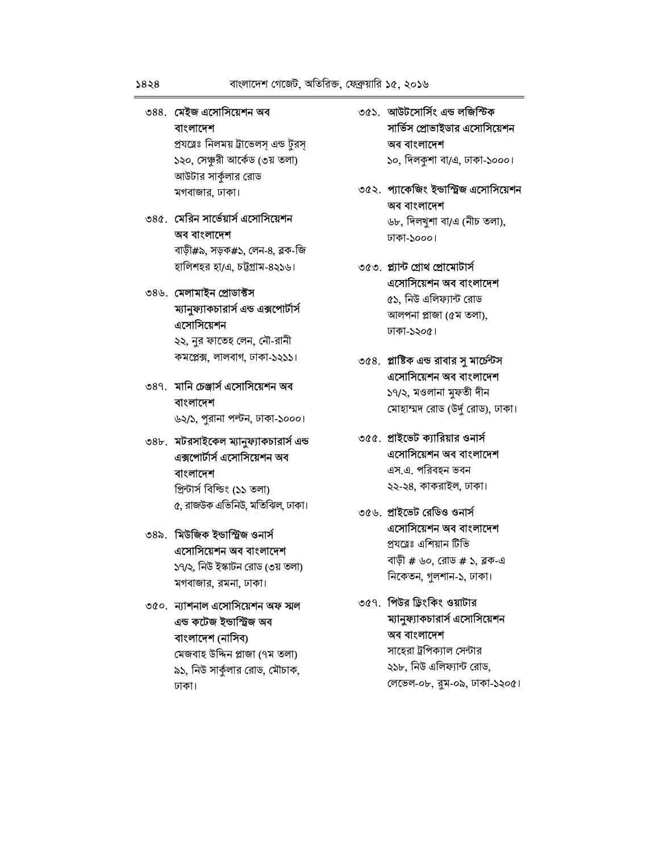### ৩৪৪. মেইজ এসোসিয়েশন অব বাংলাদেশ

প্রযত্নেঃ নিলময় ট্রাভেলস এন্ড টুরস ১২০, সেঞ্চরী আর্কেড (৩য় তলা) আউটার সার্কুলার রোড মগবাজার, ঢাকা।

৩৪৫. মেরিন সার্ভেয়ার্স এসোসিয়েশন অব বাংলাদেশ

> বাড়ী#৯, সড়ক#১, লেন-৪, ব্লক-জি হালিশহর হা/এ, চট্টগ্রাম-৪২১৬।

## ৩৪৬. মেলামাইন প্ৰোডাক্টস ম্যানুফ্যাকচারার্স এন্ড এক্সপোর্টার্স এসোসিয়েশন

২২, নুর ফাতেহ লেন, নৌ-রানী কমপ্লেক্স, লালবাগ, ঢাকা-১২১১।

## ৩৪৭. মানি চেঞ্জার্স এসোসিয়েশন অব বাংলাদেশ

৬২/১, পুরানা পল্টন, ঢাকা-১০০০।

৩৪৮. মটরসাইকেল ম্যানুফ্যাকচারার্স এন্ড এক্সপোর্টার্স এসোসিয়েশন অব বাংলাদেশ প্ৰিন্টাৰ্স বিল্ডিং (১১ তলা)

৫, রাজউক এভিনিউ, মতিঝিল, ঢাকা।

- ৩৪৯. মিউজিক ইন্ডাস্ট্রিজ ওনার্স এসোসিয়েশন অব বাংলাদেশ ১৭/২, নিউ ইস্কাটন রোড (৩য় তলা) মগবাজার, রমনা, ঢাকা।
- ৩৫০. ন্যাশনাল এসোসিয়েশন অফ স্মল এন্ড কটেজ ইন্ডাস্ট্ৰিজ অব বাংলাদেশ (নাসিব)

মেজবাহ উদ্দিন প্লাজা (৭ম তলা) ৯১, নিউ সার্কুলার রোড, মৌচাক, ঢাকা।

- ৩৫১. আউটসোর্সিং এন্ড লজিস্টিক সার্ভিস প্রোভাইডার এসোসিয়েশন অব বাংলাদেশ ১০, দিলকুশা বা/এ, ঢাকা-১০০০।
- ৩৫২. প্যাকেজিং ইন্ডাস্ট্রিজ এসোসিয়েশন অব বাংলাদেশ ৬৮, দিলখুশা বা/এ (নীচ তলা), ঢাকা-১০০০।
- ৩৫৩. প্ল্যান্ট গ্ৰোথ প্ৰোমোটাৰ্স এসোসিয়েশন অব বাংলাদেশ ৫১, নিউ এলিফ্যান্ট রোড আলপনা প্লাজা (৫ম তলা), ঢাকা-১২০৫।
- ৩৫৪. প্লাষ্টিক এন্ড রাবার সু মার্চেন্টস এসোসিয়েশন অব বাংলাদেশ ১৭/২, মওলানা মুফতী দীন মোহাম্মদ রোড (উর্দু রোড), ঢাকা।
- ৩৫৫. প্রাইভেট ক্যারিয়ার ওনার্স এসোসিয়েশন অব বাংলাদেশ এস.এ. পরিবহন ভবন ২২-২৪, কাকরাইল, ঢাকা।
- ৩৫৬. প্রাইভেট রেডিও ওনার্স এসোসিয়েশন অব বাংলাদেশ প্রযন্নেঃ এশিয়ান টিভি বাড়ী # ৬০, রোড # ১, ব্লক-এ নিকেতন, গুলশান-১, ঢাকা।

## ৩৫৭. পিউর ডিংকিং ওয়াটার ম্যানুফ্যাকচারার্স এসোসিয়েশন অব বাংলাদেশ সাহেরা ট্রপিক্যাল সেন্টার ২১৮, নিউ এলিফ্যান্ট রোড, লেভেল-০৮, রুম-০৯, ঢাকা-১২০৫।

#### $5828$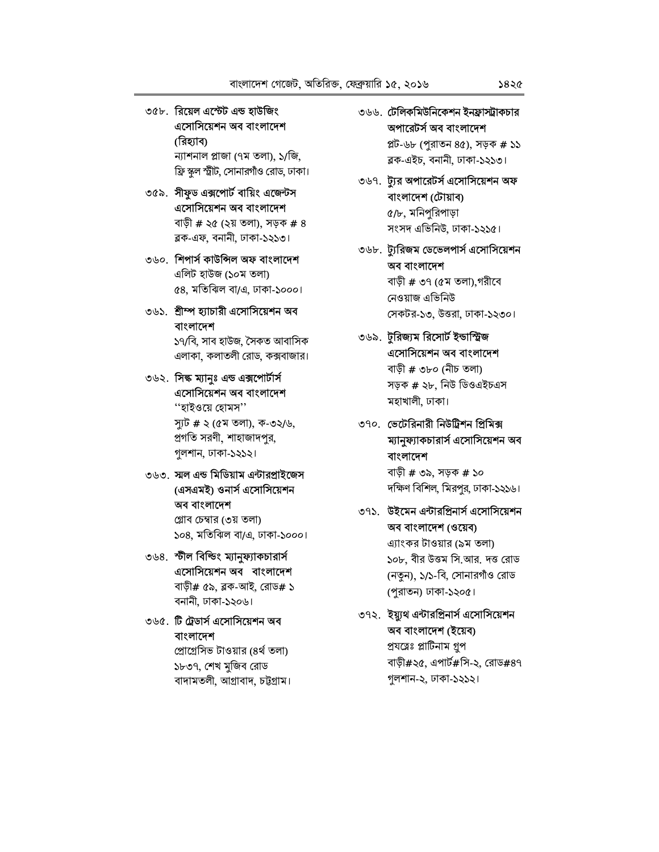## ৩৫৮. রিয়েল এস্টেট এন্ড হাউজিং এসোসিয়েশন অব বাংলাদেশ (রিহ্যাব)

ন্যাশনাল প্লাজা (৭ম তলা), ১/জি, ফ্রি স্কুল স্ট্রীট, সোনারগাঁও রোড, ঢাকা।

- ৩৫৯. সীফুড এক্সপোর্ট বায়িং এজেন্টস এসোসিয়েশন অব বাংলাদেশ বাড়ী # ২৫ (২য় তলা), সড়ক # ৪ ৱক-এফ, বনানী, ঢাকা-১২১৩।
- ৩৬০. শিপাৰ্স কাউন্সিল অফ বাংলাদেশ এলিট হাউজ (১০ম তলা) ৫৪, মতিঝিল বা/এ, ঢাকা-১০০০।
- ৩৬১. শ্রীম্প হ্যাচারী এসোসিয়েশন অব বাংলাদেশ

১৭/বি, সাব হাউজ, সৈকত আবাসিক এলাকা, কলাতলী রোড, কক্সবাজার।

৩৬২. সিল্ক ম্যানুঃ এন্ড এক্সপোর্টার্স এসোসিয়েশন অব বাংলাদেশ ''হাইওয়ে হোমস''

> স্যুট # ২ (৫ম তলা), ক-৩২/৬, প্রগতি সরণী, শাহাজাদপুর, গুলশান, ঢাকা-১২১২।

৩৬৩. স্মল এন্ড মিডিয়াম এন্টারপ্রাইজেস (এসএমই) ওনার্স এসোসিয়েশন অব বাংলাদেশ

> গ্লোব চেম্বার (৩য় তলা) ১০৪, মতিঝিল বা/এ, ঢাকা-১০০০।

- ৩৬৪. স্টীল বিল্ডিং ম্যানুফ্যাকচারার্স এসোসিয়েশন অব বাংলাদেশ বাড়ী# ৫৯, ব্লক-আই, রোড# ১ বনানী, ঢাকা-১২০৬।
- ৩৬৫. টি ট্রেডার্স এসোসিয়েশন অব বাংলাদেশ প্রোগ্রেসিভ টাওয়ার (৪র্থ তলা) ১৮৩৭, শেখ মুজিব রোড বাদামতলী, আগ্রাবাদ, চট্টগ্রাম।
- ৩৬৬. টেলিকমিউনিকেশন ইনফ্রাস্ট্রাকচার অপারেটর্স অব বাংলাদেশ প্লট-৬৮ (পুরাতন ৪৫), সড়ক # ১১ ৱক-এইচ, বনানী, ঢাকা-১২১৩।
- ৩৬৭. ট্যুর অপারেটর্স এসোসিয়েশন অফ বাংলাদেশ (টোয়াব) ৫/৮, মনিপুরিপাড়া সংসদ এভিনিউ, ঢাকা-১২১৫।
- ৩৬৮. ট্যুরিজম ডেভেলপার্স এসোসিয়েশন অব বাংলাদেশ বাড়ী # ৩৭ (৫ম তলা),গরীবে নেওয়াজ এভিনিউ সেকটর-১৩, উত্তরা, ঢাকা-১২৩০।
- ৩৬৯. টুরিজ্যম রিসোর্ট ইন্ডাস্ট্রিজ এসোসিয়েশন অব বাংলাদেশ বাড়ী # ৩৮০ (নীচ তলা) সড়ক # ২৮, নিউ ডিওএইচএস মহাখালী, ঢাকা।
- ৩৭০. ভেটেরিনারী নিউট্রিশন প্রিমিক্স ম্যানুফ্যাকচারার্স এসোসিয়েশন অব বাংলাদেশ বাড়ী # ৩৯, সড়ক # ১০ দক্ষিণ বিশিল, মিরপুর, ঢাকা-১২১৬।
- ৩৭১. উইমেন এন্টারপ্রিনার্স এসোসিয়েশন অব বাংলাদেশ (ওয়েব) এ্যাংকর টাওয়ার (৯ম তলা) ১০৮, বীর উত্তম সি.আর. দত্ত রোড

(নতুন), ১/১-বি, সোনারগাঁও রোড (পুরাতন) ঢাকা-১২০৫।

৩৭২. ইয়্যুথ এন্টারপ্রিনার্স এসোসিয়েশন অব বাংলাদেশ (ইয়েব) প্ৰযত্নেঃ প্লাটিনাম গ্ৰুপ

বাড়ী#২৫, এপার্ট#সি-২, রোড#৪৭ গুলশান-২, ঢাকা-১২১২।